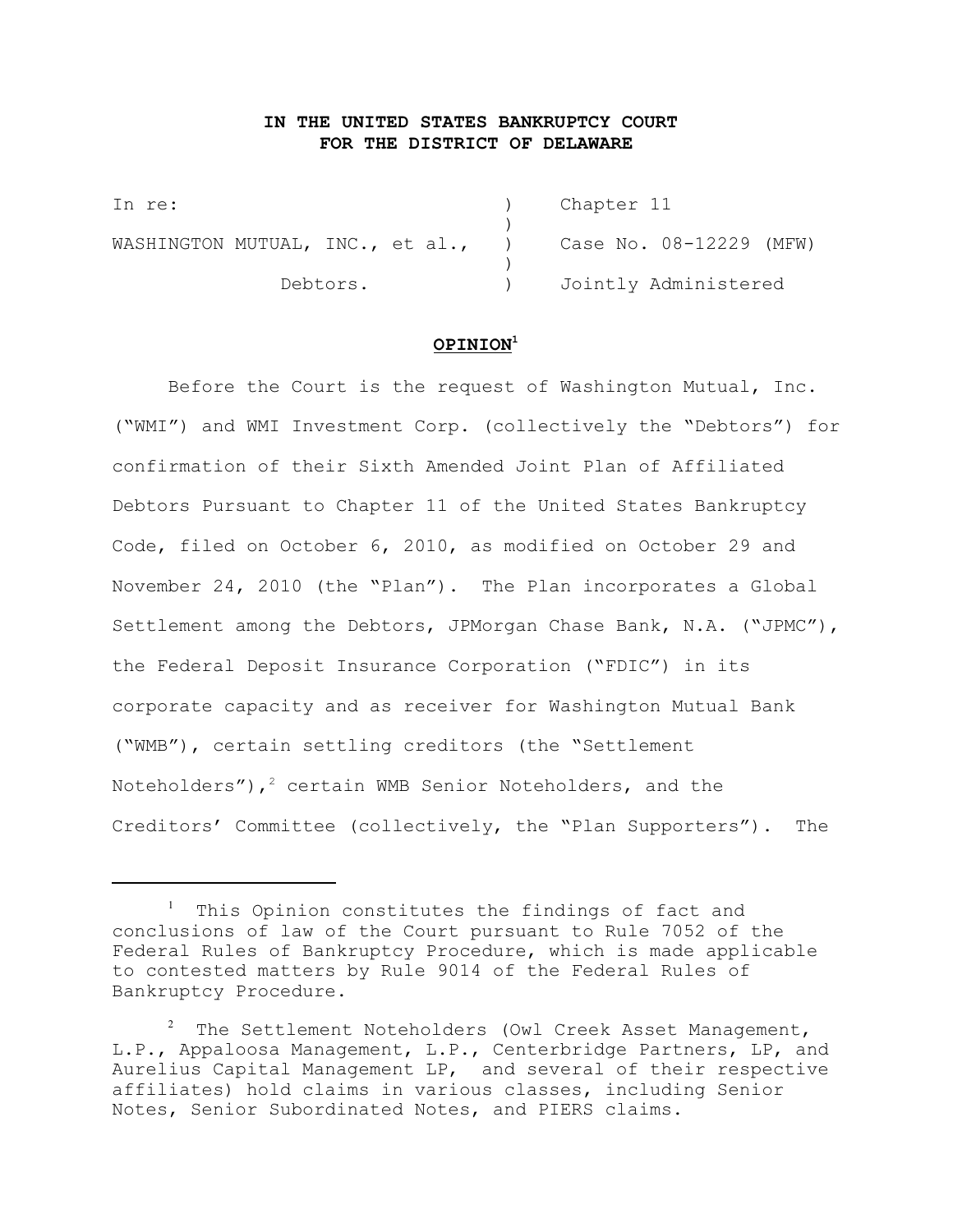# **IN THE UNITED STATES BANKRUPTCY COURT FOR THE DISTRICT OF DELAWARE**

In re: (a) Chapter 11 ) WASHINGTON MUTUAL, INC., et al., ) Case No. 08-12229 (MFW)  $\lambda$ Debtors. (a) Jointly Administered

## **OPINION<sup>1</sup>**

Before the Court is the request of Washington Mutual, Inc. ("WMI") and WMI Investment Corp. (collectively the "Debtors") for confirmation of their Sixth Amended Joint Plan of Affiliated Debtors Pursuant to Chapter 11 of the United States Bankruptcy Code, filed on October 6, 2010, as modified on October 29 and November 24, 2010 (the "Plan"). The Plan incorporates a Global Settlement among the Debtors, JPMorgan Chase Bank, N.A. ("JPMC"), the Federal Deposit Insurance Corporation ("FDIC") in its corporate capacity and as receiver for Washington Mutual Bank ("WMB"), certain settling creditors (the "Settlement Noteholders"),  $2$  certain WMB Senior Noteholders, and the Creditors' Committee (collectively, the "Plan Supporters"). The

 $1$  This Opinion constitutes the findings of fact and conclusions of law of the Court pursuant to Rule 7052 of the Federal Rules of Bankruptcy Procedure, which is made applicable to contested matters by Rule 9014 of the Federal Rules of Bankruptcy Procedure.

 $\frac{2}{\pi}$  The Settlement Noteholders (Owl Creek Asset Management, L.P., Appaloosa Management, L.P., Centerbridge Partners, LP, and Aurelius Capital Management LP, and several of their respective affiliates) hold claims in various classes, including Senior Notes, Senior Subordinated Notes, and PIERS claims.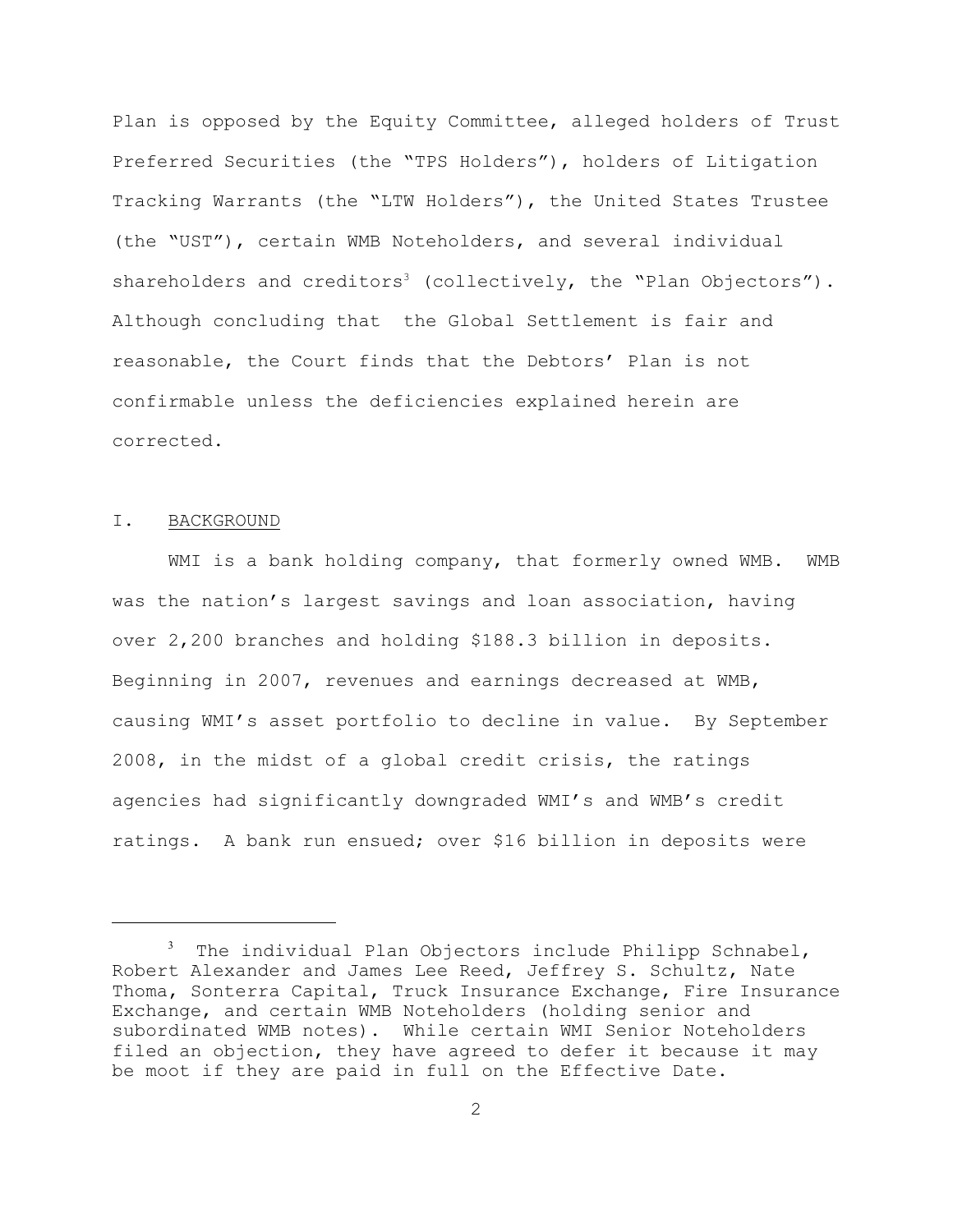Plan is opposed by the Equity Committee, alleged holders of Trust Preferred Securities (the "TPS Holders"), holders of Litigation Tracking Warrants (the "LTW Holders"), the United States Trustee (the "UST"), certain WMB Noteholders, and several individual shareholders and creditors<sup>3</sup> (collectively, the "Plan Objectors"). Although concluding that the Global Settlement is fair and reasonable, the Court finds that the Debtors' Plan is not confirmable unless the deficiencies explained herein are corrected.

#### I. BACKGROUND

WMI is a bank holding company, that formerly owned WMB. WMB was the nation's largest savings and loan association, having over 2,200 branches and holding \$188.3 billion in deposits. Beginning in 2007, revenues and earnings decreased at WMB, causing WMI's asset portfolio to decline in value. By September 2008, in the midst of a global credit crisis, the ratings agencies had significantly downgraded WMI's and WMB's credit ratings. A bank run ensued; over \$16 billion in deposits were

 $3$  The individual Plan Objectors include Philipp Schnabel, Robert Alexander and James Lee Reed, Jeffrey S. Schultz, Nate Thoma, Sonterra Capital, Truck Insurance Exchange, Fire Insurance Exchange, and certain WMB Noteholders (holding senior and subordinated WMB notes). While certain WMI Senior Noteholders filed an objection, they have agreed to defer it because it may be moot if they are paid in full on the Effective Date.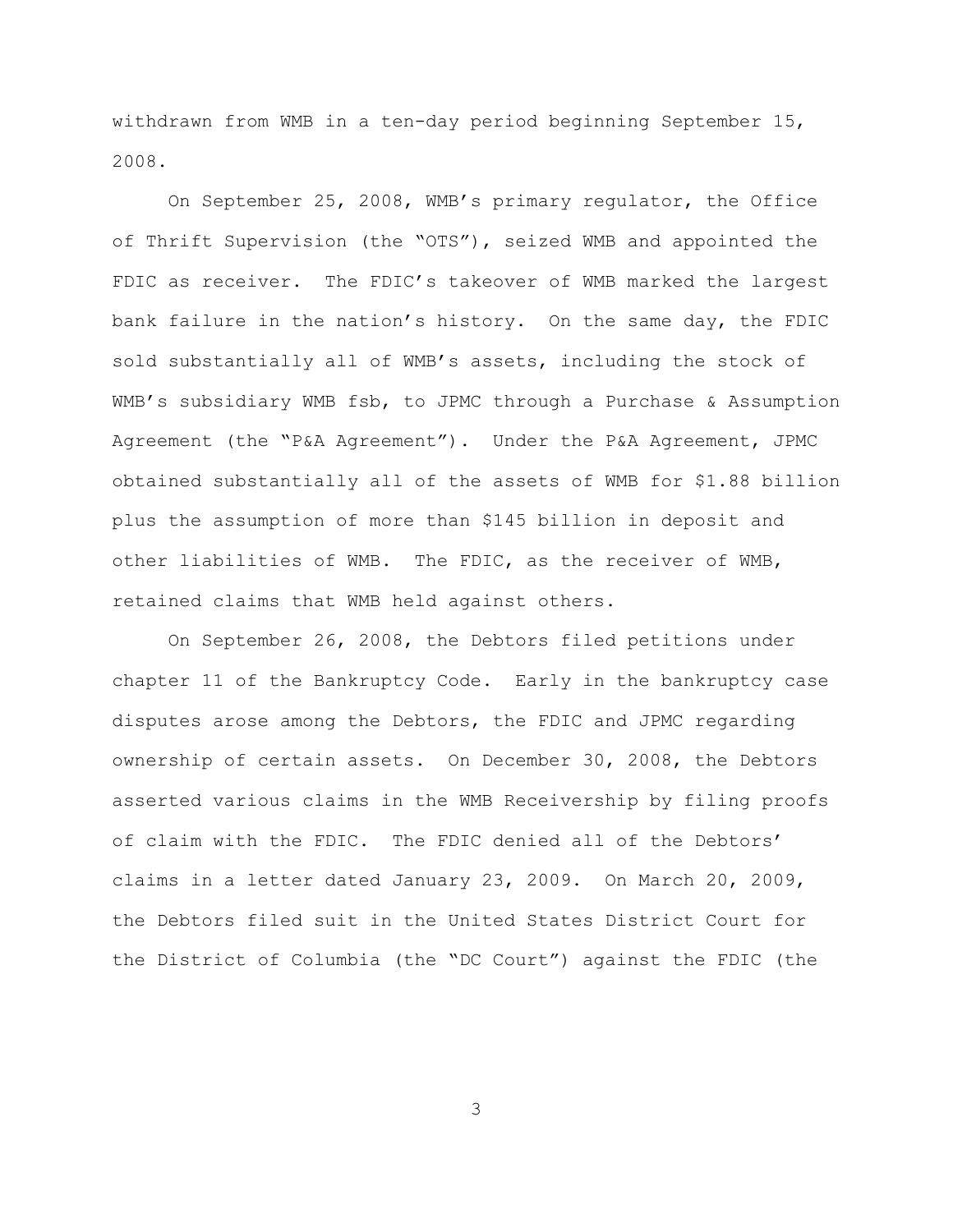withdrawn from WMB in a ten-day period beginning September 15, 2008.

On September 25, 2008, WMB's primary regulator, the Office of Thrift Supervision (the "OTS"), seized WMB and appointed the FDIC as receiver. The FDIC's takeover of WMB marked the largest bank failure in the nation's history. On the same day, the FDIC sold substantially all of WMB's assets, including the stock of WMB's subsidiary WMB fsb, to JPMC through a Purchase & Assumption Agreement (the "P&A Agreement"). Under the P&A Agreement, JPMC obtained substantially all of the assets of WMB for \$1.88 billion plus the assumption of more than \$145 billion in deposit and other liabilities of WMB. The FDIC, as the receiver of WMB, retained claims that WMB held against others.

On September 26, 2008, the Debtors filed petitions under chapter 11 of the Bankruptcy Code. Early in the bankruptcy case disputes arose among the Debtors, the FDIC and JPMC regarding ownership of certain assets. On December 30, 2008, the Debtors asserted various claims in the WMB Receivership by filing proofs of claim with the FDIC. The FDIC denied all of the Debtors' claims in a letter dated January 23, 2009. On March 20, 2009, the Debtors filed suit in the United States District Court for the District of Columbia (the "DC Court") against the FDIC (the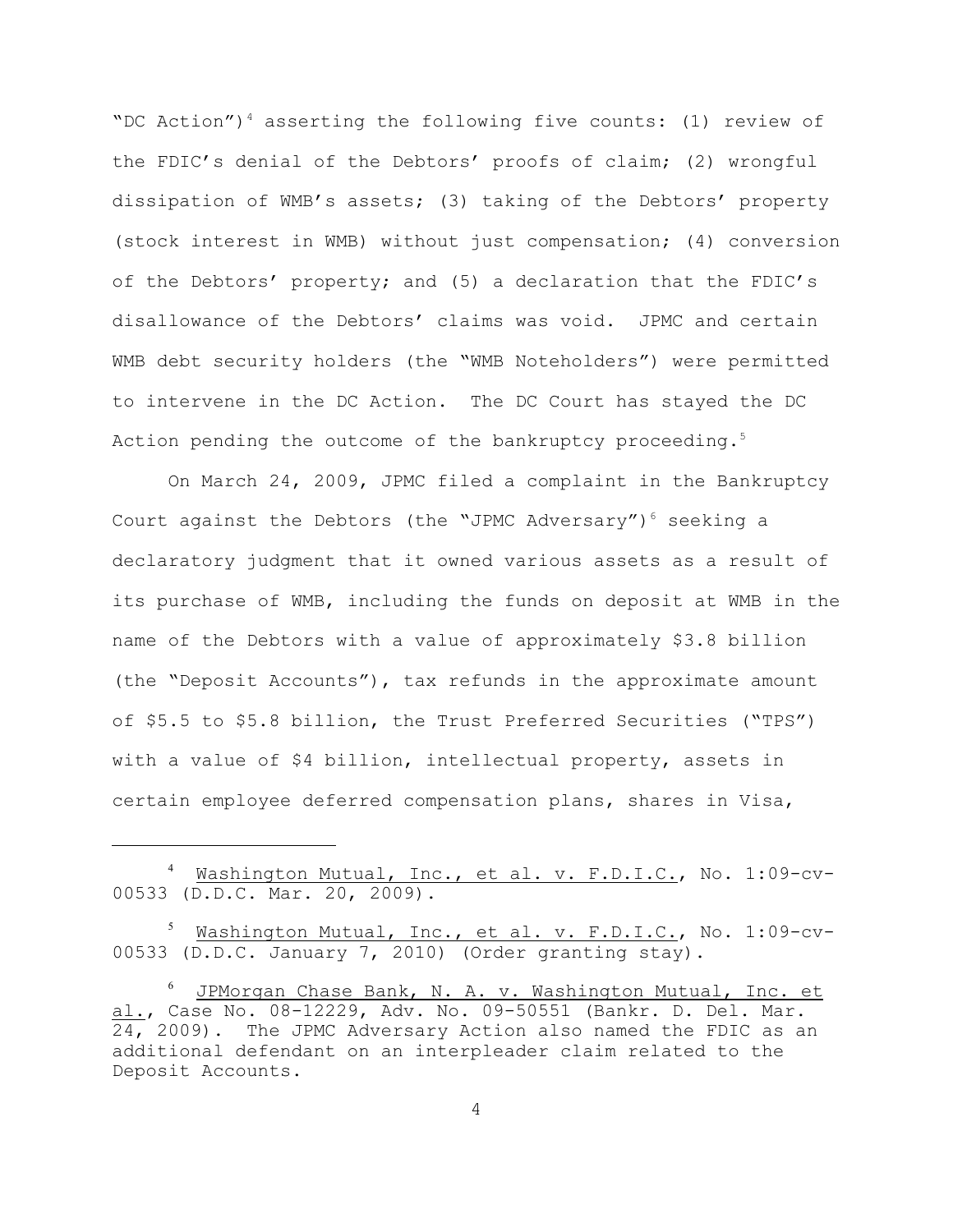"DC Action")<sup>4</sup> asserting the following five counts: (1) review of the FDIC's denial of the Debtors' proofs of claim; (2) wrongful dissipation of WMB's assets; (3) taking of the Debtors' property (stock interest in WMB) without just compensation; (4) conversion of the Debtors' property; and (5) a declaration that the FDIC's disallowance of the Debtors' claims was void. JPMC and certain WMB debt security holders (the "WMB Noteholders") were permitted to intervene in the DC Action. The DC Court has stayed the DC Action pending the outcome of the bankruptcy proceeding.<sup>5</sup>

On March 24, 2009, JPMC filed a complaint in the Bankruptcy Court against the Debtors (the "JPMC Adversary") $^6$  seeking a declaratory judgment that it owned various assets as a result of its purchase of WMB, including the funds on deposit at WMB in the name of the Debtors with a value of approximately \$3.8 billion (the "Deposit Accounts"), tax refunds in the approximate amount of \$5.5 to \$5.8 billion, the Trust Preferred Securities ("TPS") with a value of \$4 billion, intellectual property, assets in certain employee deferred compensation plans, shares in Visa,

<sup>&</sup>lt;sup>4</sup> Mashington Mutual, Inc., et al. v. F.D.I.C., No. 1:09-cv-00533 (D.D.C. Mar. 20, 2009).

<sup>5</sup> Washington Mutual, Inc., et al. v. F.D.I.C., No. 1:09-cv-00533 (D.D.C. January 7, 2010) (Order granting stay).

 $^6$  JPMorgan Chase Bank, N. A. v. Washington Mutual, Inc. et al., Case No. 08-12229, Adv. No. 09-50551 (Bankr. D. Del. Mar. 24, 2009). The JPMC Adversary Action also named the FDIC as an additional defendant on an interpleader claim related to the Deposit Accounts.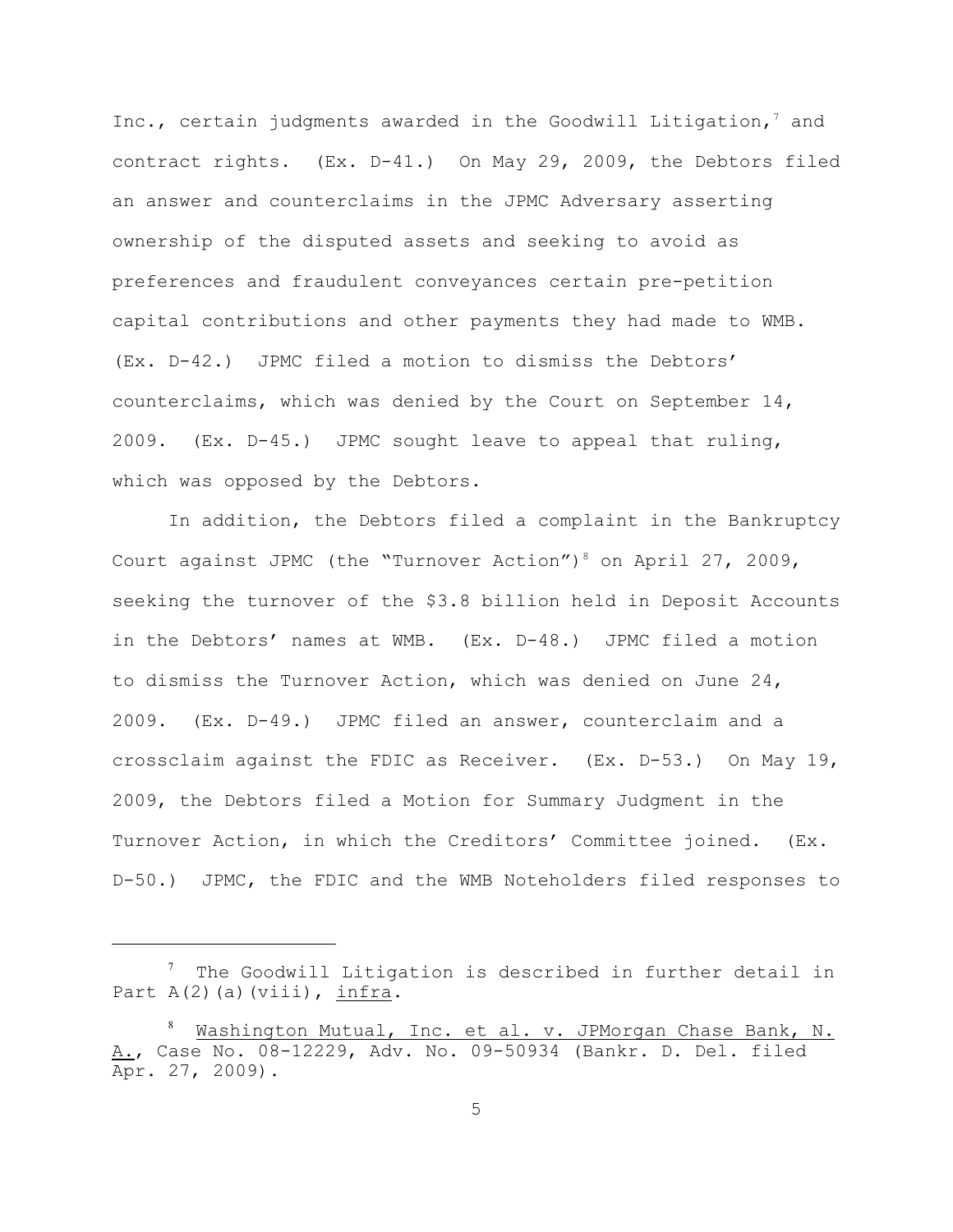Inc., certain judgments awarded in the Goodwill Litigation,  $7$  and contract rights. (Ex. D-41.) On May 29, 2009, the Debtors filed an answer and counterclaims in the JPMC Adversary asserting ownership of the disputed assets and seeking to avoid as preferences and fraudulent conveyances certain pre-petition capital contributions and other payments they had made to WMB. (Ex. D-42.) JPMC filed a motion to dismiss the Debtors' counterclaims, which was denied by the Court on September 14, 2009. (Ex. D-45.) JPMC sought leave to appeal that ruling, which was opposed by the Debtors.

In addition, the Debtors filed a complaint in the Bankruptcy Court against JPMC (the "Turnover Action")<sup>8</sup> on April 27, 2009, seeking the turnover of the \$3.8 billion held in Deposit Accounts in the Debtors' names at WMB. (Ex. D-48.) JPMC filed a motion to dismiss the Turnover Action, which was denied on June 24, 2009. (Ex. D-49.) JPMC filed an answer, counterclaim and a crossclaim against the FDIC as Receiver. (Ex. D-53.) On May 19, 2009, the Debtors filed a Motion for Summary Judgment in the Turnover Action, in which the Creditors' Committee joined. (Ex. D-50.) JPMC, the FDIC and the WMB Noteholders filed responses to

 $\frac{7}{1}$  The Goodwill Litigation is described in further detail in Part  $A(2)$  (a) (viii), infra.

<sup>&</sup>lt;sup>8</sup> Washington Mutual, Inc. et al. v. JPMorgan Chase Bank, N. A., Case No. 08-12229, Adv. No. 09-50934 (Bankr. D. Del. filed Apr. 27, 2009).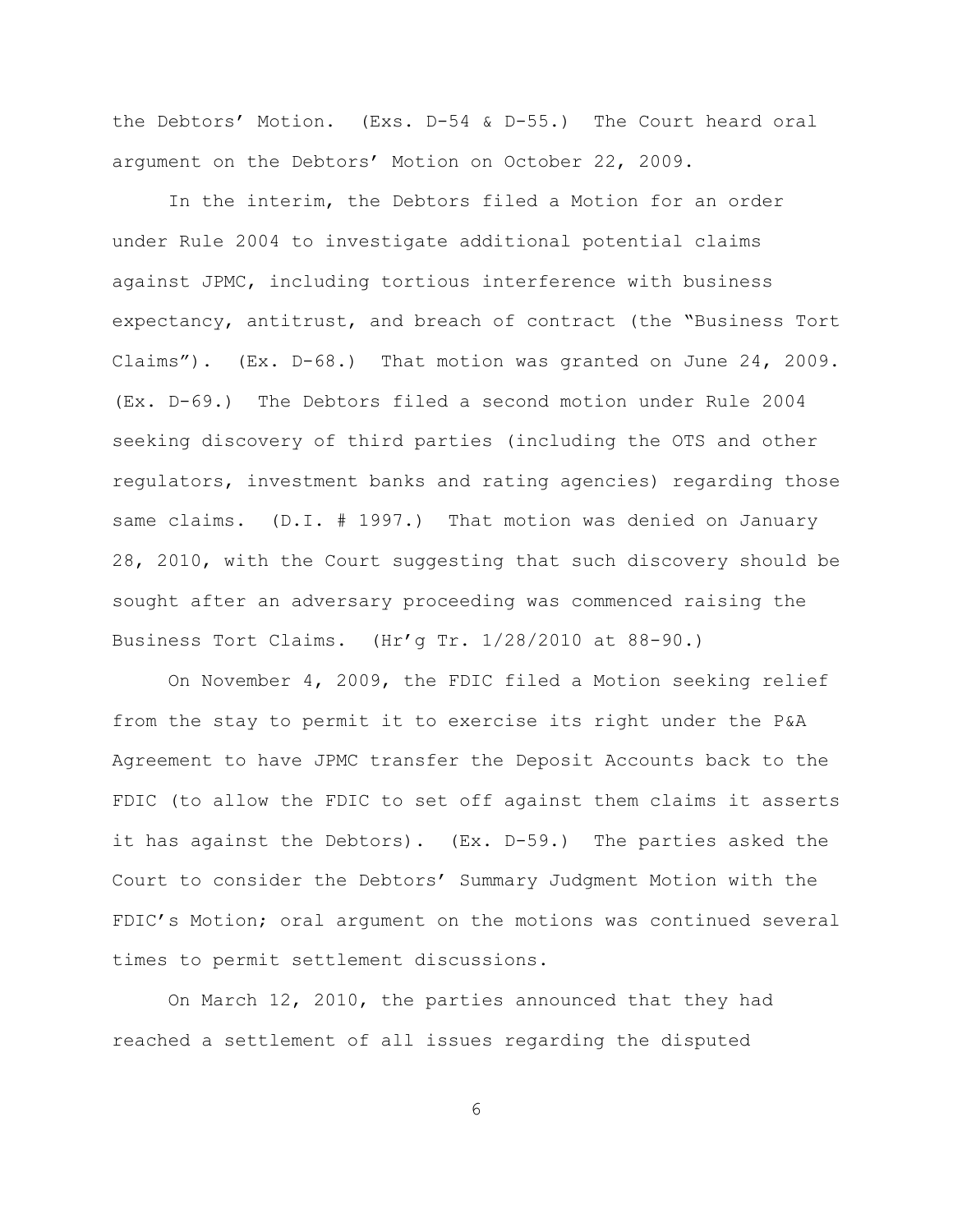the Debtors' Motion. (Exs. D-54 & D-55.) The Court heard oral argument on the Debtors' Motion on October 22, 2009.

In the interim, the Debtors filed a Motion for an order under Rule 2004 to investigate additional potential claims against JPMC, including tortious interference with business expectancy, antitrust, and breach of contract (the "Business Tort Claims"). (Ex. D-68.) That motion was granted on June 24, 2009. (Ex. D-69.) The Debtors filed a second motion under Rule 2004 seeking discovery of third parties (including the OTS and other regulators, investment banks and rating agencies) regarding those same claims. (D.I. # 1997.) That motion was denied on January 28, 2010, with the Court suggesting that such discovery should be sought after an adversary proceeding was commenced raising the Business Tort Claims. (Hr'g Tr. 1/28/2010 at 88-90.)

On November 4, 2009, the FDIC filed a Motion seeking relief from the stay to permit it to exercise its right under the P&A Agreement to have JPMC transfer the Deposit Accounts back to the FDIC (to allow the FDIC to set off against them claims it asserts it has against the Debtors). (Ex. D-59.) The parties asked the Court to consider the Debtors' Summary Judgment Motion with the FDIC's Motion; oral argument on the motions was continued several times to permit settlement discussions.

On March 12, 2010, the parties announced that they had reached a settlement of all issues regarding the disputed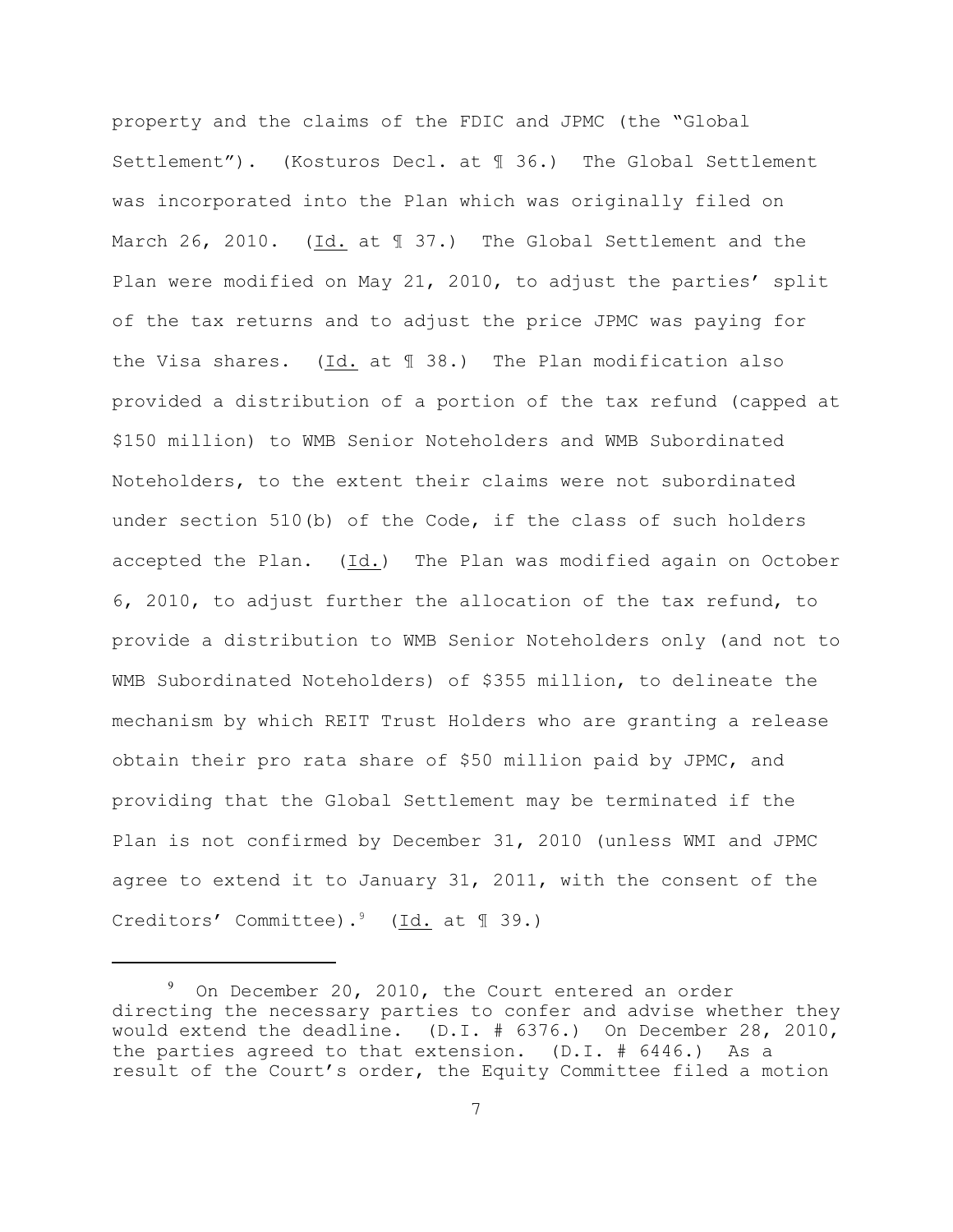property and the claims of the FDIC and JPMC (the "Global Settlement"). (Kosturos Decl. at ¶ 36.) The Global Settlement was incorporated into the Plan which was originally filed on March 26, 2010. (Id. at  $\text{\textsterling} 37.$ ) The Global Settlement and the Plan were modified on May 21, 2010, to adjust the parties' split of the tax returns and to adjust the price JPMC was paying for the Visa shares. (Id. at ¶ 38.) The Plan modification also provided a distribution of a portion of the tax refund (capped at \$150 million) to WMB Senior Noteholders and WMB Subordinated Noteholders, to the extent their claims were not subordinated under section 510(b) of the Code, if the class of such holders accepted the Plan. (Id.) The Plan was modified again on October 6, 2010, to adjust further the allocation of the tax refund, to provide a distribution to WMB Senior Noteholders only (and not to WMB Subordinated Noteholders) of \$355 million, to delineate the mechanism by which REIT Trust Holders who are granting a release obtain their pro rata share of \$50 million paid by JPMC, and providing that the Global Settlement may be terminated if the Plan is not confirmed by December 31, 2010 (unless WMI and JPMC agree to extend it to January 31, 2011, with the consent of the Creditors' Committee).<sup>9</sup> (Id. at  $\mathbb{I}$  39.)

 $9$  On December 20, 2010, the Court entered an order directing the necessary parties to confer and advise whether they would extend the deadline. (D.I. # 6376.) On December 28, 2010, the parties agreed to that extension. (D.I. # 6446.) As a result of the Court's order, the Equity Committee filed a motion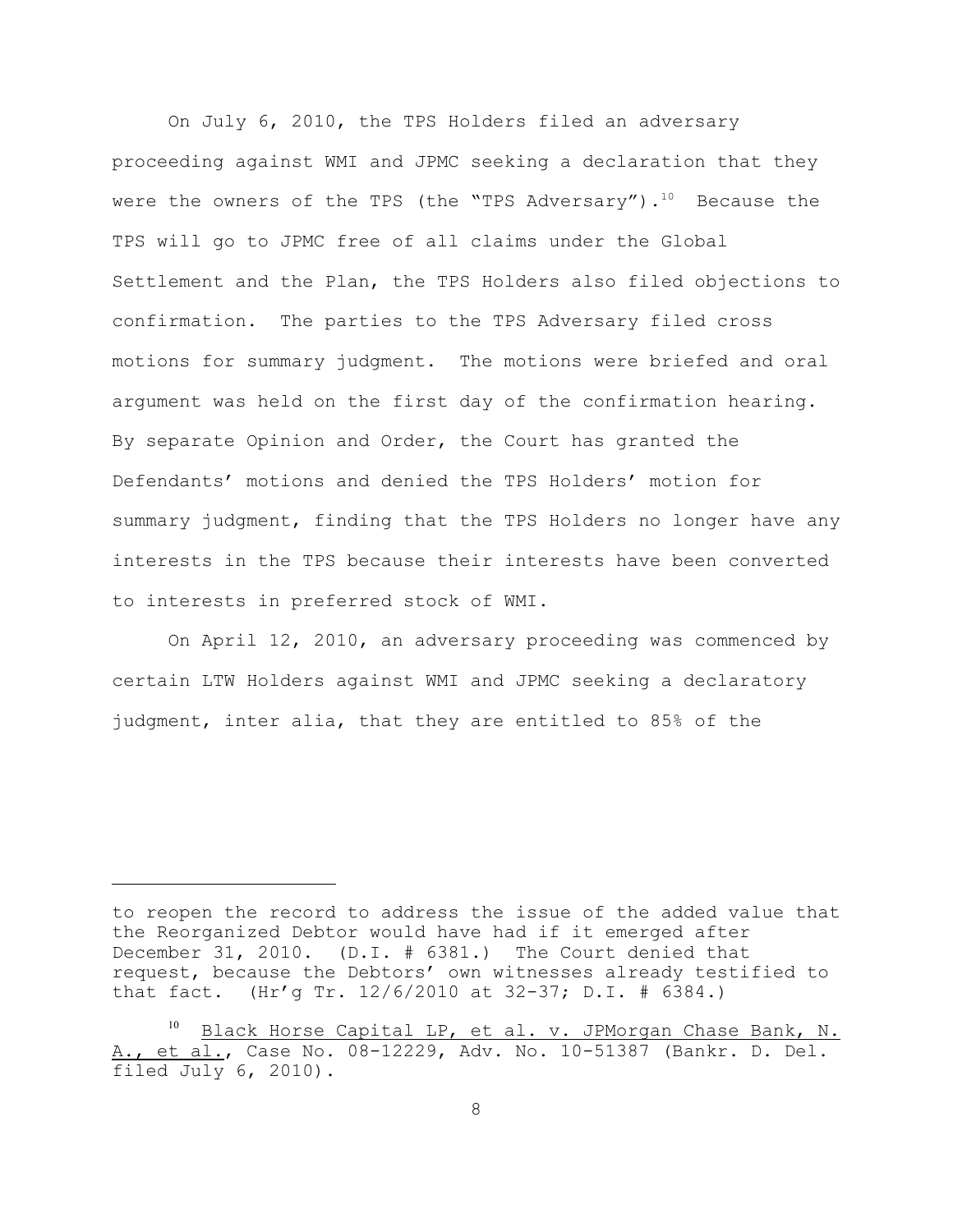On July 6, 2010, the TPS Holders filed an adversary proceeding against WMI and JPMC seeking a declaration that they were the owners of the TPS (the "TPS Adversary").<sup>10</sup> Because the TPS will go to JPMC free of all claims under the Global Settlement and the Plan, the TPS Holders also filed objections to confirmation. The parties to the TPS Adversary filed cross motions for summary judgment. The motions were briefed and oral argument was held on the first day of the confirmation hearing. By separate Opinion and Order, the Court has granted the Defendants' motions and denied the TPS Holders' motion for summary judgment, finding that the TPS Holders no longer have any interests in the TPS because their interests have been converted to interests in preferred stock of WMI.

On April 12, 2010, an adversary proceeding was commenced by certain LTW Holders against WMI and JPMC seeking a declaratory judgment, inter alia, that they are entitled to 85% of the

to reopen the record to address the issue of the added value that the Reorganized Debtor would have had if it emerged after December 31, 2010. (D.I. # 6381.) The Court denied that request, because the Debtors' own witnesses already testified to that fact. (Hr'g Tr. 12/6/2010 at 32-37; D.I. # 6384.)

<sup>&</sup>lt;sup>10</sup> Black Horse Capital LP, et al. v. JPMorgan Chase Bank, N. A., et al., Case No. 08-12229, Adv. No. 10-51387 (Bankr. D. Del. filed July 6, 2010).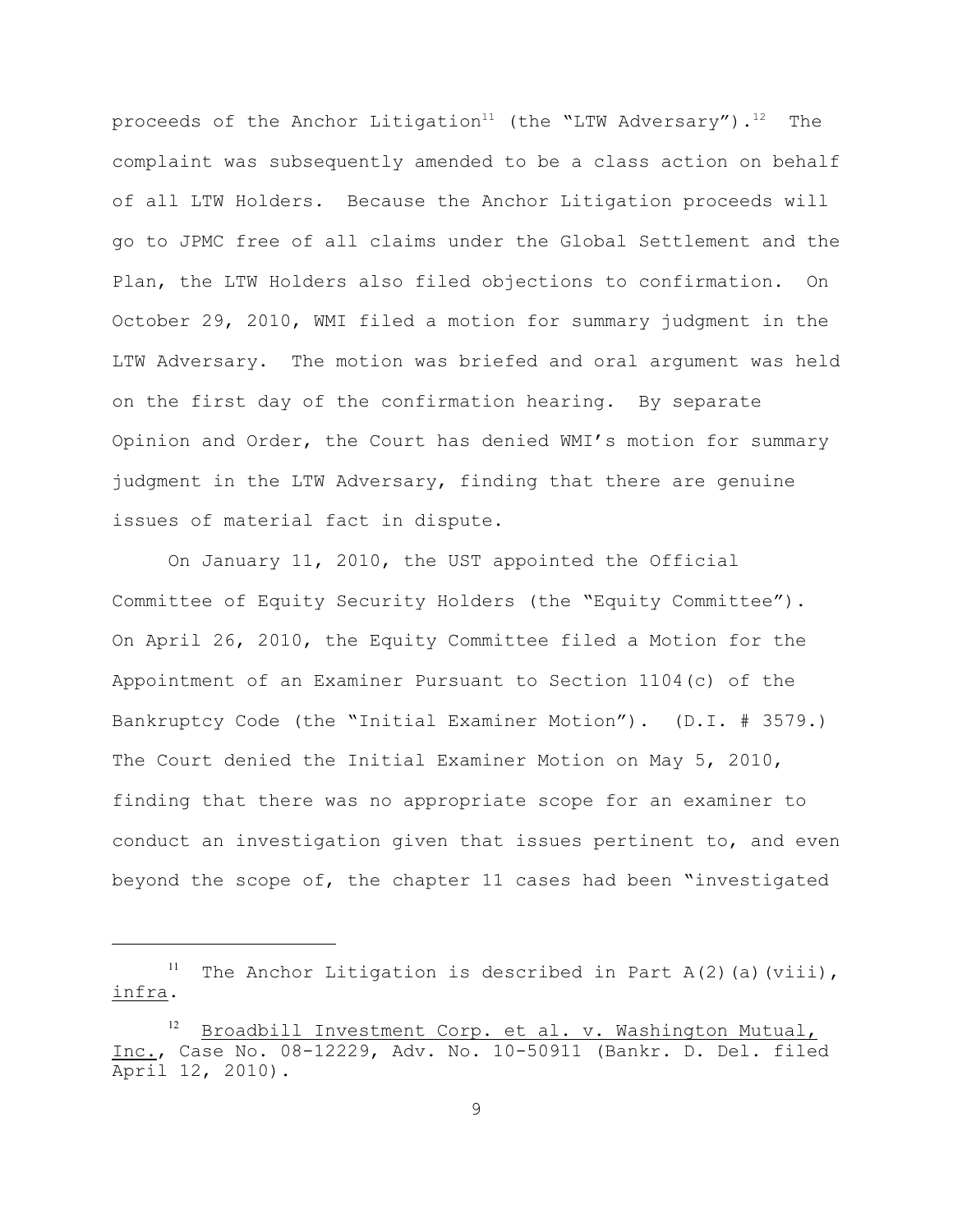proceeds of the Anchor Litigation<sup>11</sup> (the "LTW Adversary").<sup>12</sup> The complaint was subsequently amended to be a class action on behalf of all LTW Holders. Because the Anchor Litigation proceeds will go to JPMC free of all claims under the Global Settlement and the Plan, the LTW Holders also filed objections to confirmation. On October 29, 2010, WMI filed a motion for summary judgment in the LTW Adversary. The motion was briefed and oral argument was held on the first day of the confirmation hearing. By separate Opinion and Order, the Court has denied WMI's motion for summary judgment in the LTW Adversary, finding that there are genuine issues of material fact in dispute.

On January 11, 2010, the UST appointed the Official Committee of Equity Security Holders (the "Equity Committee"). On April 26, 2010, the Equity Committee filed a Motion for the Appointment of an Examiner Pursuant to Section 1104(c) of the Bankruptcy Code (the "Initial Examiner Motion"). (D.I. # 3579.) The Court denied the Initial Examiner Motion on May 5, 2010, finding that there was no appropriate scope for an examiner to conduct an investigation given that issues pertinent to, and even beyond the scope of, the chapter 11 cases had been "investigated

<sup>&</sup>lt;sup>11</sup> The Anchor Litigation is described in Part A(2)(a)(viii), infra.

Broadbill Investment Corp. et al. v. Washington Mutual, Inc., Case No. 08-12229, Adv. No. 10-50911 (Bankr. D. Del. filed April 12, 2010).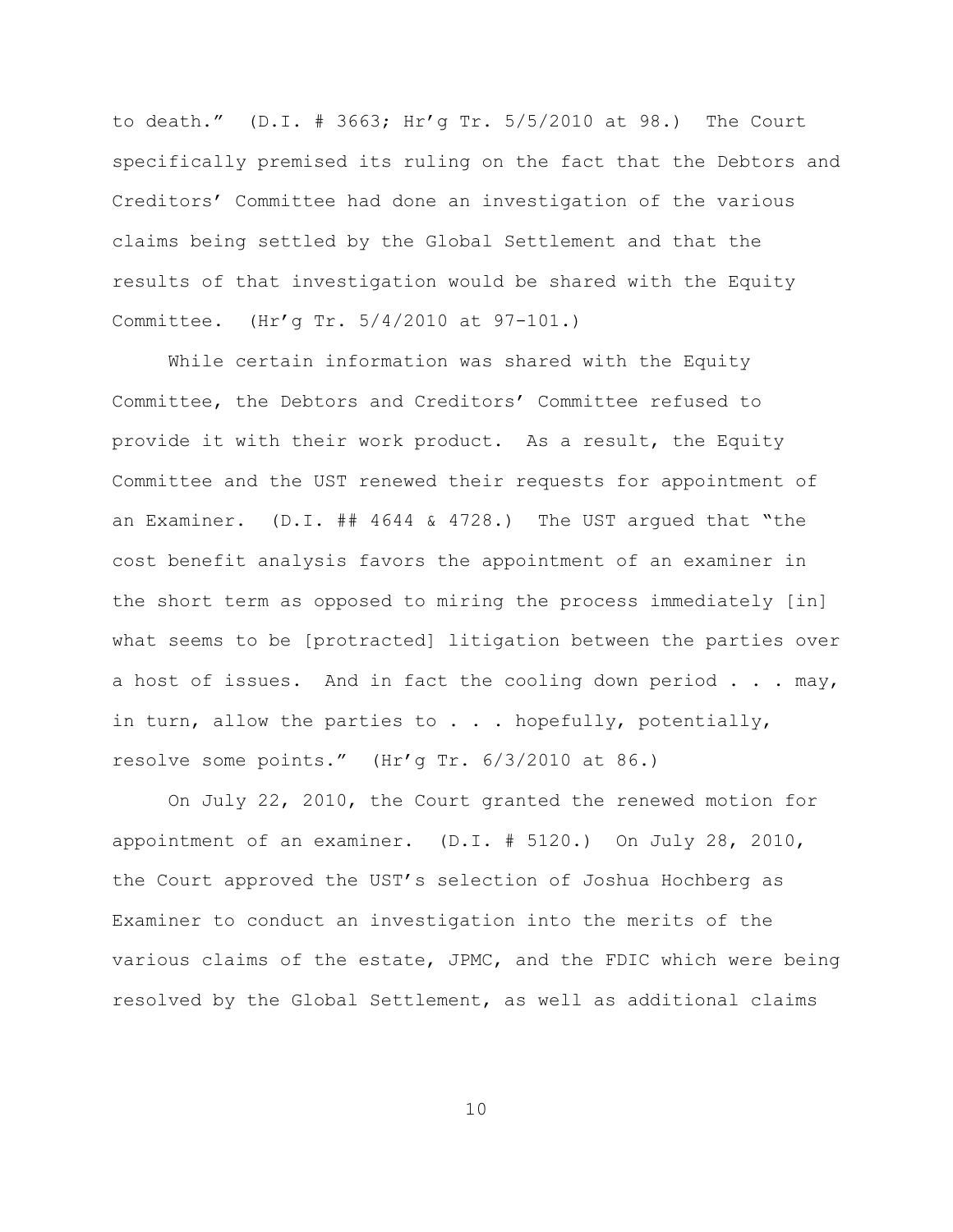to death." (D.I. # 3663; Hr'g Tr. 5/5/2010 at 98.) The Court specifically premised its ruling on the fact that the Debtors and Creditors' Committee had done an investigation of the various claims being settled by the Global Settlement and that the results of that investigation would be shared with the Equity Committee. (Hr'g Tr. 5/4/2010 at 97-101.)

While certain information was shared with the Equity Committee, the Debtors and Creditors' Committee refused to provide it with their work product. As a result, the Equity Committee and the UST renewed their requests for appointment of an Examiner.  $(D,I. # # 4644 & 4728.)$  The UST arqued that "the cost benefit analysis favors the appointment of an examiner in the short term as opposed to miring the process immediately [in] what seems to be [protracted] litigation between the parties over a host of issues. And in fact the cooling down period . . . may, in turn, allow the parties to  $\ldots$  . hopefully, potentially, resolve some points." (Hr'g Tr. 6/3/2010 at 86.)

On July 22, 2010, the Court granted the renewed motion for appointment of an examiner. (D.I. # 5120.) On July 28, 2010, the Court approved the UST's selection of Joshua Hochberg as Examiner to conduct an investigation into the merits of the various claims of the estate, JPMC, and the FDIC which were being resolved by the Global Settlement, as well as additional claims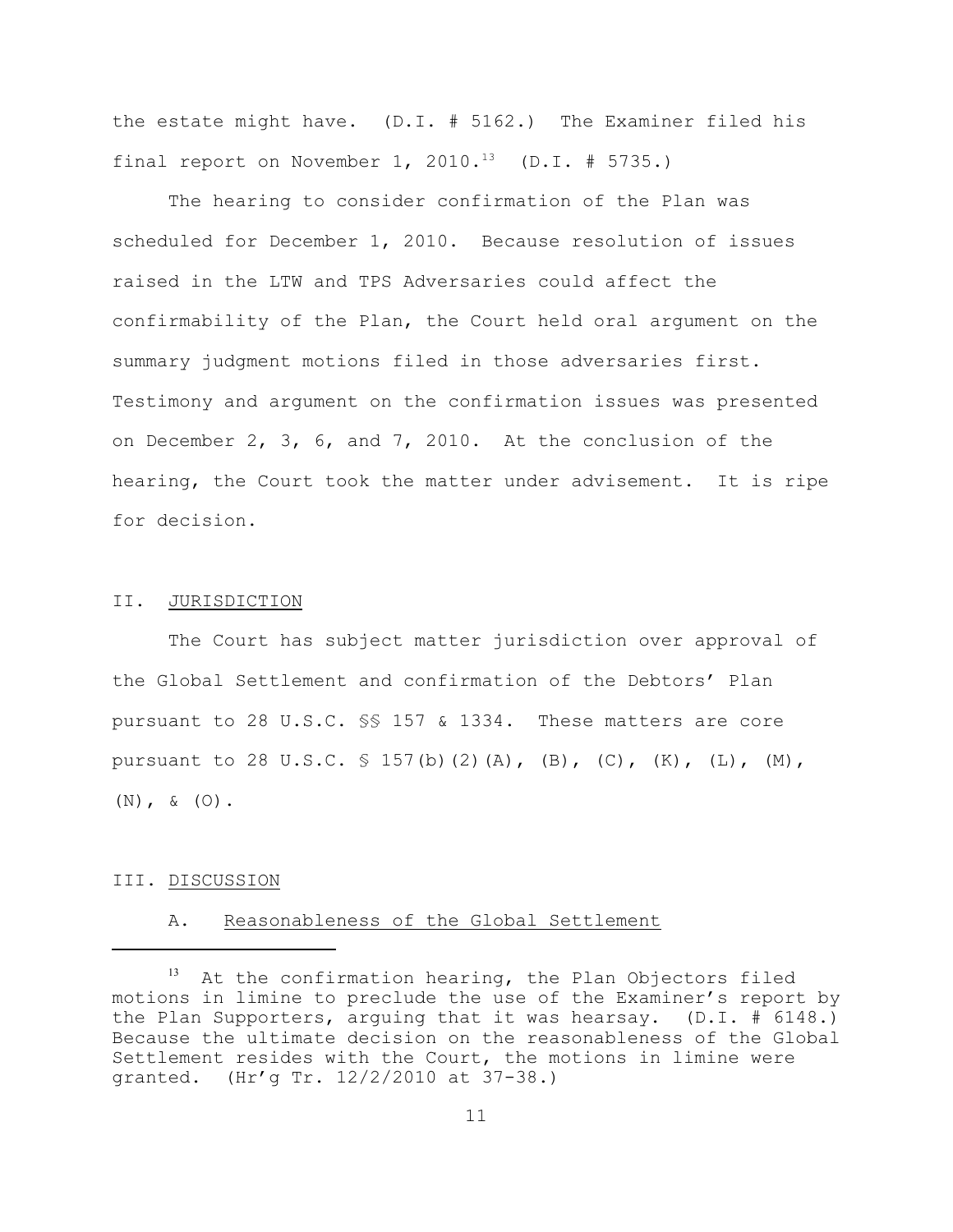the estate might have. (D.I. # 5162.) The Examiner filed his final report on November 1, 2010.<sup>13</sup> (D.I. # 5735.)

The hearing to consider confirmation of the Plan was scheduled for December 1, 2010. Because resolution of issues raised in the LTW and TPS Adversaries could affect the confirmability of the Plan, the Court held oral argument on the summary judgment motions filed in those adversaries first. Testimony and argument on the confirmation issues was presented on December 2, 3, 6, and 7, 2010. At the conclusion of the hearing, the Court took the matter under advisement. It is ripe for decision.

## II. JURISDICTION

The Court has subject matter jurisdiction over approval of the Global Settlement and confirmation of the Debtors' Plan pursuant to 28 U.S.C. §§ 157 & 1334. These matters are core pursuant to 28 U.S.C.  $\frac{157(b)}{2}$  (A), (B), (C), (K), (L), (M), (N), & (O).

#### III. DISCUSSION

#### A. Reasonableness of the Global Settlement

 $13$  At the confirmation hearing, the Plan Objectors filed motions in limine to preclude the use of the Examiner's report by the Plan Supporters, arguing that it was hearsay. (D.I. # 6148.) Because the ultimate decision on the reasonableness of the Global Settlement resides with the Court, the motions in limine were granted. (Hr'g Tr. 12/2/2010 at 37-38.)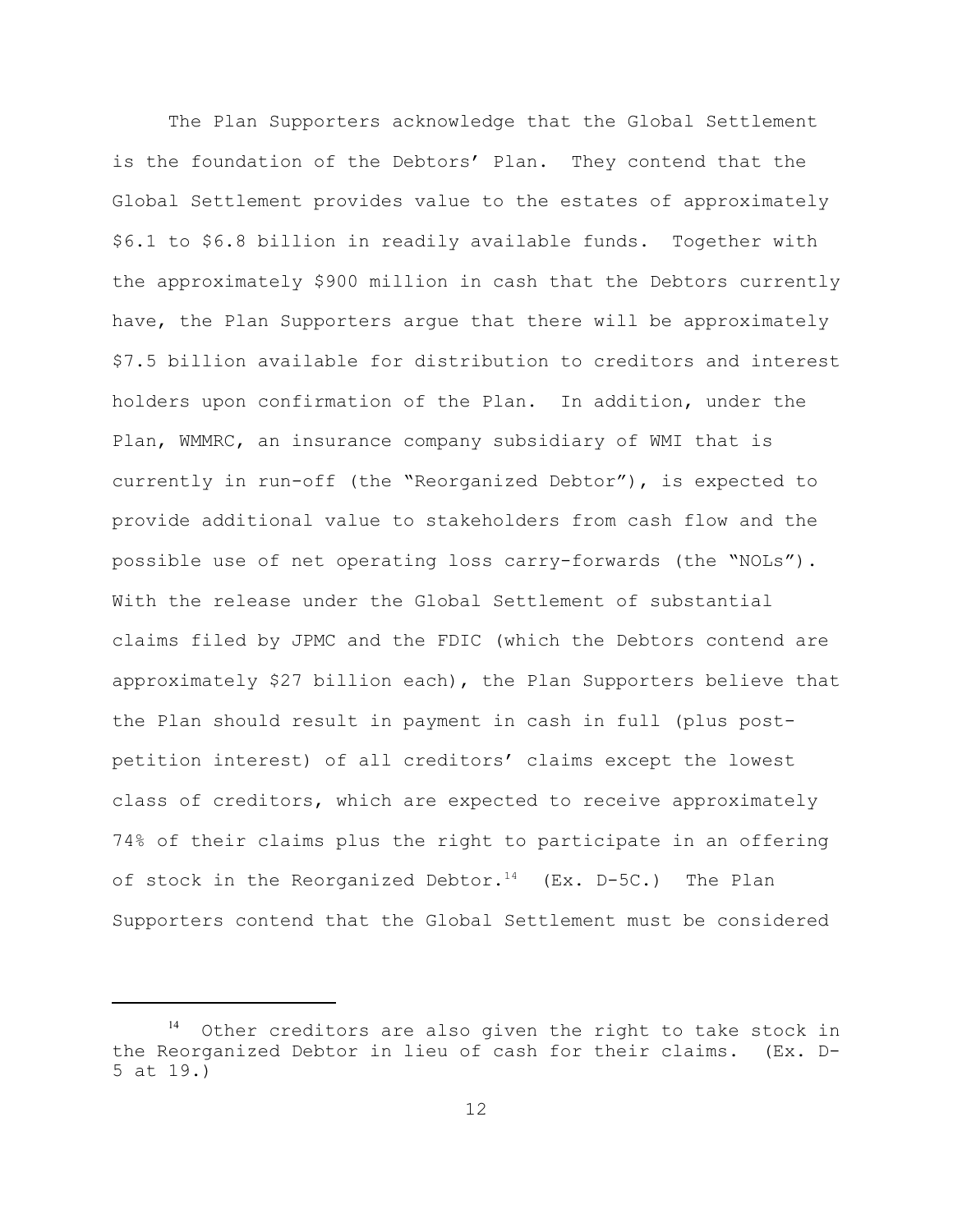The Plan Supporters acknowledge that the Global Settlement is the foundation of the Debtors' Plan. They contend that the Global Settlement provides value to the estates of approximately \$6.1 to \$6.8 billion in readily available funds. Together with the approximately \$900 million in cash that the Debtors currently have, the Plan Supporters argue that there will be approximately \$7.5 billion available for distribution to creditors and interest holders upon confirmation of the Plan. In addition, under the Plan, WMMRC, an insurance company subsidiary of WMI that is currently in run-off (the "Reorganized Debtor"), is expected to provide additional value to stakeholders from cash flow and the possible use of net operating loss carry-forwards (the "NOLs"). With the release under the Global Settlement of substantial claims filed by JPMC and the FDIC (which the Debtors contend are approximately \$27 billion each), the Plan Supporters believe that the Plan should result in payment in cash in full (plus postpetition interest) of all creditors' claims except the lowest class of creditors, which are expected to receive approximately 74% of their claims plus the right to participate in an offering of stock in the Reorganized Debtor.<sup>14</sup> (Ex. D-5C.) The Plan Supporters contend that the Global Settlement must be considered

Other creditors are also given the right to take stock in the Reorganized Debtor in lieu of cash for their claims. (Ex. D-5 at 19.)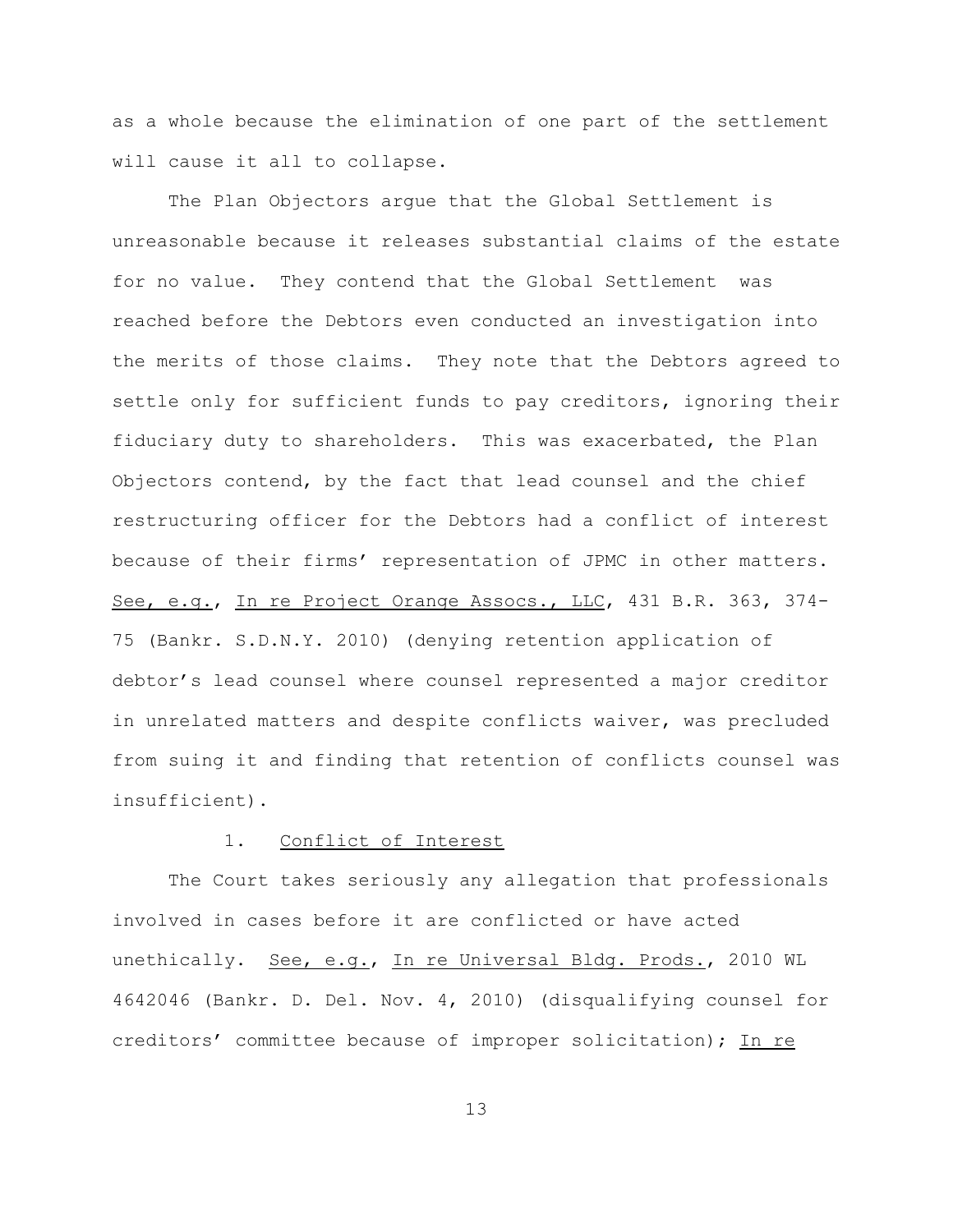as a whole because the elimination of one part of the settlement will cause it all to collapse.

The Plan Objectors argue that the Global Settlement is unreasonable because it releases substantial claims of the estate for no value. They contend that the Global Settlement was reached before the Debtors even conducted an investigation into the merits of those claims. They note that the Debtors agreed to settle only for sufficient funds to pay creditors, ignoring their fiduciary duty to shareholders. This was exacerbated, the Plan Objectors contend, by the fact that lead counsel and the chief restructuring officer for the Debtors had a conflict of interest because of their firms' representation of JPMC in other matters. See, e.g., In re Project Orange Assocs., LLC, 431 B.R. 363, 374- 75 (Bankr. S.D.N.Y. 2010) (denying retention application of debtor's lead counsel where counsel represented a major creditor in unrelated matters and despite conflicts waiver, was precluded from suing it and finding that retention of conflicts counsel was insufficient).

## 1. Conflict of Interest

The Court takes seriously any allegation that professionals involved in cases before it are conflicted or have acted unethically. See, e.g., In re Universal Bldg. Prods., 2010 WL 4642046 (Bankr. D. Del. Nov. 4, 2010) (disqualifying counsel for creditors' committee because of improper solicitation); In re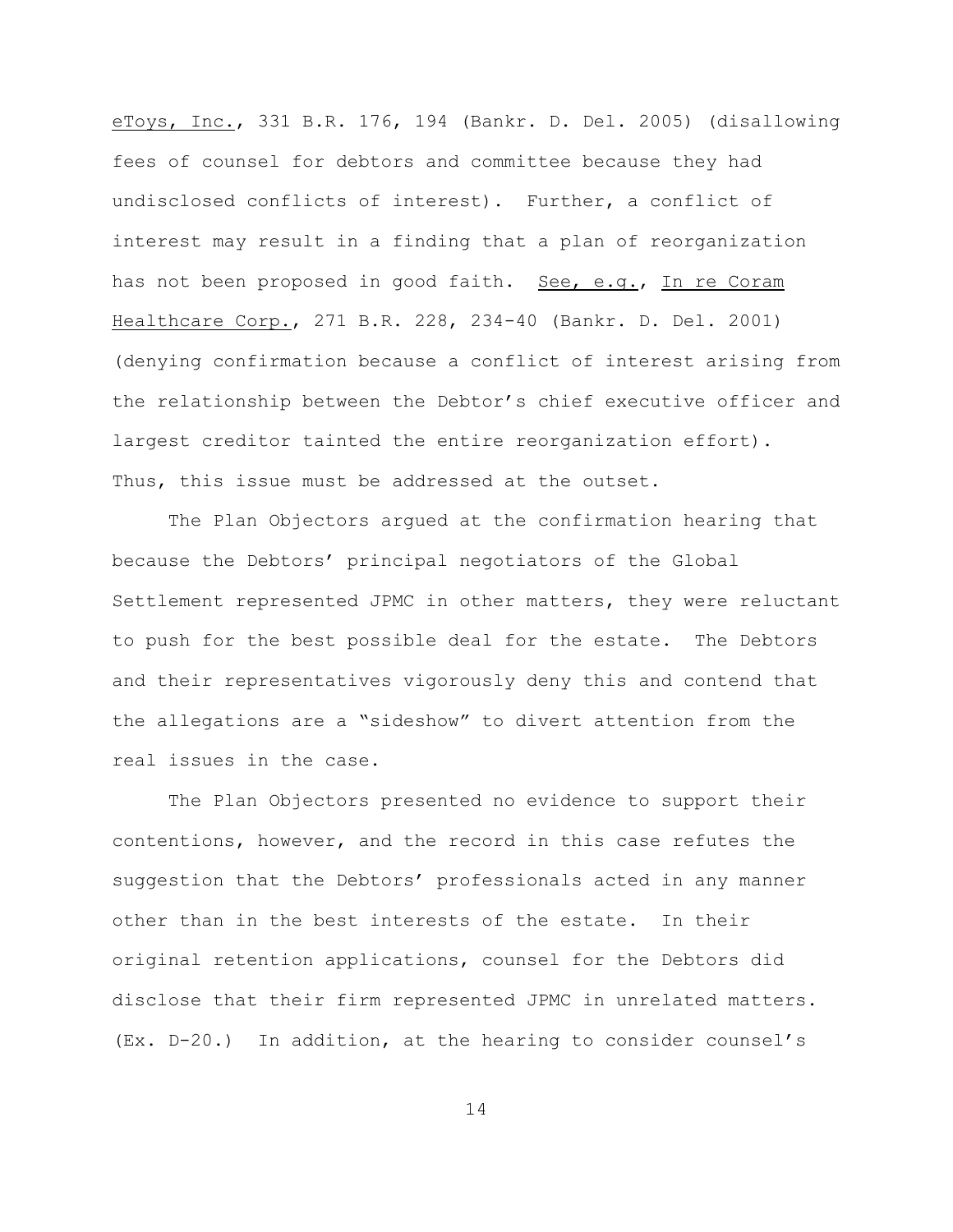eToys, Inc., 331 B.R. 176, 194 (Bankr. D. Del. 2005) (disallowing fees of counsel for debtors and committee because they had undisclosed conflicts of interest). Further, a conflict of interest may result in a finding that a plan of reorganization has not been proposed in good faith. See, e.g., In re Coram Healthcare Corp., 271 B.R. 228, 234-40 (Bankr. D. Del. 2001) (denying confirmation because a conflict of interest arising from the relationship between the Debtor's chief executive officer and largest creditor tainted the entire reorganization effort). Thus, this issue must be addressed at the outset.

The Plan Objectors argued at the confirmation hearing that because the Debtors' principal negotiators of the Global Settlement represented JPMC in other matters, they were reluctant to push for the best possible deal for the estate. The Debtors and their representatives vigorously deny this and contend that the allegations are a "sideshow" to divert attention from the real issues in the case.

The Plan Objectors presented no evidence to support their contentions, however, and the record in this case refutes the suggestion that the Debtors' professionals acted in any manner other than in the best interests of the estate. In their original retention applications, counsel for the Debtors did disclose that their firm represented JPMC in unrelated matters. (Ex. D-20.) In addition, at the hearing to consider counsel's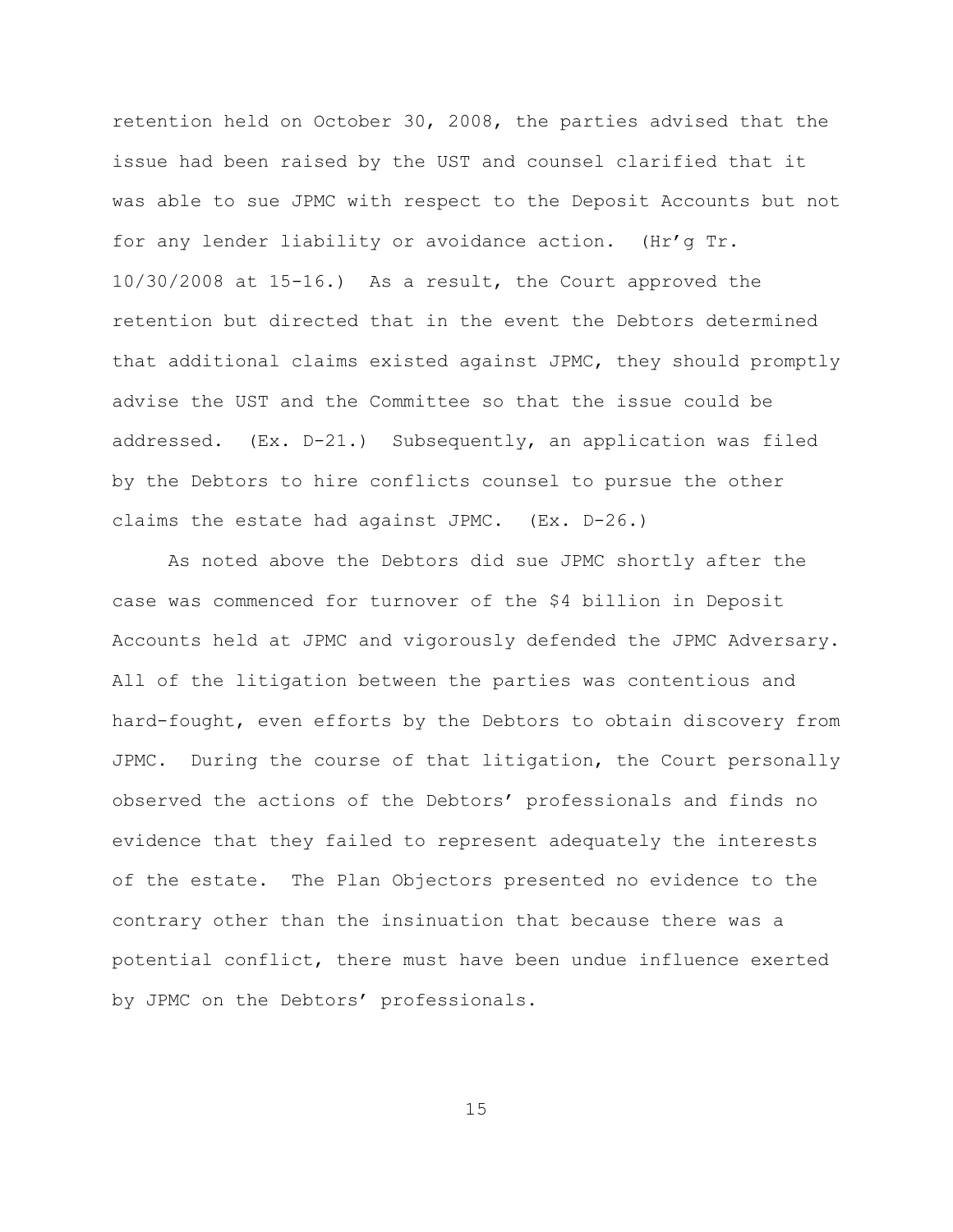retention held on October 30, 2008, the parties advised that the issue had been raised by the UST and counsel clarified that it was able to sue JPMC with respect to the Deposit Accounts but not for any lender liability or avoidance action. (Hr'g Tr. 10/30/2008 at 15-16.) As a result, the Court approved the retention but directed that in the event the Debtors determined that additional claims existed against JPMC, they should promptly advise the UST and the Committee so that the issue could be addressed. (Ex. D-21.) Subsequently, an application was filed by the Debtors to hire conflicts counsel to pursue the other claims the estate had against JPMC. (Ex. D-26.)

As noted above the Debtors did sue JPMC shortly after the case was commenced for turnover of the \$4 billion in Deposit Accounts held at JPMC and vigorously defended the JPMC Adversary. All of the litigation between the parties was contentious and hard-fought, even efforts by the Debtors to obtain discovery from JPMC. During the course of that litigation, the Court personally observed the actions of the Debtors' professionals and finds no evidence that they failed to represent adequately the interests of the estate. The Plan Objectors presented no evidence to the contrary other than the insinuation that because there was a potential conflict, there must have been undue influence exerted by JPMC on the Debtors' professionals.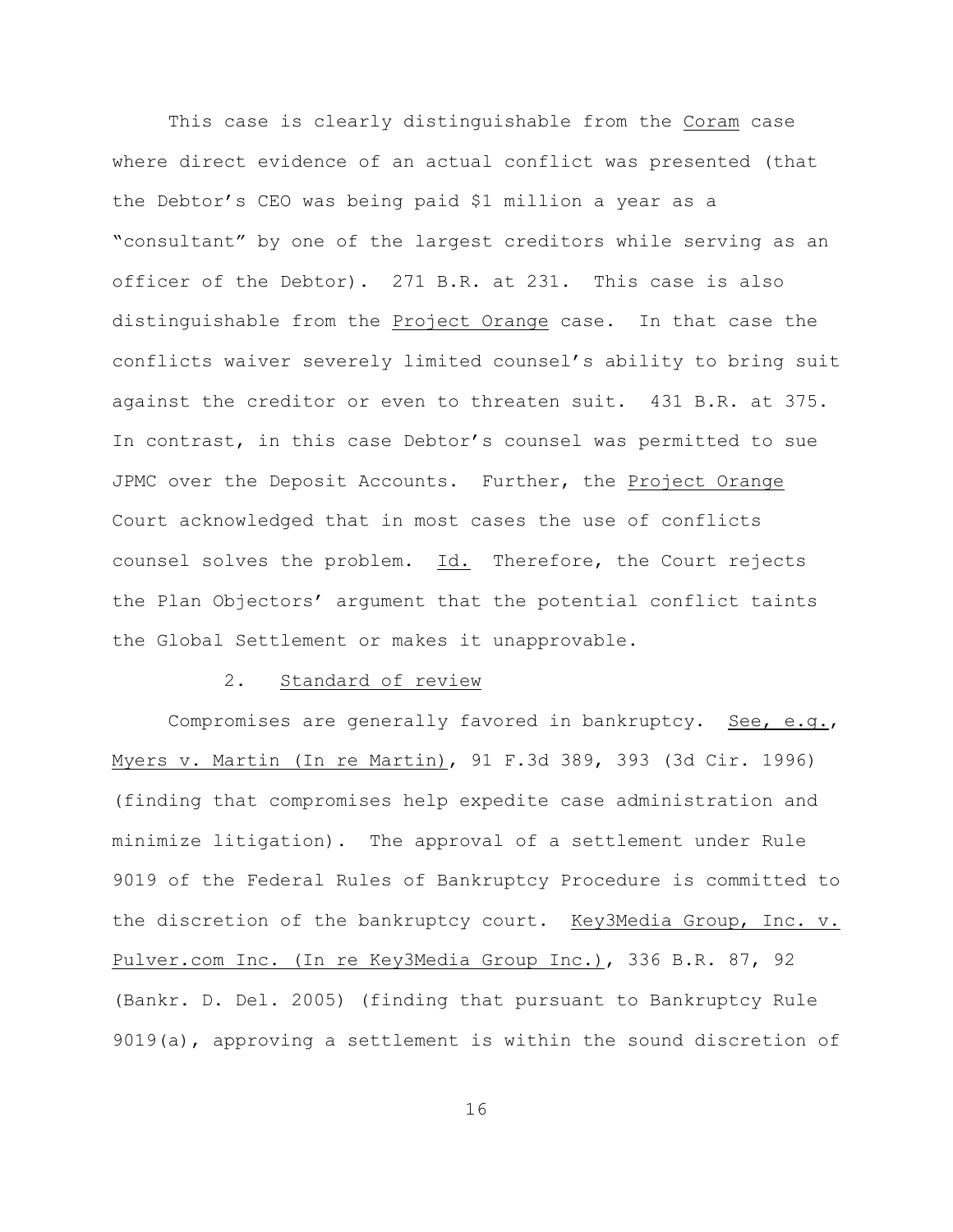This case is clearly distinguishable from the Coram case where direct evidence of an actual conflict was presented (that the Debtor's CEO was being paid \$1 million a year as a "consultant" by one of the largest creditors while serving as an officer of the Debtor). 271 B.R. at 231. This case is also distinguishable from the Project Orange case. In that case the conflicts waiver severely limited counsel's ability to bring suit against the creditor or even to threaten suit. 431 B.R. at 375. In contrast, in this case Debtor's counsel was permitted to sue JPMC over the Deposit Accounts. Further, the Project Orange Court acknowledged that in most cases the use of conflicts counsel solves the problem. Id. Therefore, the Court rejects the Plan Objectors' argument that the potential conflict taints the Global Settlement or makes it unapprovable.

#### 2. Standard of review

Compromises are generally favored in bankruptcy. See, e.g., Myers v. Martin (In re Martin), 91 F.3d 389, 393 (3d Cir. 1996) (finding that compromises help expedite case administration and minimize litigation). The approval of a settlement under Rule 9019 of the Federal Rules of Bankruptcy Procedure is committed to the discretion of the bankruptcy court. Key3Media Group, Inc. v. Pulver.com Inc. (In re Key3Media Group Inc.), 336 B.R. 87, 92 (Bankr. D. Del. 2005) (finding that pursuant to Bankruptcy Rule 9019(a), approving a settlement is within the sound discretion of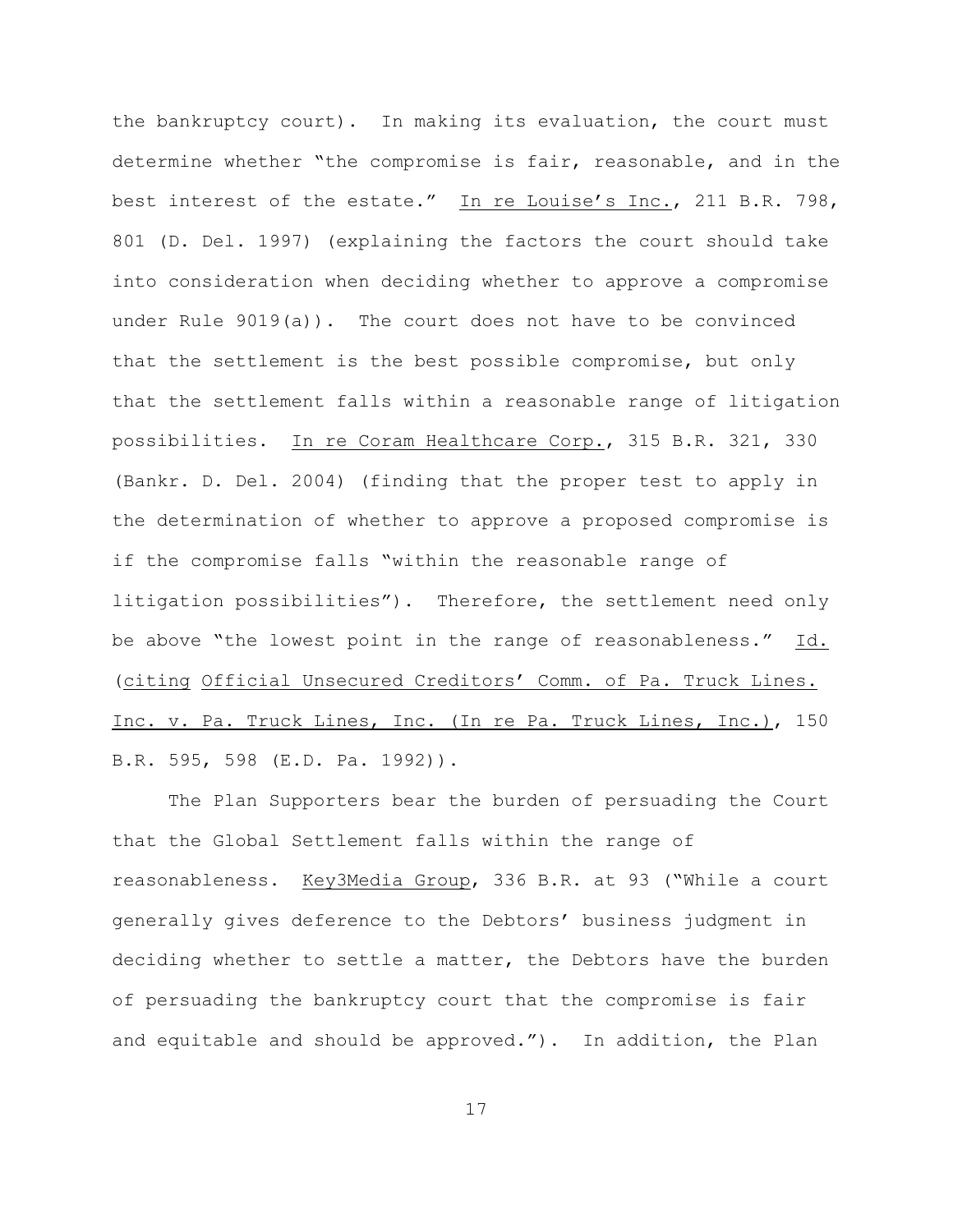the bankruptcy court). In making its evaluation, the court must determine whether "the compromise is fair, reasonable, and in the best interest of the estate." In re Louise's Inc., 211 B.R. 798, 801 (D. Del. 1997) (explaining the factors the court should take into consideration when deciding whether to approve a compromise under Rule 9019(a)). The court does not have to be convinced that the settlement is the best possible compromise, but only that the settlement falls within a reasonable range of litigation possibilities. In re Coram Healthcare Corp., 315 B.R. 321, 330 (Bankr. D. Del. 2004) (finding that the proper test to apply in the determination of whether to approve a proposed compromise is if the compromise falls "within the reasonable range of litigation possibilities"). Therefore, the settlement need only be above "the lowest point in the range of reasonableness." Id. (citing Official Unsecured Creditors' Comm. of Pa. Truck Lines. Inc. v. Pa. Truck Lines, Inc. (In re Pa. Truck Lines, Inc.), 150 B.R. 595, 598 (E.D. Pa. 1992)).

The Plan Supporters bear the burden of persuading the Court that the Global Settlement falls within the range of reasonableness. Key3Media Group, 336 B.R. at 93 ("While a court generally gives deference to the Debtors' business judgment in deciding whether to settle a matter, the Debtors have the burden of persuading the bankruptcy court that the compromise is fair and equitable and should be approved."). In addition, the Plan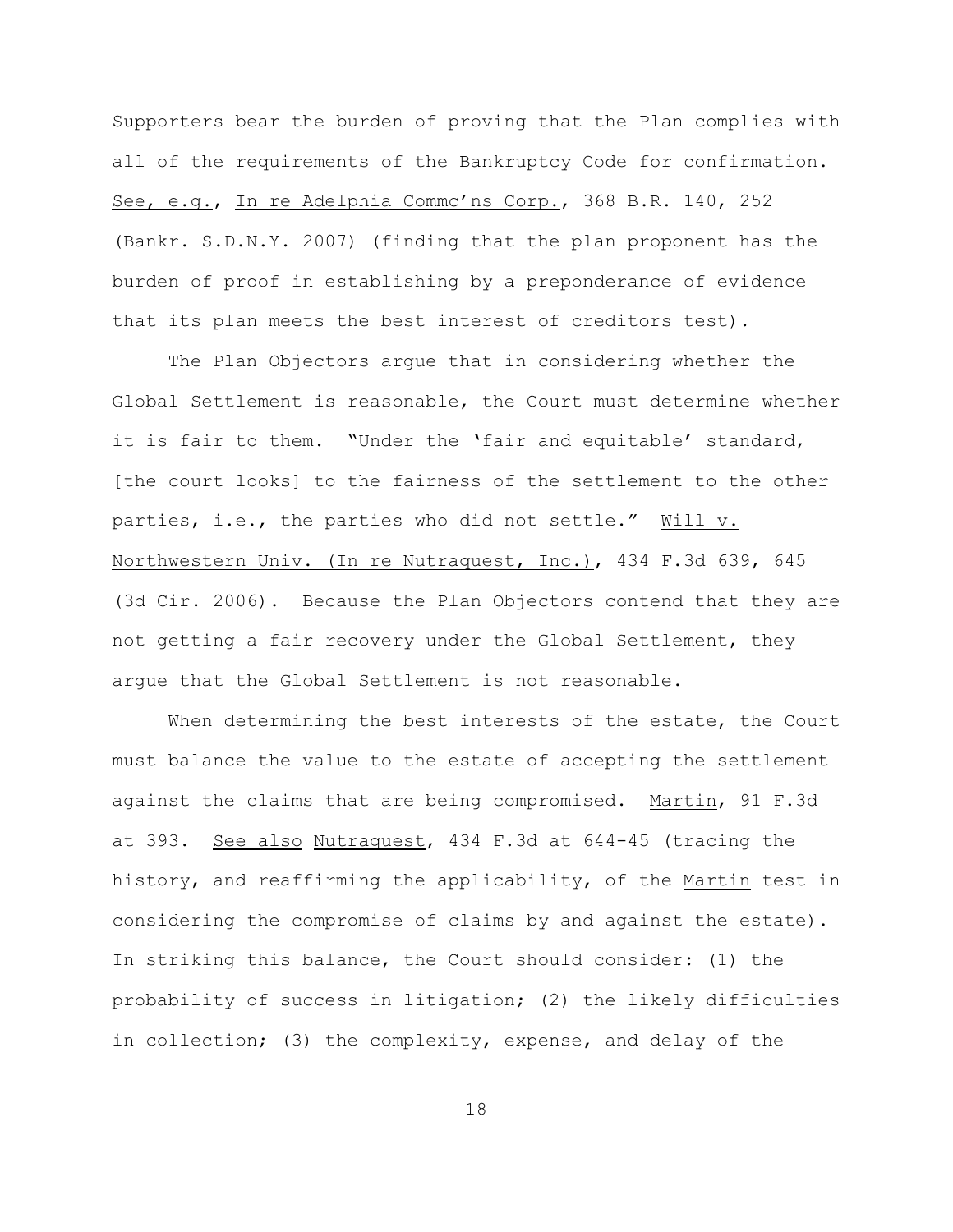Supporters bear the burden of proving that the Plan complies with all of the requirements of the Bankruptcy Code for confirmation. See, e.g., In re Adelphia Commc'ns Corp., 368 B.R. 140, 252 (Bankr. S.D.N.Y. 2007) (finding that the plan proponent has the burden of proof in establishing by a preponderance of evidence that its plan meets the best interest of creditors test).

The Plan Objectors argue that in considering whether the Global Settlement is reasonable, the Court must determine whether it is fair to them. "Under the 'fair and equitable' standard, [the court looks] to the fairness of the settlement to the other parties, i.e., the parties who did not settle." Will v. Northwestern Univ. (In re Nutraquest, Inc.), 434 F.3d 639, 645 (3d Cir. 2006). Because the Plan Objectors contend that they are not getting a fair recovery under the Global Settlement, they argue that the Global Settlement is not reasonable.

When determining the best interests of the estate, the Court must balance the value to the estate of accepting the settlement against the claims that are being compromised. Martin, 91 F.3d at 393. See also Nutraquest, 434 F.3d at 644-45 (tracing the history, and reaffirming the applicability, of the Martin test in considering the compromise of claims by and against the estate). In striking this balance, the Court should consider: (1) the probability of success in litigation; (2) the likely difficulties in collection; (3) the complexity, expense, and delay of the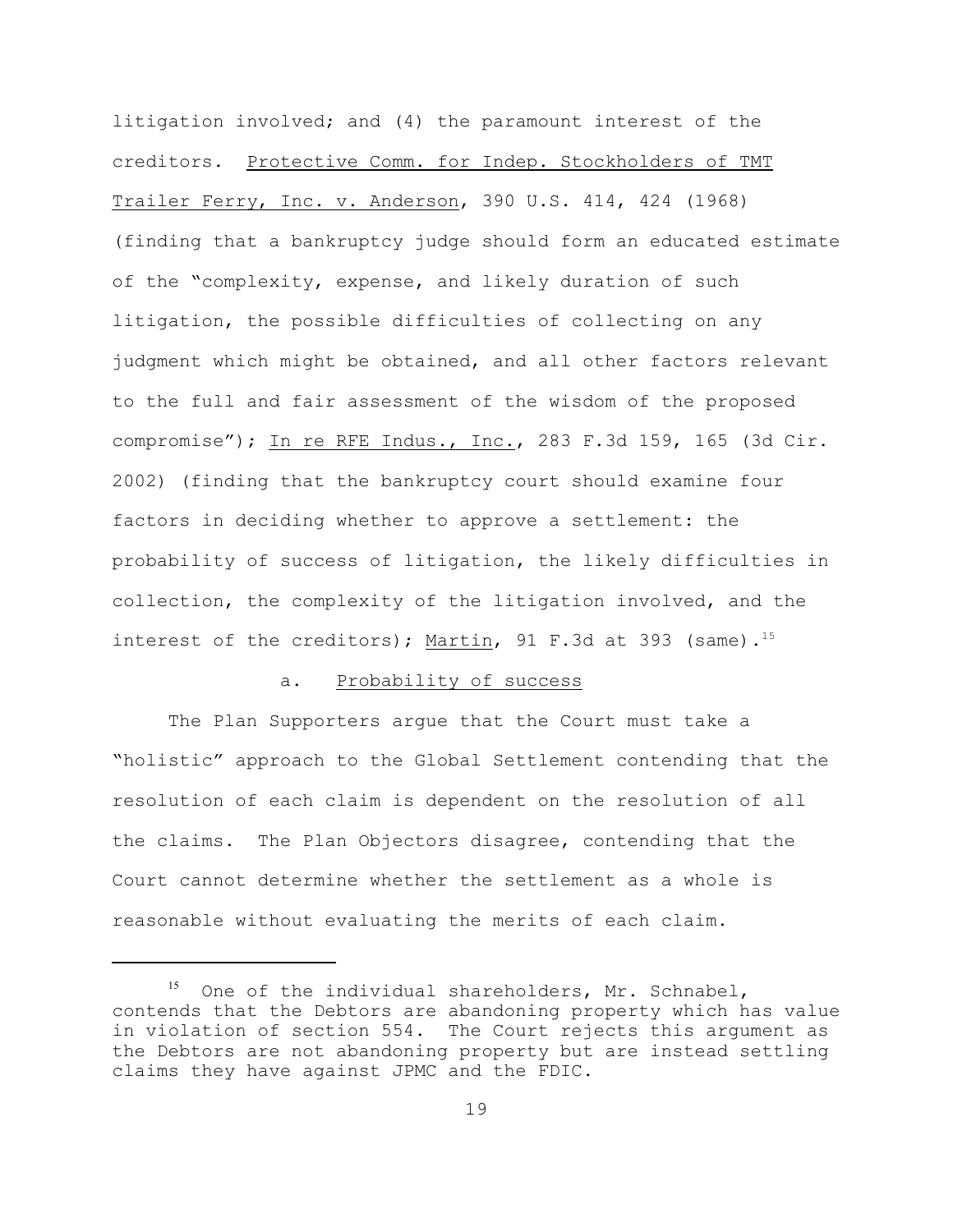litigation involved; and (4) the paramount interest of the creditors. Protective Comm. for Indep. Stockholders of TMT Trailer Ferry, Inc. v. Anderson, 390 U.S. 414, 424 (1968) (finding that a bankruptcy judge should form an educated estimate of the "complexity, expense, and likely duration of such litigation, the possible difficulties of collecting on any judgment which might be obtained, and all other factors relevant to the full and fair assessment of the wisdom of the proposed compromise"); In re RFE Indus., Inc., 283 F.3d 159, 165 (3d Cir. 2002) (finding that the bankruptcy court should examine four factors in deciding whether to approve a settlement: the probability of success of litigation, the likely difficulties in collection, the complexity of the litigation involved, and the interest of the creditors); Martin, 91 F.3d at 393 (same).<sup>15</sup>

## a. Probability of success

The Plan Supporters argue that the Court must take a "holistic" approach to the Global Settlement contending that the resolution of each claim is dependent on the resolution of all the claims. The Plan Objectors disagree, contending that the Court cannot determine whether the settlement as a whole is reasonable without evaluating the merits of each claim.

One of the individual shareholders, Mr. Schnabel, contends that the Debtors are abandoning property which has value in violation of section 554. The Court rejects this argument as the Debtors are not abandoning property but are instead settling claims they have against JPMC and the FDIC.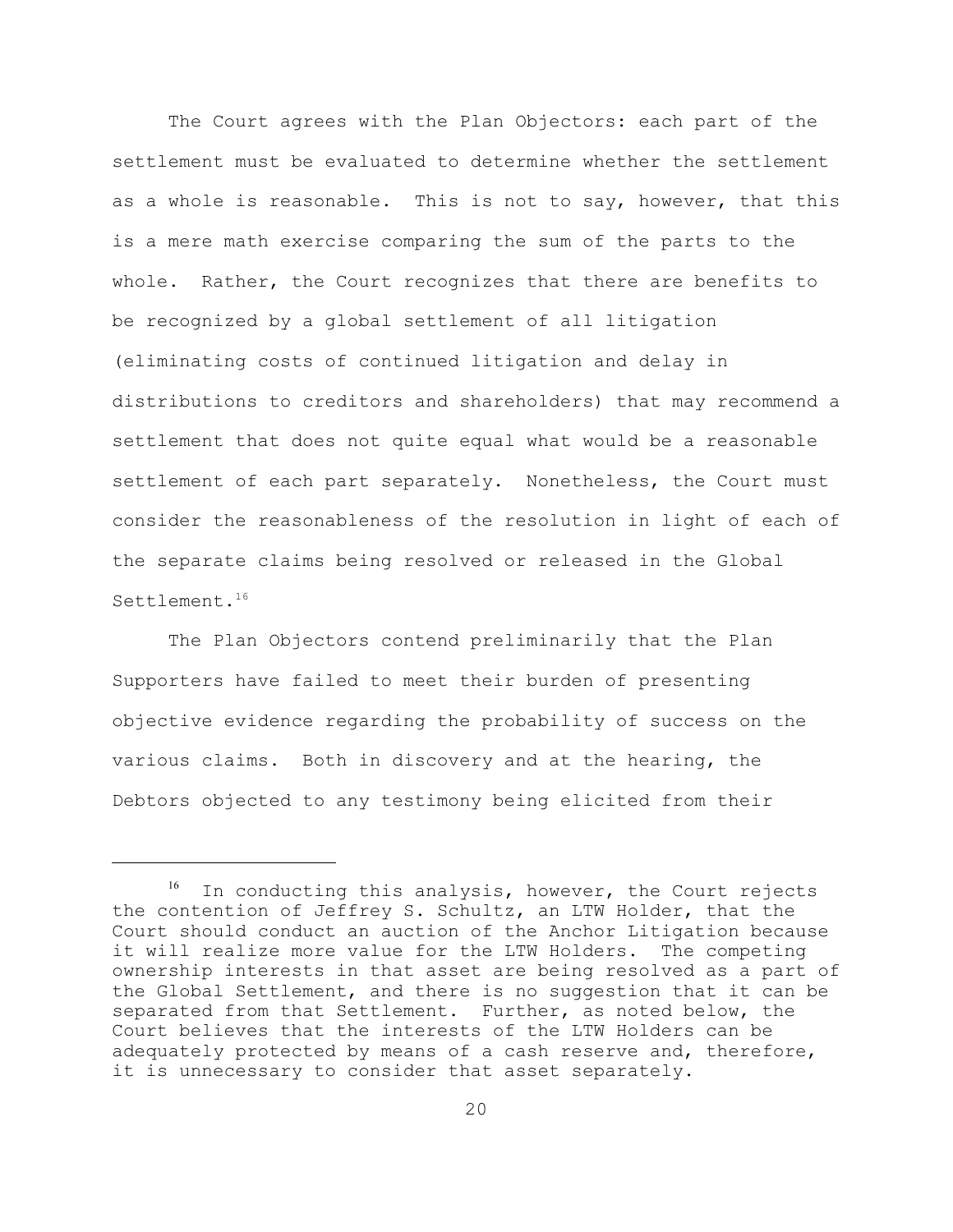The Court agrees with the Plan Objectors: each part of the settlement must be evaluated to determine whether the settlement as a whole is reasonable. This is not to say, however, that this is a mere math exercise comparing the sum of the parts to the whole. Rather, the Court recognizes that there are benefits to be recognized by a global settlement of all litigation (eliminating costs of continued litigation and delay in distributions to creditors and shareholders) that may recommend a settlement that does not quite equal what would be a reasonable settlement of each part separately. Nonetheless, the Court must consider the reasonableness of the resolution in light of each of the separate claims being resolved or released in the Global Settlement.<sup>16</sup>

The Plan Objectors contend preliminarily that the Plan Supporters have failed to meet their burden of presenting objective evidence regarding the probability of success on the various claims. Both in discovery and at the hearing, the Debtors objected to any testimony being elicited from their

In conducting this analysis, however, the Court rejects the contention of Jeffrey S. Schultz, an LTW Holder, that the Court should conduct an auction of the Anchor Litigation because it will realize more value for the LTW Holders. The competing ownership interests in that asset are being resolved as a part of the Global Settlement, and there is no suggestion that it can be separated from that Settlement. Further, as noted below, the Court believes that the interests of the LTW Holders can be adequately protected by means of a cash reserve and, therefore, it is unnecessary to consider that asset separately.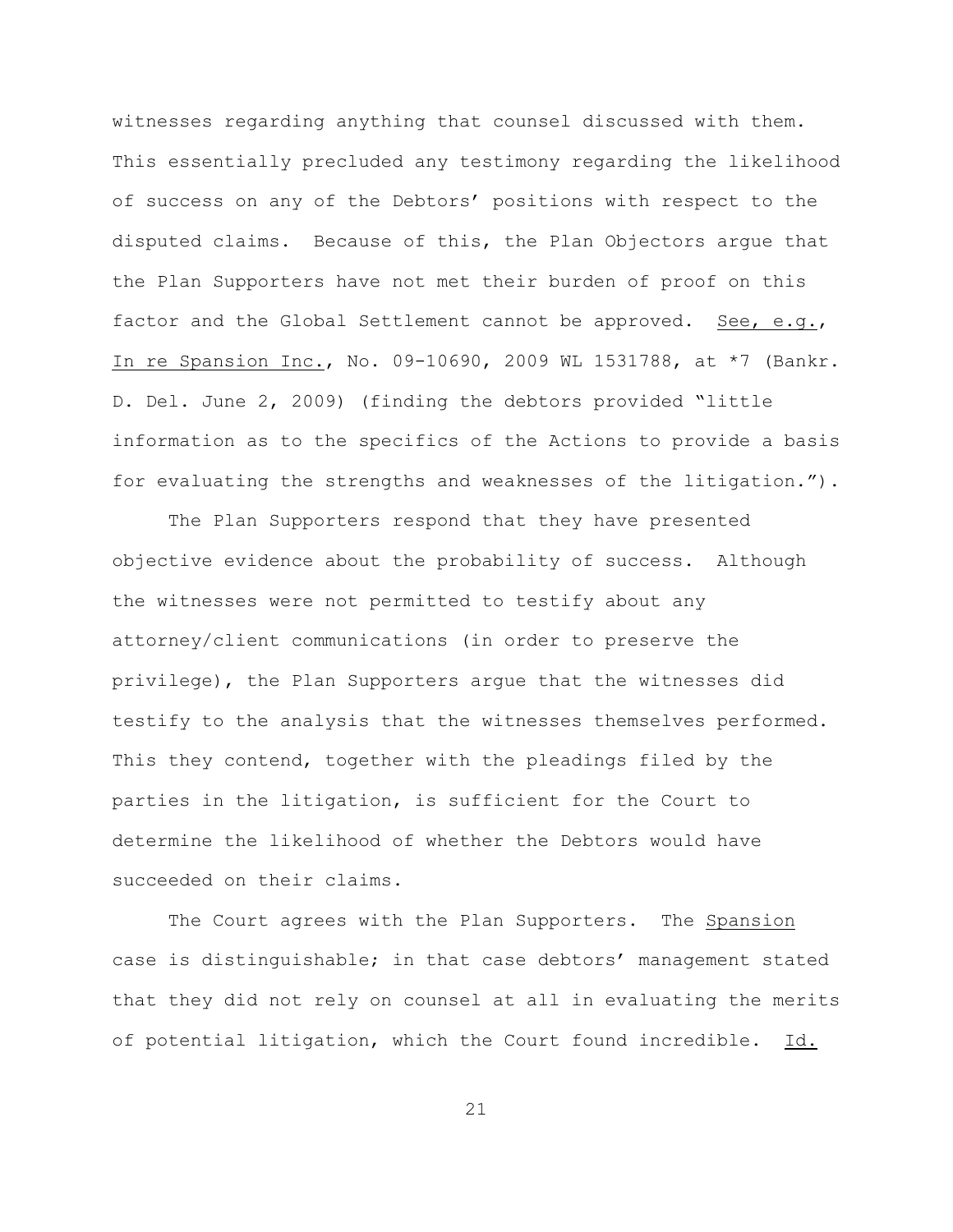witnesses regarding anything that counsel discussed with them. This essentially precluded any testimony regarding the likelihood of success on any of the Debtors' positions with respect to the disputed claims. Because of this, the Plan Objectors argue that the Plan Supporters have not met their burden of proof on this factor and the Global Settlement cannot be approved. See, e.g., In re Spansion Inc., No. 09-10690, 2009 WL 1531788, at \*7 (Bankr. D. Del. June 2, 2009) (finding the debtors provided "little information as to the specifics of the Actions to provide a basis for evaluating the strengths and weaknesses of the litigation.").

The Plan Supporters respond that they have presented objective evidence about the probability of success. Although the witnesses were not permitted to testify about any attorney/client communications (in order to preserve the privilege), the Plan Supporters argue that the witnesses did testify to the analysis that the witnesses themselves performed. This they contend, together with the pleadings filed by the parties in the litigation, is sufficient for the Court to determine the likelihood of whether the Debtors would have succeeded on their claims.

The Court agrees with the Plan Supporters. The Spansion case is distinguishable; in that case debtors' management stated that they did not rely on counsel at all in evaluating the merits of potential litigation, which the Court found incredible. Id.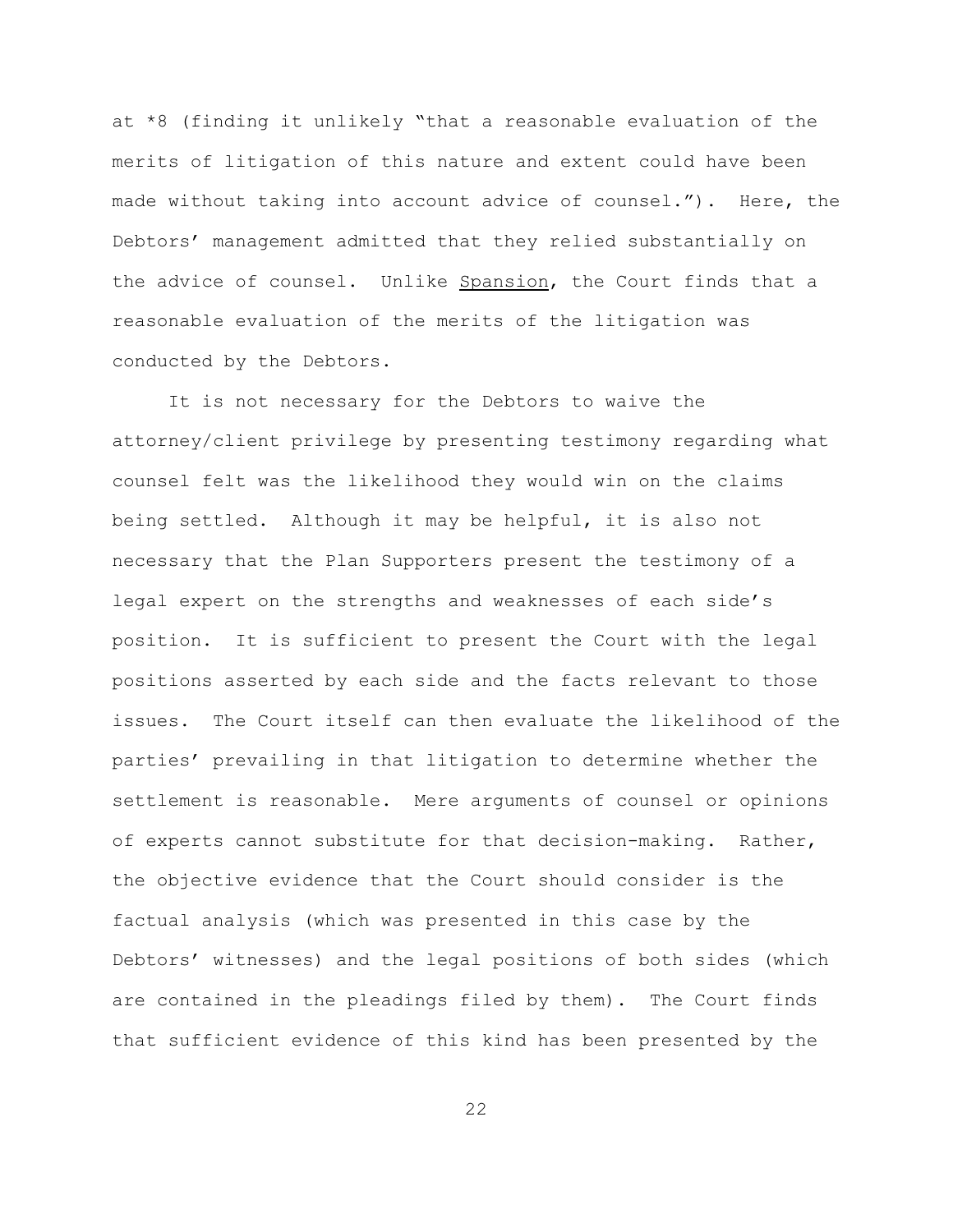at \*8 (finding it unlikely "that a reasonable evaluation of the merits of litigation of this nature and extent could have been made without taking into account advice of counsel."). Here, the Debtors' management admitted that they relied substantially on the advice of counsel. Unlike Spansion, the Court finds that a reasonable evaluation of the merits of the litigation was conducted by the Debtors.

It is not necessary for the Debtors to waive the attorney/client privilege by presenting testimony regarding what counsel felt was the likelihood they would win on the claims being settled. Although it may be helpful, it is also not necessary that the Plan Supporters present the testimony of a legal expert on the strengths and weaknesses of each side's position. It is sufficient to present the Court with the legal positions asserted by each side and the facts relevant to those issues. The Court itself can then evaluate the likelihood of the parties' prevailing in that litigation to determine whether the settlement is reasonable. Mere arguments of counsel or opinions of experts cannot substitute for that decision-making. Rather, the objective evidence that the Court should consider is the factual analysis (which was presented in this case by the Debtors' witnesses) and the legal positions of both sides (which are contained in the pleadings filed by them). The Court finds that sufficient evidence of this kind has been presented by the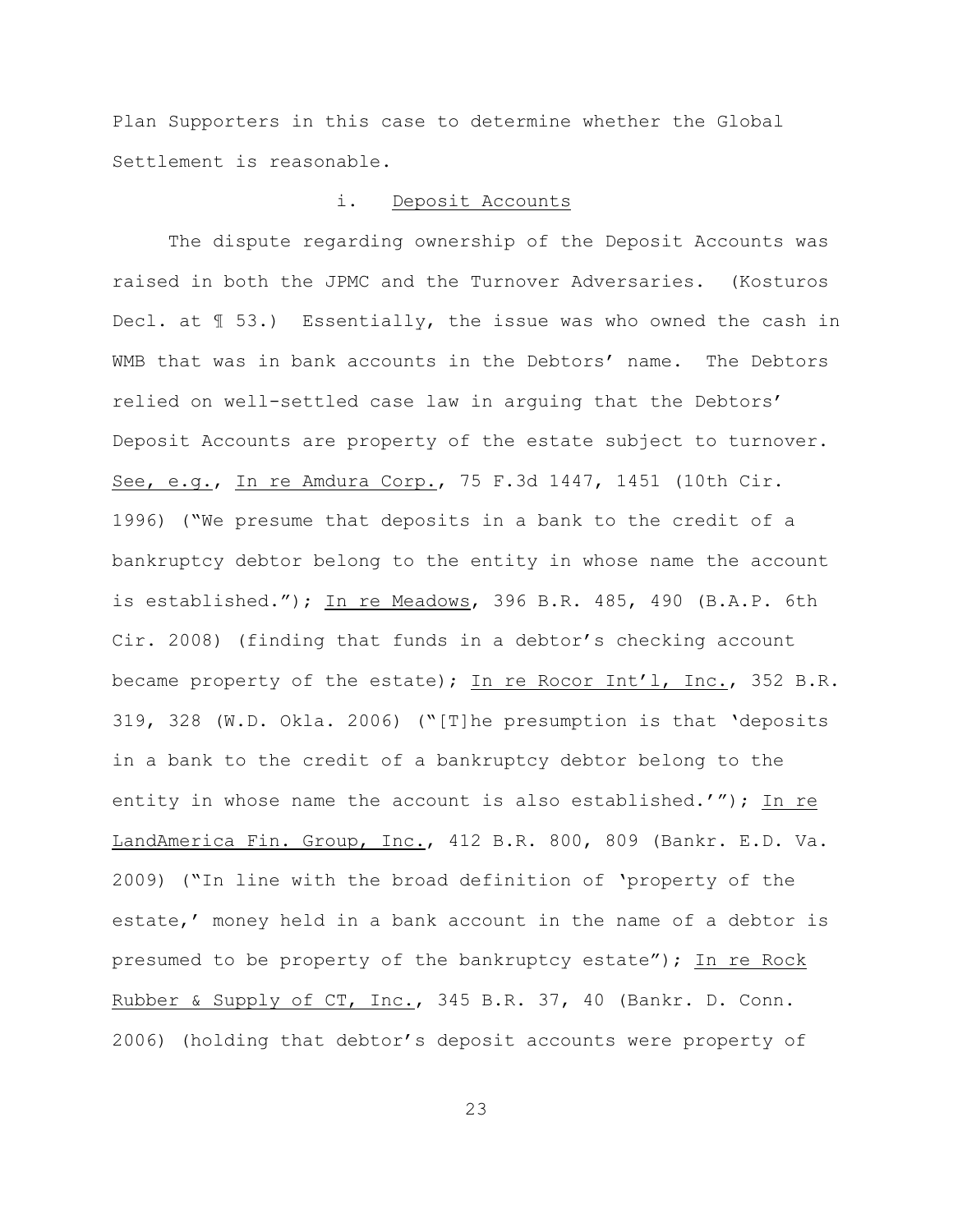Plan Supporters in this case to determine whether the Global Settlement is reasonable.

## i. Deposit Accounts

The dispute regarding ownership of the Deposit Accounts was raised in both the JPMC and the Turnover Adversaries. (Kosturos Decl. at ¶ 53.) Essentially, the issue was who owned the cash in WMB that was in bank accounts in the Debtors' name. The Debtors relied on well-settled case law in arguing that the Debtors' Deposit Accounts are property of the estate subject to turnover. See, e.g., In re Amdura Corp., 75 F.3d 1447, 1451 (10th Cir. 1996) ("We presume that deposits in a bank to the credit of a bankruptcy debtor belong to the entity in whose name the account is established."); In re Meadows, 396 B.R. 485, 490 (B.A.P. 6th Cir. 2008) (finding that funds in a debtor's checking account became property of the estate); In re Rocor Int'l, Inc., 352 B.R. 319, 328 (W.D. Okla. 2006) ("[T]he presumption is that 'deposits in a bank to the credit of a bankruptcy debtor belong to the entity in whose name the account is also established.'"); In re LandAmerica Fin. Group, Inc., 412 B.R. 800, 809 (Bankr. E.D. Va. 2009) ("In line with the broad definition of 'property of the estate,' money held in a bank account in the name of a debtor is presumed to be property of the bankruptcy estate"); In re Rock Rubber & Supply of CT, Inc., 345 B.R. 37, 40 (Bankr. D. Conn. 2006) (holding that debtor's deposit accounts were property of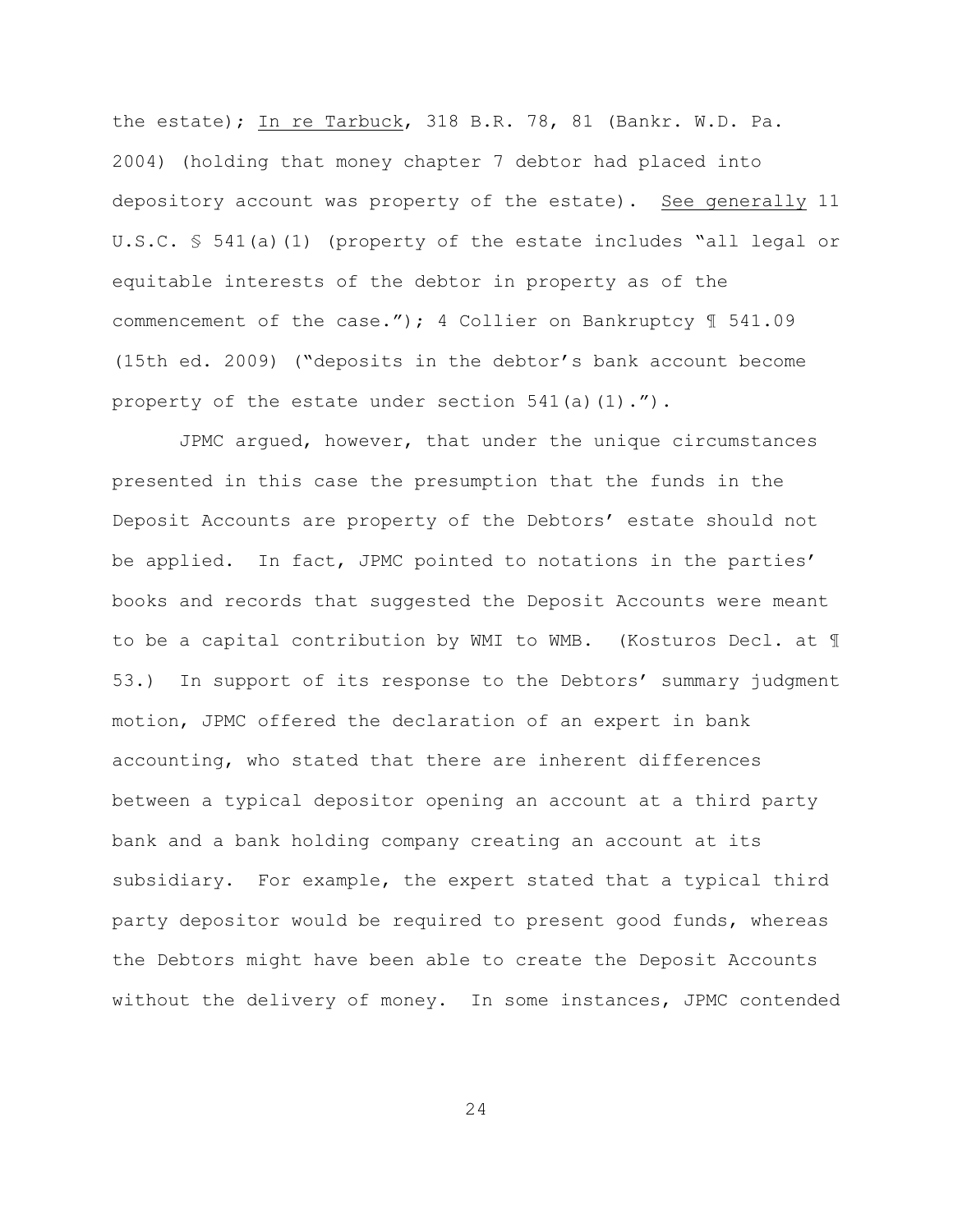the estate); In re Tarbuck, 318 B.R. 78, 81 (Bankr. W.D. Pa. 2004) (holding that money chapter 7 debtor had placed into depository account was property of the estate). See generally 11 U.S.C. § 541(a)(1) (property of the estate includes "all legal or equitable interests of the debtor in property as of the commencement of the case."); 4 Collier on Bankruptcy ¶ 541.09 (15th ed. 2009) ("deposits in the debtor's bank account become property of the estate under section  $541(a)(1)$ .").

 JPMC argued, however, that under the unique circumstances presented in this case the presumption that the funds in the Deposit Accounts are property of the Debtors' estate should not be applied. In fact, JPMC pointed to notations in the parties' books and records that suggested the Deposit Accounts were meant to be a capital contribution by WMI to WMB. (Kosturos Decl. at ¶ 53.) In support of its response to the Debtors' summary judgment motion, JPMC offered the declaration of an expert in bank accounting, who stated that there are inherent differences between a typical depositor opening an account at a third party bank and a bank holding company creating an account at its subsidiary. For example, the expert stated that a typical third party depositor would be required to present good funds, whereas the Debtors might have been able to create the Deposit Accounts without the delivery of money. In some instances, JPMC contended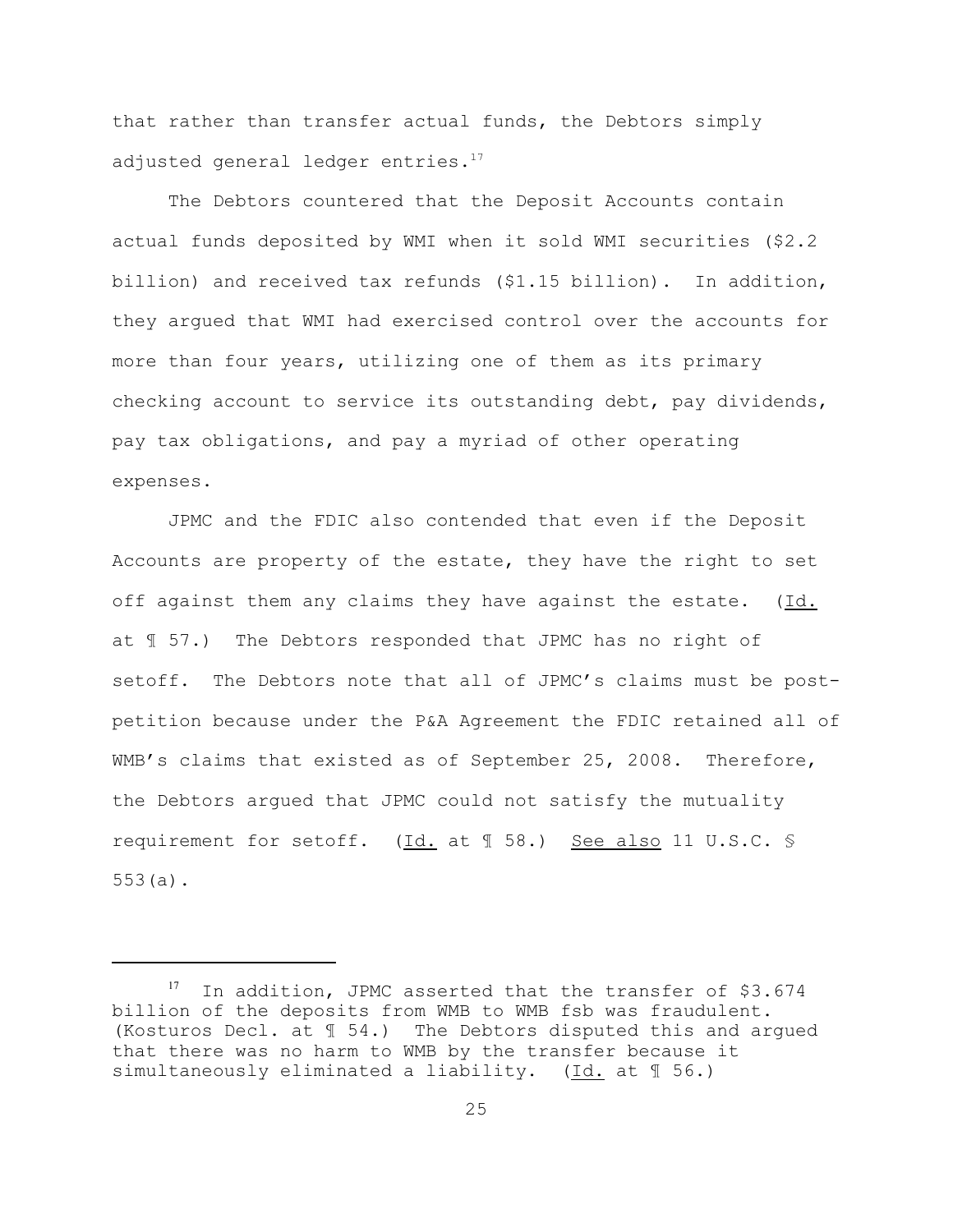that rather than transfer actual funds, the Debtors simply adjusted general ledger entries.<sup>17</sup>

The Debtors countered that the Deposit Accounts contain actual funds deposited by WMI when it sold WMI securities (\$2.2 billion) and received tax refunds (\$1.15 billion). In addition, they argued that WMI had exercised control over the accounts for more than four years, utilizing one of them as its primary checking account to service its outstanding debt, pay dividends, pay tax obligations, and pay a myriad of other operating expenses.

JPMC and the FDIC also contended that even if the Deposit Accounts are property of the estate, they have the right to set off against them any claims they have against the estate. (Id. at ¶ 57.) The Debtors responded that JPMC has no right of setoff. The Debtors note that all of JPMC's claims must be postpetition because under the P&A Agreement the FDIC retained all of WMB's claims that existed as of September 25, 2008. Therefore, the Debtors argued that JPMC could not satisfy the mutuality requirement for setoff. (Id. at ¶ 58.) See also 11 U.S.C. § 553(a).

 $17$  In addition, JPMC asserted that the transfer of \$3.674 billion of the deposits from WMB to WMB fsb was fraudulent. (Kosturos Decl. at ¶ 54.) The Debtors disputed this and argued that there was no harm to WMB by the transfer because it simultaneously eliminated a liability. (Id. at ¶ 56.)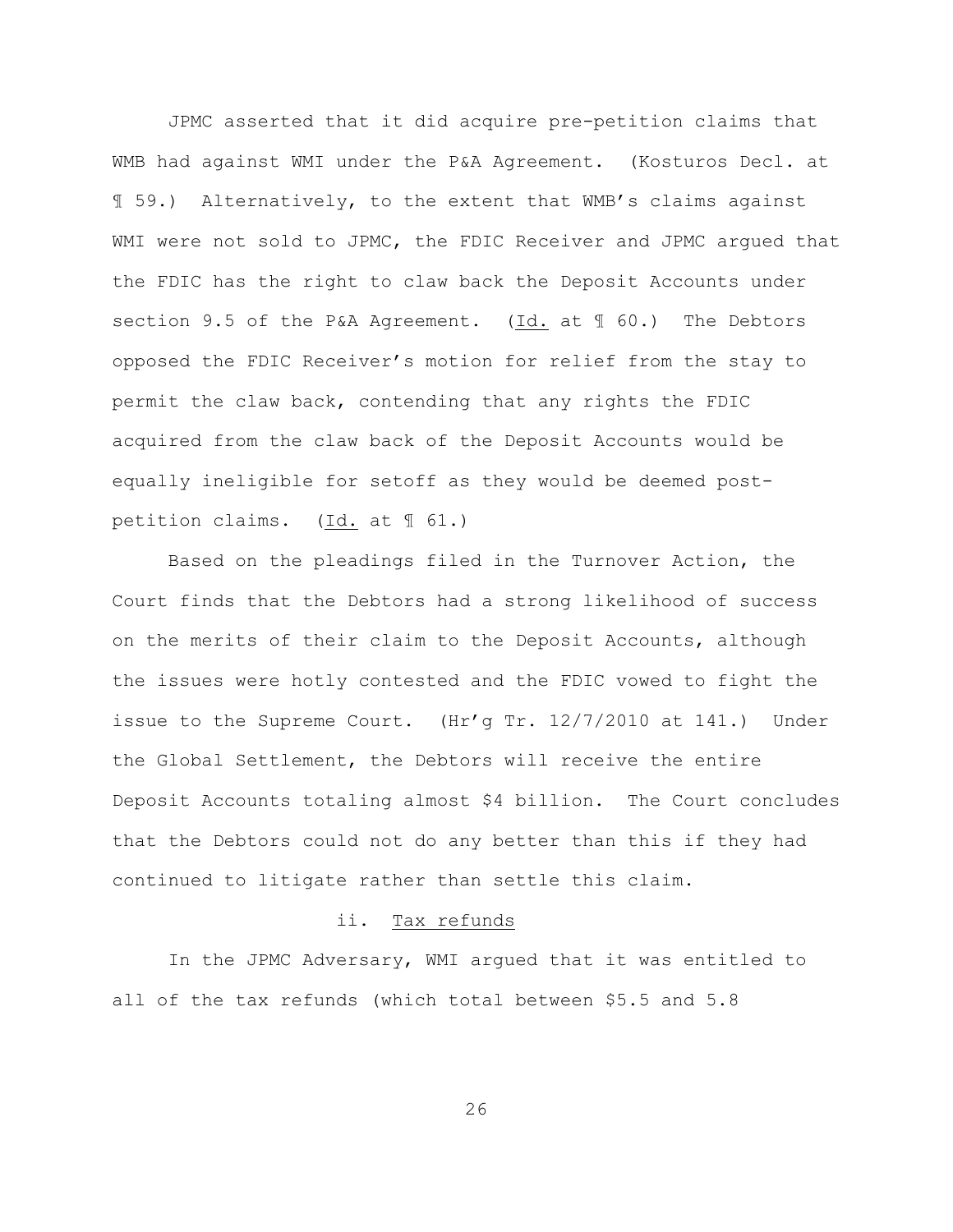JPMC asserted that it did acquire pre-petition claims that WMB had against WMI under the P&A Agreement. (Kosturos Decl. at ¶ 59.) Alternatively, to the extent that WMB's claims against WMI were not sold to JPMC, the FDIC Receiver and JPMC arqued that the FDIC has the right to claw back the Deposit Accounts under section 9.5 of the P&A Agreement. (Id. at ¶ 60.) The Debtors opposed the FDIC Receiver's motion for relief from the stay to permit the claw back, contending that any rights the FDIC acquired from the claw back of the Deposit Accounts would be equally ineligible for setoff as they would be deemed postpetition claims. (Id. at ¶ 61.)

Based on the pleadings filed in the Turnover Action, the Court finds that the Debtors had a strong likelihood of success on the merits of their claim to the Deposit Accounts, although the issues were hotly contested and the FDIC vowed to fight the issue to the Supreme Court. (Hr'g Tr. 12/7/2010 at 141.) Under the Global Settlement, the Debtors will receive the entire Deposit Accounts totaling almost \$4 billion. The Court concludes that the Debtors could not do any better than this if they had continued to litigate rather than settle this claim.

#### ii. Tax refunds

In the JPMC Adversary, WMI argued that it was entitled to all of the tax refunds (which total between \$5.5 and 5.8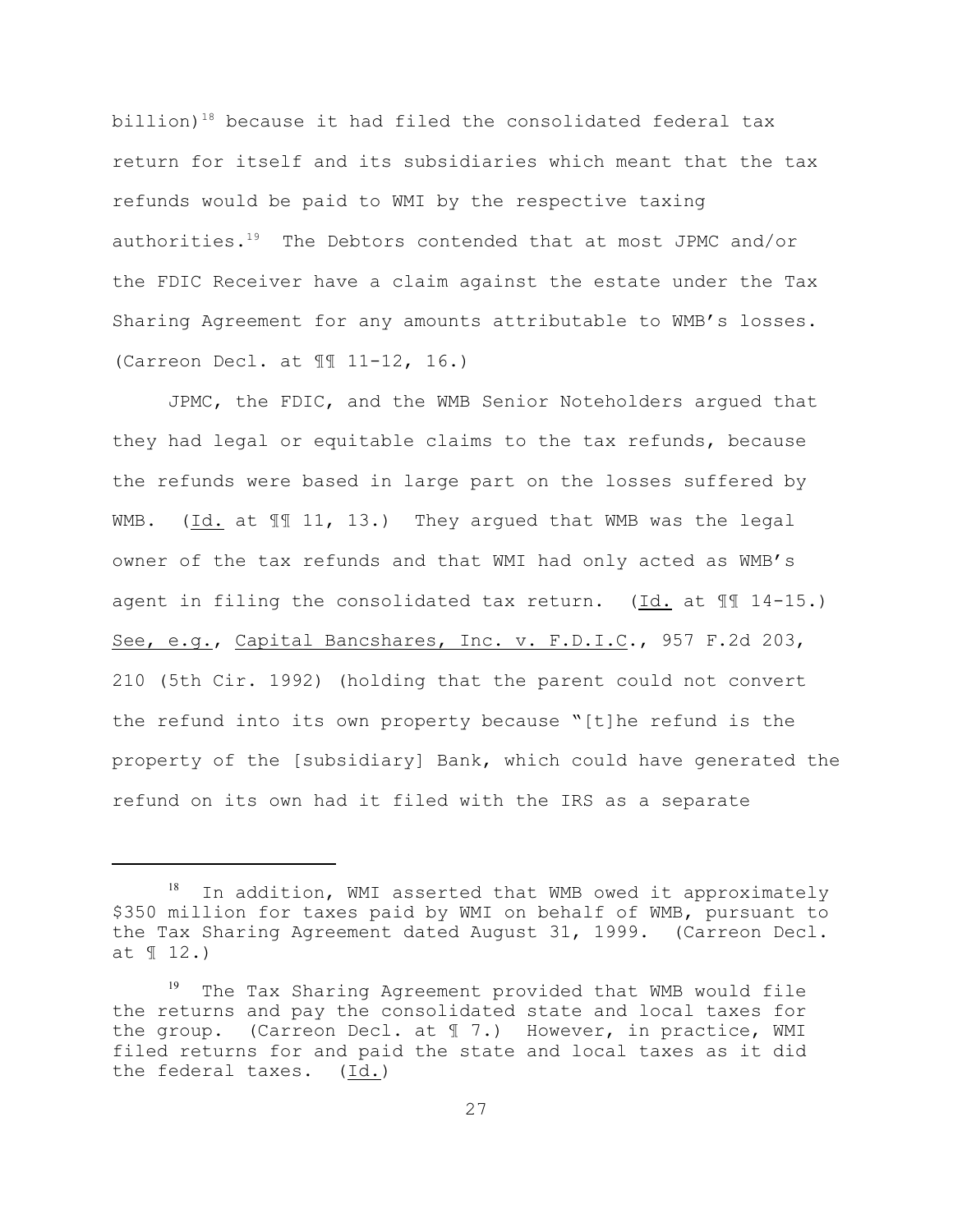billion)<sup>18</sup> because it had filed the consolidated federal  $tax$ return for itself and its subsidiaries which meant that the tax refunds would be paid to WMI by the respective taxing authorities.<sup>19</sup> The Debtors contended that at most JPMC and/or the FDIC Receiver have a claim against the estate under the Tax Sharing Agreement for any amounts attributable to WMB's losses. (Carreon Decl. at ¶¶ 11-12, 16.)

JPMC, the FDIC, and the WMB Senior Noteholders argued that they had legal or equitable claims to the tax refunds, because the refunds were based in large part on the losses suffered by WMB. (Id. at  $\mathbb{H}$  11, 13.) They argued that WMB was the legal owner of the tax refunds and that WMI had only acted as WMB's agent in filing the consolidated tax return. (Id. at ¶¶ 14-15.) See, e.g., Capital Bancshares, Inc. v. F.D.I.C., 957 F.2d 203, 210 (5th Cir. 1992) (holding that the parent could not convert the refund into its own property because "[t]he refund is the property of the [subsidiary] Bank, which could have generated the refund on its own had it filed with the IRS as a separate

In addition, WMI asserted that WMB owed it approximately \$350 million for taxes paid by WMI on behalf of WMB, pursuant to the Tax Sharing Agreement dated August 31, 1999. (Carreon Decl. at ¶ 12.)

The Tax Sharing Agreement provided that WMB would file the returns and pay the consolidated state and local taxes for the group. (Carreon Decl. at ¶ 7.) However, in practice, WMI filed returns for and paid the state and local taxes as it did the federal taxes. (Id.)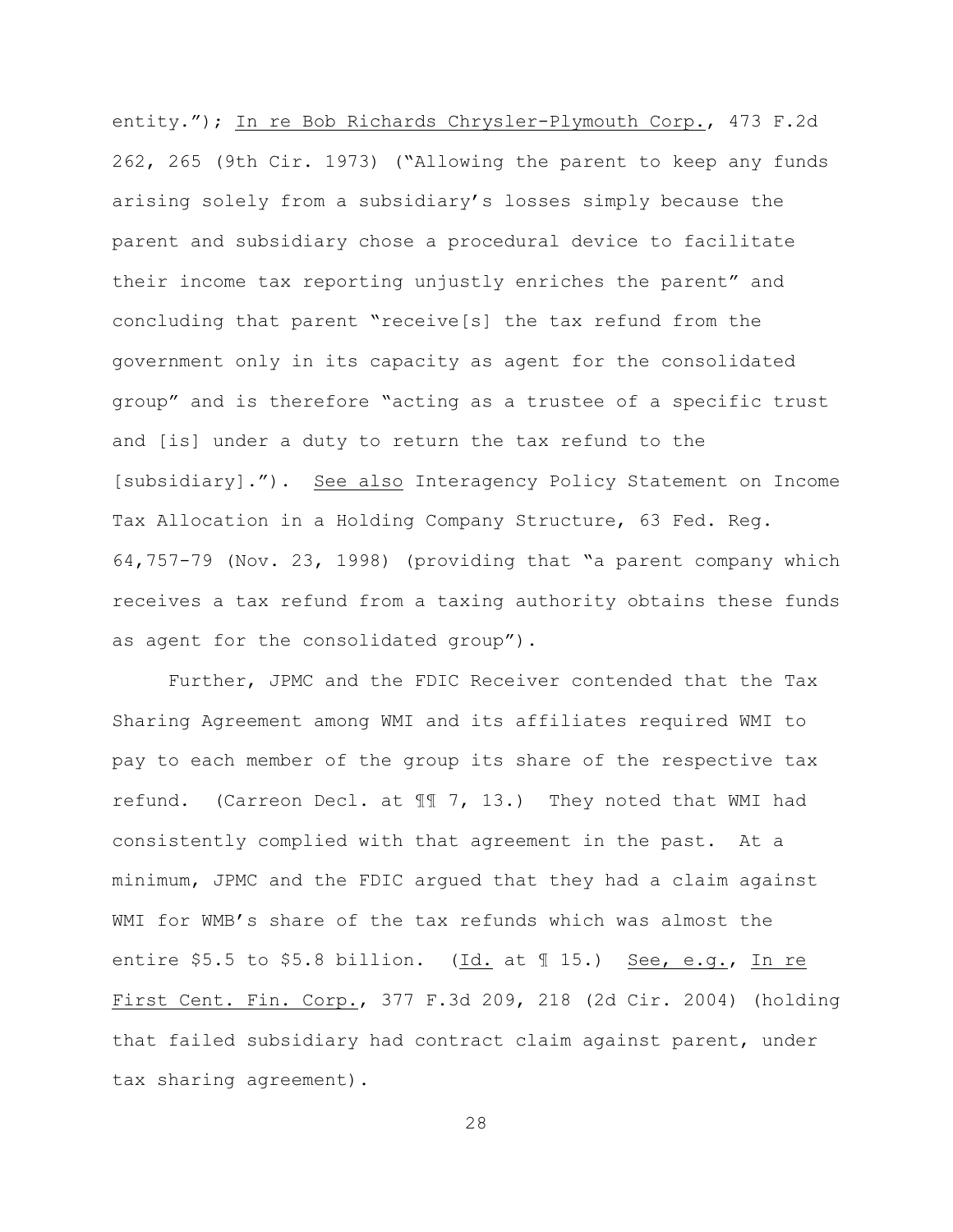entity."); In re Bob Richards Chrysler-Plymouth Corp., 473 F.2d 262, 265 (9th Cir. 1973) ("Allowing the parent to keep any funds arising solely from a subsidiary's losses simply because the parent and subsidiary chose a procedural device to facilitate their income tax reporting unjustly enriches the parent" and concluding that parent "receive[s] the tax refund from the government only in its capacity as agent for the consolidated group" and is therefore "acting as a trustee of a specific trust and [is] under a duty to return the tax refund to the [subsidiary]."). See also Interagency Policy Statement on Income Tax Allocation in a Holding Company Structure, 63 Fed. Reg. 64,757-79 (Nov. 23, 1998) (providing that "a parent company which receives a tax refund from a taxing authority obtains these funds as agent for the consolidated group").

Further, JPMC and the FDIC Receiver contended that the Tax Sharing Agreement among WMI and its affiliates required WMI to pay to each member of the group its share of the respective tax refund. (Carreon Decl. at ¶¶ 7, 13.) They noted that WMI had consistently complied with that agreement in the past. At a minimum, JPMC and the FDIC argued that they had a claim against WMI for WMB's share of the tax refunds which was almost the entire \$5.5 to \$5.8 billion. (Id. at ¶ 15.) See, e.g., In re First Cent. Fin. Corp., 377 F.3d 209, 218 (2d Cir. 2004) (holding that failed subsidiary had contract claim against parent, under tax sharing agreement).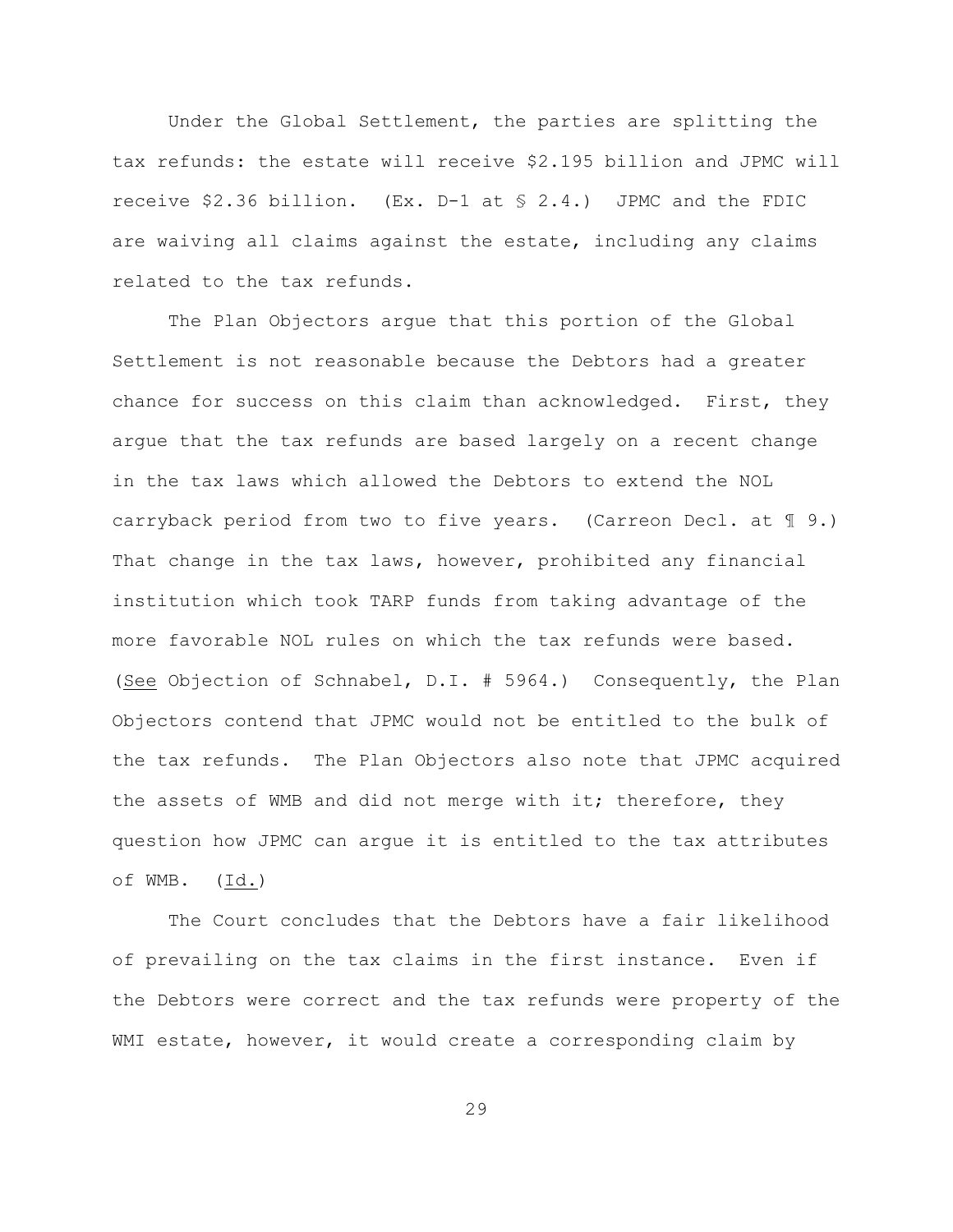Under the Global Settlement, the parties are splitting the tax refunds: the estate will receive \$2.195 billion and JPMC will receive \$2.36 billion. (Ex. D-1 at § 2.4.) JPMC and the FDIC are waiving all claims against the estate, including any claims related to the tax refunds.

The Plan Objectors argue that this portion of the Global Settlement is not reasonable because the Debtors had a greater chance for success on this claim than acknowledged. First, they argue that the tax refunds are based largely on a recent change in the tax laws which allowed the Debtors to extend the NOL carryback period from two to five years. (Carreon Decl. at ¶ 9.) That change in the tax laws, however, prohibited any financial institution which took TARP funds from taking advantage of the more favorable NOL rules on which the tax refunds were based. (See Objection of Schnabel, D.I. # 5964.) Consequently, the Plan Objectors contend that JPMC would not be entitled to the bulk of the tax refunds. The Plan Objectors also note that JPMC acquired the assets of WMB and did not merge with it; therefore, they question how JPMC can argue it is entitled to the tax attributes of WMB. (Id.)

The Court concludes that the Debtors have a fair likelihood of prevailing on the tax claims in the first instance. Even if the Debtors were correct and the tax refunds were property of the WMI estate, however, it would create a corresponding claim by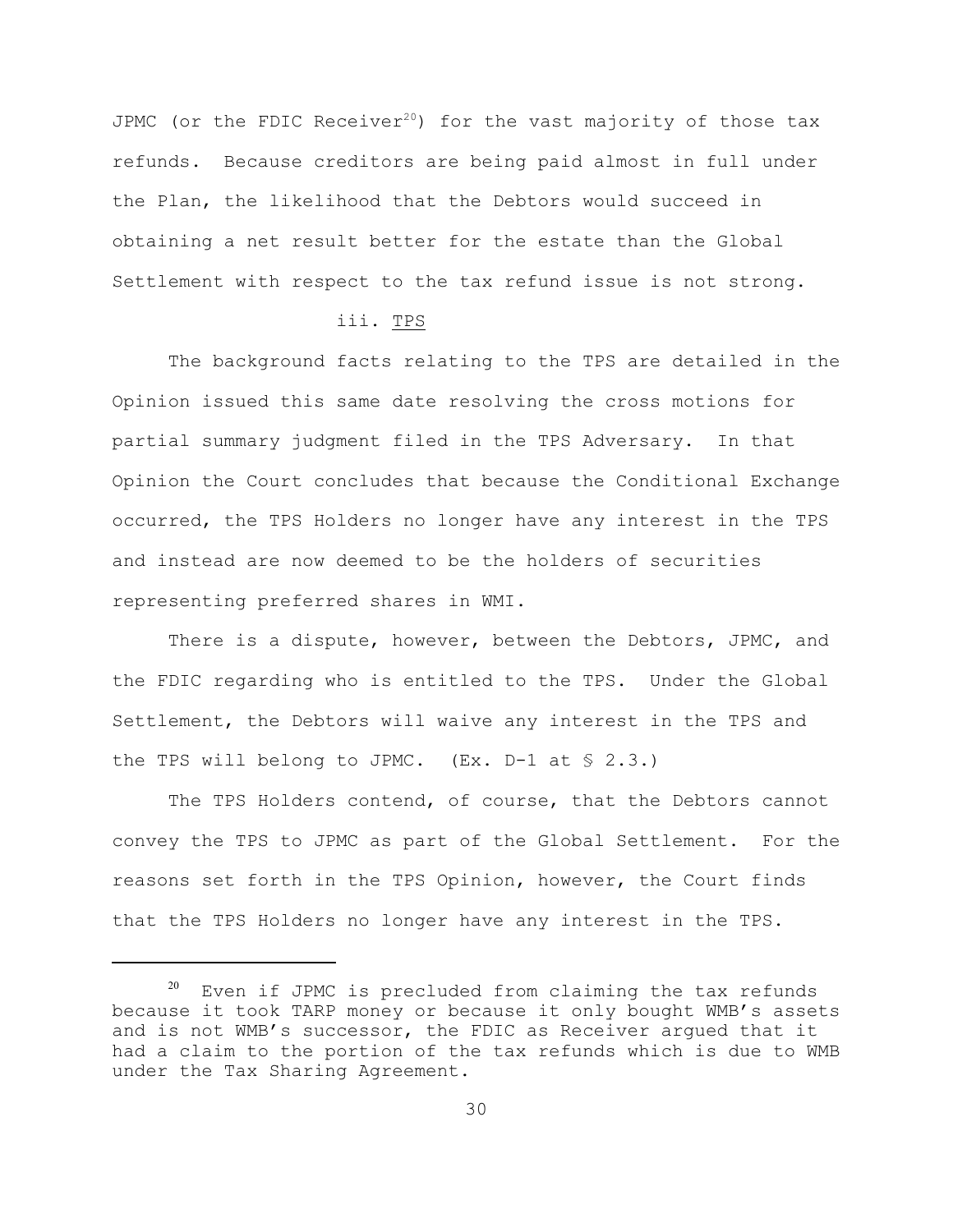JPMC (or the FDIC Receiver<sup>20</sup>) for the vast majority of those tax refunds. Because creditors are being paid almost in full under the Plan, the likelihood that the Debtors would succeed in obtaining a net result better for the estate than the Global Settlement with respect to the tax refund issue is not strong.

#### iii. TPS

The background facts relating to the TPS are detailed in the Opinion issued this same date resolving the cross motions for partial summary judgment filed in the TPS Adversary. In that Opinion the Court concludes that because the Conditional Exchange occurred, the TPS Holders no longer have any interest in the TPS and instead are now deemed to be the holders of securities representing preferred shares in WMI.

There is a dispute, however, between the Debtors, JPMC, and the FDIC regarding who is entitled to the TPS. Under the Global Settlement, the Debtors will waive any interest in the TPS and the TPS will belong to JPMC.  $(EX. D-1 at S 2.3.)$ 

The TPS Holders contend, of course, that the Debtors cannot convey the TPS to JPMC as part of the Global Settlement. For the reasons set forth in the TPS Opinion, however, the Court finds that the TPS Holders no longer have any interest in the TPS.

 $20$  Even if JPMC is precluded from claiming the tax refunds because it took TARP money or because it only bought WMB's assets and is not WMB's successor, the FDIC as Receiver argued that it had a claim to the portion of the tax refunds which is due to WMB under the Tax Sharing Agreement.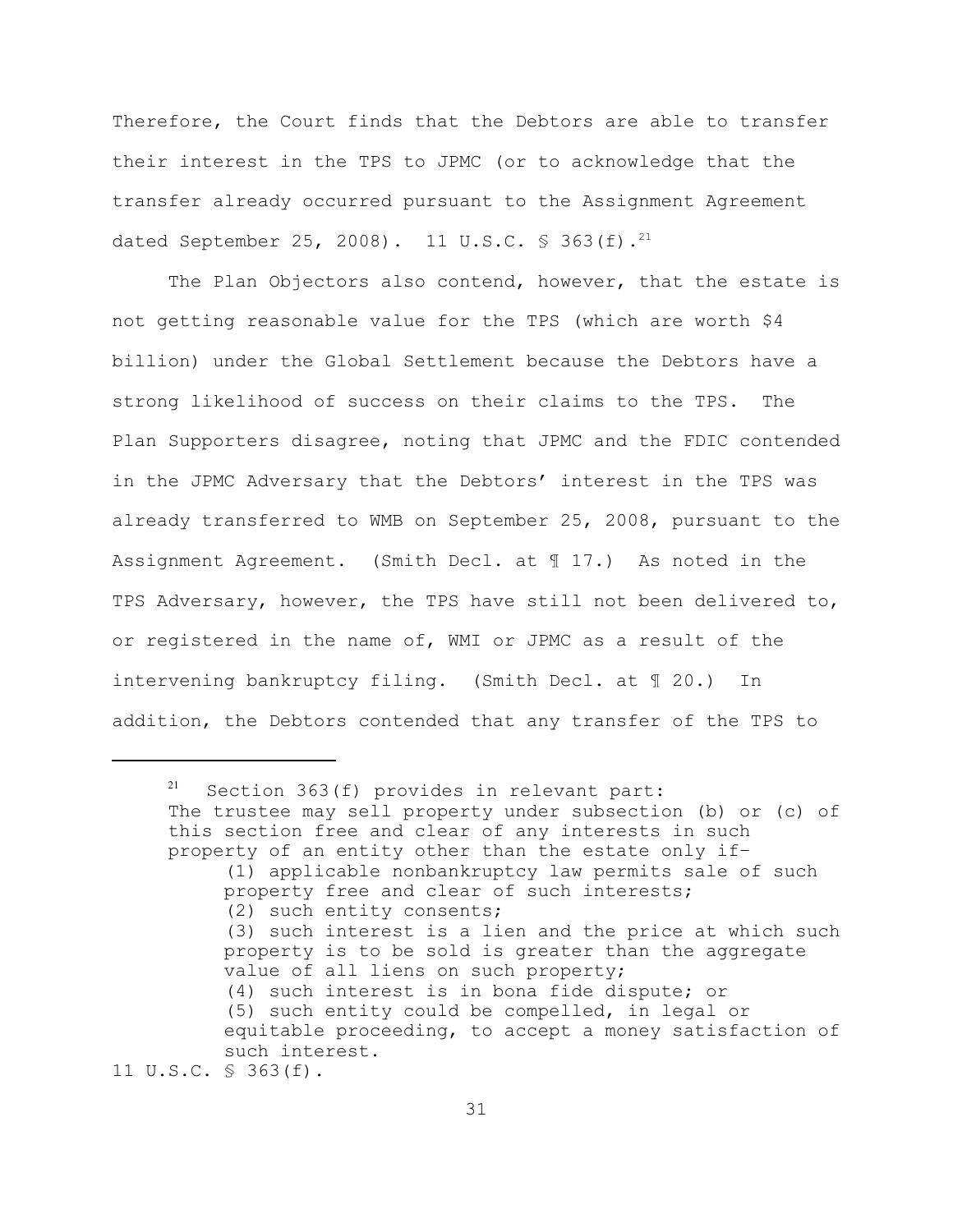Therefore, the Court finds that the Debtors are able to transfer their interest in the TPS to JPMC (or to acknowledge that the transfer already occurred pursuant to the Assignment Agreement dated September 25, 2008). 11 U.S.C.  $\frac{1}{5}$  363(f).<sup>21</sup>

The Plan Objectors also contend, however, that the estate is not getting reasonable value for the TPS (which are worth \$4 billion) under the Global Settlement because the Debtors have a strong likelihood of success on their claims to the TPS. The Plan Supporters disagree, noting that JPMC and the FDIC contended in the JPMC Adversary that the Debtors' interest in the TPS was already transferred to WMB on September 25, 2008, pursuant to the Assignment Agreement. (Smith Decl. at ¶ 17.) As noted in the TPS Adversary, however, the TPS have still not been delivered to, or registered in the name of, WMI or JPMC as a result of the intervening bankruptcy filing. (Smith Decl. at ¶ 20.) In addition, the Debtors contended that any transfer of the TPS to

11 U.S.C. § 363(f).

 $21$  Section 363(f) provides in relevant part: The trustee may sell property under subsection (b) or (c) of this section free and clear of any interests in such property of an entity other than the estate only if– (1) applicable nonbankruptcy law permits sale of such property free and clear of such interests; (2) such entity consents; (3) such interest is a lien and the price at which such property is to be sold is greater than the aggregate value of all liens on such property; (4) such interest is in bona fide dispute; or (5) such entity could be compelled, in legal or equitable proceeding, to accept a money satisfaction of such interest.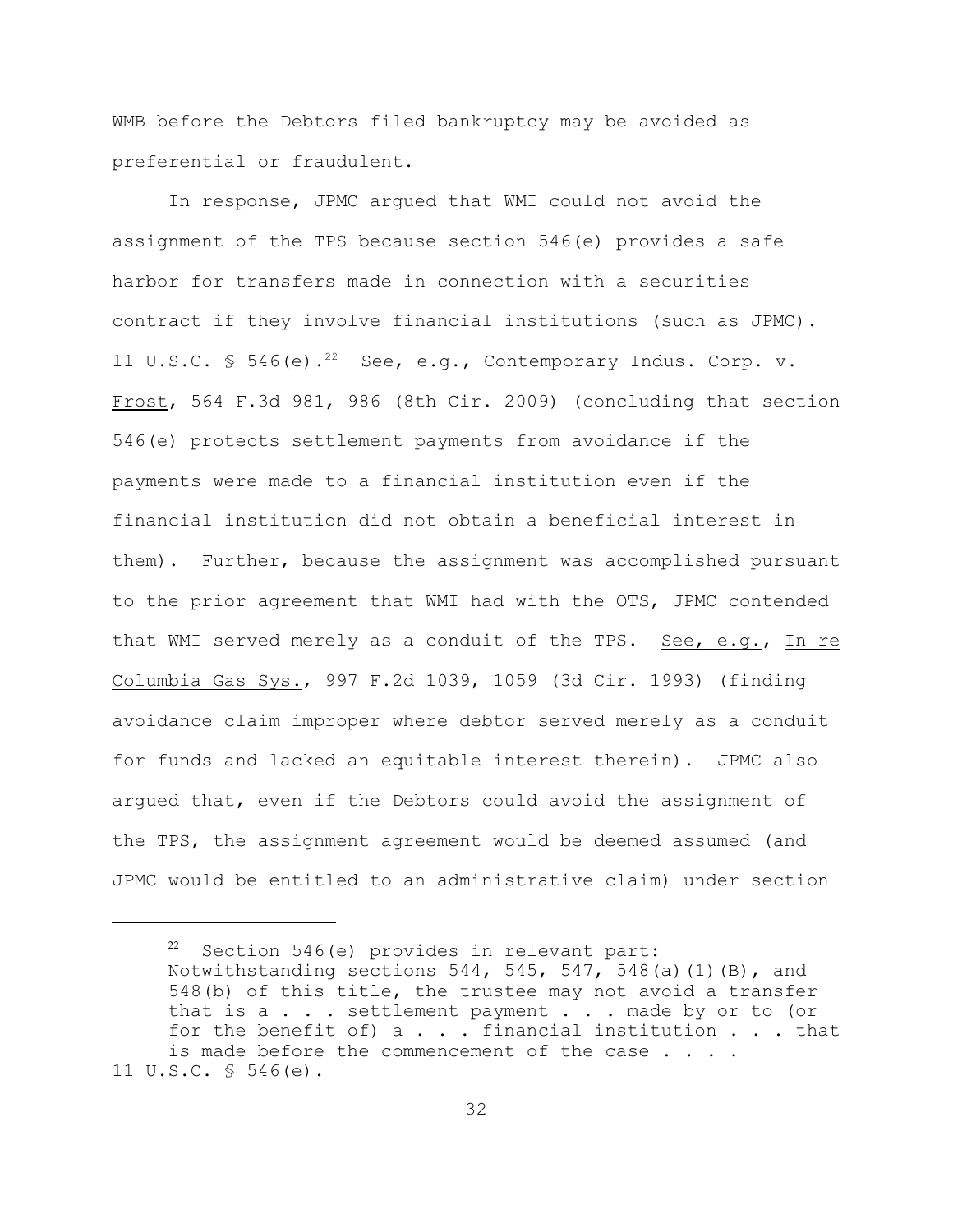WMB before the Debtors filed bankruptcy may be avoided as preferential or fraudulent.

In response, JPMC argued that WMI could not avoid the assignment of the TPS because section 546(e) provides a safe harbor for transfers made in connection with a securities contract if they involve financial institutions (such as JPMC). 11 U.S.C.  $\frac{1}{2}$  546(e).<sup>22</sup> See, e.g., Contemporary Indus. Corp. v. Frost, 564 F.3d 981, 986 (8th Cir. 2009) (concluding that section 546(e) protects settlement payments from avoidance if the payments were made to a financial institution even if the financial institution did not obtain a beneficial interest in them). Further, because the assignment was accomplished pursuant to the prior agreement that WMI had with the OTS, JPMC contended that WMI served merely as a conduit of the TPS. See, e.g., In re Columbia Gas Sys., 997 F.2d 1039, 1059 (3d Cir. 1993) (finding avoidance claim improper where debtor served merely as a conduit for funds and lacked an equitable interest therein). JPMC also argued that, even if the Debtors could avoid the assignment of the TPS, the assignment agreement would be deemed assumed (and JPMC would be entitled to an administrative claim) under section

 $22$  Section 546(e) provides in relevant part: Notwithstanding sections  $544$ ,  $545$ ,  $547$ ,  $548$  (a)(1)(B), and 548(b) of this title, the trustee may not avoid a transfer that is a . . . settlement payment . . . made by or to (or for the benefit of)  $a \cdot \cdot \cdot$  financial institution  $\cdot \cdot \cdot$  that is made before the commencement of the case . . . . 11 U.S.C. § 546(e).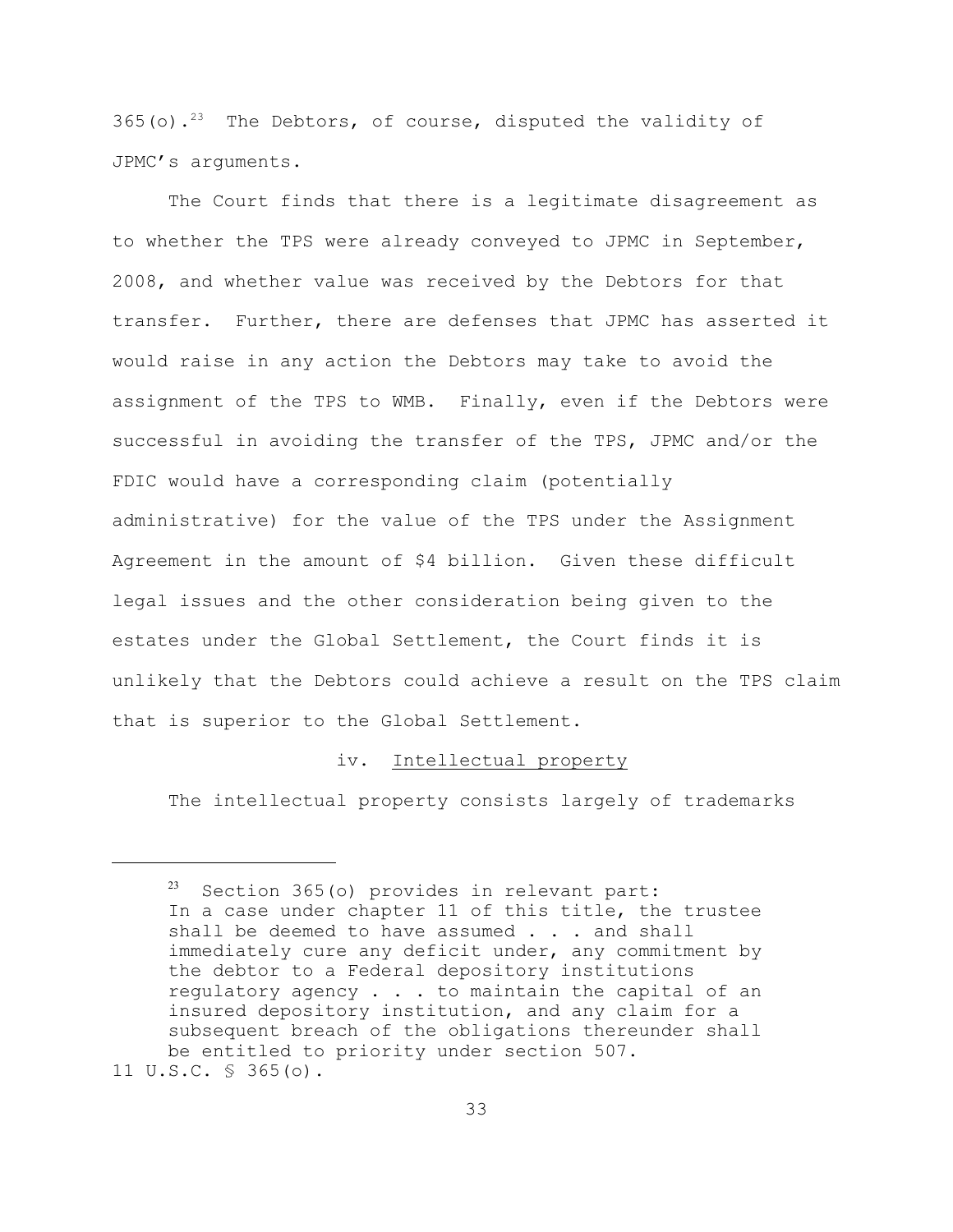365(o).<sup>23</sup> The Debtors, of course, disputed the validity of JPMC's arguments.

The Court finds that there is a legitimate disagreement as to whether the TPS were already conveyed to JPMC in September, 2008, and whether value was received by the Debtors for that transfer. Further, there are defenses that JPMC has asserted it would raise in any action the Debtors may take to avoid the assignment of the TPS to WMB. Finally, even if the Debtors were successful in avoiding the transfer of the TPS, JPMC and/or the FDIC would have a corresponding claim (potentially administrative) for the value of the TPS under the Assignment Agreement in the amount of \$4 billion. Given these difficult legal issues and the other consideration being given to the estates under the Global Settlement, the Court finds it is unlikely that the Debtors could achieve a result on the TPS claim that is superior to the Global Settlement.

#### iv. Intellectual property

The intellectual property consists largely of trademarks

 $23$  Section 365(o) provides in relevant part: In a case under chapter 11 of this title, the trustee shall be deemed to have assumed . . . and shall immediately cure any deficit under, any commitment by the debtor to a Federal depository institutions regulatory agency . . . to maintain the capital of an insured depository institution, and any claim for a subsequent breach of the obligations thereunder shall be entitled to priority under section 507.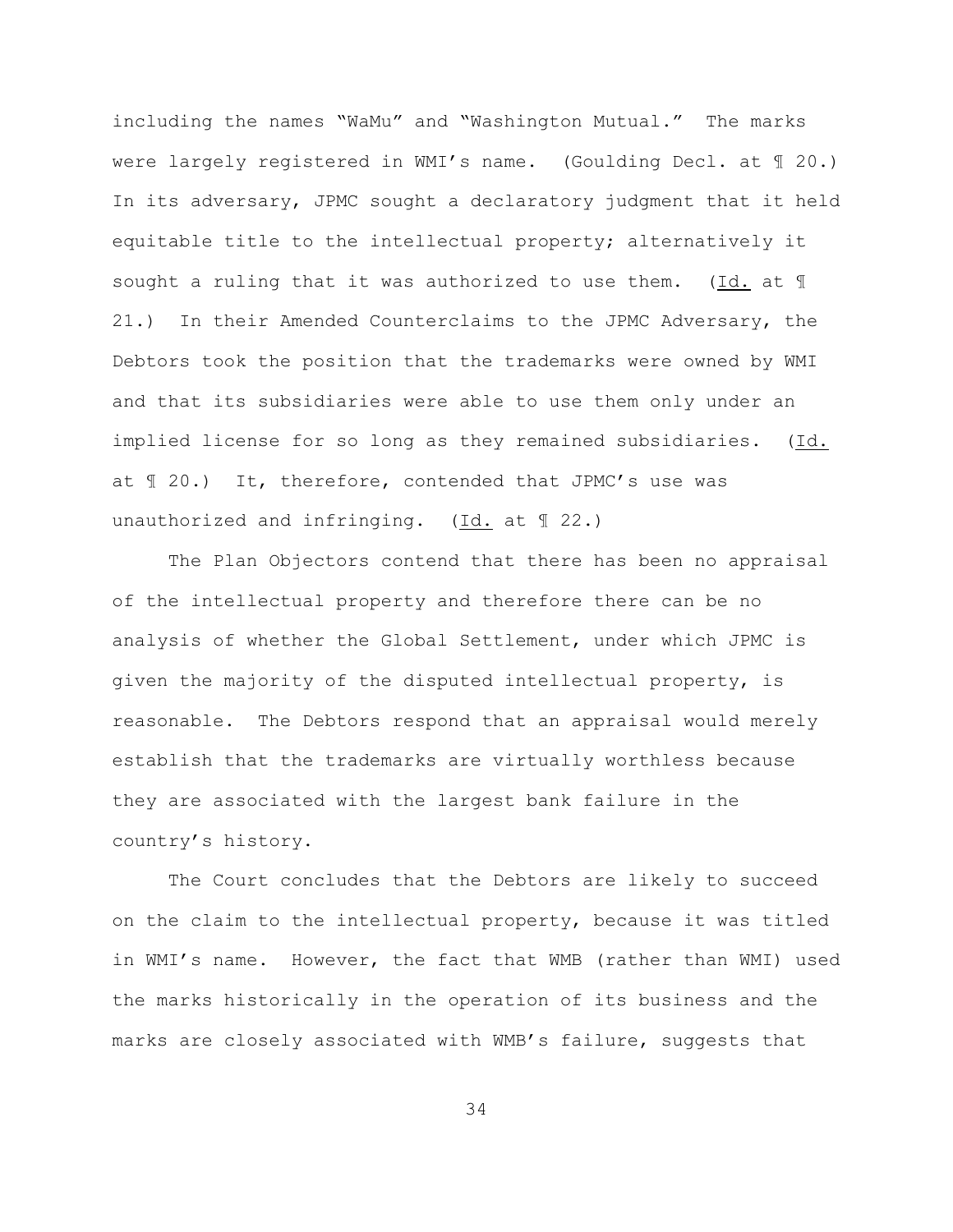including the names "WaMu" and "Washington Mutual." The marks were largely registered in WMI's name. (Goulding Decl. at ¶ 20.) In its adversary, JPMC sought a declaratory judgment that it held equitable title to the intellectual property; alternatively it sought a ruling that it was authorized to use them. (Id. at ¶ 21.) In their Amended Counterclaims to the JPMC Adversary, the Debtors took the position that the trademarks were owned by WMI and that its subsidiaries were able to use them only under an implied license for so long as they remained subsidiaries. (Id. at ¶ 20.) It, therefore, contended that JPMC's use was unauthorized and infringing. (Id. at ¶ 22.)

The Plan Objectors contend that there has been no appraisal of the intellectual property and therefore there can be no analysis of whether the Global Settlement, under which JPMC is given the majority of the disputed intellectual property, is reasonable. The Debtors respond that an appraisal would merely establish that the trademarks are virtually worthless because they are associated with the largest bank failure in the country's history.

The Court concludes that the Debtors are likely to succeed on the claim to the intellectual property, because it was titled in WMI's name. However, the fact that WMB (rather than WMI) used the marks historically in the operation of its business and the marks are closely associated with WMB's failure, suggests that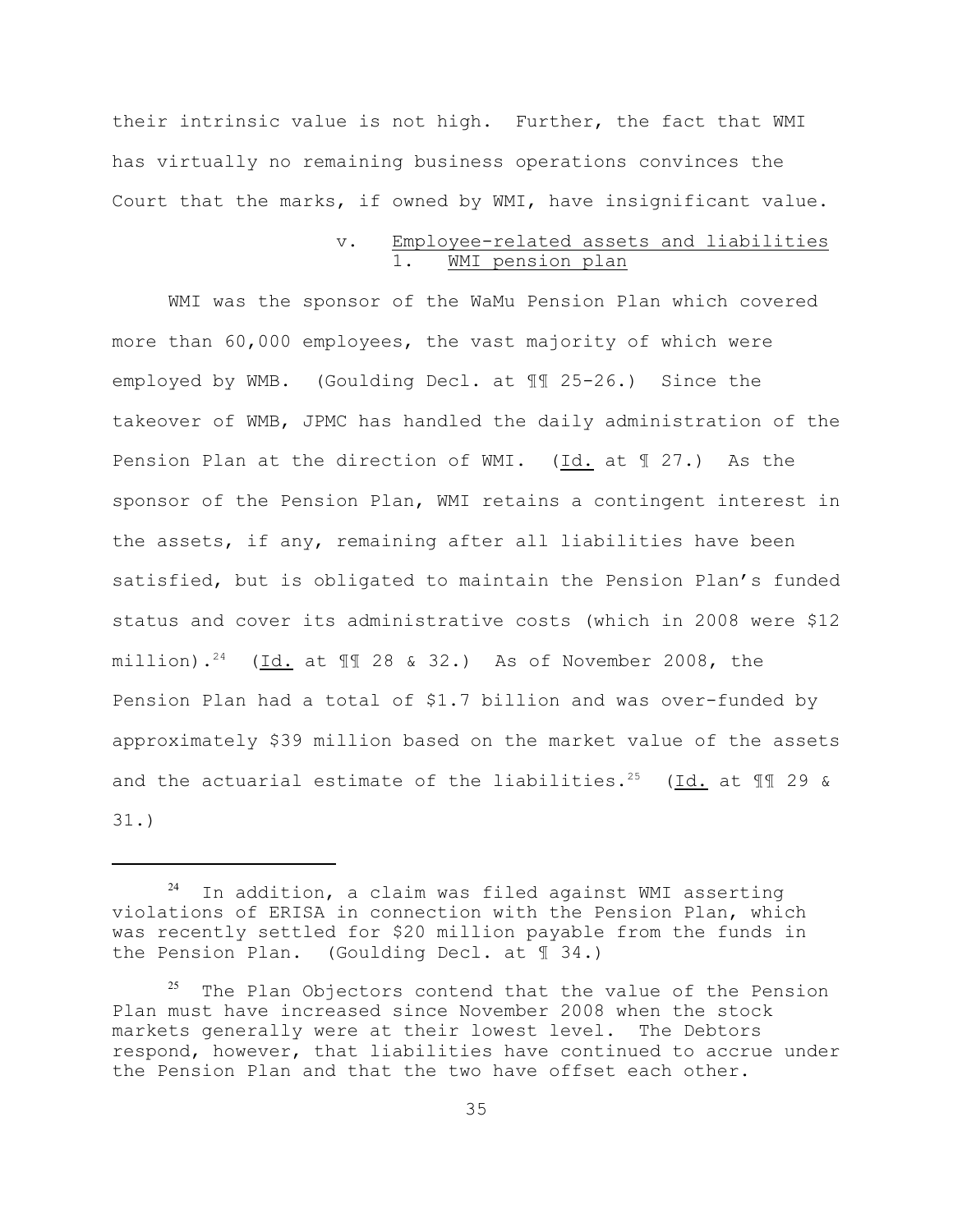their intrinsic value is not high. Further, the fact that WMI has virtually no remaining business operations convinces the Court that the marks, if owned by WMI, have insignificant value.

## v. Employee-related assets and liabilities WMI pension plan

WMI was the sponsor of the WaMu Pension Plan which covered more than 60,000 employees, the vast majority of which were employed by WMB. (Goulding Decl. at ¶¶ 25-26.) Since the takeover of WMB, JPMC has handled the daily administration of the Pension Plan at the direction of WMI. (Id. at ¶ 27.) As the sponsor of the Pension Plan, WMI retains a contingent interest in the assets, if any, remaining after all liabilities have been satisfied, but is obligated to maintain the Pension Plan's funded status and cover its administrative costs (which in 2008 were \$12 million).<sup>24</sup> (Id. at  $\P$  28 & 32.) As of November 2008, the Pension Plan had a total of \$1.7 billion and was over-funded by approximately \$39 million based on the market value of the assets and the actuarial estimate of the liabilities.<sup>25</sup> (Id. at  $\mathbb{I}\mathbb{I}$  29 & 31.)

 $24$  In addition, a claim was filed against WMI asserting violations of ERISA in connection with the Pension Plan, which was recently settled for \$20 million payable from the funds in the Pension Plan. (Goulding Decl. at ¶ 34.)

 $25$  The Plan Objectors contend that the value of the Pension Plan must have increased since November 2008 when the stock markets generally were at their lowest level. The Debtors respond, however, that liabilities have continued to accrue under the Pension Plan and that the two have offset each other.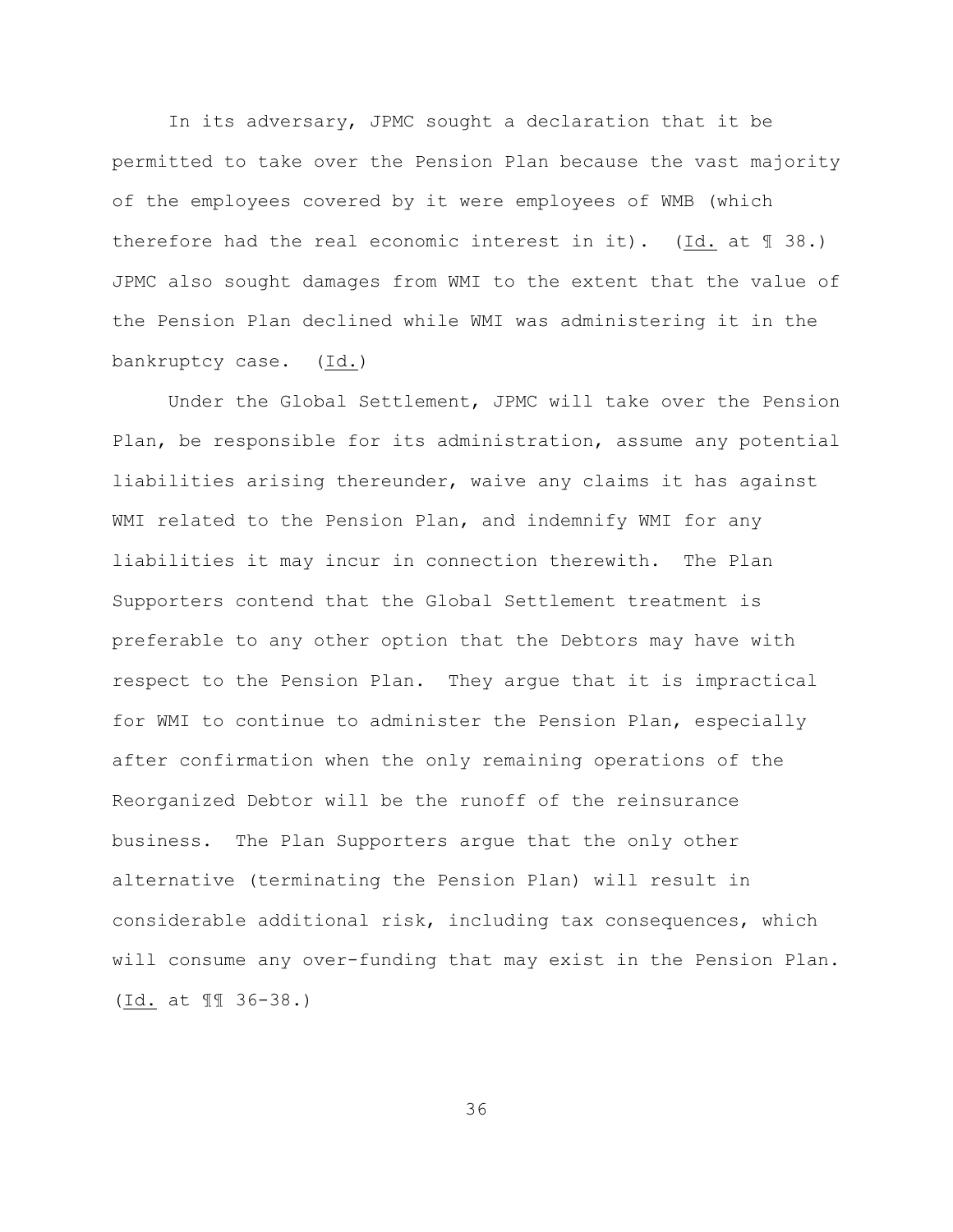In its adversary, JPMC sought a declaration that it be permitted to take over the Pension Plan because the vast majority of the employees covered by it were employees of WMB (which therefore had the real economic interest in it). (Id. at  $\mathbb{I}$  38.) JPMC also sought damages from WMI to the extent that the value of the Pension Plan declined while WMI was administering it in the bankruptcy case. (Id.)

Under the Global Settlement, JPMC will take over the Pension Plan, be responsible for its administration, assume any potential liabilities arising thereunder, waive any claims it has against WMI related to the Pension Plan, and indemnify WMI for any liabilities it may incur in connection therewith. The Plan Supporters contend that the Global Settlement treatment is preferable to any other option that the Debtors may have with respect to the Pension Plan. They argue that it is impractical for WMI to continue to administer the Pension Plan, especially after confirmation when the only remaining operations of the Reorganized Debtor will be the runoff of the reinsurance business. The Plan Supporters argue that the only other alternative (terminating the Pension Plan) will result in considerable additional risk, including tax consequences, which will consume any over-funding that may exist in the Pension Plan. (Id. at ¶¶ 36-38.)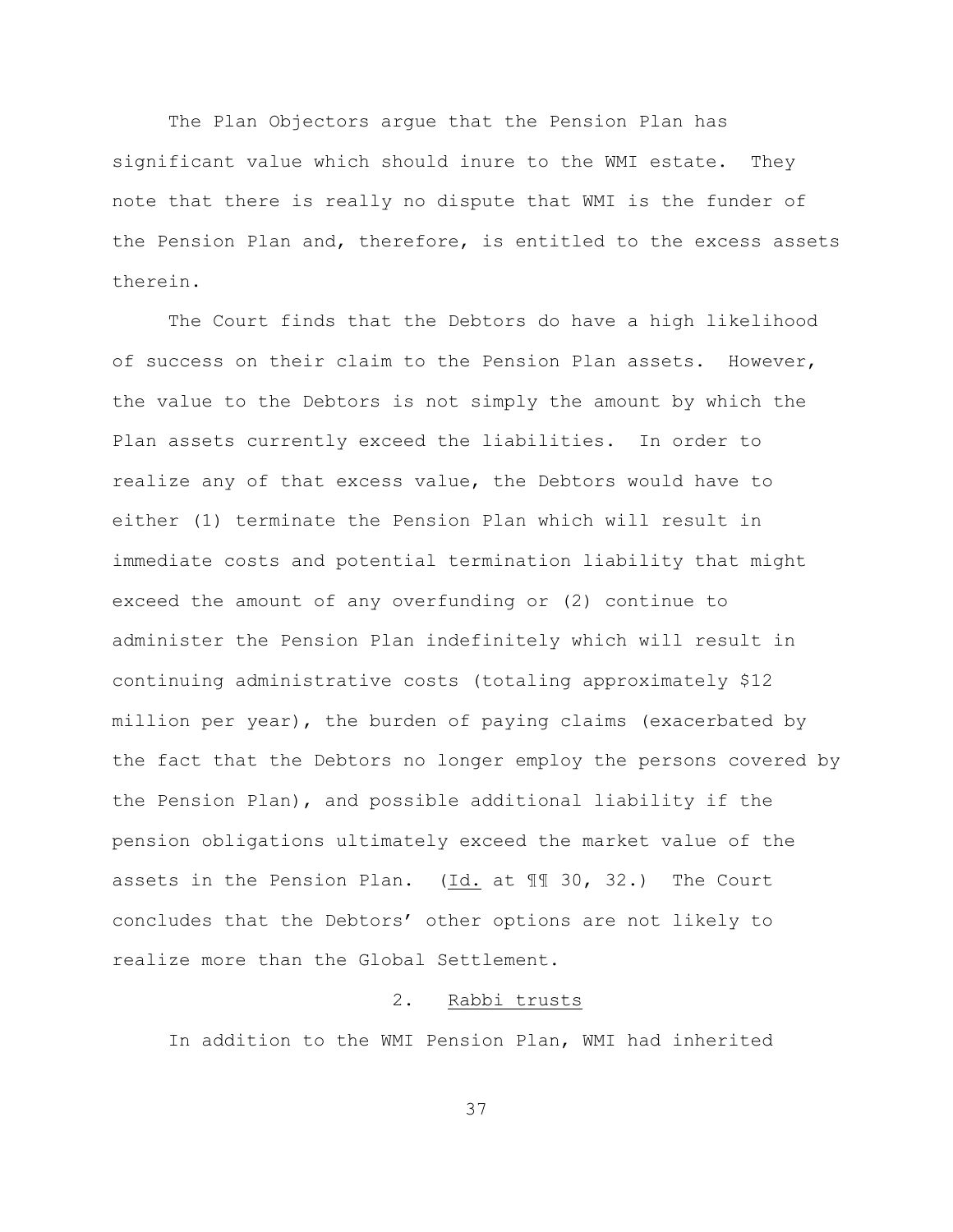The Plan Objectors argue that the Pension Plan has significant value which should inure to the WMI estate. They note that there is really no dispute that WMI is the funder of the Pension Plan and, therefore, is entitled to the excess assets therein.

The Court finds that the Debtors do have a high likelihood of success on their claim to the Pension Plan assets. However, the value to the Debtors is not simply the amount by which the Plan assets currently exceed the liabilities. In order to realize any of that excess value, the Debtors would have to either (1) terminate the Pension Plan which will result in immediate costs and potential termination liability that might exceed the amount of any overfunding or (2) continue to administer the Pension Plan indefinitely which will result in continuing administrative costs (totaling approximately \$12 million per year), the burden of paying claims (exacerbated by the fact that the Debtors no longer employ the persons covered by the Pension Plan), and possible additional liability if the pension obligations ultimately exceed the market value of the assets in the Pension Plan.  $(\underline{Id.}$  at  $\P$  30, 32.) The Court concludes that the Debtors' other options are not likely to realize more than the Global Settlement.

# 2. Rabbi trusts

In addition to the WMI Pension Plan, WMI had inherited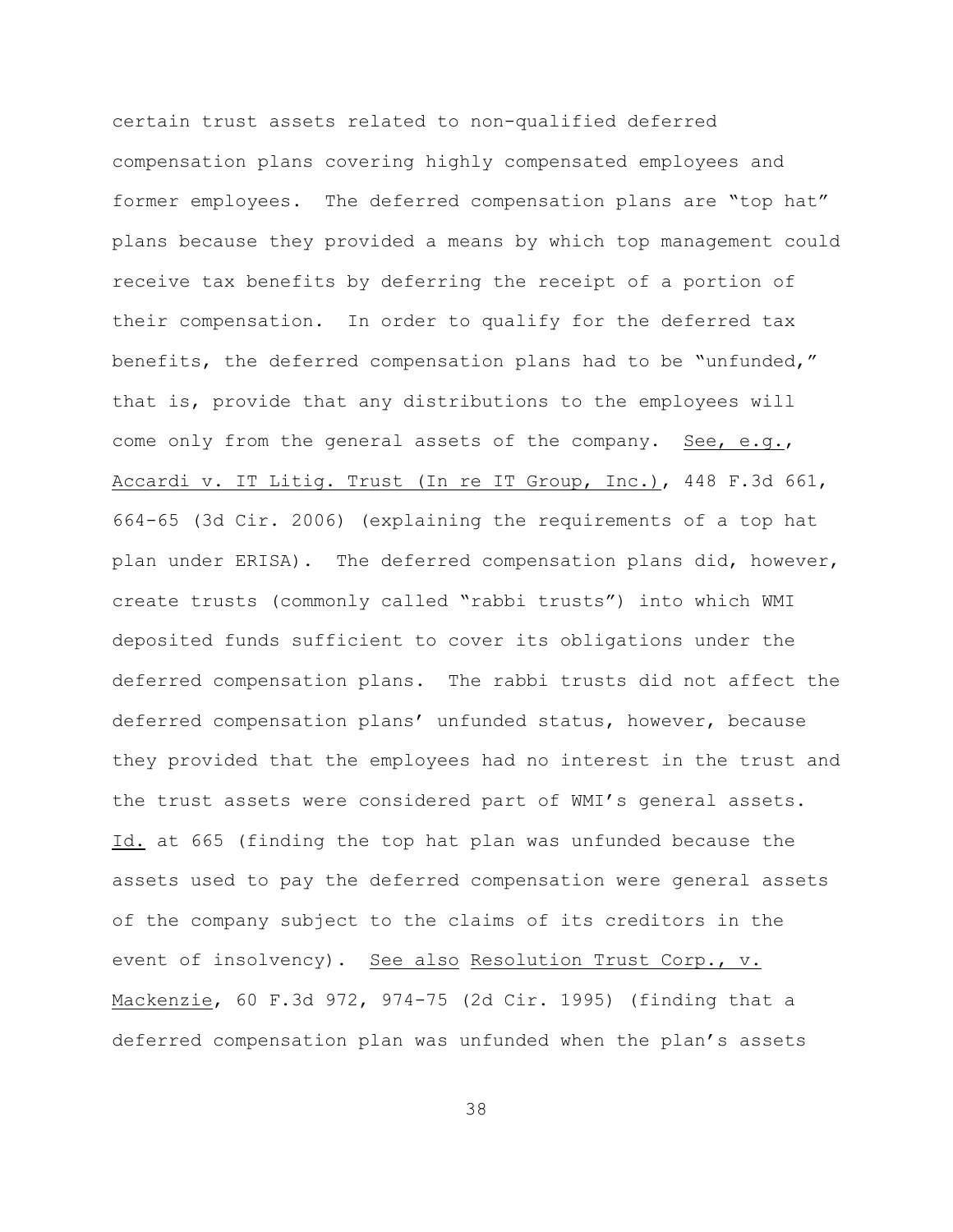certain trust assets related to non-qualified deferred compensation plans covering highly compensated employees and former employees. The deferred compensation plans are "top hat" plans because they provided a means by which top management could receive tax benefits by deferring the receipt of a portion of their compensation. In order to qualify for the deferred tax benefits, the deferred compensation plans had to be "unfunded," that is, provide that any distributions to the employees will come only from the general assets of the company. See, e.g., Accardi v. IT Litig. Trust (In re IT Group, Inc.), 448 F.3d 661, 664-65 (3d Cir. 2006) (explaining the requirements of a top hat plan under ERISA). The deferred compensation plans did, however, create trusts (commonly called "rabbi trusts") into which WMI deposited funds sufficient to cover its obligations under the deferred compensation plans. The rabbi trusts did not affect the deferred compensation plans' unfunded status, however, because they provided that the employees had no interest in the trust and the trust assets were considered part of WMI's general assets. Id. at 665 (finding the top hat plan was unfunded because the assets used to pay the deferred compensation were general assets of the company subject to the claims of its creditors in the event of insolvency). See also Resolution Trust Corp., v. Mackenzie, 60 F.3d 972, 974-75 (2d Cir. 1995) (finding that a deferred compensation plan was unfunded when the plan's assets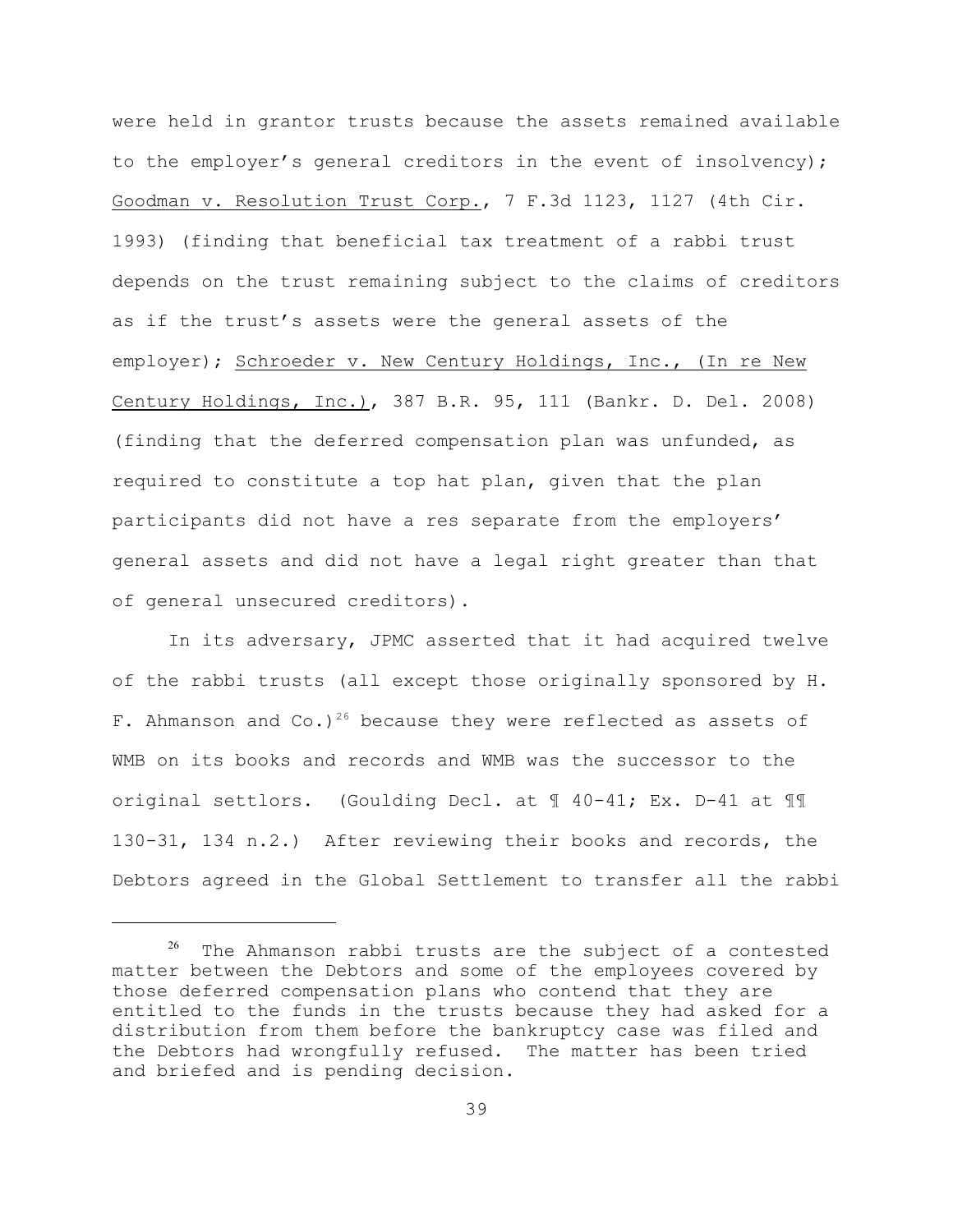were held in grantor trusts because the assets remained available to the employer's general creditors in the event of insolvency); Goodman v. Resolution Trust Corp., 7 F.3d 1123, 1127 (4th Cir. 1993) (finding that beneficial tax treatment of a rabbi trust depends on the trust remaining subject to the claims of creditors as if the trust's assets were the general assets of the employer); Schroeder v. New Century Holdings, Inc., (In re New Century Holdings, Inc.), 387 B.R. 95, 111 (Bankr. D. Del. 2008) (finding that the deferred compensation plan was unfunded, as required to constitute a top hat plan, given that the plan participants did not have a res separate from the employers' general assets and did not have a legal right greater than that of general unsecured creditors).

In its adversary, JPMC asserted that it had acquired twelve of the rabbi trusts (all except those originally sponsored by H. F. Ahmanson and Co.)<sup>26</sup> because they were reflected as assets of WMB on its books and records and WMB was the successor to the original settlors. (Goulding Decl. at ¶ 40-41; Ex. D-41 at ¶¶ 130-31, 134 n.2.) After reviewing their books and records, the Debtors agreed in the Global Settlement to transfer all the rabbi

 $26$  The Ahmanson rabbi trusts are the subject of a contested matter between the Debtors and some of the employees covered by those deferred compensation plans who contend that they are entitled to the funds in the trusts because they had asked for a distribution from them before the bankruptcy case was filed and the Debtors had wrongfully refused. The matter has been tried and briefed and is pending decision.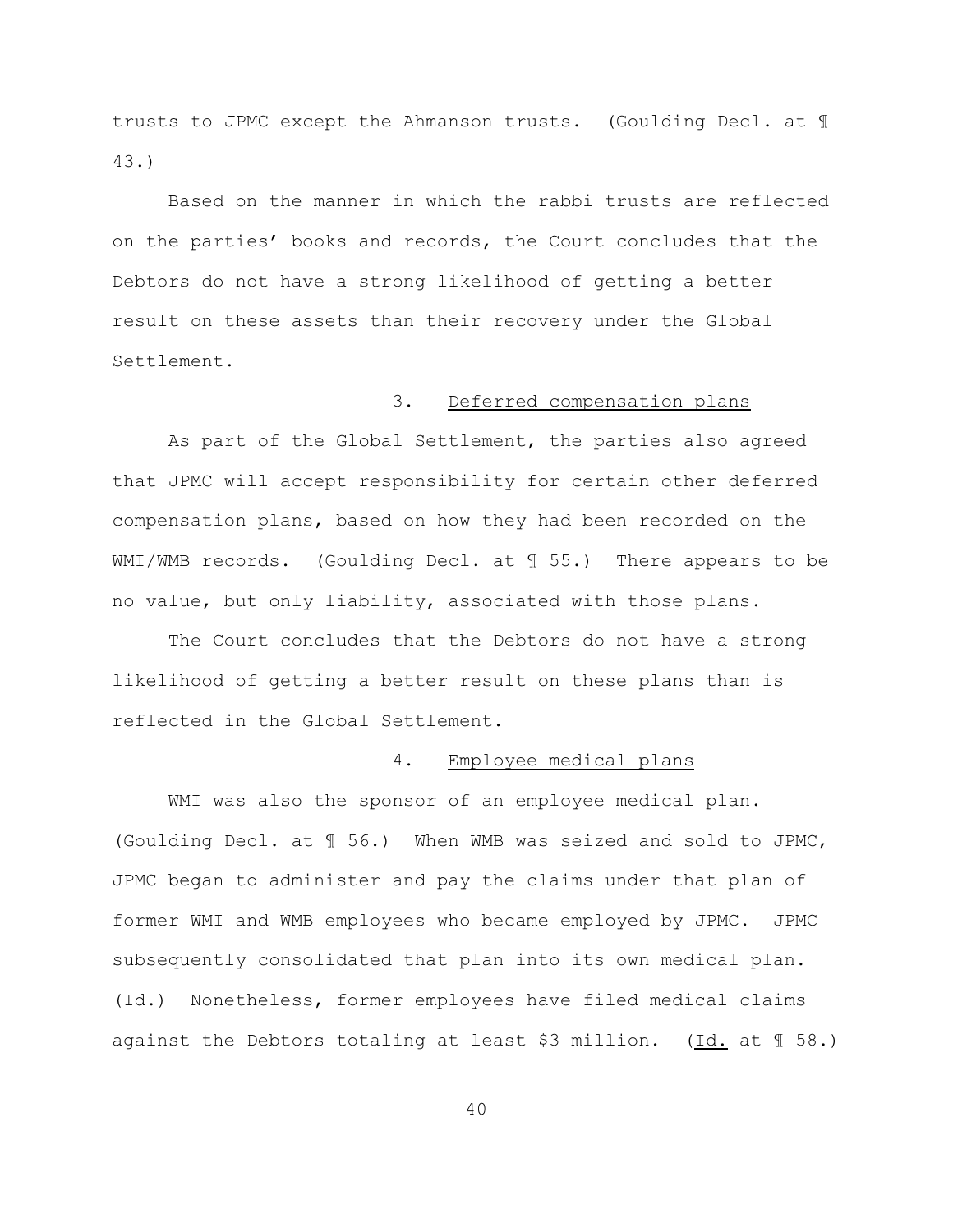trusts to JPMC except the Ahmanson trusts. (Goulding Decl. at ¶ 43.)

Based on the manner in which the rabbi trusts are reflected on the parties' books and records, the Court concludes that the Debtors do not have a strong likelihood of getting a better result on these assets than their recovery under the Global Settlement.

### 3. Deferred compensation plans

As part of the Global Settlement, the parties also agreed that JPMC will accept responsibility for certain other deferred compensation plans, based on how they had been recorded on the WMI/WMB records. (Goulding Decl. at  $\text{\ensuremath{\mathfrak{N}}}$  55.) There appears to be no value, but only liability, associated with those plans.

The Court concludes that the Debtors do not have a strong likelihood of getting a better result on these plans than is reflected in the Global Settlement.

## 4. Employee medical plans

WMI was also the sponsor of an employee medical plan. (Goulding Decl. at ¶ 56.) When WMB was seized and sold to JPMC, JPMC began to administer and pay the claims under that plan of former WMI and WMB employees who became employed by JPMC. JPMC subsequently consolidated that plan into its own medical plan. (Id.) Nonetheless, former employees have filed medical claims against the Debtors totaling at least \$3 million. (Id. at  $\mathbb{I}$  58.)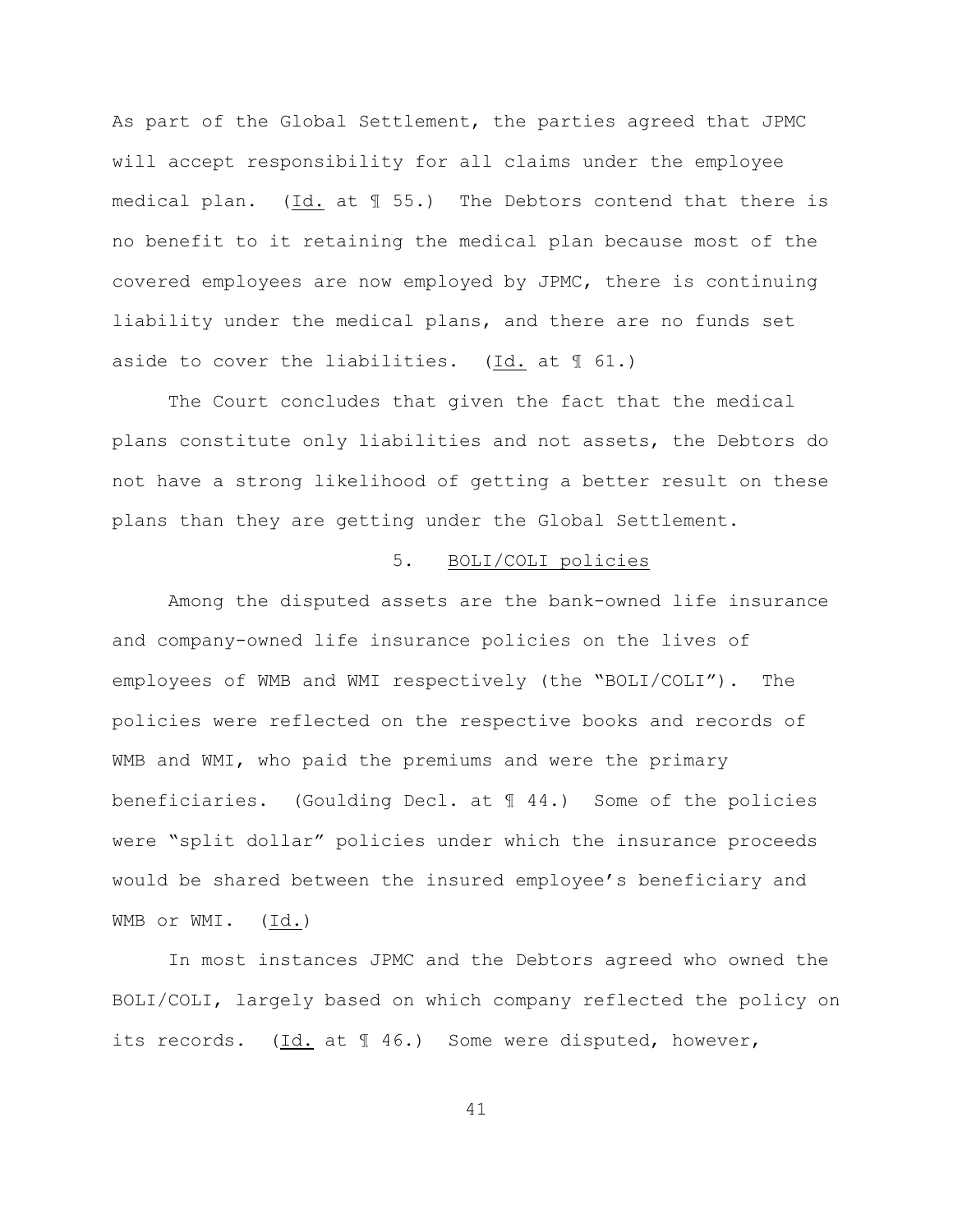As part of the Global Settlement, the parties agreed that JPMC will accept responsibility for all claims under the employee medical plan. (Id. at ¶ 55.) The Debtors contend that there is no benefit to it retaining the medical plan because most of the covered employees are now employed by JPMC, there is continuing liability under the medical plans, and there are no funds set aside to cover the liabilities. (Id. at  $\mathbb{I}$  61.)

The Court concludes that given the fact that the medical plans constitute only liabilities and not assets, the Debtors do not have a strong likelihood of getting a better result on these plans than they are getting under the Global Settlement.

### 5. BOLI/COLI policies

Among the disputed assets are the bank-owned life insurance and company-owned life insurance policies on the lives of employees of WMB and WMI respectively (the "BOLI/COLI"). The policies were reflected on the respective books and records of WMB and WMI, who paid the premiums and were the primary beneficiaries. (Goulding Decl. at  $\parallel$  44.) Some of the policies were "split dollar" policies under which the insurance proceeds would be shared between the insured employee's beneficiary and WMB or WMI. (Id.)

In most instances JPMC and the Debtors agreed who owned the BOLI/COLI, largely based on which company reflected the policy on its records. (Id. at 146.) Some were disputed, however,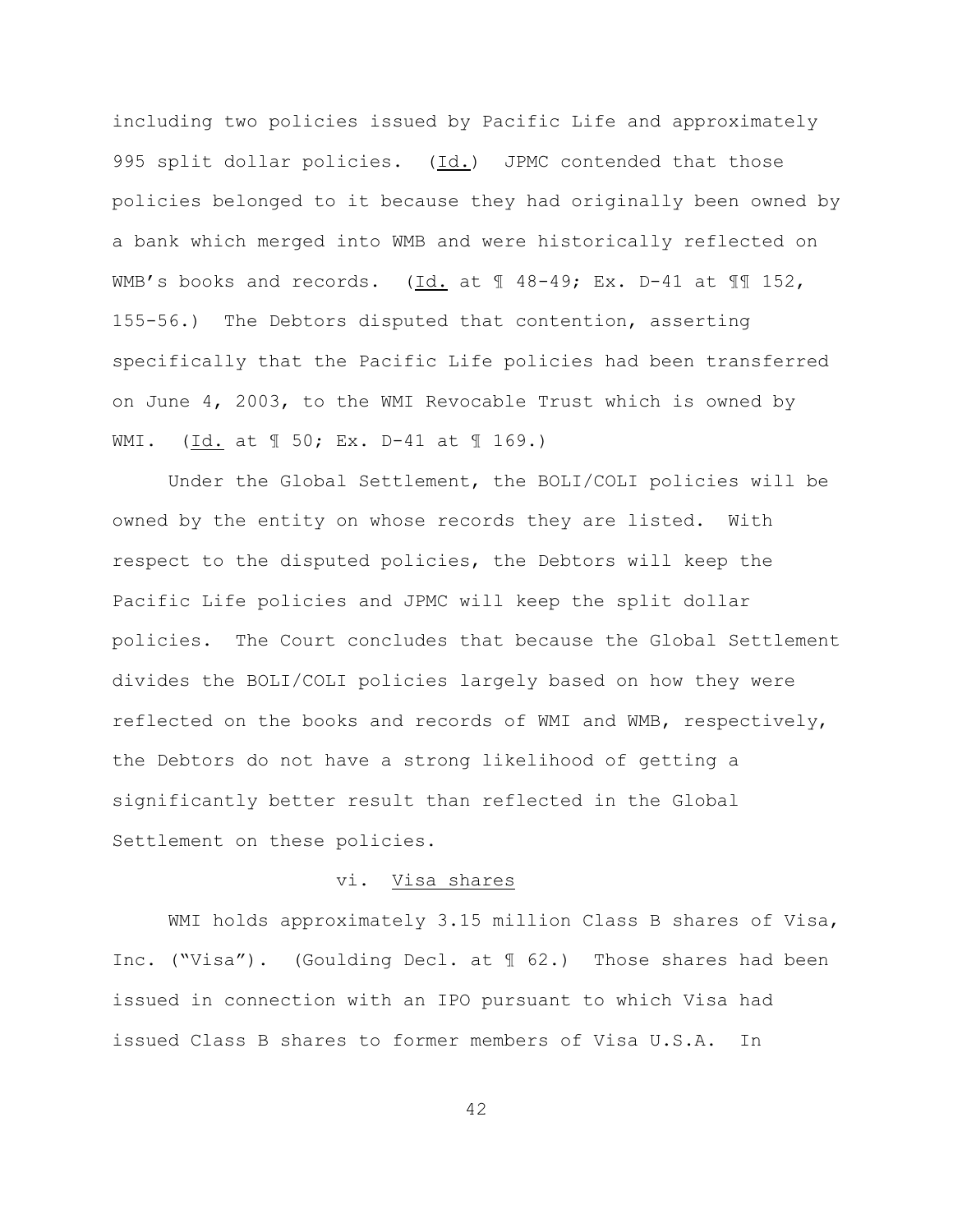including two policies issued by Pacific Life and approximately 995 split dollar policies. (Id.) JPMC contended that those policies belonged to it because they had originally been owned by a bank which merged into WMB and were historically reflected on WMB's books and records. (Id. at  $\text{\textsterling}$  48-49; Ex. D-41 at  $\text{\textsterling}$  152, 155-56.) The Debtors disputed that contention, asserting specifically that the Pacific Life policies had been transferred on June 4, 2003, to the WMI Revocable Trust which is owned by WMI. (Id. at ¶ 50; Ex. D-41 at ¶ 169.)

Under the Global Settlement, the BOLI/COLI policies will be owned by the entity on whose records they are listed. With respect to the disputed policies, the Debtors will keep the Pacific Life policies and JPMC will keep the split dollar policies. The Court concludes that because the Global Settlement divides the BOLI/COLI policies largely based on how they were reflected on the books and records of WMI and WMB, respectively, the Debtors do not have a strong likelihood of getting a significantly better result than reflected in the Global Settlement on these policies.

### vi. Visa shares

WMI holds approximately 3.15 million Class B shares of Visa, Inc. ("Visa"). (Goulding Decl. at ¶ 62.) Those shares had been issued in connection with an IPO pursuant to which Visa had issued Class B shares to former members of Visa U.S.A. In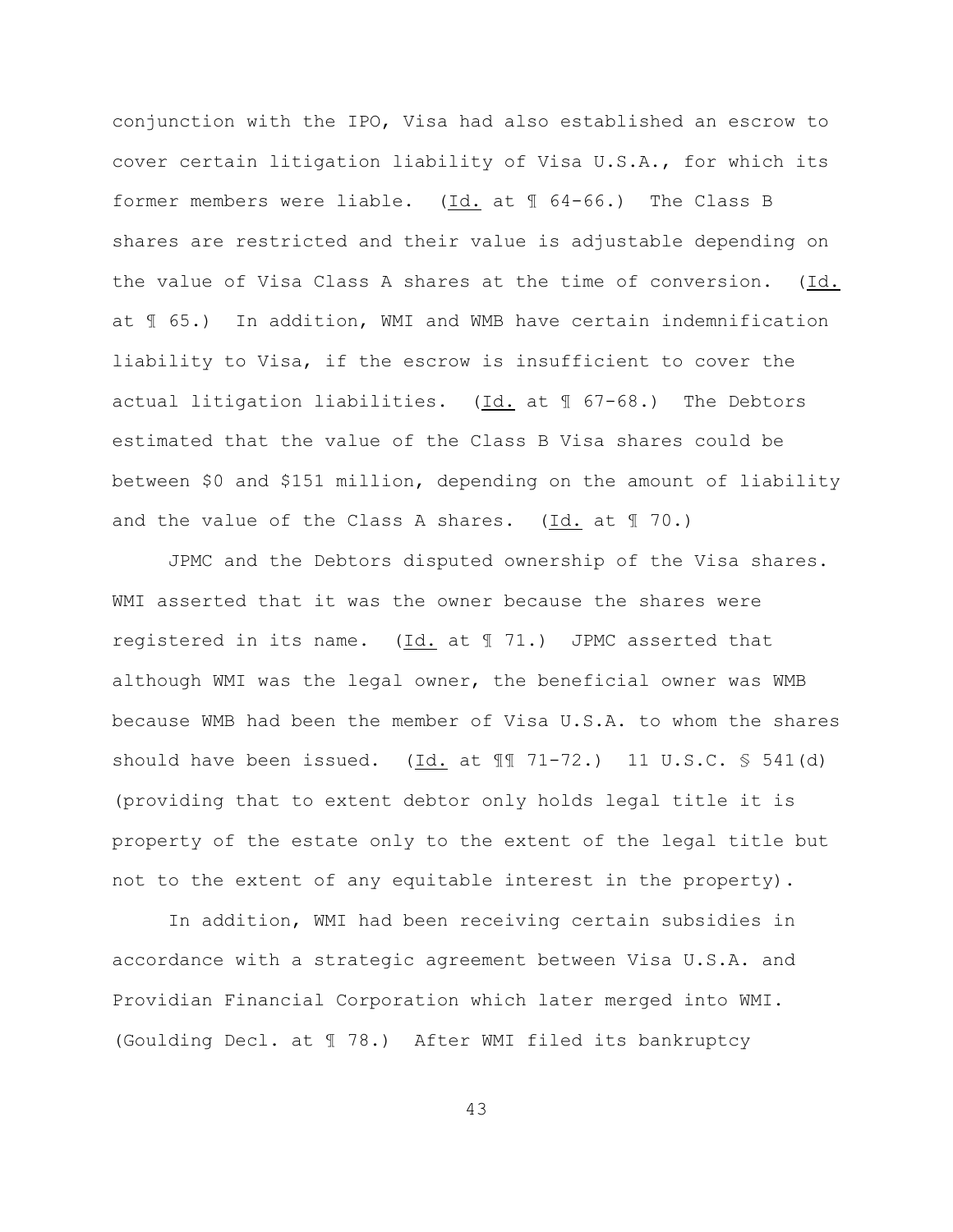conjunction with the IPO, Visa had also established an escrow to cover certain litigation liability of Visa U.S.A., for which its former members were liable. (Id. at ¶ 64-66.) The Class B shares are restricted and their value is adjustable depending on the value of Visa Class A shares at the time of conversion. (Id. at ¶ 65.) In addition, WMI and WMB have certain indemnification liability to Visa, if the escrow is insufficient to cover the actual litigation liabilities.  $(Id. at  $\sqrt{\frac{1}{16}}$  67-68.) The Debtors$ estimated that the value of the Class B Visa shares could be between \$0 and \$151 million, depending on the amount of liability and the value of the Class A shares. (Id. at  $\mathbb{I}$  70.)

JPMC and the Debtors disputed ownership of the Visa shares. WMI asserted that it was the owner because the shares were registered in its name.  $(\underline{Id.}$  at  $\mathbb{I}$  71.) JPMC asserted that although WMI was the legal owner, the beneficial owner was WMB because WMB had been the member of Visa U.S.A. to whom the shares should have been issued.  $(\underline{Id.}$  at  $\P$  $\overline{I}$  71-72.) 11 U.S.C. § 541(d) (providing that to extent debtor only holds legal title it is property of the estate only to the extent of the legal title but not to the extent of any equitable interest in the property).

In addition, WMI had been receiving certain subsidies in accordance with a strategic agreement between Visa U.S.A. and Providian Financial Corporation which later merged into WMI. (Goulding Decl. at ¶ 78.) After WMI filed its bankruptcy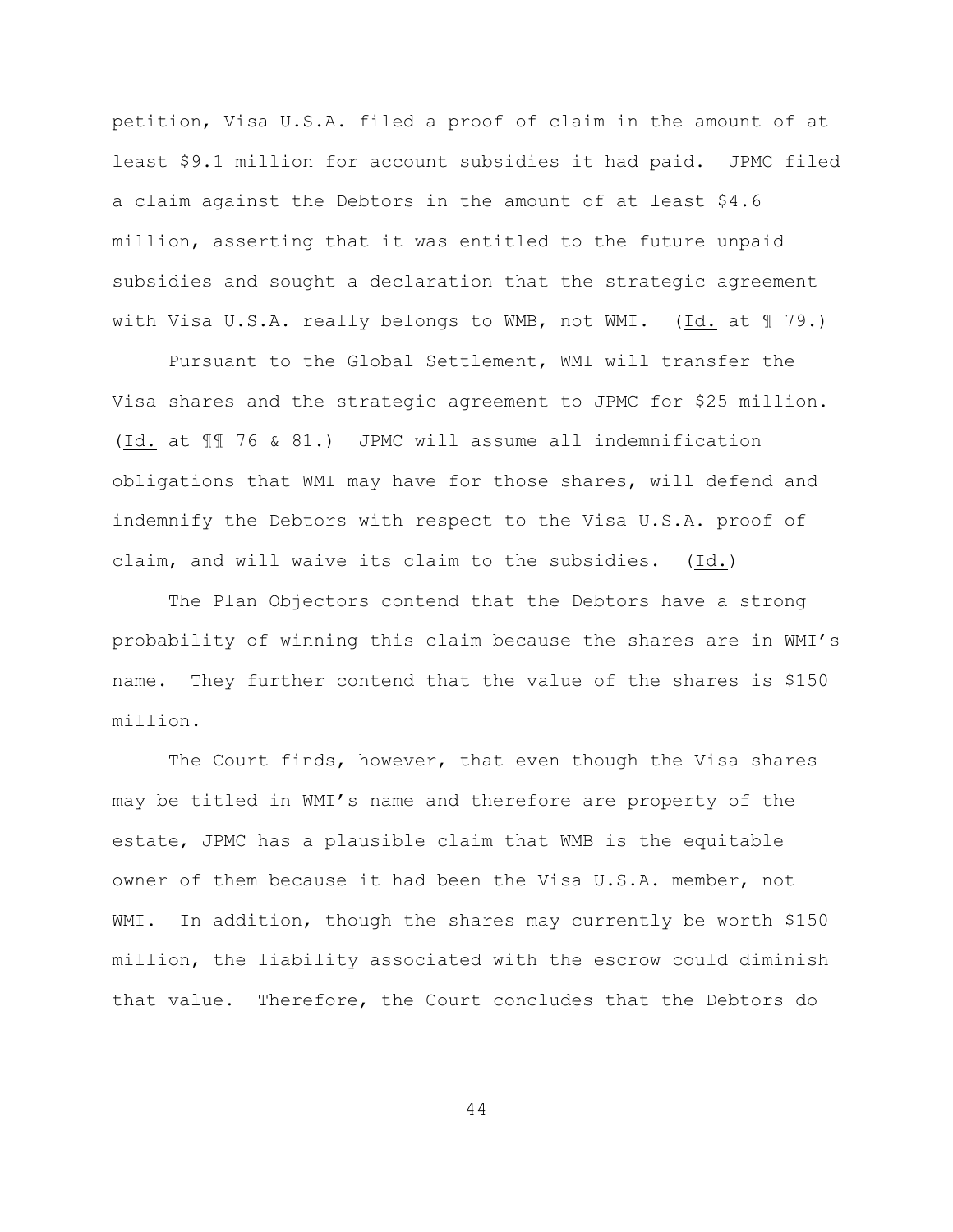petition, Visa U.S.A. filed a proof of claim in the amount of at least \$9.1 million for account subsidies it had paid. JPMC filed a claim against the Debtors in the amount of at least \$4.6 million, asserting that it was entitled to the future unpaid subsidies and sought a declaration that the strategic agreement with Visa U.S.A. really belongs to WMB, not WMI. (Id. at ¶ 79.)

Pursuant to the Global Settlement, WMI will transfer the Visa shares and the strategic agreement to JPMC for \$25 million. (Id. at ¶¶ 76 & 81.) JPMC will assume all indemnification obligations that WMI may have for those shares, will defend and indemnify the Debtors with respect to the Visa U.S.A. proof of claim, and will waive its claim to the subsidies. (Id.)

The Plan Objectors contend that the Debtors have a strong probability of winning this claim because the shares are in WMI's name. They further contend that the value of the shares is \$150 million.

The Court finds, however, that even though the Visa shares may be titled in WMI's name and therefore are property of the estate, JPMC has a plausible claim that WMB is the equitable owner of them because it had been the Visa U.S.A. member, not WMI. In addition, though the shares may currently be worth \$150 million, the liability associated with the escrow could diminish that value. Therefore, the Court concludes that the Debtors do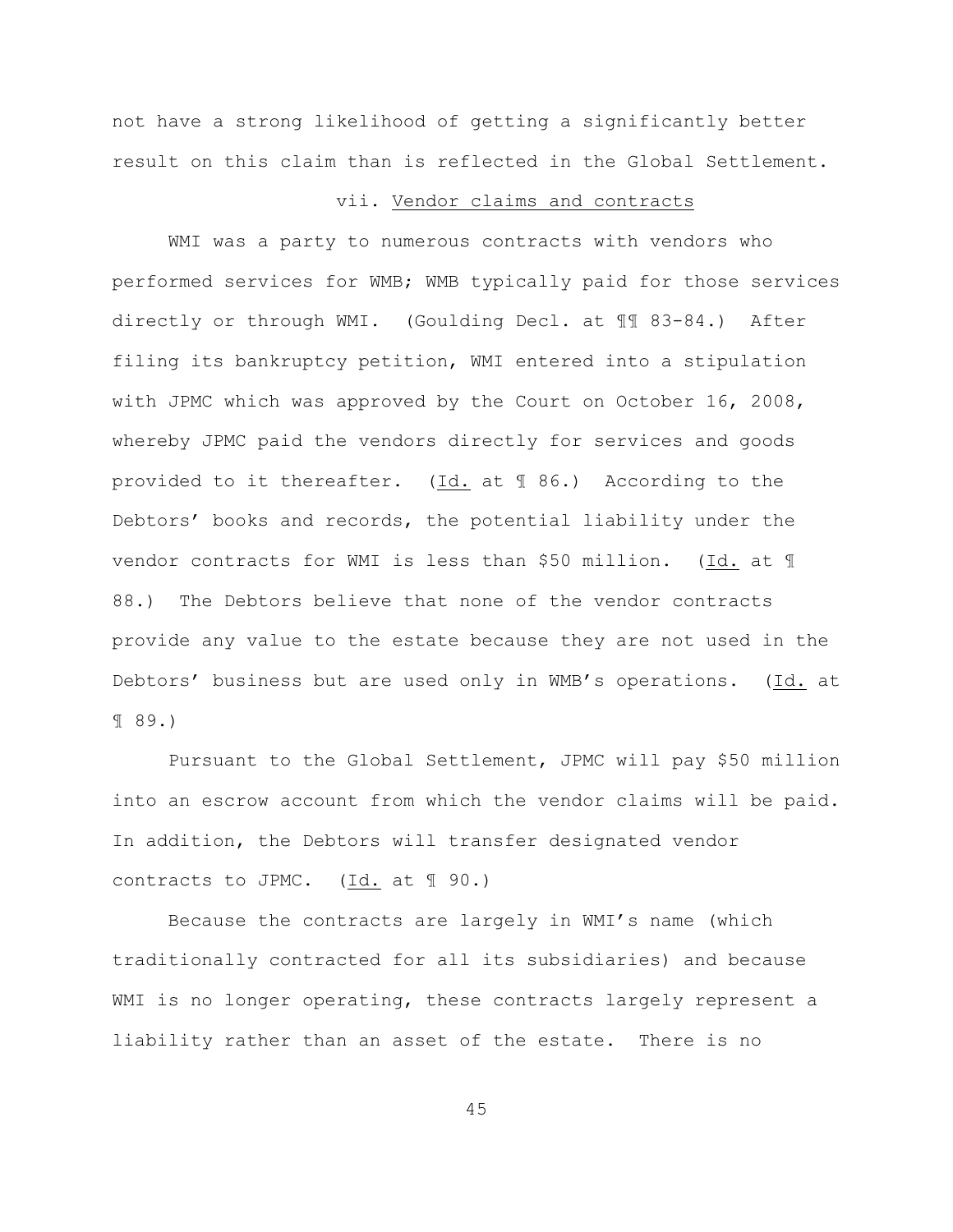not have a strong likelihood of getting a significantly better result on this claim than is reflected in the Global Settlement.

#### vii. Vendor claims and contracts

WMI was a party to numerous contracts with vendors who performed services for WMB; WMB typically paid for those services directly or through WMI. (Goulding Decl. at ¶¶ 83-84.) After filing its bankruptcy petition, WMI entered into a stipulation with JPMC which was approved by the Court on October 16, 2008, whereby JPMC paid the vendors directly for services and goods provided to it thereafter. (Id. at ¶ 86.) According to the Debtors' books and records, the potential liability under the vendor contracts for WMI is less than \$50 million. (Id. at ¶ 88.) The Debtors believe that none of the vendor contracts provide any value to the estate because they are not used in the Debtors' business but are used only in WMB's operations. (Id. at ¶ 89.)

Pursuant to the Global Settlement, JPMC will pay \$50 million into an escrow account from which the vendor claims will be paid. In addition, the Debtors will transfer designated vendor contracts to JPMC.  $(\underline{Id.}]$  at  $\P$  90.)

Because the contracts are largely in WMI's name (which traditionally contracted for all its subsidiaries) and because WMI is no longer operating, these contracts largely represent a liability rather than an asset of the estate. There is no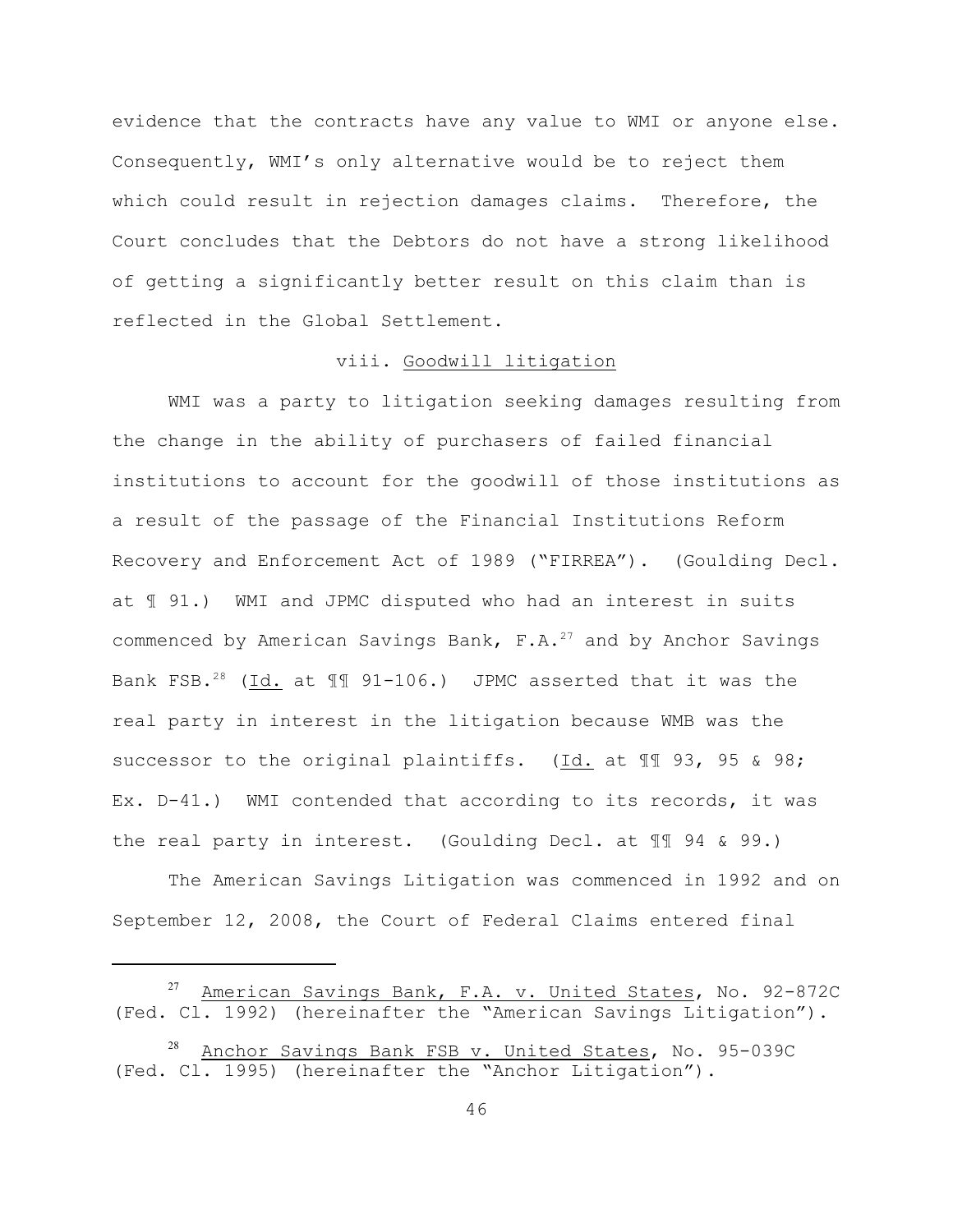evidence that the contracts have any value to WMI or anyone else. Consequently, WMI's only alternative would be to reject them which could result in rejection damages claims. Therefore, the Court concludes that the Debtors do not have a strong likelihood of getting a significantly better result on this claim than is reflected in the Global Settlement.

### viii. Goodwill litigation

WMI was a party to litigation seeking damages resulting from the change in the ability of purchasers of failed financial institutions to account for the goodwill of those institutions as a result of the passage of the Financial Institutions Reform Recovery and Enforcement Act of 1989 ("FIRREA"). (Goulding Decl. at ¶ 91.) WMI and JPMC disputed who had an interest in suits commenced by American Savings Bank,  $F.A.^{27}$  and by Anchor Savings Bank FSB.<sup>28</sup> (Id. at 11 91-106.) JPMC asserted that it was the real party in interest in the litigation because WMB was the successor to the original plaintiffs. (Id. at 11 93, 95 & 98; Ex. D-41.) WMI contended that according to its records, it was the real party in interest. (Goulding Decl. at ¶¶ 94 & 99.)

The American Savings Litigation was commenced in 1992 and on September 12, 2008, the Court of Federal Claims entered final

American Savings Bank, F.A. v. United States, No. 92-872C (Fed. Cl. 1992) (hereinafter the "American Savings Litigation").

Anchor Savings Bank FSB v. United States, No. 95-039C (Fed. Cl. 1995) (hereinafter the "Anchor Litigation").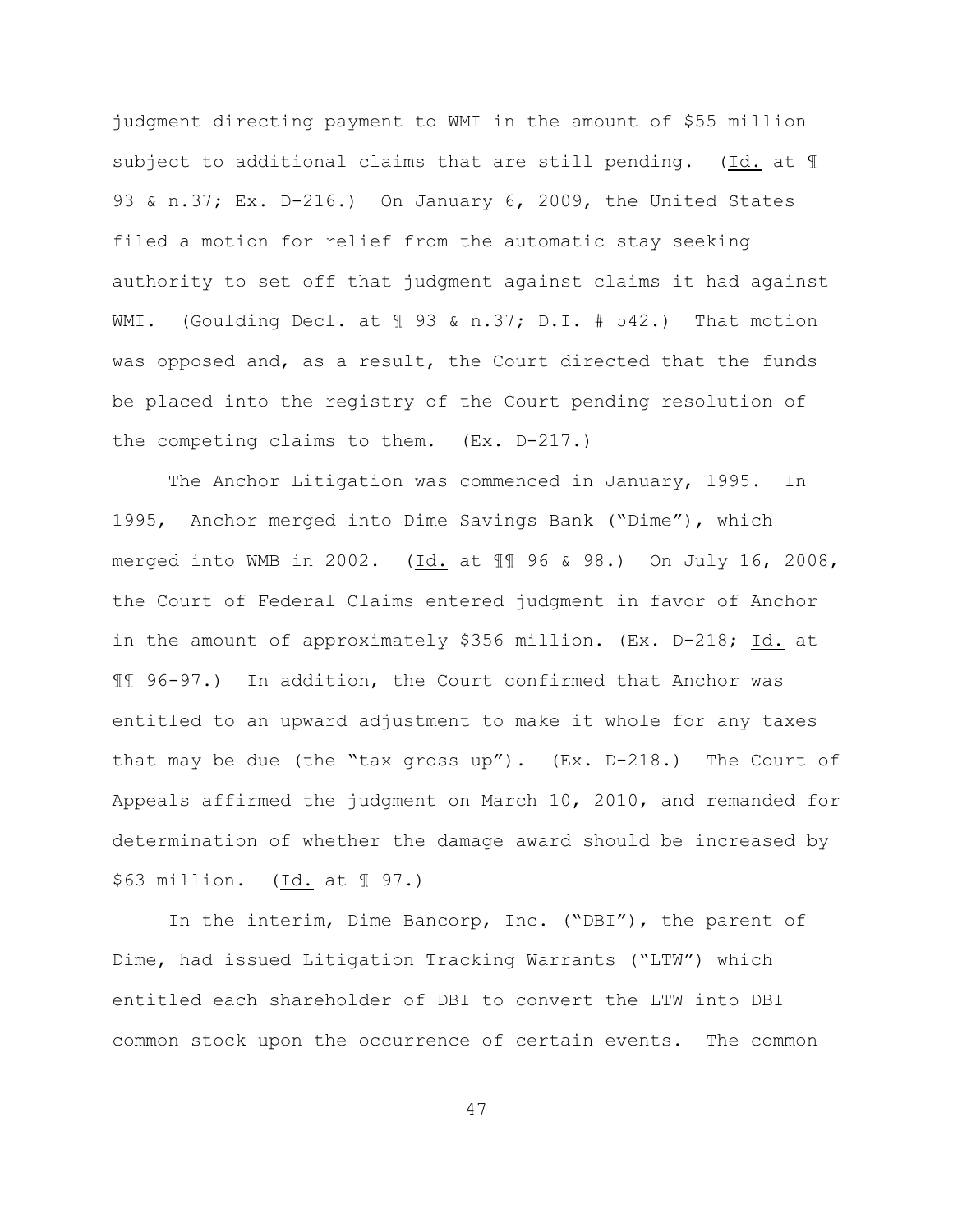judgment directing payment to WMI in the amount of \$55 million subject to additional claims that are still pending. (Id. at ¶ 93 & n.37; Ex. D-216.) On January 6, 2009, the United States filed a motion for relief from the automatic stay seeking authority to set off that judgment against claims it had against WMI. (Goulding Decl. at  $\text{\textsterling}$  93 & n.37; D.I. # 542.) That motion was opposed and, as a result, the Court directed that the funds be placed into the registry of the Court pending resolution of the competing claims to them. (Ex. D-217.)

The Anchor Litigation was commenced in January, 1995. In 1995, Anchor merged into Dime Savings Bank ("Dime"), which merged into WMB in 2002. (Id. at 11 96 & 98.) On July 16, 2008, the Court of Federal Claims entered judgment in favor of Anchor in the amount of approximately \$356 million. (Ex. D-218; Id. at ¶¶ 96-97.) In addition, the Court confirmed that Anchor was entitled to an upward adjustment to make it whole for any taxes that may be due (the "tax gross up"). (Ex. D-218.) The Court of Appeals affirmed the judgment on March 10, 2010, and remanded for determination of whether the damage award should be increased by \$63 million. (Id. at 197.)

In the interim, Dime Bancorp, Inc. ("DBI"), the parent of Dime, had issued Litigation Tracking Warrants ("LTW") which entitled each shareholder of DBI to convert the LTW into DBI common stock upon the occurrence of certain events. The common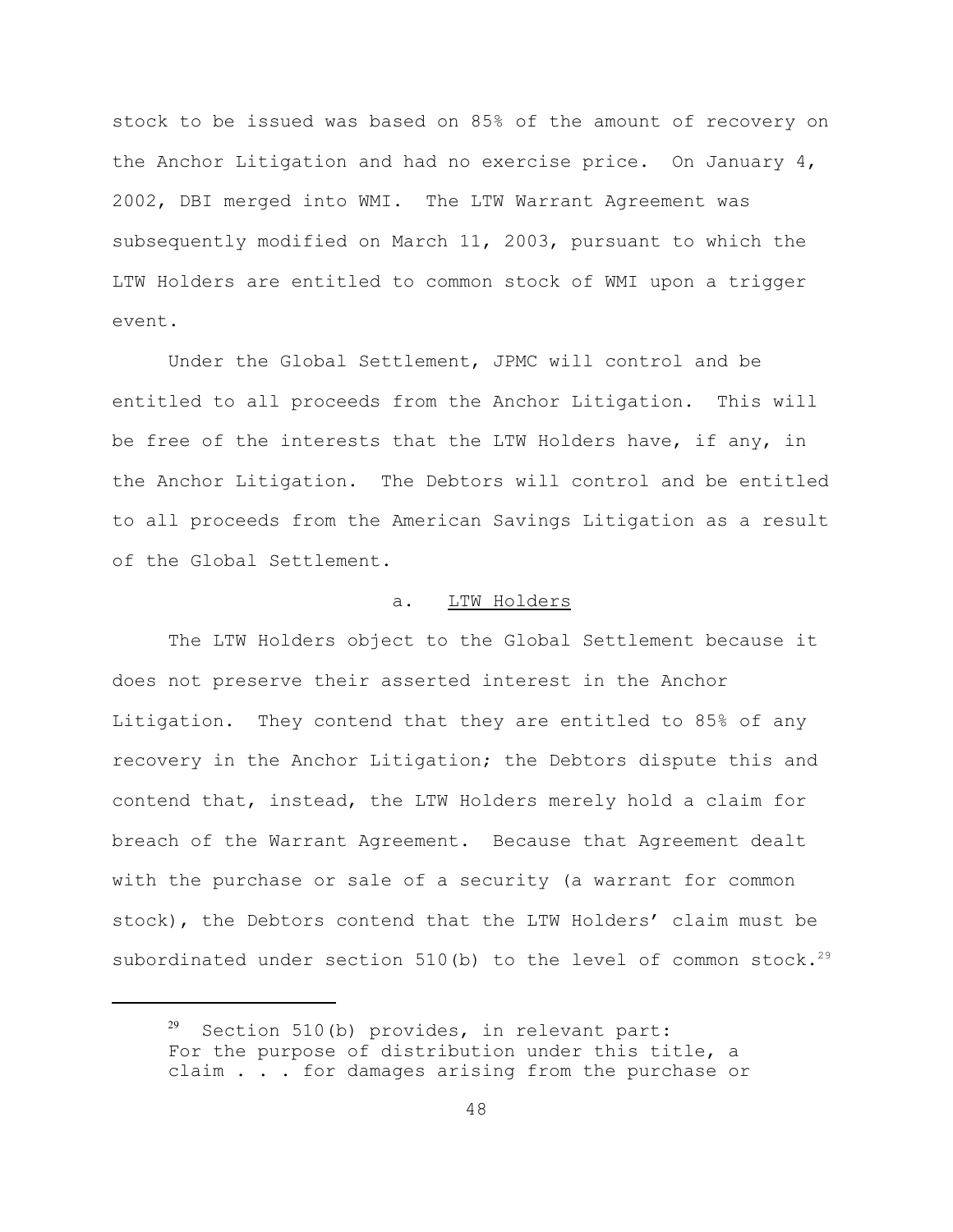stock to be issued was based on 85% of the amount of recovery on the Anchor Litigation and had no exercise price. On January 4, 2002, DBI merged into WMI. The LTW Warrant Agreement was subsequently modified on March 11, 2003, pursuant to which the LTW Holders are entitled to common stock of WMI upon a trigger event.

Under the Global Settlement, JPMC will control and be entitled to all proceeds from the Anchor Litigation. This will be free of the interests that the LTW Holders have, if any, in the Anchor Litigation. The Debtors will control and be entitled to all proceeds from the American Savings Litigation as a result of the Global Settlement.

# a. LTW Holders

The LTW Holders object to the Global Settlement because it does not preserve their asserted interest in the Anchor Litigation. They contend that they are entitled to 85% of any recovery in the Anchor Litigation; the Debtors dispute this and contend that, instead, the LTW Holders merely hold a claim for breach of the Warrant Agreement. Because that Agreement dealt with the purchase or sale of a security (a warrant for common stock), the Debtors contend that the LTW Holders' claim must be subordinated under section 510(b) to the level of common stock.<sup>29</sup>

 $29$  Section 510(b) provides, in relevant part: For the purpose of distribution under this title, a claim . . . for damages arising from the purchase or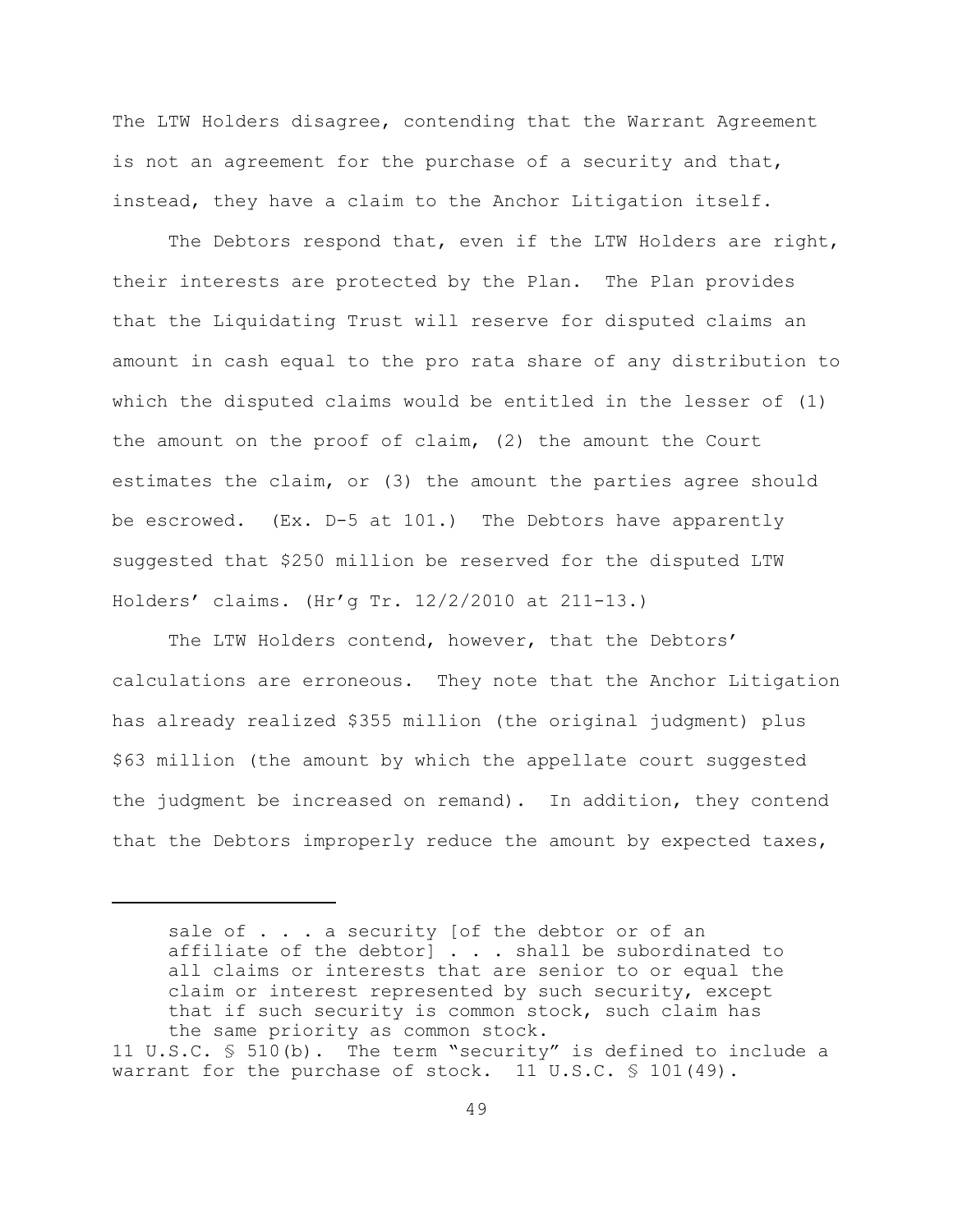The LTW Holders disagree, contending that the Warrant Agreement is not an agreement for the purchase of a security and that, instead, they have a claim to the Anchor Litigation itself.

The Debtors respond that, even if the LTW Holders are right, their interests are protected by the Plan. The Plan provides that the Liquidating Trust will reserve for disputed claims an amount in cash equal to the pro rata share of any distribution to which the disputed claims would be entitled in the lesser of (1) the amount on the proof of claim, (2) the amount the Court estimates the claim, or (3) the amount the parties agree should be escrowed. (Ex. D-5 at 101.) The Debtors have apparently suggested that \$250 million be reserved for the disputed LTW Holders' claims. (Hr'g Tr. 12/2/2010 at 211-13.)

The LTW Holders contend, however, that the Debtors' calculations are erroneous. They note that the Anchor Litigation has already realized \$355 million (the original judgment) plus \$63 million (the amount by which the appellate court suggested the judgment be increased on remand). In addition, they contend that the Debtors improperly reduce the amount by expected taxes,

sale of . . . a security [of the debtor or of an affiliate of the debtor] . . . shall be subordinated to all claims or interests that are senior to or equal the claim or interest represented by such security, except that if such security is common stock, such claim has the same priority as common stock.

<sup>11</sup> U.S.C. § 510(b). The term "security" is defined to include a warrant for the purchase of stock. 11 U.S.C.  $\frac{101(49)}{499}$ .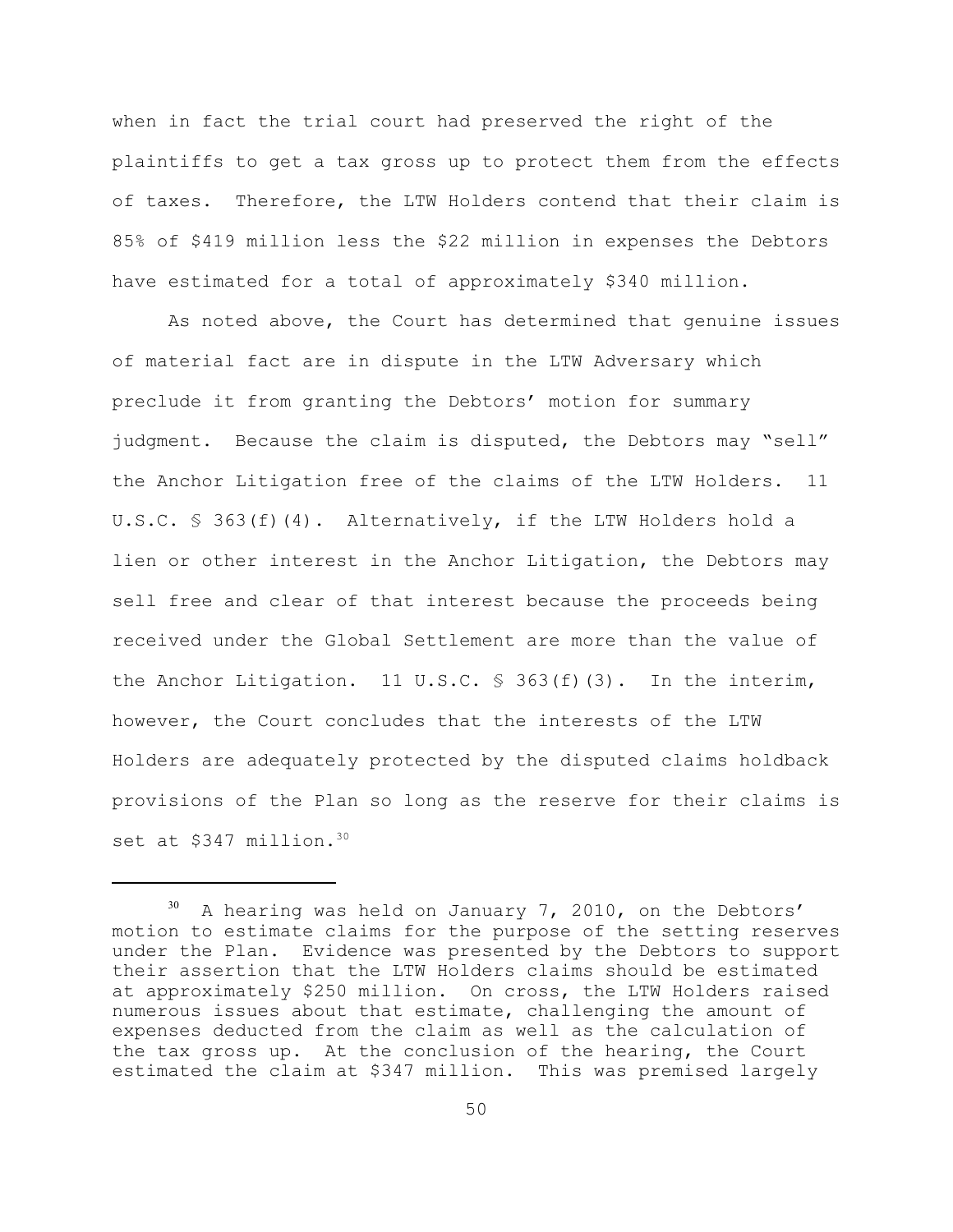when in fact the trial court had preserved the right of the plaintiffs to get a tax gross up to protect them from the effects of taxes. Therefore, the LTW Holders contend that their claim is 85% of \$419 million less the \$22 million in expenses the Debtors have estimated for a total of approximately \$340 million.

As noted above, the Court has determined that genuine issues of material fact are in dispute in the LTW Adversary which preclude it from granting the Debtors' motion for summary judgment. Because the claim is disputed, the Debtors may "sell" the Anchor Litigation free of the claims of the LTW Holders. 11 U.S.C. § 363(f)(4). Alternatively, if the LTW Holders hold a lien or other interest in the Anchor Litigation, the Debtors may sell free and clear of that interest because the proceeds being received under the Global Settlement are more than the value of the Anchor Litigation. 11 U.S.C.  $\frac{1}{5}$  363(f)(3). In the interim, however, the Court concludes that the interests of the LTW Holders are adequately protected by the disputed claims holdback provisions of the Plan so long as the reserve for their claims is set at \$347 million.<sup>30</sup>

 $30$  A hearing was held on January 7, 2010, on the Debtors' motion to estimate claims for the purpose of the setting reserves under the Plan. Evidence was presented by the Debtors to support their assertion that the LTW Holders claims should be estimated at approximately \$250 million. On cross, the LTW Holders raised numerous issues about that estimate, challenging the amount of expenses deducted from the claim as well as the calculation of the tax gross up. At the conclusion of the hearing, the Court estimated the claim at \$347 million. This was premised largely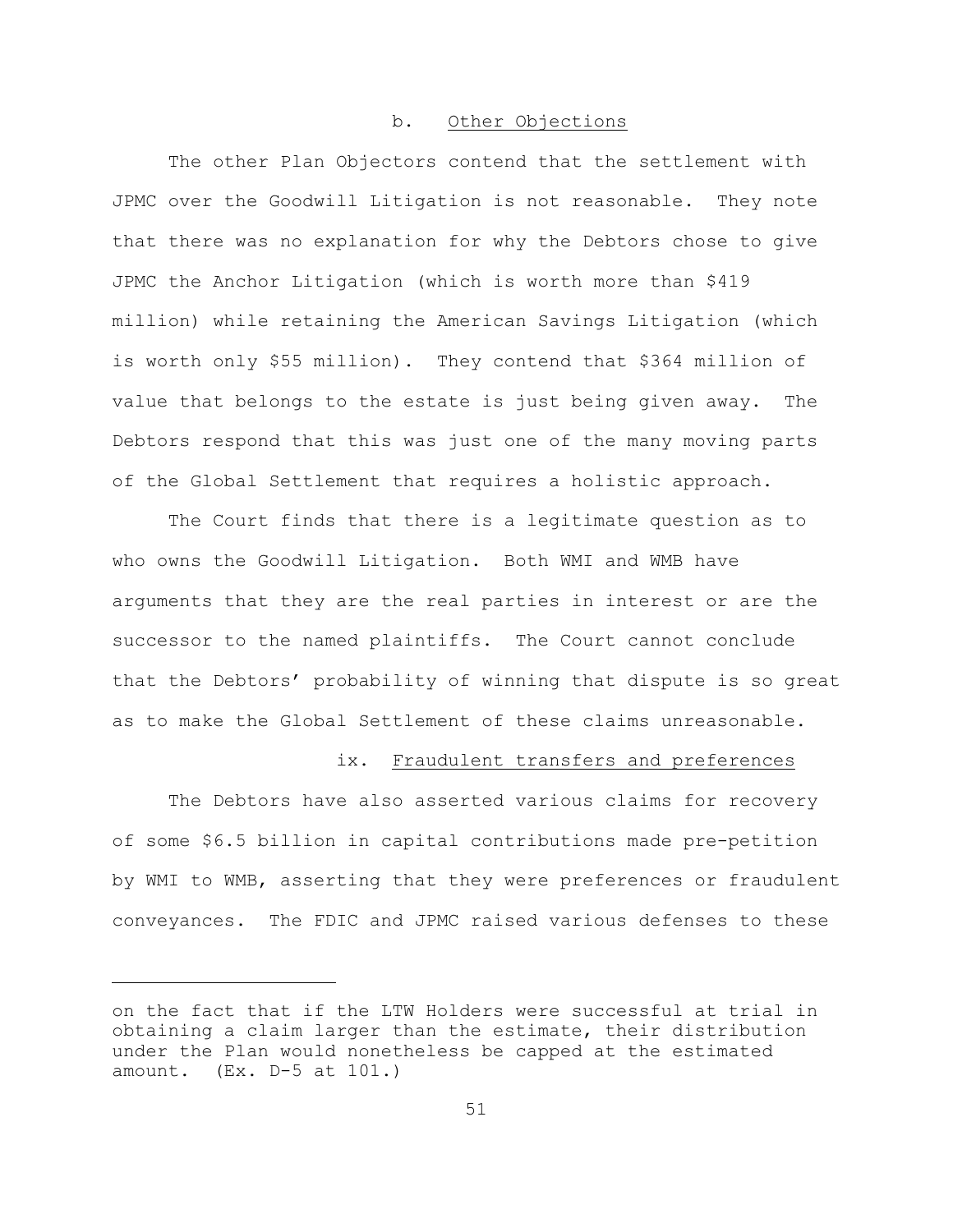## b. Other Objections

The other Plan Objectors contend that the settlement with JPMC over the Goodwill Litigation is not reasonable. They note that there was no explanation for why the Debtors chose to give JPMC the Anchor Litigation (which is worth more than \$419 million) while retaining the American Savings Litigation (which is worth only \$55 million). They contend that \$364 million of value that belongs to the estate is just being given away. The Debtors respond that this was just one of the many moving parts of the Global Settlement that requires a holistic approach.

The Court finds that there is a legitimate question as to who owns the Goodwill Litigation. Both WMI and WMB have arguments that they are the real parties in interest or are the successor to the named plaintiffs. The Court cannot conclude that the Debtors' probability of winning that dispute is so great as to make the Global Settlement of these claims unreasonable.

#### ix. Fraudulent transfers and preferences

The Debtors have also asserted various claims for recovery of some \$6.5 billion in capital contributions made pre-petition by WMI to WMB, asserting that they were preferences or fraudulent conveyances. The FDIC and JPMC raised various defenses to these

on the fact that if the LTW Holders were successful at trial in obtaining a claim larger than the estimate, their distribution under the Plan would nonetheless be capped at the estimated amount. (Ex. D-5 at 101.)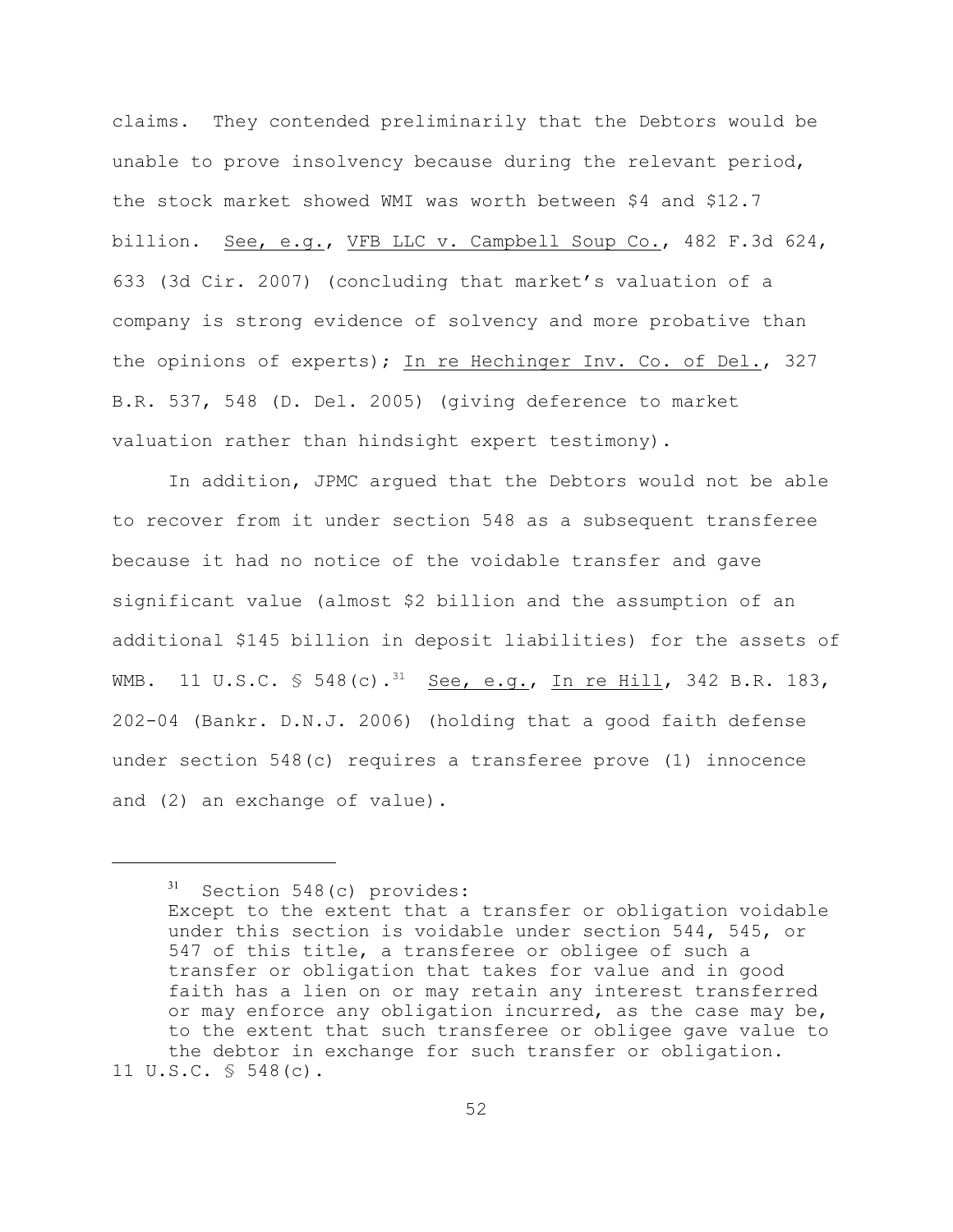claims. They contended preliminarily that the Debtors would be unable to prove insolvency because during the relevant period, the stock market showed WMI was worth between \$4 and \$12.7 billion. See, e.g., VFB LLC v. Campbell Soup Co., 482 F.3d 624, 633 (3d Cir. 2007) (concluding that market's valuation of a company is strong evidence of solvency and more probative than the opinions of experts); In re Hechinger Inv. Co. of Del., 327 B.R. 537, 548 (D. Del. 2005) (giving deference to market valuation rather than hindsight expert testimony).

In addition, JPMC argued that the Debtors would not be able to recover from it under section 548 as a subsequent transferee because it had no notice of the voidable transfer and gave significant value (almost \$2 billion and the assumption of an additional \$145 billion in deposit liabilities) for the assets of WMB. 11 U.S.C.  $\frac{1}{5}$  548(c).<sup>31</sup> See, e.g., In re Hill, 342 B.R. 183, 202-04 (Bankr. D.N.J. 2006) (holding that a good faith defense under section 548(c) requires a transferee prove (1) innocence and (2) an exchange of value).

 $31$  Section 548(c) provides: Except to the extent that a transfer or obligation voidable under this section is voidable under section 544, 545, or 547 of this title, a transferee or obligee of such a transfer or obligation that takes for value and in good faith has a lien on or may retain any interest transferred or may enforce any obligation incurred, as the case may be, to the extent that such transferee or obligee gave value to the debtor in exchange for such transfer or obligation. 11 U.S.C. § 548(c).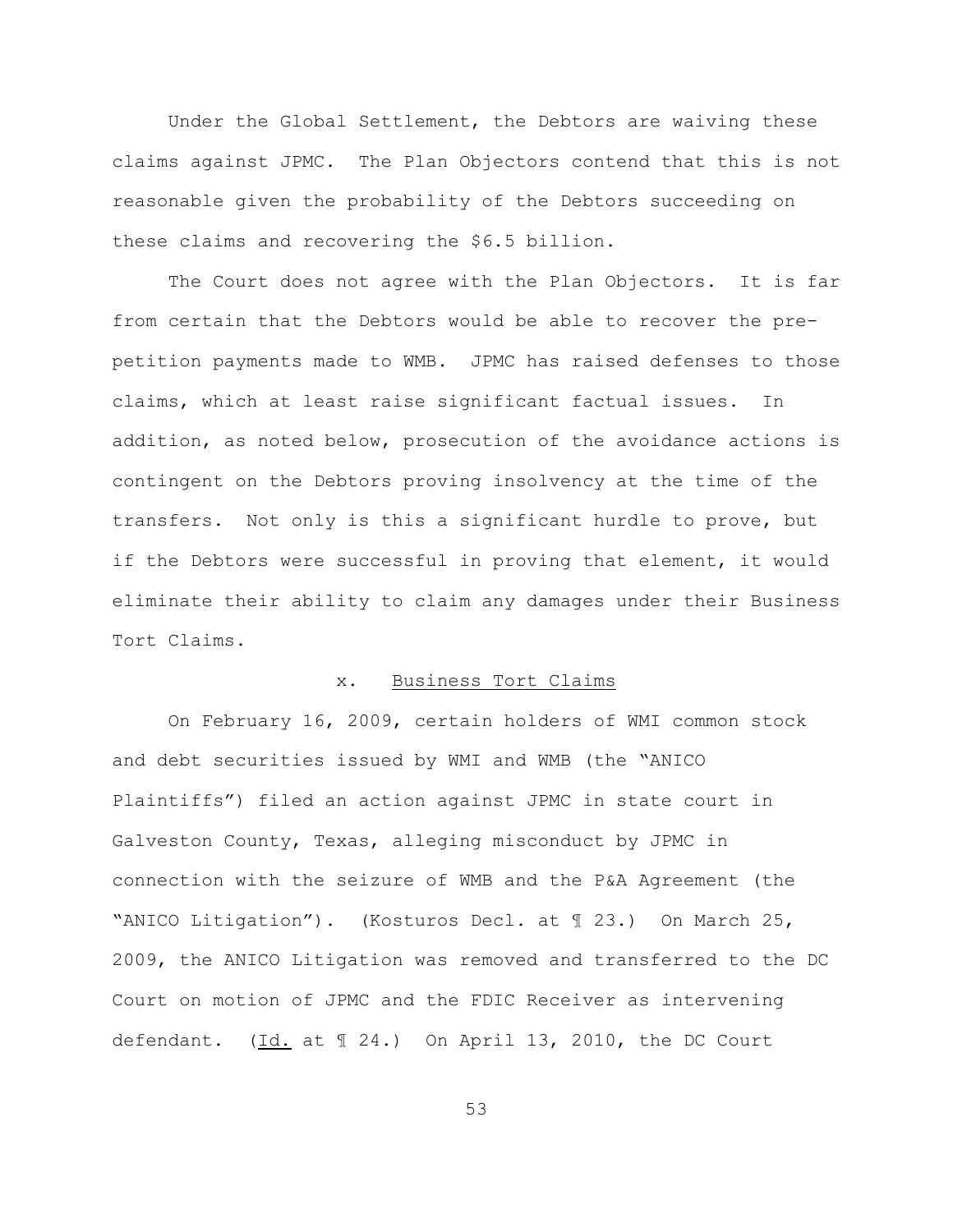Under the Global Settlement, the Debtors are waiving these claims against JPMC. The Plan Objectors contend that this is not reasonable given the probability of the Debtors succeeding on these claims and recovering the \$6.5 billion.

The Court does not agree with the Plan Objectors. It is far from certain that the Debtors would be able to recover the prepetition payments made to WMB. JPMC has raised defenses to those claims, which at least raise significant factual issues. In addition, as noted below, prosecution of the avoidance actions is contingent on the Debtors proving insolvency at the time of the transfers. Not only is this a significant hurdle to prove, but if the Debtors were successful in proving that element, it would eliminate their ability to claim any damages under their Business Tort Claims.

### x. Business Tort Claims

On February 16, 2009, certain holders of WMI common stock and debt securities issued by WMI and WMB (the "ANICO Plaintiffs") filed an action against JPMC in state court in Galveston County, Texas, alleging misconduct by JPMC in connection with the seizure of WMB and the P&A Agreement (the "ANICO Litigation"). (Kosturos Decl. at ¶ 23.) On March 25, 2009, the ANICO Litigation was removed and transferred to the DC Court on motion of JPMC and the FDIC Receiver as intervening defendant. (Id. at 1 24.) On April 13, 2010, the DC Court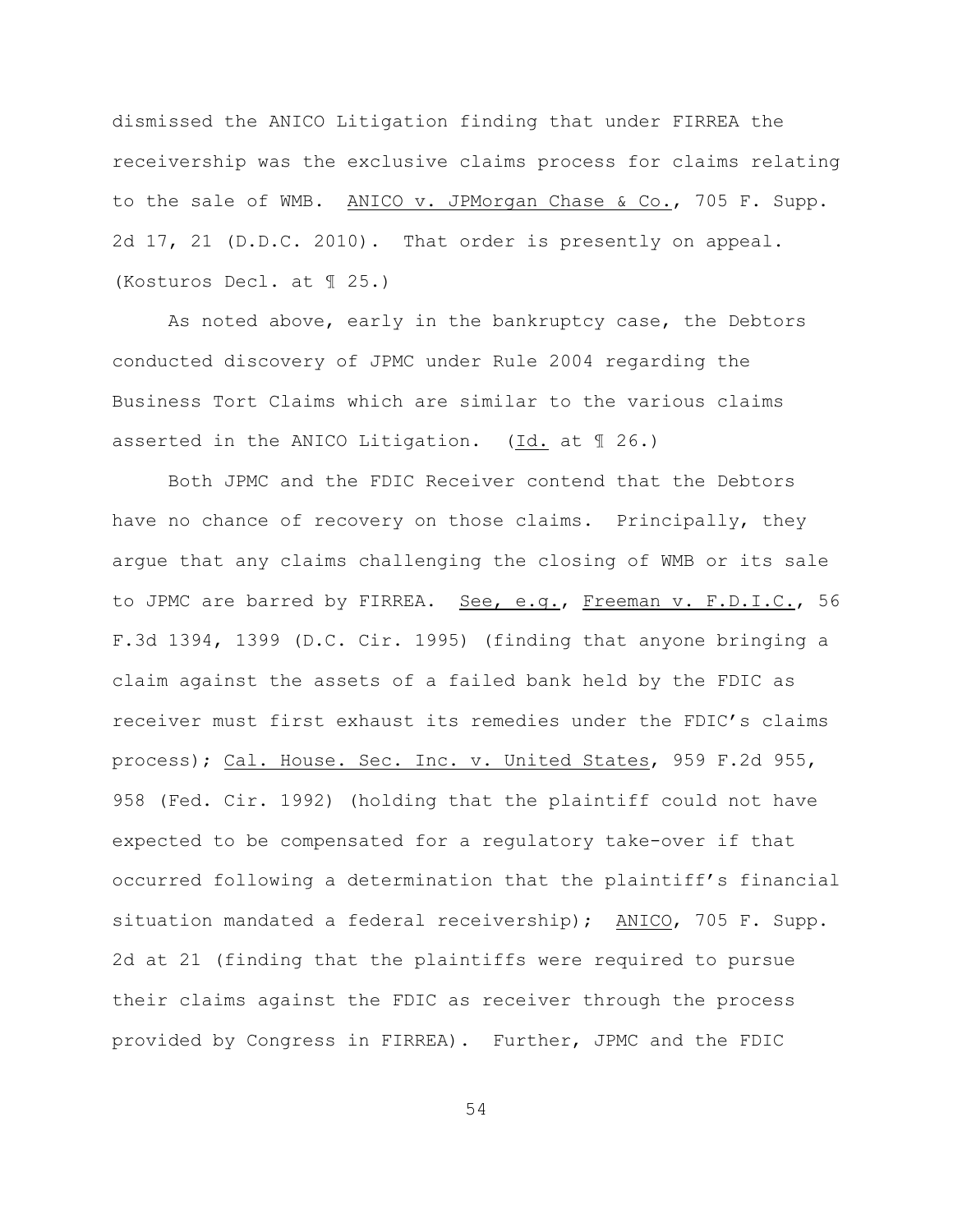dismissed the ANICO Litigation finding that under FIRREA the receivership was the exclusive claims process for claims relating to the sale of WMB. ANICO v. JPMorgan Chase & Co., 705 F. Supp. 2d 17, 21 (D.D.C. 2010). That order is presently on appeal. (Kosturos Decl. at ¶ 25.)

As noted above, early in the bankruptcy case, the Debtors conducted discovery of JPMC under Rule 2004 regarding the Business Tort Claims which are similar to the various claims asserted in the ANICO Litigation. (Id. at ¶ 26.)

Both JPMC and the FDIC Receiver contend that the Debtors have no chance of recovery on those claims. Principally, they argue that any claims challenging the closing of WMB or its sale to JPMC are barred by FIRREA. See, e.g., Freeman v. F.D.I.C., 56 F.3d 1394, 1399 (D.C. Cir. 1995) (finding that anyone bringing a claim against the assets of a failed bank held by the FDIC as receiver must first exhaust its remedies under the FDIC's claims process); Cal. House. Sec. Inc. v. United States, 959 F.2d 955, 958 (Fed. Cir. 1992) (holding that the plaintiff could not have expected to be compensated for a regulatory take-over if that occurred following a determination that the plaintiff's financial situation mandated a federal receivership); ANICO, 705 F. Supp. 2d at 21 (finding that the plaintiffs were required to pursue their claims against the FDIC as receiver through the process provided by Congress in FIRREA). Further, JPMC and the FDIC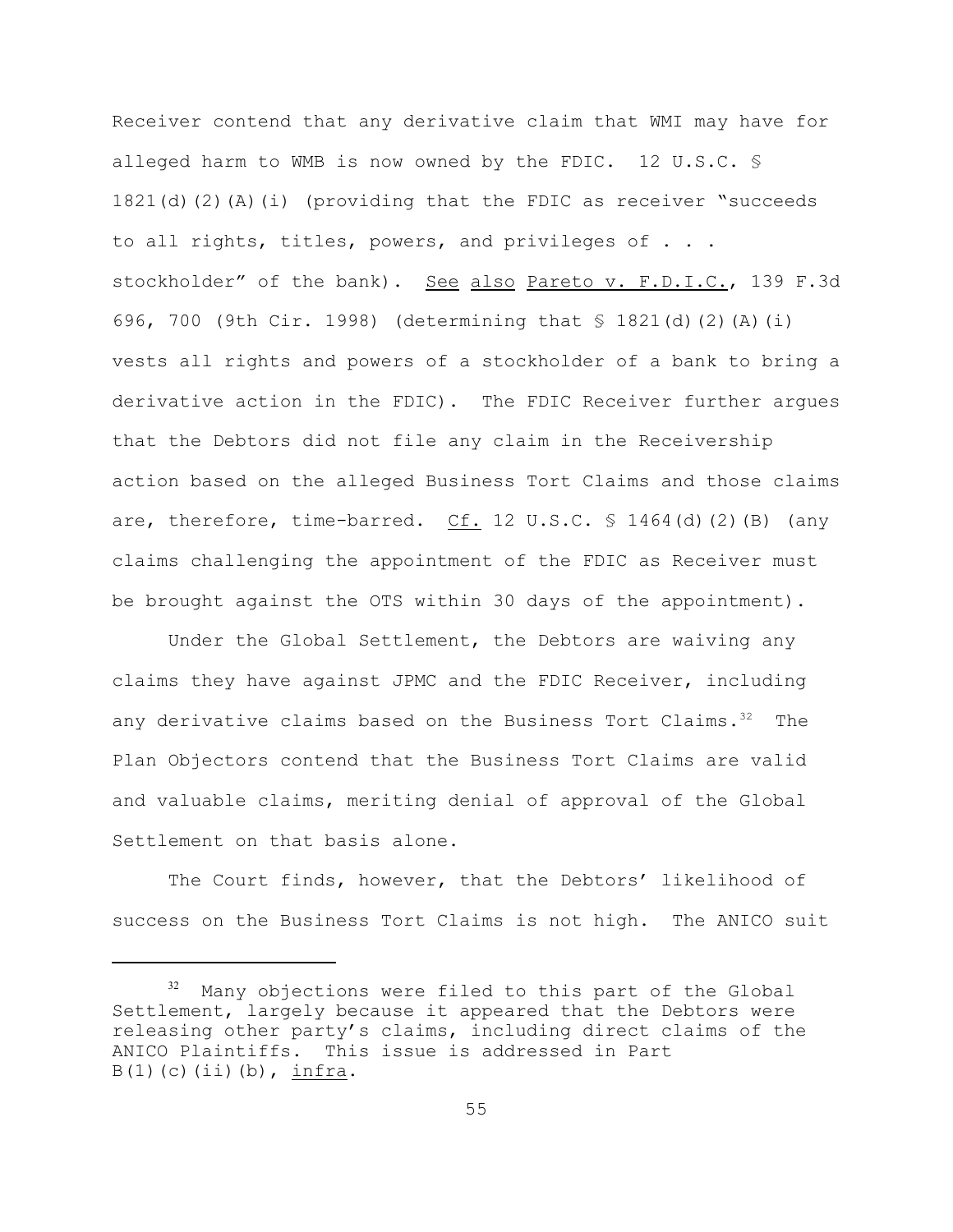Receiver contend that any derivative claim that WMI may have for alleged harm to WMB is now owned by the FDIC. 12 U.S.C.  $\frac{1}{5}$ 1821(d)(2)(A)(i) (providing that the FDIC as receiver "succeeds to all rights, titles, powers, and privileges of . . . stockholder" of the bank). See also Pareto v. F.D.I.C., 139 F.3d 696, 700 (9th Cir. 1998) (determining that § 1821(d)(2)(A)(i) vests all rights and powers of a stockholder of a bank to bring a derivative action in the FDIC). The FDIC Receiver further argues that the Debtors did not file any claim in the Receivership action based on the alleged Business Tort Claims and those claims are, therefore, time-barred. Cf. 12 U.S.C.  $\frac{1}{5}$  1464(d)(2)(B) (any claims challenging the appointment of the FDIC as Receiver must be brought against the OTS within 30 days of the appointment).

Under the Global Settlement, the Debtors are waiving any claims they have against JPMC and the FDIC Receiver, including any derivative claims based on the Business Tort Claims.<sup>32</sup> The Plan Objectors contend that the Business Tort Claims are valid and valuable claims, meriting denial of approval of the Global Settlement on that basis alone.

The Court finds, however, that the Debtors' likelihood of success on the Business Tort Claims is not high. The ANICO suit

 $32$  Many objections were filed to this part of the Global Settlement, largely because it appeared that the Debtors were releasing other party's claims, including direct claims of the ANICO Plaintiffs. This issue is addressed in Part  $B(1)$  (c)(ii)(b), infra.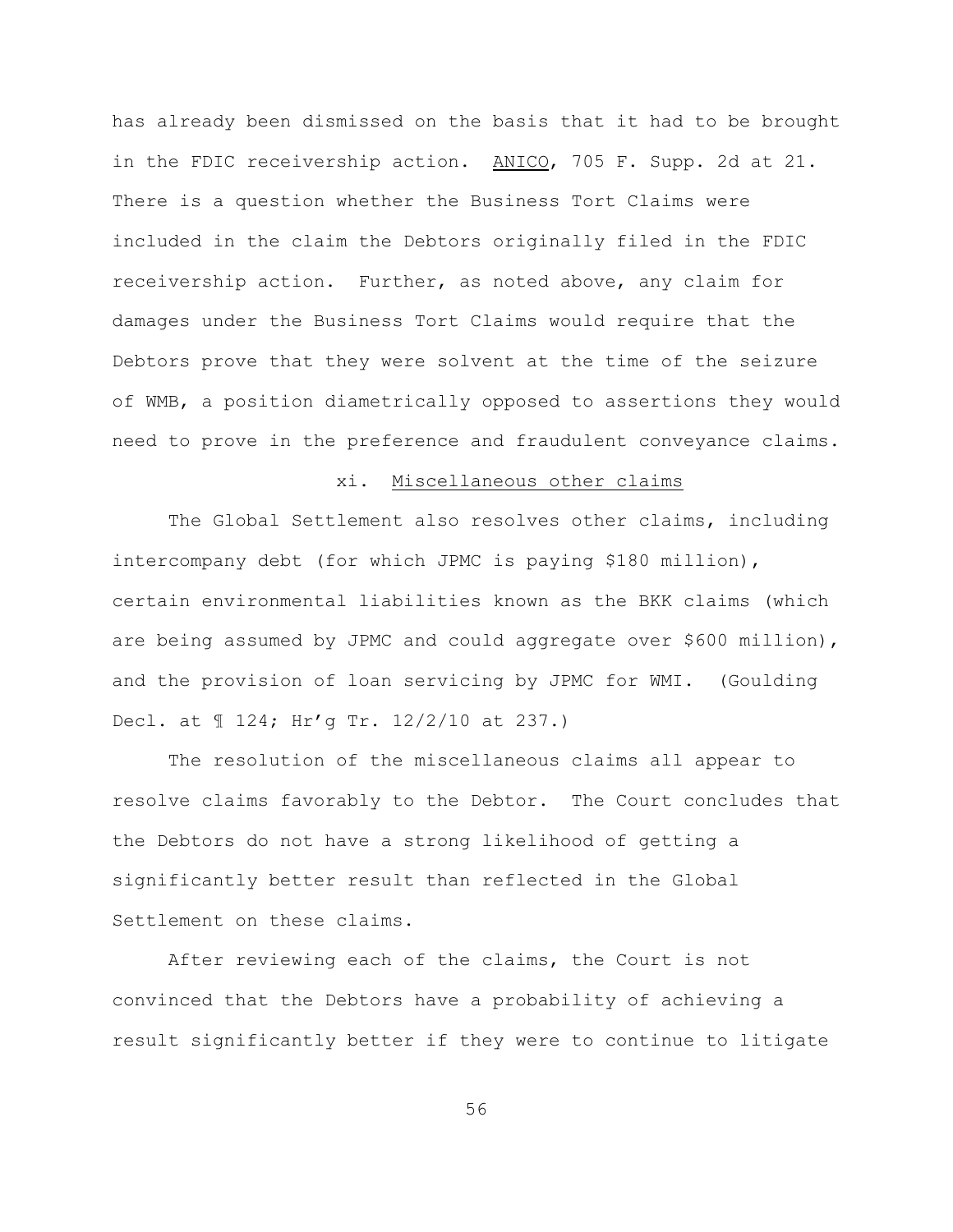has already been dismissed on the basis that it had to be brought in the FDIC receivership action. ANICO, 705 F. Supp. 2d at 21. There is a question whether the Business Tort Claims were included in the claim the Debtors originally filed in the FDIC receivership action. Further, as noted above, any claim for damages under the Business Tort Claims would require that the Debtors prove that they were solvent at the time of the seizure of WMB, a position diametrically opposed to assertions they would need to prove in the preference and fraudulent conveyance claims.

## xi. Miscellaneous other claims

The Global Settlement also resolves other claims, including intercompany debt (for which JPMC is paying \$180 million), certain environmental liabilities known as the BKK claims (which are being assumed by JPMC and could aggregate over \$600 million), and the provision of loan servicing by JPMC for WMI. (Goulding Decl. at ¶ 124; Hr'g Tr. 12/2/10 at 237.)

The resolution of the miscellaneous claims all appear to resolve claims favorably to the Debtor. The Court concludes that the Debtors do not have a strong likelihood of getting a significantly better result than reflected in the Global Settlement on these claims.

After reviewing each of the claims, the Court is not convinced that the Debtors have a probability of achieving a result significantly better if they were to continue to litigate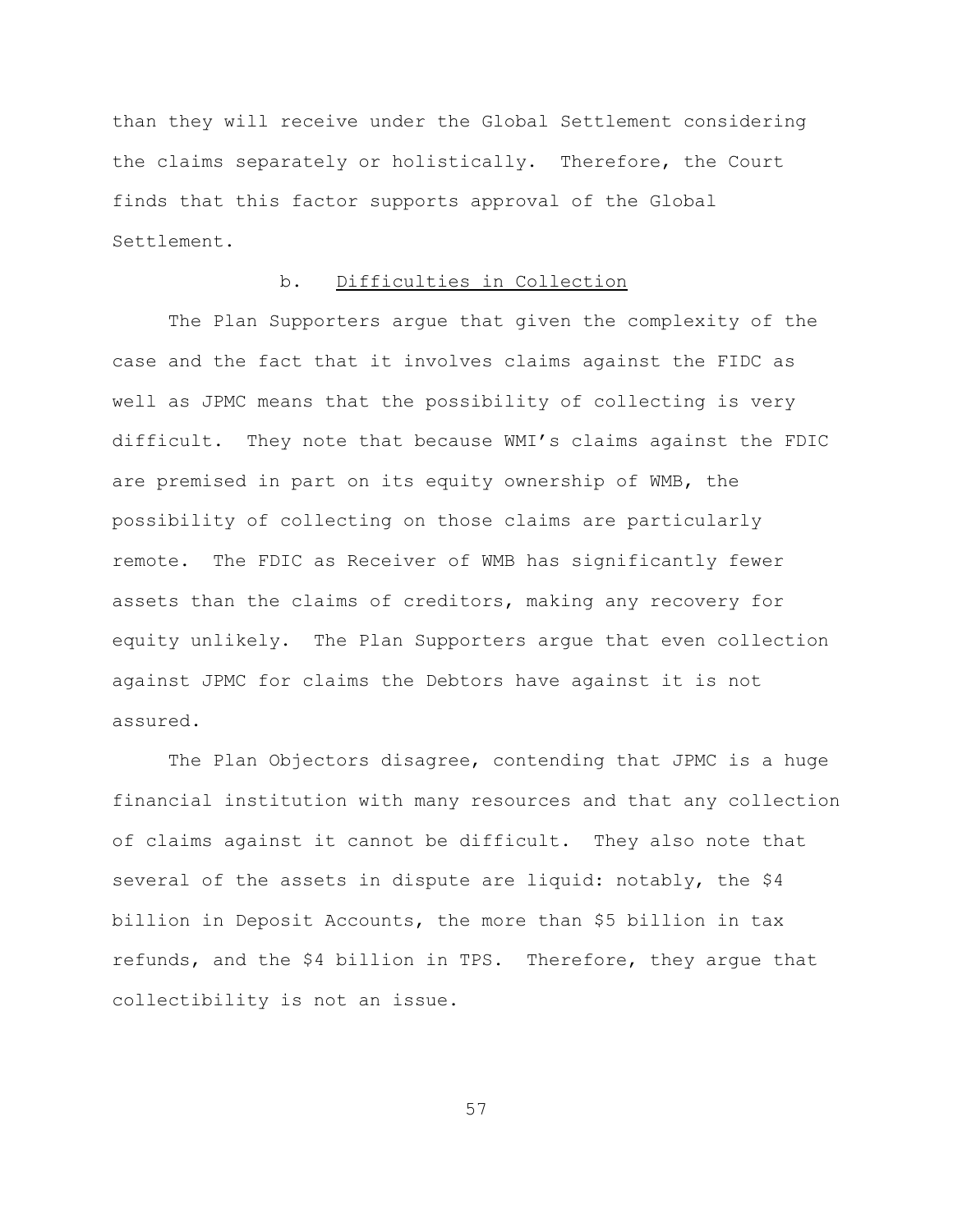than they will receive under the Global Settlement considering the claims separately or holistically. Therefore, the Court finds that this factor supports approval of the Global Settlement.

# b. Difficulties in Collection

The Plan Supporters argue that given the complexity of the case and the fact that it involves claims against the FIDC as well as JPMC means that the possibility of collecting is very difficult. They note that because WMI's claims against the FDIC are premised in part on its equity ownership of WMB, the possibility of collecting on those claims are particularly remote. The FDIC as Receiver of WMB has significantly fewer assets than the claims of creditors, making any recovery for equity unlikely. The Plan Supporters argue that even collection against JPMC for claims the Debtors have against it is not assured.

The Plan Objectors disagree, contending that JPMC is a huge financial institution with many resources and that any collection of claims against it cannot be difficult. They also note that several of the assets in dispute are liquid: notably, the \$4 billion in Deposit Accounts, the more than \$5 billion in tax refunds, and the \$4 billion in TPS. Therefore, they argue that collectibility is not an issue.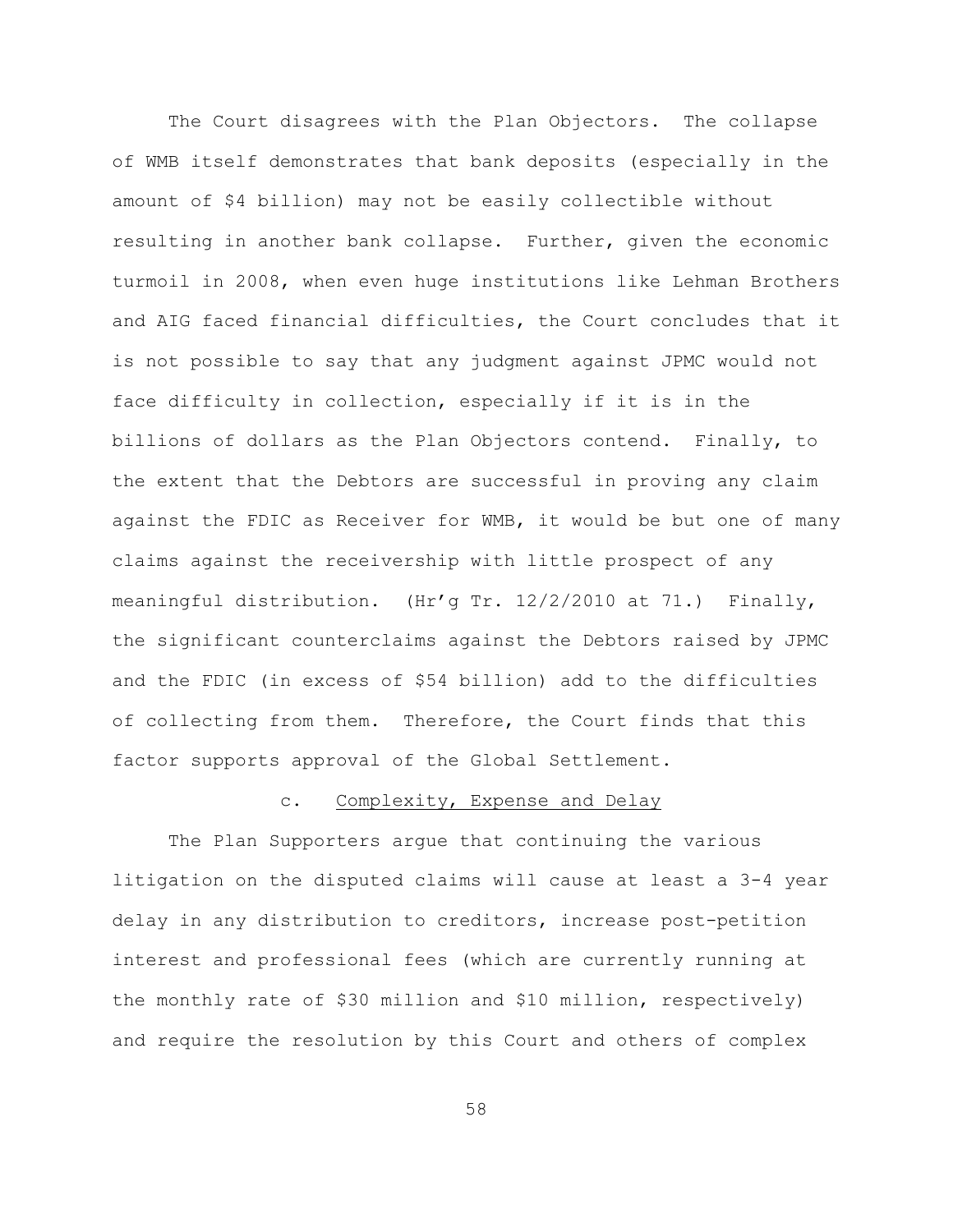The Court disagrees with the Plan Objectors. The collapse of WMB itself demonstrates that bank deposits (especially in the amount of \$4 billion) may not be easily collectible without resulting in another bank collapse. Further, given the economic turmoil in 2008, when even huge institutions like Lehman Brothers and AIG faced financial difficulties, the Court concludes that it is not possible to say that any judgment against JPMC would not face difficulty in collection, especially if it is in the billions of dollars as the Plan Objectors contend. Finally, to the extent that the Debtors are successful in proving any claim against the FDIC as Receiver for WMB, it would be but one of many claims against the receivership with little prospect of any meaningful distribution. (Hr'g Tr. 12/2/2010 at 71.) Finally, the significant counterclaims against the Debtors raised by JPMC and the FDIC (in excess of \$54 billion) add to the difficulties of collecting from them. Therefore, the Court finds that this factor supports approval of the Global Settlement.

# c. Complexity, Expense and Delay

The Plan Supporters argue that continuing the various litigation on the disputed claims will cause at least a 3-4 year delay in any distribution to creditors, increase post-petition interest and professional fees (which are currently running at the monthly rate of \$30 million and \$10 million, respectively) and require the resolution by this Court and others of complex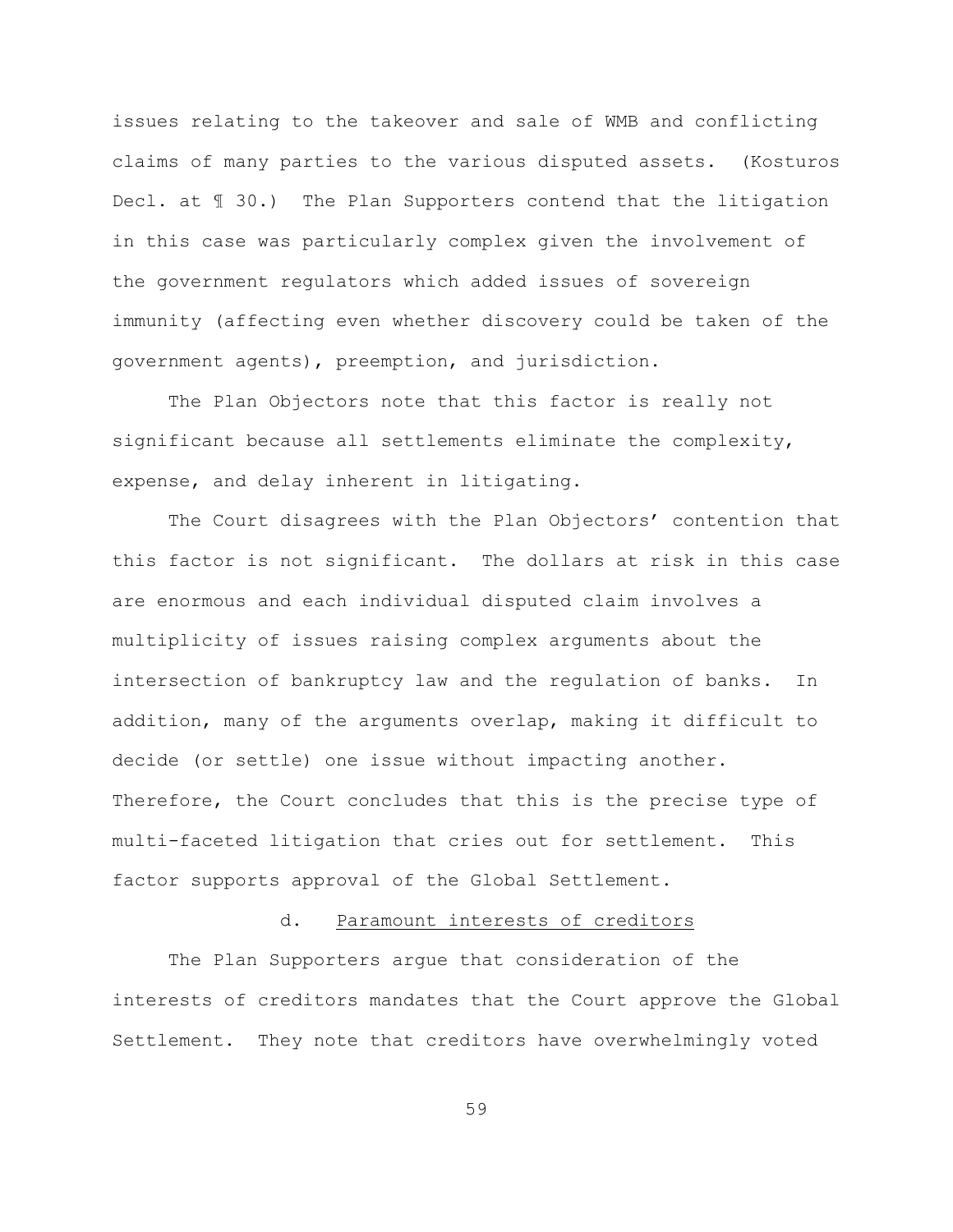issues relating to the takeover and sale of WMB and conflicting claims of many parties to the various disputed assets. (Kosturos Decl. at  $\text{I}$  30.) The Plan Supporters contend that the litigation in this case was particularly complex given the involvement of the government regulators which added issues of sovereign immunity (affecting even whether discovery could be taken of the government agents), preemption, and jurisdiction.

The Plan Objectors note that this factor is really not significant because all settlements eliminate the complexity, expense, and delay inherent in litigating.

The Court disagrees with the Plan Objectors' contention that this factor is not significant. The dollars at risk in this case are enormous and each individual disputed claim involves a multiplicity of issues raising complex arguments about the intersection of bankruptcy law and the regulation of banks. In addition, many of the arguments overlap, making it difficult to decide (or settle) one issue without impacting another. Therefore, the Court concludes that this is the precise type of multi-faceted litigation that cries out for settlement. This factor supports approval of the Global Settlement.

## d. Paramount interests of creditors

The Plan Supporters argue that consideration of the interests of creditors mandates that the Court approve the Global Settlement. They note that creditors have overwhelmingly voted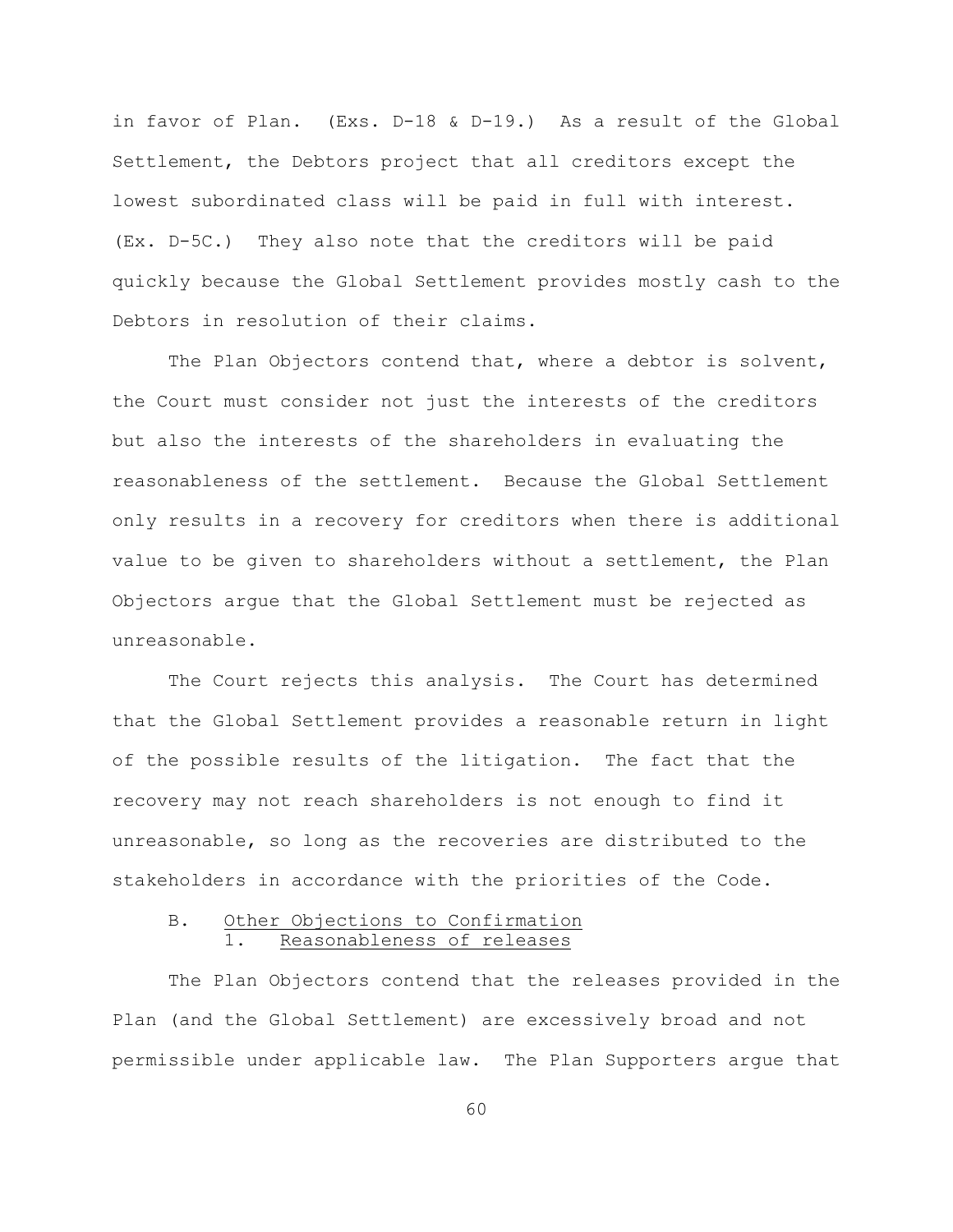in favor of Plan. (Exs. D-18 & D-19.) As a result of the Global Settlement, the Debtors project that all creditors except the lowest subordinated class will be paid in full with interest. (Ex. D-5C.) They also note that the creditors will be paid quickly because the Global Settlement provides mostly cash to the Debtors in resolution of their claims.

The Plan Objectors contend that, where a debtor is solvent, the Court must consider not just the interests of the creditors but also the interests of the shareholders in evaluating the reasonableness of the settlement. Because the Global Settlement only results in a recovery for creditors when there is additional value to be given to shareholders without a settlement, the Plan Objectors argue that the Global Settlement must be rejected as unreasonable.

The Court rejects this analysis. The Court has determined that the Global Settlement provides a reasonable return in light of the possible results of the litigation. The fact that the recovery may not reach shareholders is not enough to find it unreasonable, so long as the recoveries are distributed to the stakeholders in accordance with the priorities of the Code.

## B. Other Objections to Confirmation Reasonableness of releases

The Plan Objectors contend that the releases provided in the Plan (and the Global Settlement) are excessively broad and not permissible under applicable law. The Plan Supporters argue that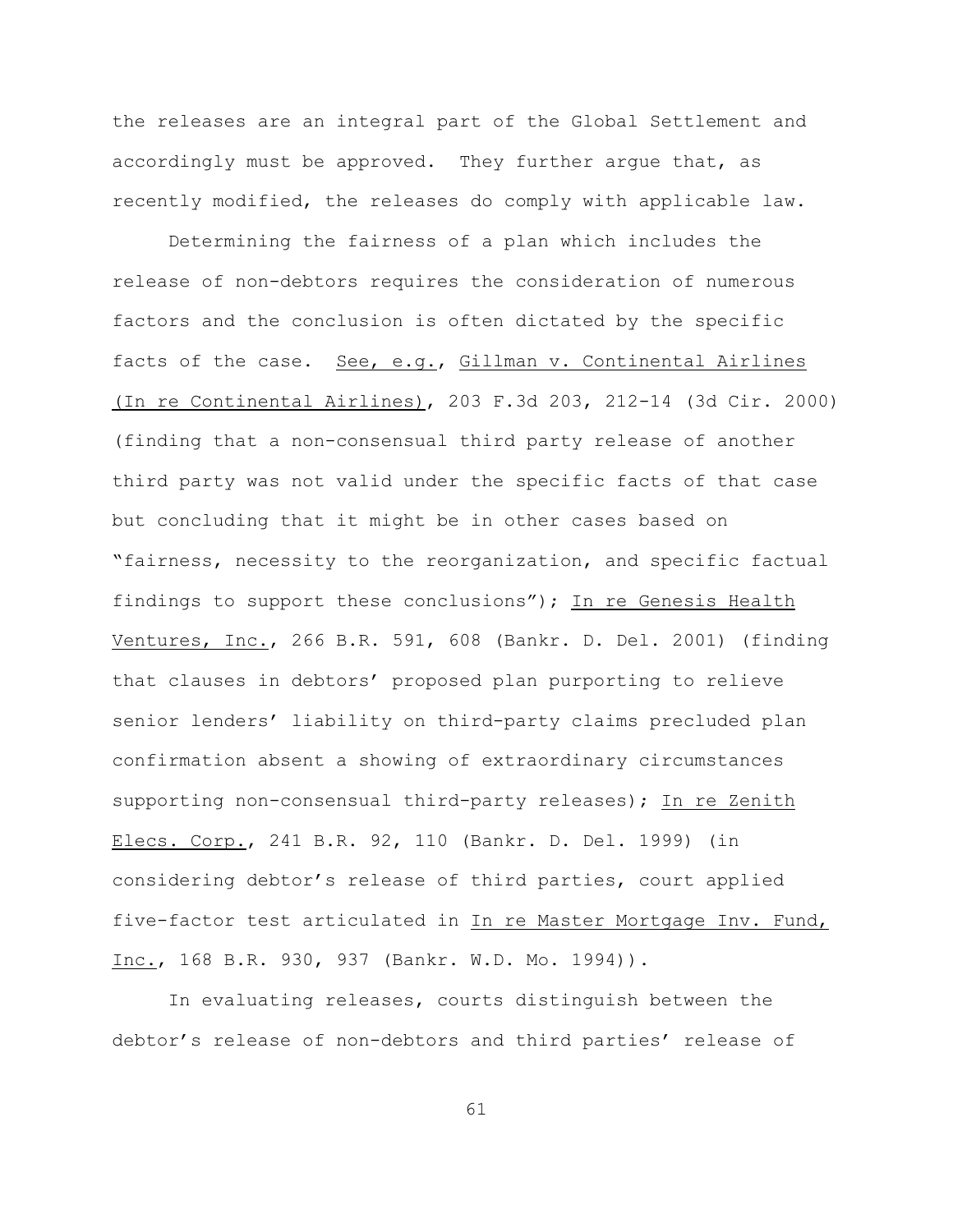the releases are an integral part of the Global Settlement and accordingly must be approved. They further argue that, as recently modified, the releases do comply with applicable law.

Determining the fairness of a plan which includes the release of non-debtors requires the consideration of numerous factors and the conclusion is often dictated by the specific facts of the case. See, e.g., Gillman v. Continental Airlines (In re Continental Airlines), 203 F.3d 203, 212-14 (3d Cir. 2000) (finding that a non-consensual third party release of another third party was not valid under the specific facts of that case but concluding that it might be in other cases based on "fairness, necessity to the reorganization, and specific factual findings to support these conclusions"); In re Genesis Health Ventures, Inc., 266 B.R. 591, 608 (Bankr. D. Del. 2001) (finding that clauses in debtors' proposed plan purporting to relieve senior lenders' liability on third-party claims precluded plan confirmation absent a showing of extraordinary circumstances supporting non-consensual third-party releases); In re Zenith Elecs. Corp., 241 B.R. 92, 110 (Bankr. D. Del. 1999) (in considering debtor's release of third parties, court applied five-factor test articulated in In re Master Mortgage Inv. Fund, Inc., 168 B.R. 930, 937 (Bankr. W.D. Mo. 1994)).

In evaluating releases, courts distinguish between the debtor's release of non-debtors and third parties' release of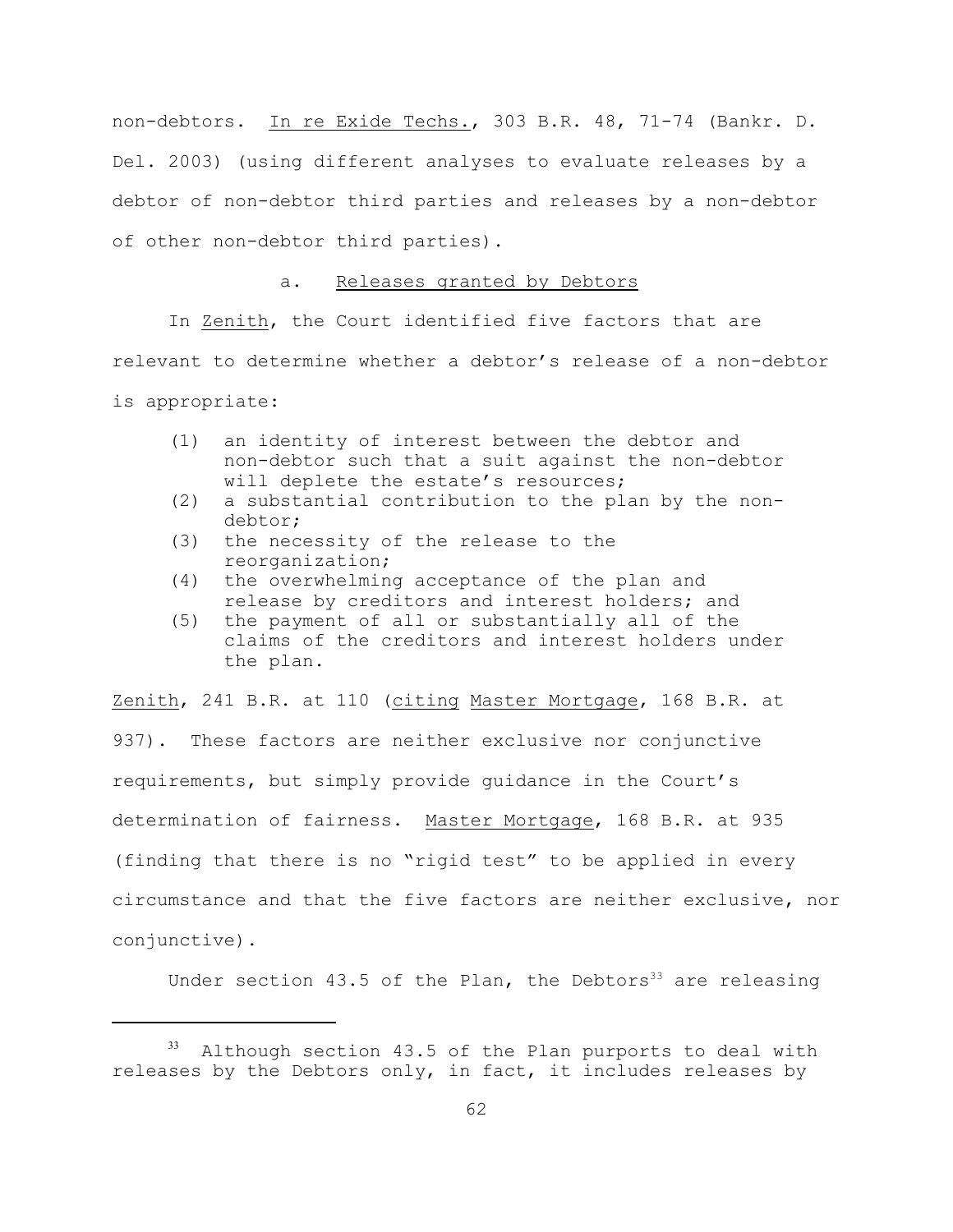non-debtors. In re Exide Techs., 303 B.R. 48, 71-74 (Bankr. D. Del. 2003) (using different analyses to evaluate releases by a debtor of non-debtor third parties and releases by a non-debtor of other non-debtor third parties).

# a. Releases granted by Debtors

In Zenith, the Court identified five factors that are relevant to determine whether a debtor's release of a non-debtor is appropriate:

- (1) an identity of interest between the debtor and non-debtor such that a suit against the non-debtor will deplete the estate's resources;
- (2) a substantial contribution to the plan by the nondebtor;
- (3) the necessity of the release to the reorganization;
- (4) the overwhelming acceptance of the plan and release by creditors and interest holders; and
- (5) the payment of all or substantially all of the claims of the creditors and interest holders under the plan.

Zenith, 241 B.R. at 110 (citing Master Mortgage, 168 B.R. at 937). These factors are neither exclusive nor conjunctive requirements, but simply provide guidance in the Court's determination of fairness. Master Mortgage, 168 B.R. at 935 (finding that there is no "rigid test" to be applied in every circumstance and that the five factors are neither exclusive, nor conjunctive).

Under section 43.5 of the Plan, the Debtors<sup>33</sup> are releasing

 $33$  Although section 43.5 of the Plan purports to deal with releases by the Debtors only, in fact, it includes releases by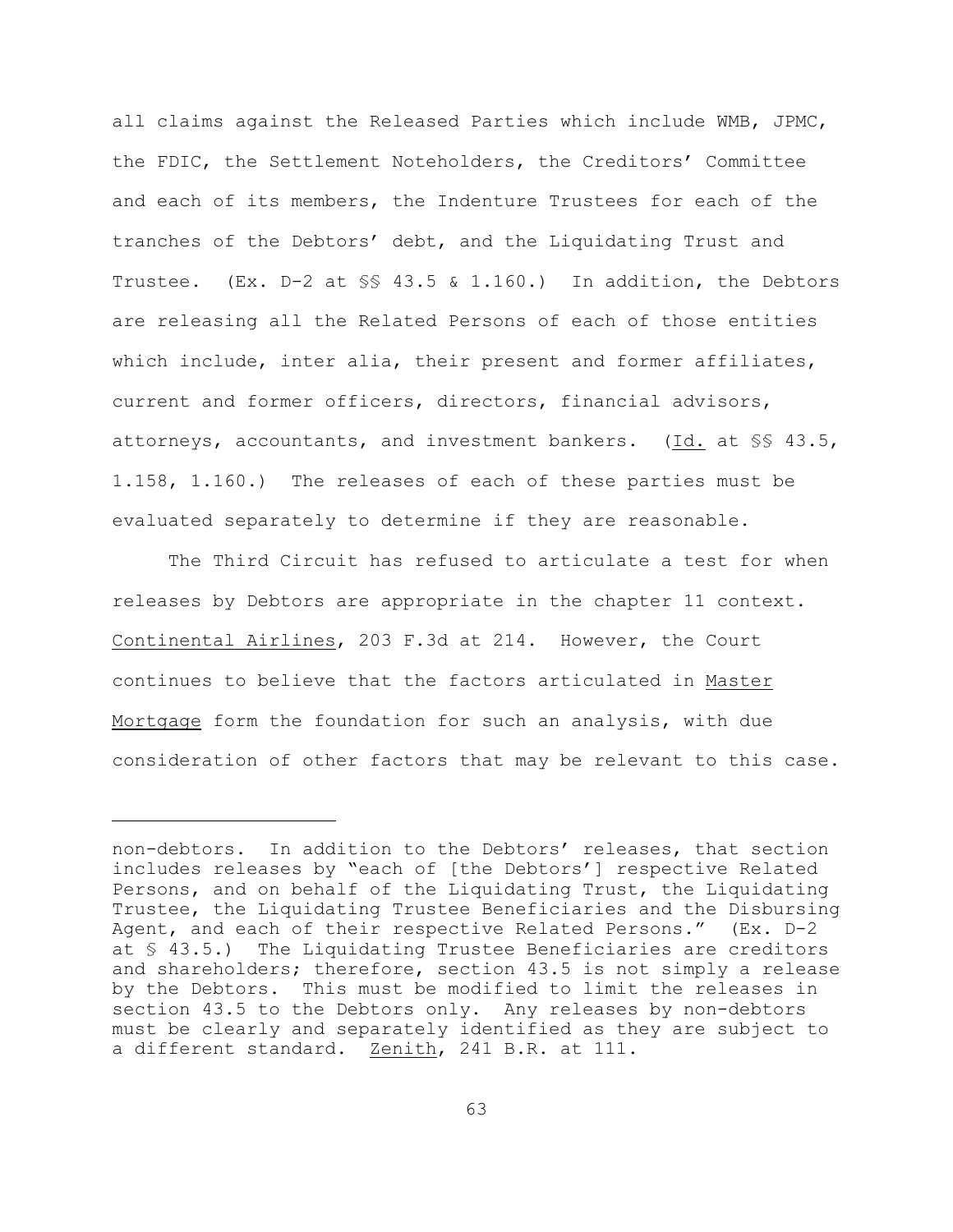all claims against the Released Parties which include WMB, JPMC, the FDIC, the Settlement Noteholders, the Creditors' Committee and each of its members, the Indenture Trustees for each of the tranches of the Debtors' debt, and the Liquidating Trust and Trustee. (Ex. D-2 at §§ 43.5 & 1.160.) In addition, the Debtors are releasing all the Related Persons of each of those entities which include, inter alia, their present and former affiliates, current and former officers, directors, financial advisors, attorneys, accountants, and investment bankers. (Id. at §§ 43.5, 1.158, 1.160.) The releases of each of these parties must be evaluated separately to determine if they are reasonable.

The Third Circuit has refused to articulate a test for when releases by Debtors are appropriate in the chapter 11 context. Continental Airlines, 203 F.3d at 214. However, the Court continues to believe that the factors articulated in Master Mortgage form the foundation for such an analysis, with due consideration of other factors that may be relevant to this case.

non-debtors. In addition to the Debtors' releases, that section includes releases by "each of [the Debtors'] respective Related Persons, and on behalf of the Liquidating Trust, the Liquidating Trustee, the Liquidating Trustee Beneficiaries and the Disbursing Agent, and each of their respective Related Persons." (Ex. D-2 at § 43.5.) The Liquidating Trustee Beneficiaries are creditors and shareholders; therefore, section 43.5 is not simply a release by the Debtors. This must be modified to limit the releases in section 43.5 to the Debtors only. Any releases by non-debtors must be clearly and separately identified as they are subject to a different standard. Zenith, 241 B.R. at 111.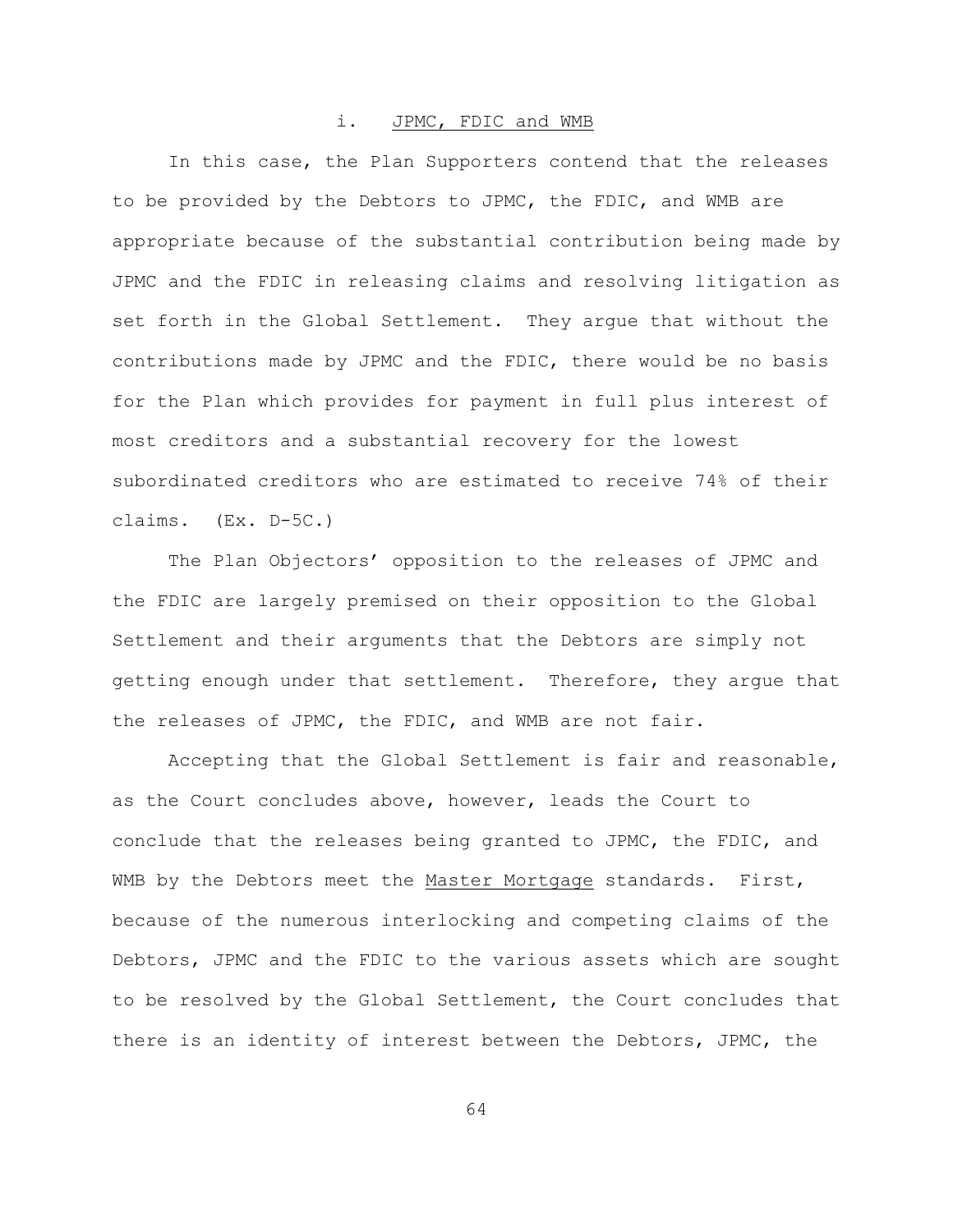### i. JPMC, FDIC and WMB

In this case, the Plan Supporters contend that the releases to be provided by the Debtors to JPMC, the FDIC, and WMB are appropriate because of the substantial contribution being made by JPMC and the FDIC in releasing claims and resolving litigation as set forth in the Global Settlement. They argue that without the contributions made by JPMC and the FDIC, there would be no basis for the Plan which provides for payment in full plus interest of most creditors and a substantial recovery for the lowest subordinated creditors who are estimated to receive 74% of their claims. (Ex. D-5C.)

The Plan Objectors' opposition to the releases of JPMC and the FDIC are largely premised on their opposition to the Global Settlement and their arguments that the Debtors are simply not getting enough under that settlement. Therefore, they argue that the releases of JPMC, the FDIC, and WMB are not fair.

Accepting that the Global Settlement is fair and reasonable, as the Court concludes above, however, leads the Court to conclude that the releases being granted to JPMC, the FDIC, and WMB by the Debtors meet the Master Mortgage standards. First, because of the numerous interlocking and competing claims of the Debtors, JPMC and the FDIC to the various assets which are sought to be resolved by the Global Settlement, the Court concludes that there is an identity of interest between the Debtors, JPMC, the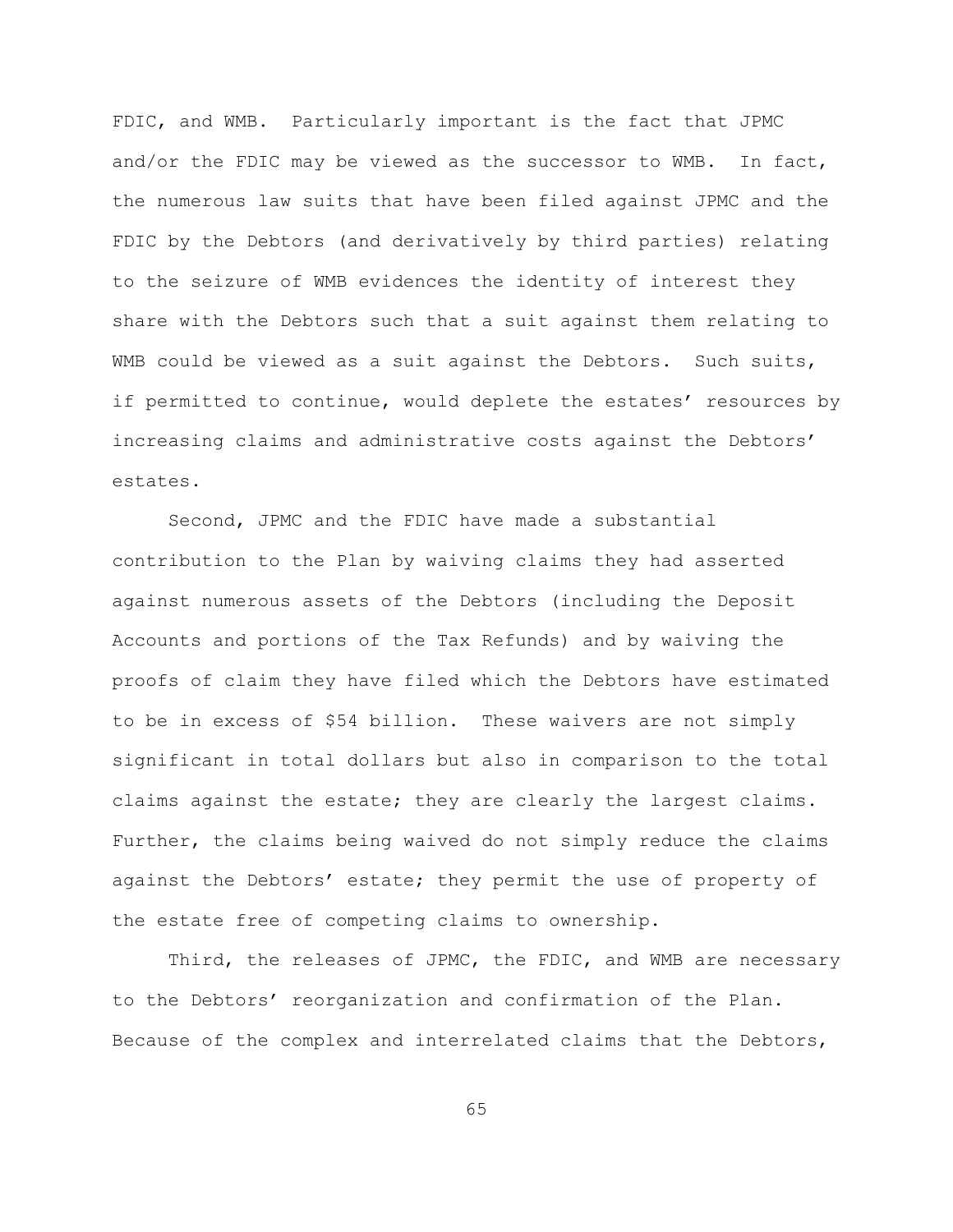FDIC, and WMB. Particularly important is the fact that JPMC and/or the FDIC may be viewed as the successor to WMB. In fact, the numerous law suits that have been filed against JPMC and the FDIC by the Debtors (and derivatively by third parties) relating to the seizure of WMB evidences the identity of interest they share with the Debtors such that a suit against them relating to WMB could be viewed as a suit against the Debtors. Such suits, if permitted to continue, would deplete the estates' resources by increasing claims and administrative costs against the Debtors' estates.

Second, JPMC and the FDIC have made a substantial contribution to the Plan by waiving claims they had asserted against numerous assets of the Debtors (including the Deposit Accounts and portions of the Tax Refunds) and by waiving the proofs of claim they have filed which the Debtors have estimated to be in excess of \$54 billion. These waivers are not simply significant in total dollars but also in comparison to the total claims against the estate; they are clearly the largest claims. Further, the claims being waived do not simply reduce the claims against the Debtors' estate; they permit the use of property of the estate free of competing claims to ownership.

Third, the releases of JPMC, the FDIC, and WMB are necessary to the Debtors' reorganization and confirmation of the Plan. Because of the complex and interrelated claims that the Debtors,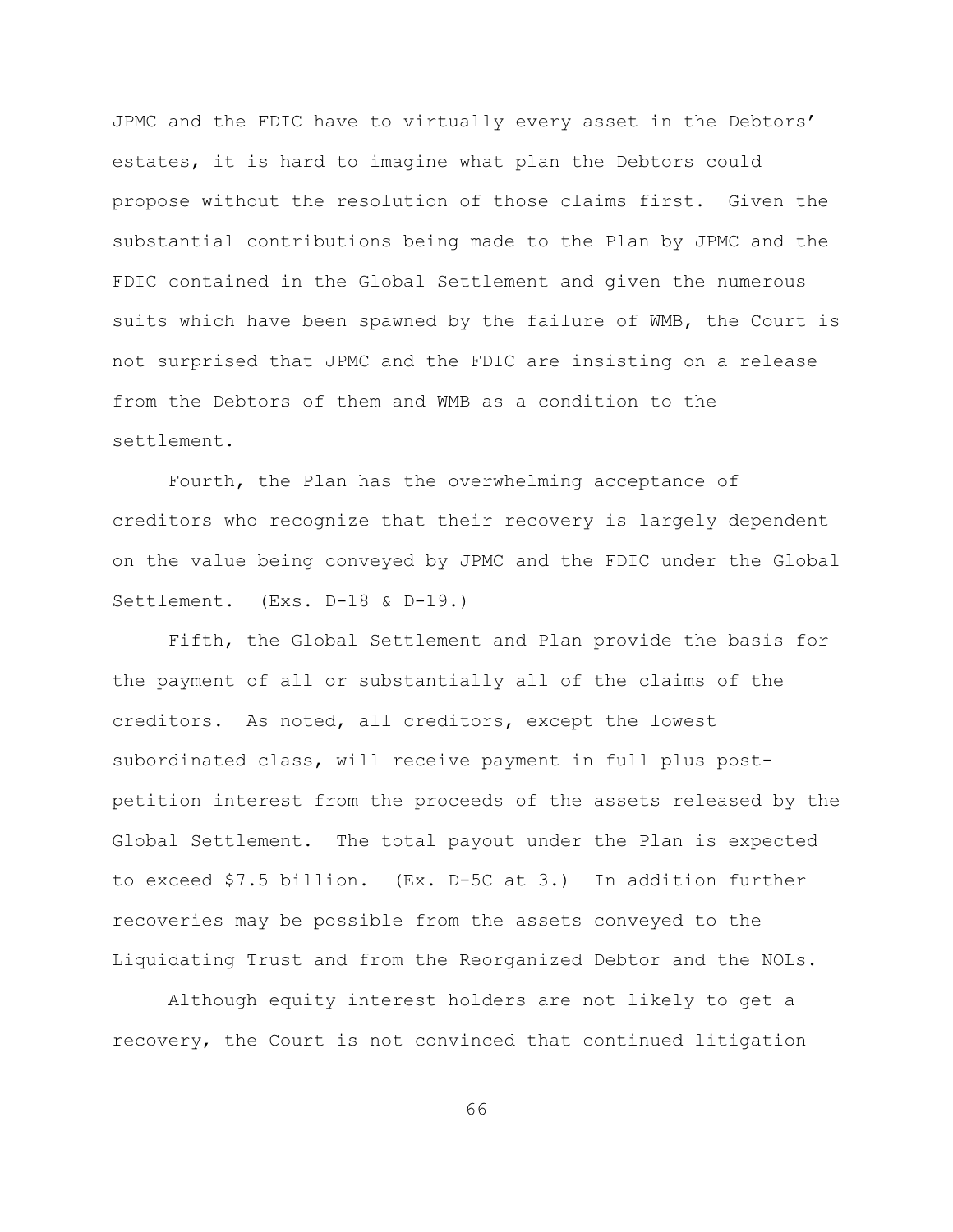JPMC and the FDIC have to virtually every asset in the Debtors' estates, it is hard to imagine what plan the Debtors could propose without the resolution of those claims first. Given the substantial contributions being made to the Plan by JPMC and the FDIC contained in the Global Settlement and given the numerous suits which have been spawned by the failure of WMB, the Court is not surprised that JPMC and the FDIC are insisting on a release from the Debtors of them and WMB as a condition to the settlement.

Fourth, the Plan has the overwhelming acceptance of creditors who recognize that their recovery is largely dependent on the value being conveyed by JPMC and the FDIC under the Global Settlement. (Exs. D-18 & D-19.)

Fifth, the Global Settlement and Plan provide the basis for the payment of all or substantially all of the claims of the creditors. As noted, all creditors, except the lowest subordinated class, will receive payment in full plus postpetition interest from the proceeds of the assets released by the Global Settlement. The total payout under the Plan is expected to exceed \$7.5 billion. (Ex. D-5C at 3.) In addition further recoveries may be possible from the assets conveyed to the Liquidating Trust and from the Reorganized Debtor and the NOLs.

Although equity interest holders are not likely to get a recovery, the Court is not convinced that continued litigation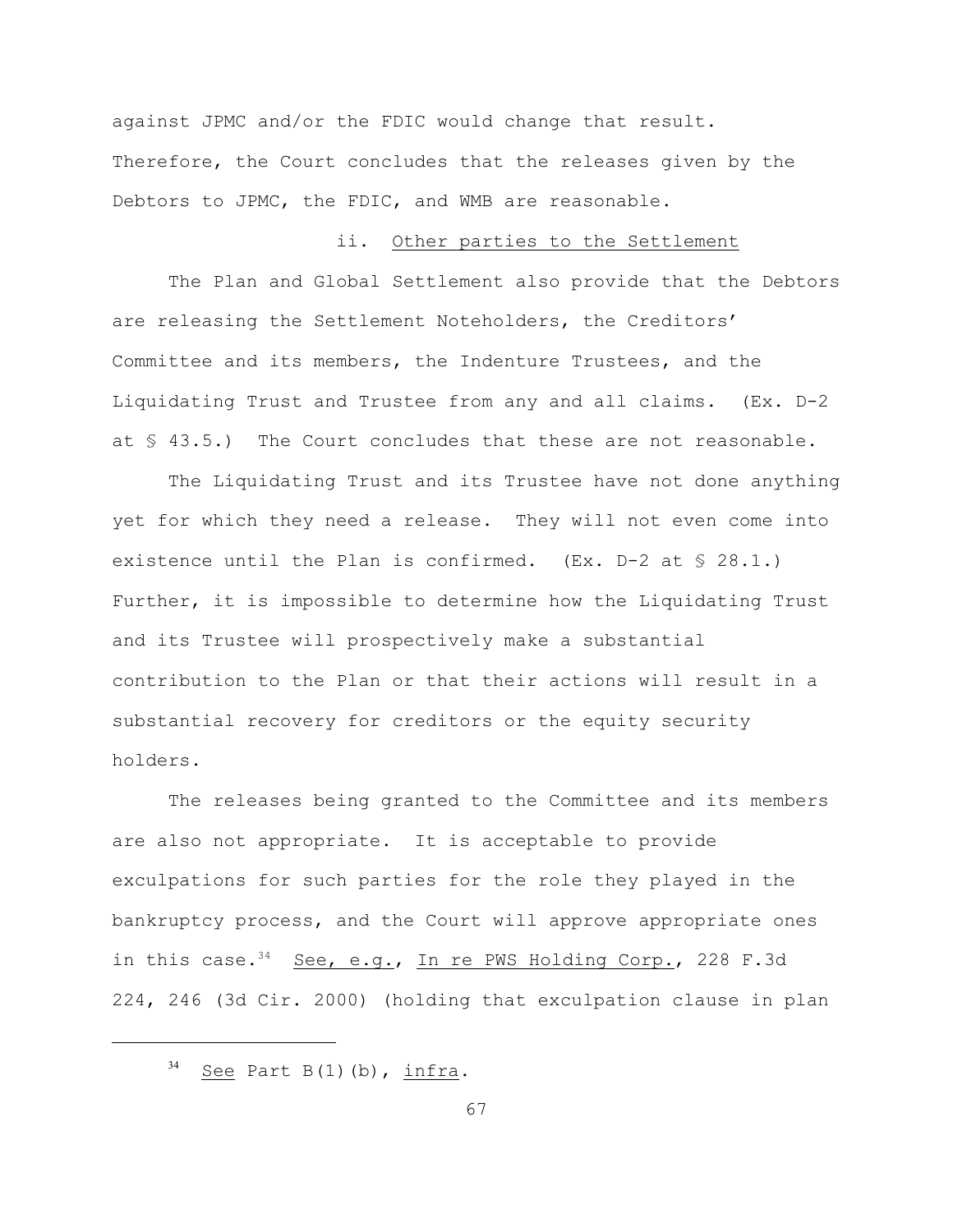against JPMC and/or the FDIC would change that result. Therefore, the Court concludes that the releases given by the Debtors to JPMC, the FDIC, and WMB are reasonable.

### ii. Other parties to the Settlement

The Plan and Global Settlement also provide that the Debtors are releasing the Settlement Noteholders, the Creditors' Committee and its members, the Indenture Trustees, and the Liquidating Trust and Trustee from any and all claims. (Ex. D-2 at § 43.5.) The Court concludes that these are not reasonable.

The Liquidating Trust and its Trustee have not done anything yet for which they need a release. They will not even come into existence until the Plan is confirmed.  $(EX. D-2 at $ 28.1.)$ Further, it is impossible to determine how the Liquidating Trust and its Trustee will prospectively make a substantial contribution to the Plan or that their actions will result in a substantial recovery for creditors or the equity security holders.

The releases being granted to the Committee and its members are also not appropriate. It is acceptable to provide exculpations for such parties for the role they played in the bankruptcy process, and the Court will approve appropriate ones in this case.<sup>34</sup> See, e.g., In re PWS Holding Corp., 228 F.3d 224, 246 (3d Cir. 2000) (holding that exculpation clause in plan

 $s<sup>34</sup>$  See Part B(1)(b), infra.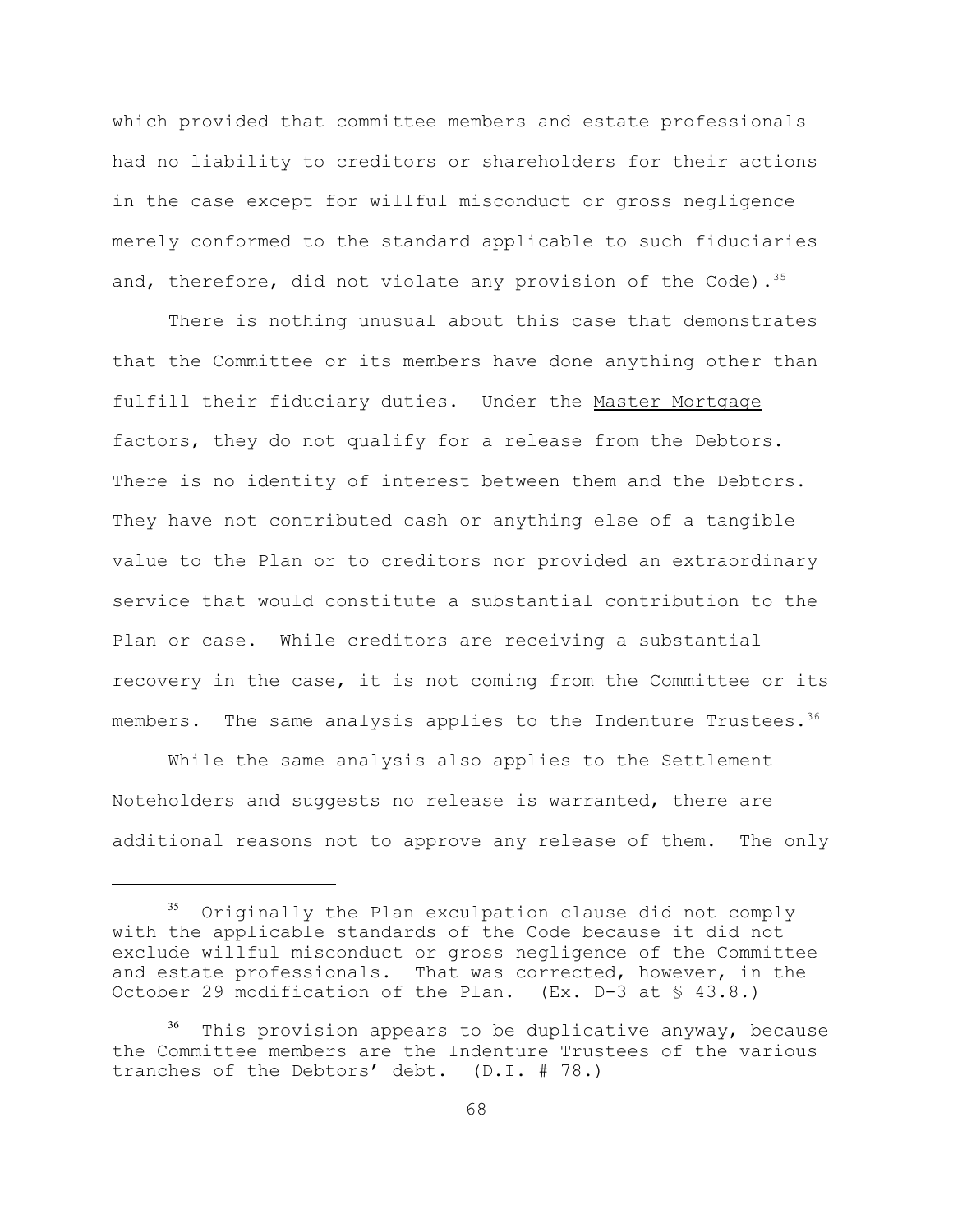which provided that committee members and estate professionals had no liability to creditors or shareholders for their actions in the case except for willful misconduct or gross negligence merely conformed to the standard applicable to such fiduciaries and, therefore, did not violate any provision of the Code).  $35$ 

There is nothing unusual about this case that demonstrates that the Committee or its members have done anything other than fulfill their fiduciary duties. Under the Master Mortgage factors, they do not qualify for a release from the Debtors. There is no identity of interest between them and the Debtors. They have not contributed cash or anything else of a tangible value to the Plan or to creditors nor provided an extraordinary service that would constitute a substantial contribution to the Plan or case. While creditors are receiving a substantial recovery in the case, it is not coming from the Committee or its members. The same analysis applies to the Indenture Trustees.<sup>36</sup>

While the same analysis also applies to the Settlement Noteholders and suggests no release is warranted, there are additional reasons not to approve any release of them. The only

Originally the Plan exculpation clause did not comply <sup>35</sup> with the applicable standards of the Code because it did not exclude willful misconduct or gross negligence of the Committee and estate professionals. That was corrected, however, in the October 29 modification of the Plan. (Ex. D-3 at § 43.8.)

 $36$  This provision appears to be duplicative anyway, because the Committee members are the Indenture Trustees of the various tranches of the Debtors' debt. (D.I. # 78.)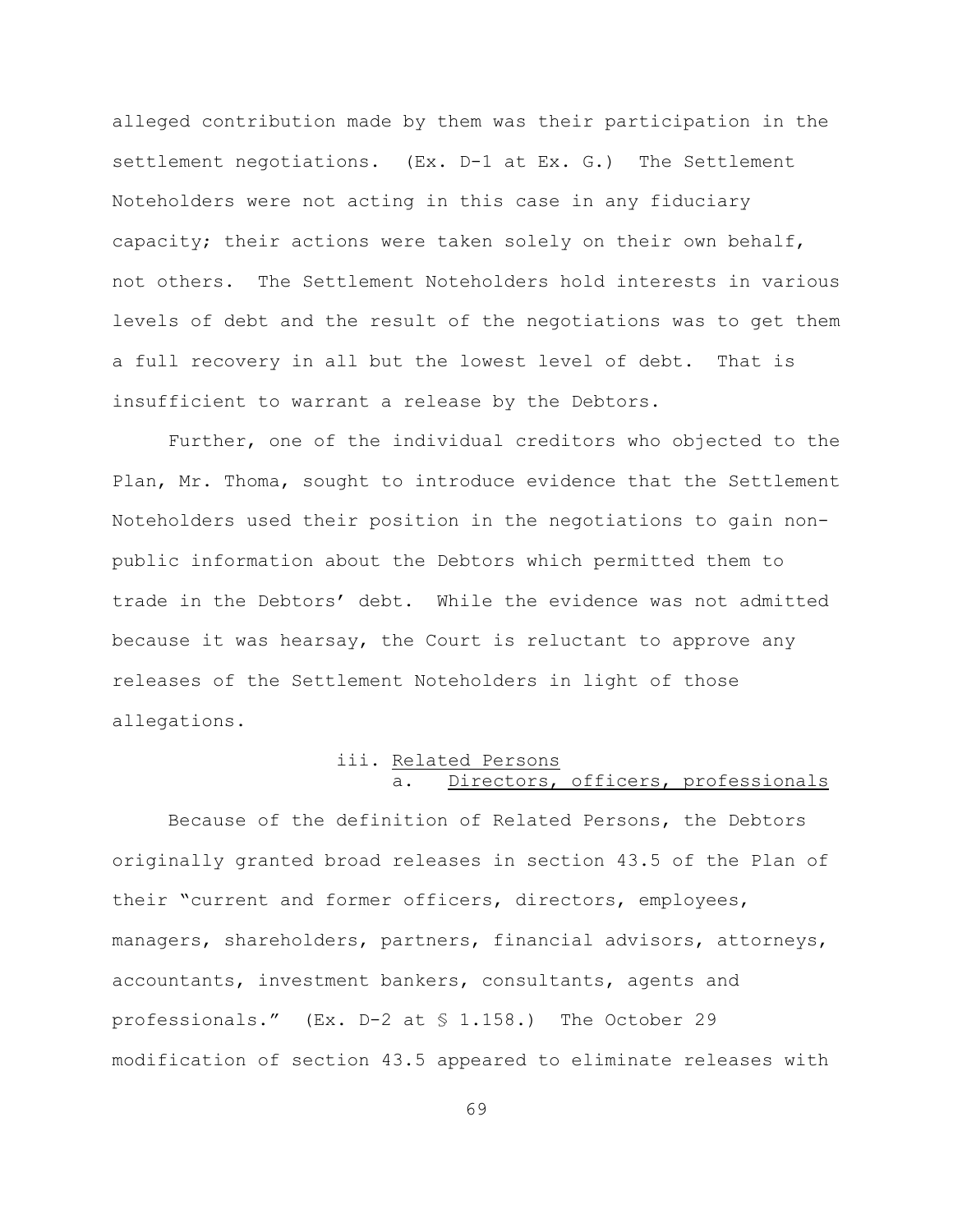alleged contribution made by them was their participation in the settlement negotiations. (Ex. D-1 at Ex. G.) The Settlement Noteholders were not acting in this case in any fiduciary capacity; their actions were taken solely on their own behalf, not others. The Settlement Noteholders hold interests in various levels of debt and the result of the negotiations was to get them a full recovery in all but the lowest level of debt. That is insufficient to warrant a release by the Debtors.

Further, one of the individual creditors who objected to the Plan, Mr. Thoma, sought to introduce evidence that the Settlement Noteholders used their position in the negotiations to gain nonpublic information about the Debtors which permitted them to trade in the Debtors' debt. While the evidence was not admitted because it was hearsay, the Court is reluctant to approve any releases of the Settlement Noteholders in light of those allegations.

# iii. Related Persons a. Directors, officers, professionals

Because of the definition of Related Persons, the Debtors originally granted broad releases in section 43.5 of the Plan of their "current and former officers, directors, employees, managers, shareholders, partners, financial advisors, attorneys, accountants, investment bankers, consultants, agents and professionals." (Ex. D-2 at § 1.158.) The October 29 modification of section 43.5 appeared to eliminate releases with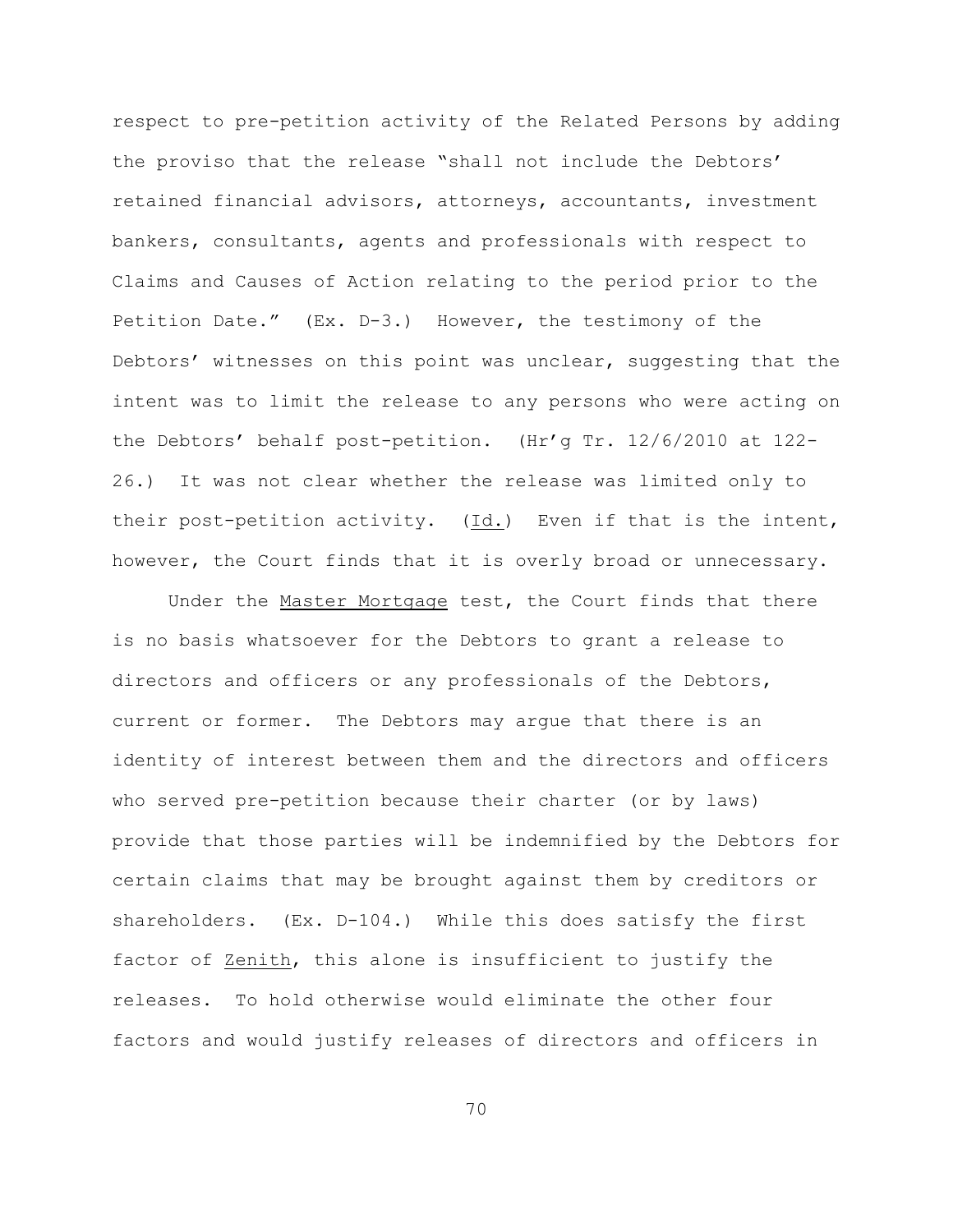respect to pre-petition activity of the Related Persons by adding the proviso that the release "shall not include the Debtors' retained financial advisors, attorneys, accountants, investment bankers, consultants, agents and professionals with respect to Claims and Causes of Action relating to the period prior to the Petition Date." (Ex. D-3.) However, the testimony of the Debtors' witnesses on this point was unclear, suggesting that the intent was to limit the release to any persons who were acting on the Debtors' behalf post-petition. (Hr'g Tr. 12/6/2010 at 122- 26.) It was not clear whether the release was limited only to their post-petition activity. (Id.) Even if that is the intent, however, the Court finds that it is overly broad or unnecessary.

Under the Master Mortgage test, the Court finds that there is no basis whatsoever for the Debtors to grant a release to directors and officers or any professionals of the Debtors, current or former. The Debtors may argue that there is an identity of interest between them and the directors and officers who served pre-petition because their charter (or by laws) provide that those parties will be indemnified by the Debtors for certain claims that may be brought against them by creditors or shareholders. (Ex. D-104.) While this does satisfy the first factor of Zenith, this alone is insufficient to justify the releases. To hold otherwise would eliminate the other four factors and would justify releases of directors and officers in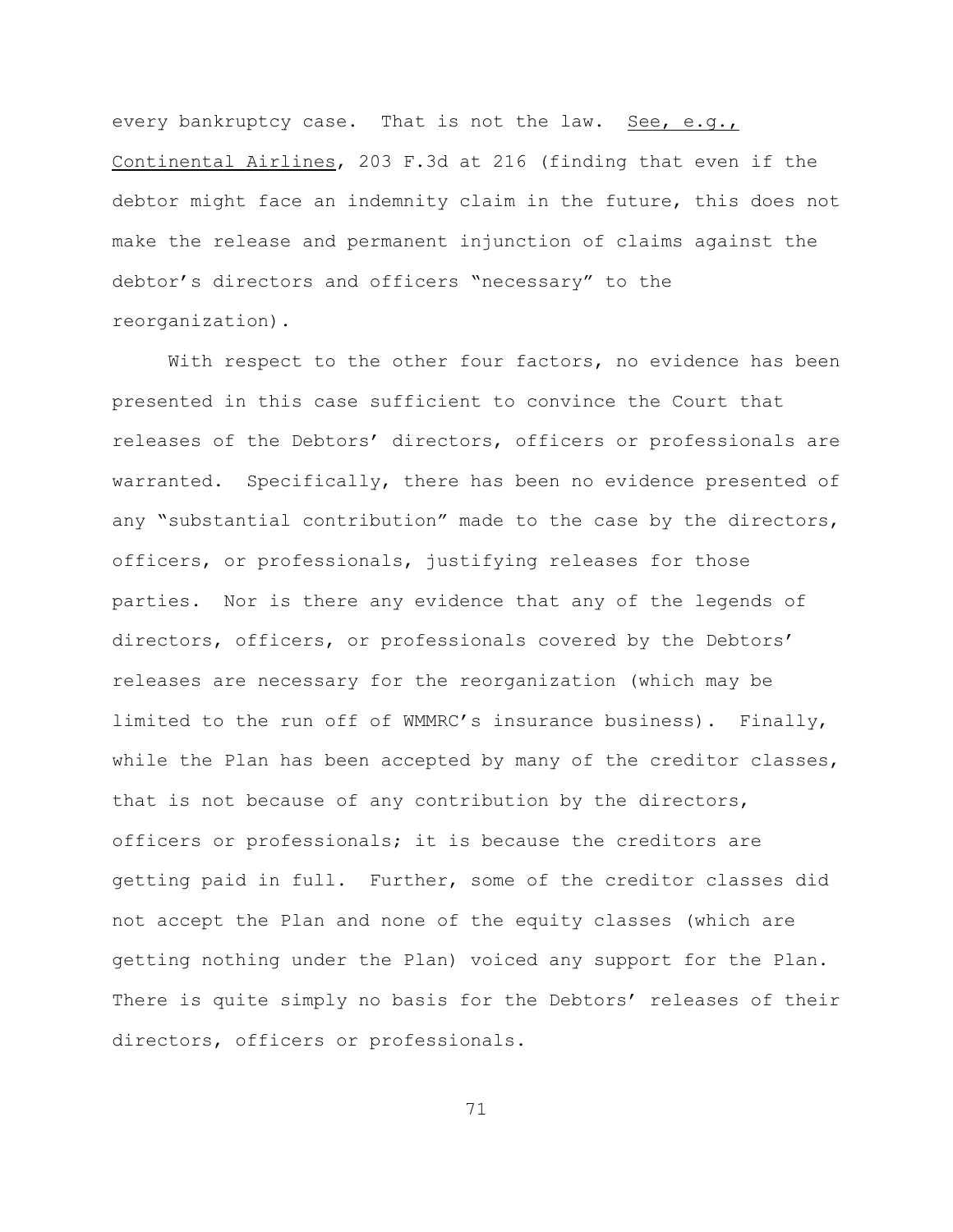every bankruptcy case. That is not the law. See, e.g., Continental Airlines, 203 F.3d at 216 (finding that even if the debtor might face an indemnity claim in the future, this does not make the release and permanent injunction of claims against the debtor's directors and officers "necessary" to the reorganization).

With respect to the other four factors, no evidence has been presented in this case sufficient to convince the Court that releases of the Debtors' directors, officers or professionals are warranted. Specifically, there has been no evidence presented of any "substantial contribution" made to the case by the directors, officers, or professionals, justifying releases for those parties. Nor is there any evidence that any of the legends of directors, officers, or professionals covered by the Debtors' releases are necessary for the reorganization (which may be limited to the run off of WMMRC's insurance business). Finally, while the Plan has been accepted by many of the creditor classes, that is not because of any contribution by the directors, officers or professionals; it is because the creditors are getting paid in full. Further, some of the creditor classes did not accept the Plan and none of the equity classes (which are getting nothing under the Plan) voiced any support for the Plan. There is quite simply no basis for the Debtors' releases of their directors, officers or professionals.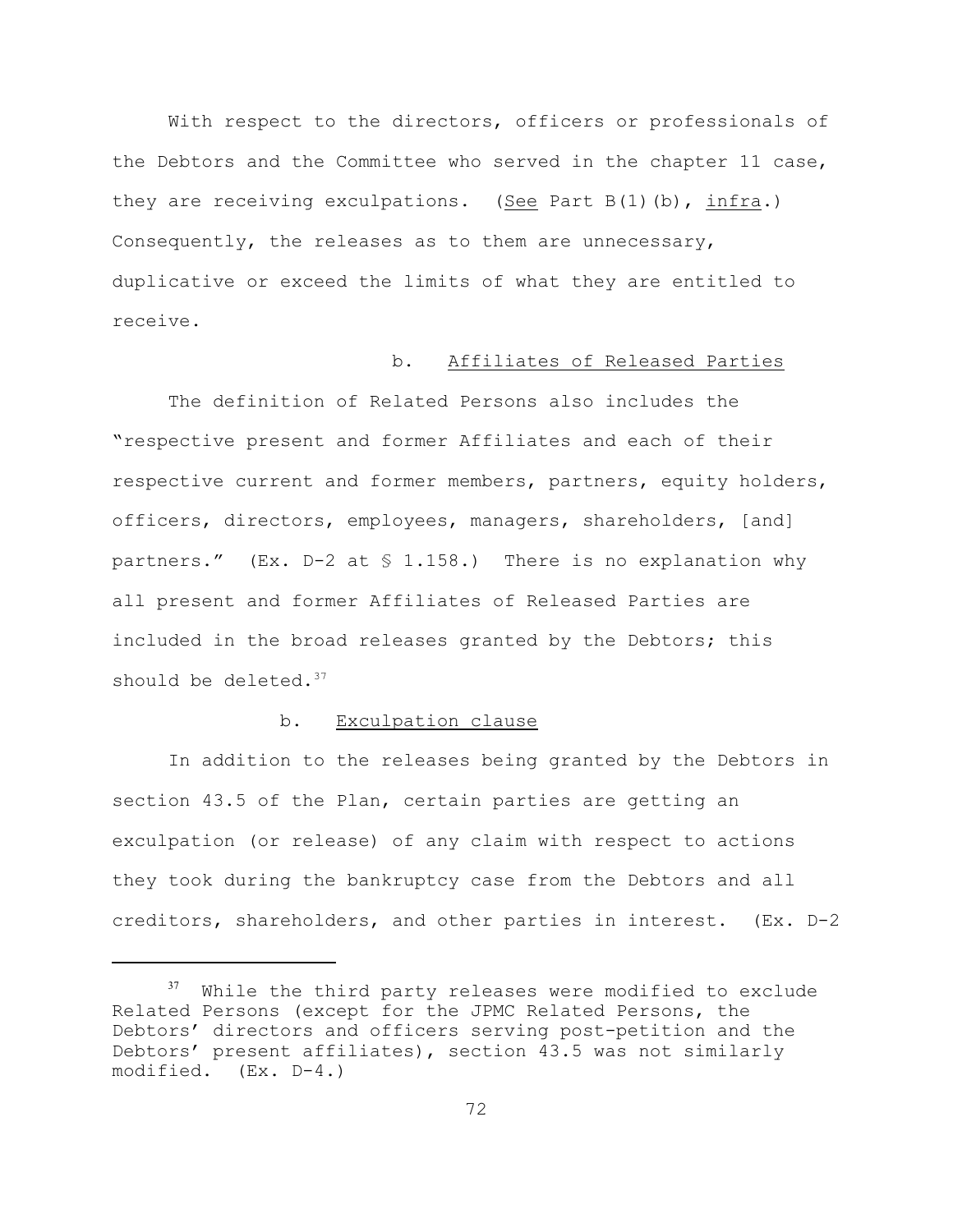With respect to the directors, officers or professionals of the Debtors and the Committee who served in the chapter 11 case, they are receiving exculpations. (See Part  $B(1)$  (b), infra.) Consequently, the releases as to them are unnecessary, duplicative or exceed the limits of what they are entitled to receive.

## b. Affiliates of Released Parties

The definition of Related Persons also includes the "respective present and former Affiliates and each of their respective current and former members, partners, equity holders, officers, directors, employees, managers, shareholders, [and] partners."  $(Ex. D-2 at $ 1.158.)$  There is no explanation why all present and former Affiliates of Released Parties are included in the broad releases granted by the Debtors; this should be deleted.<sup>37</sup>

## b. Exculpation clause

In addition to the releases being granted by the Debtors in section 43.5 of the Plan, certain parties are getting an exculpation (or release) of any claim with respect to actions they took during the bankruptcy case from the Debtors and all creditors, shareholders, and other parties in interest. (Ex. D-2

 $37$  While the third party releases were modified to exclude Related Persons (except for the JPMC Related Persons, the Debtors' directors and officers serving post-petition and the Debtors' present affiliates), section 43.5 was not similarly modified. (Ex. D-4.)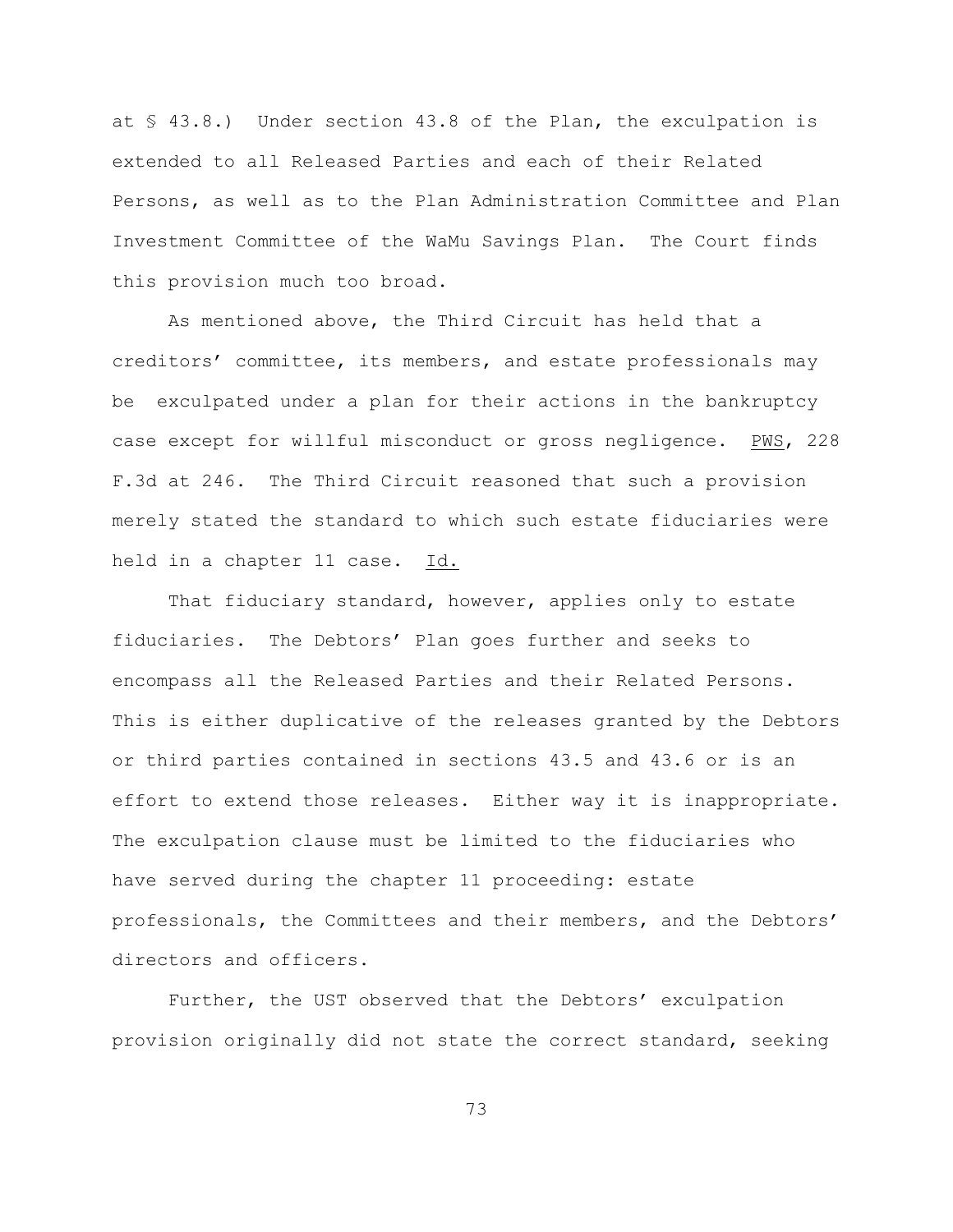at § 43.8.) Under section 43.8 of the Plan, the exculpation is extended to all Released Parties and each of their Related Persons, as well as to the Plan Administration Committee and Plan Investment Committee of the WaMu Savings Plan. The Court finds this provision much too broad.

As mentioned above, the Third Circuit has held that a creditors' committee, its members, and estate professionals may be exculpated under a plan for their actions in the bankruptcy case except for willful misconduct or gross negligence. PWS, 228 F.3d at 246. The Third Circuit reasoned that such a provision merely stated the standard to which such estate fiduciaries were held in a chapter 11 case. Id.

That fiduciary standard, however, applies only to estate fiduciaries. The Debtors' Plan goes further and seeks to encompass all the Released Parties and their Related Persons. This is either duplicative of the releases granted by the Debtors or third parties contained in sections 43.5 and 43.6 or is an effort to extend those releases. Either way it is inappropriate. The exculpation clause must be limited to the fiduciaries who have served during the chapter 11 proceeding: estate professionals, the Committees and their members, and the Debtors' directors and officers.

Further, the UST observed that the Debtors' exculpation provision originally did not state the correct standard, seeking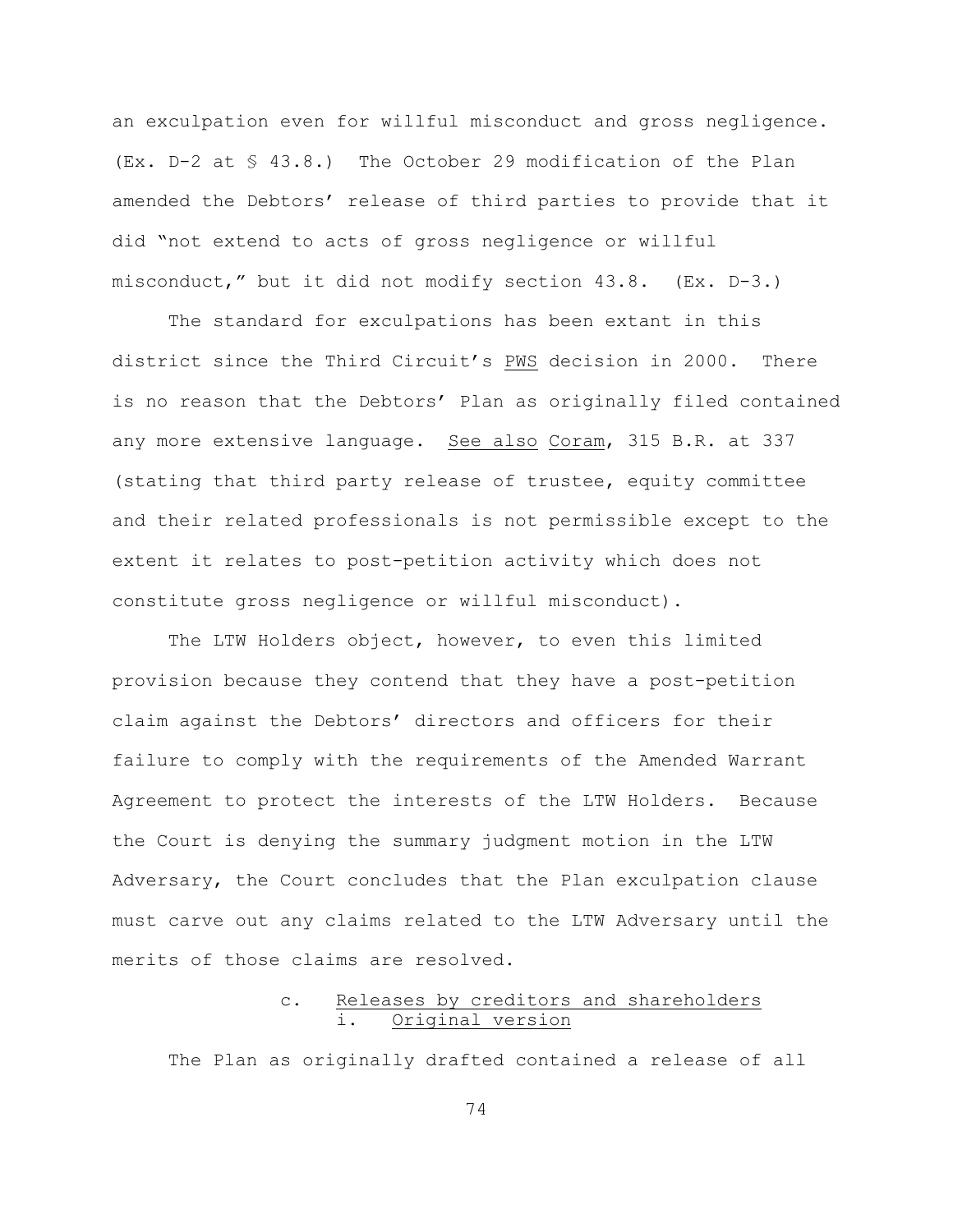an exculpation even for willful misconduct and gross negligence. (Ex. D-2 at § 43.8.) The October 29 modification of the Plan amended the Debtors' release of third parties to provide that it did "not extend to acts of gross negligence or willful misconduct," but it did not modify section 43.8. (Ex. D-3.)

The standard for exculpations has been extant in this district since the Third Circuit's PWS decision in 2000. There is no reason that the Debtors' Plan as originally filed contained any more extensive language. See also Coram, 315 B.R. at 337 (stating that third party release of trustee, equity committee and their related professionals is not permissible except to the extent it relates to post-petition activity which does not constitute gross negligence or willful misconduct).

The LTW Holders object, however, to even this limited provision because they contend that they have a post-petition claim against the Debtors' directors and officers for their failure to comply with the requirements of the Amended Warrant Agreement to protect the interests of the LTW Holders. Because the Court is denying the summary judgment motion in the LTW Adversary, the Court concludes that the Plan exculpation clause must carve out any claims related to the LTW Adversary until the merits of those claims are resolved.

# c. Releases by creditors and shareholders i. Original version

The Plan as originally drafted contained a release of all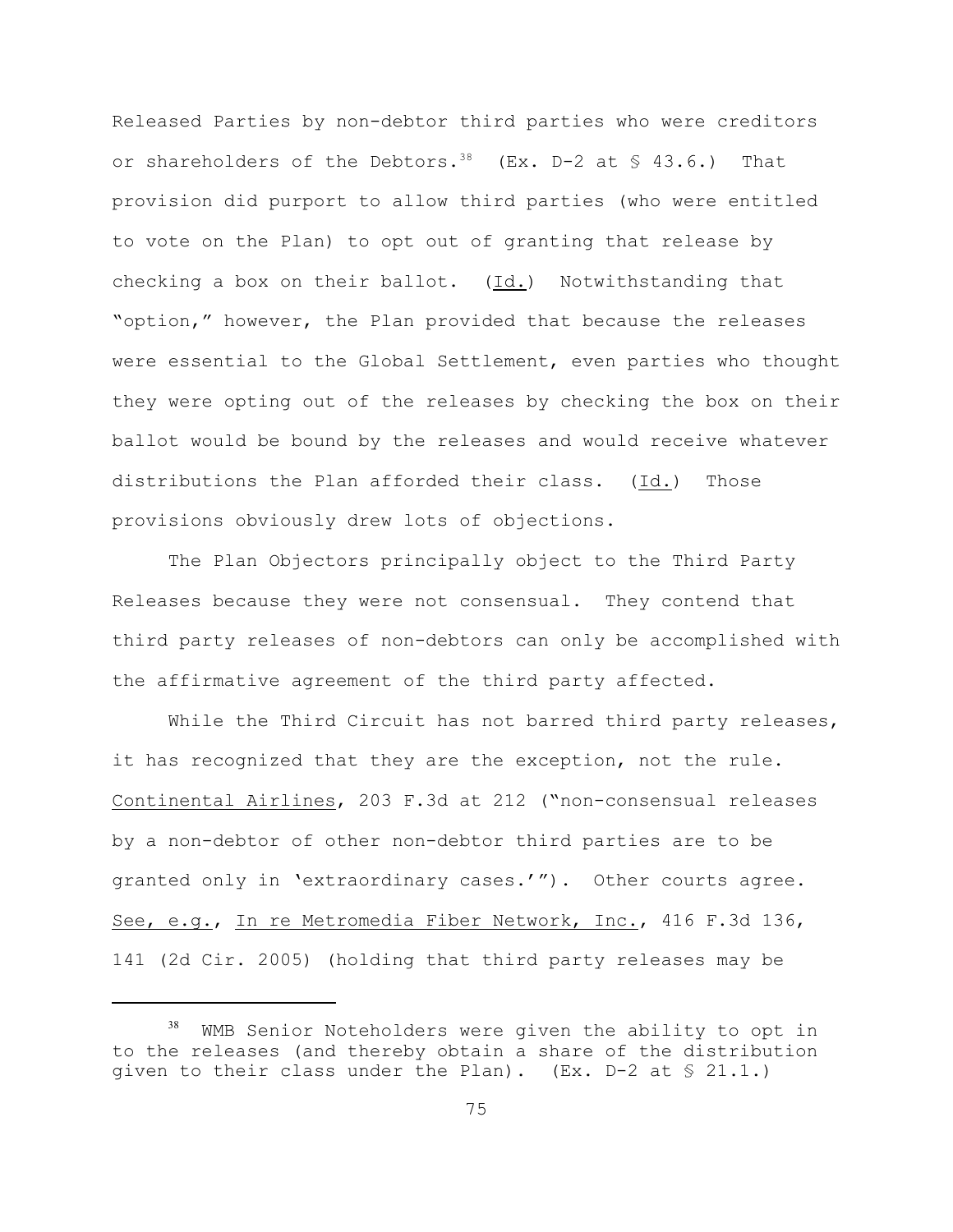Released Parties by non-debtor third parties who were creditors or shareholders of the Debtors.<sup>38</sup> (Ex. D-2 at  $\frac{1}{5}$  43.6.) That provision did purport to allow third parties (who were entitled to vote on the Plan) to opt out of granting that release by checking a box on their ballot. (Id.) Notwithstanding that "option," however, the Plan provided that because the releases were essential to the Global Settlement, even parties who thought they were opting out of the releases by checking the box on their ballot would be bound by the releases and would receive whatever distributions the Plan afforded their class. (Id.) Those provisions obviously drew lots of objections.

The Plan Objectors principally object to the Third Party Releases because they were not consensual. They contend that third party releases of non-debtors can only be accomplished with the affirmative agreement of the third party affected.

While the Third Circuit has not barred third party releases, it has recognized that they are the exception, not the rule. Continental Airlines, 203 F.3d at 212 ("non-consensual releases by a non-debtor of other non-debtor third parties are to be granted only in 'extraordinary cases.'"). Other courts agree. See, e.g., In re Metromedia Fiber Network, Inc., 416 F.3d 136, 141 (2d Cir. 2005) (holding that third party releases may be

 $38$  WMB Senior Noteholders were given the ability to opt in to the releases (and thereby obtain a share of the distribution given to their class under the Plan). (Ex.  $D-2$  at  $\leq 21.1$ .)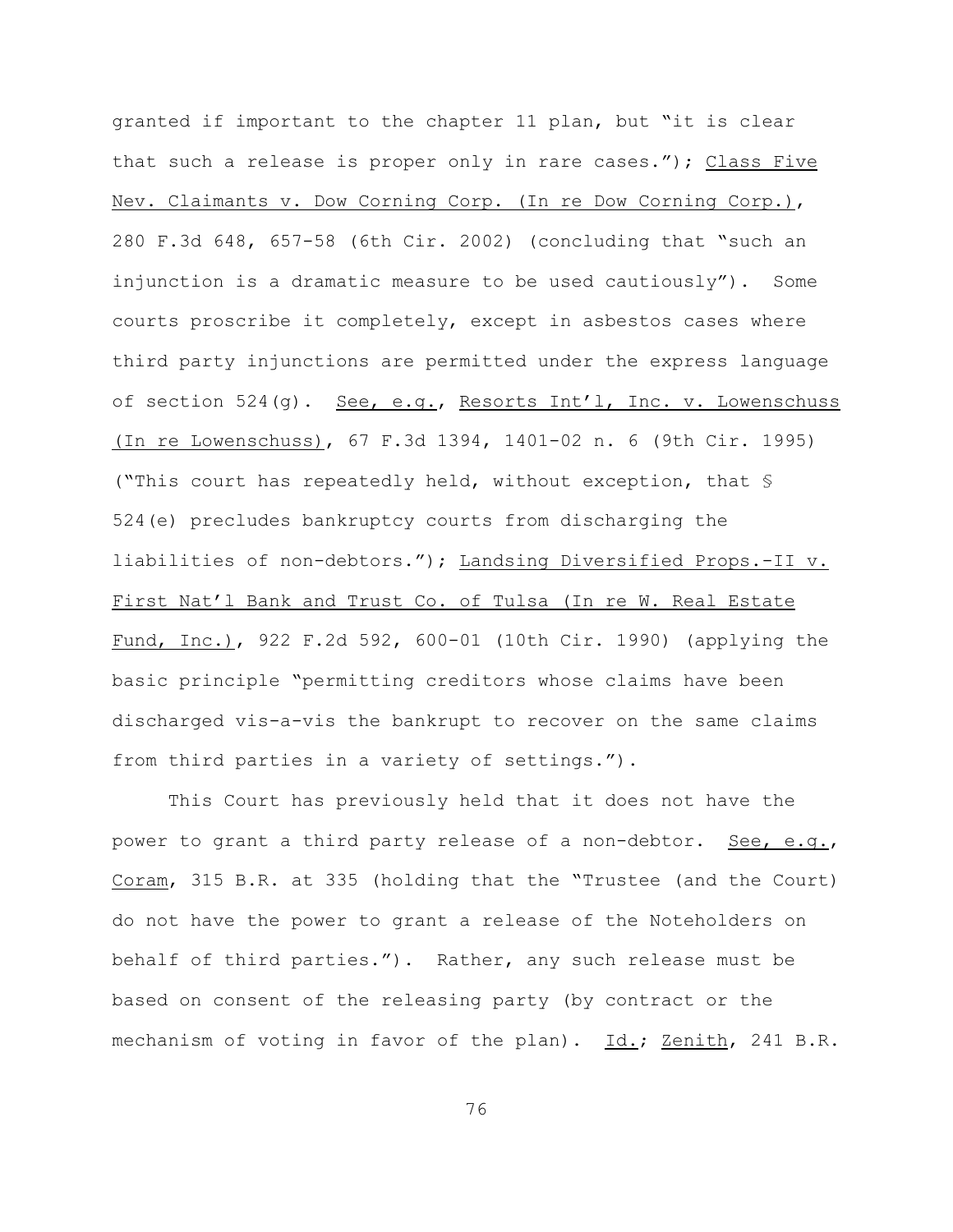granted if important to the chapter 11 plan, but "it is clear that such a release is proper only in rare cases."); Class Five Nev. Claimants v. Dow Corning Corp. (In re Dow Corning Corp.), 280 F.3d 648, 657-58 (6th Cir. 2002) (concluding that "such an injunction is a dramatic measure to be used cautiously"). Some courts proscribe it completely, except in asbestos cases where third party injunctions are permitted under the express language of section 524(g). See, e.g., Resorts Int'l, Inc. v. Lowenschuss (In re Lowenschuss), 67 F.3d 1394, 1401-02 n. 6 (9th Cir. 1995) ("This court has repeatedly held, without exception, that § 524(e) precludes bankruptcy courts from discharging the liabilities of non-debtors."); Landsing Diversified Props.-II v. First Nat'l Bank and Trust Co. of Tulsa (In re W. Real Estate Fund, Inc.), 922 F.2d 592, 600-01 (10th Cir. 1990) (applying the basic principle "permitting creditors whose claims have been discharged vis-a-vis the bankrupt to recover on the same claims from third parties in a variety of settings.").

This Court has previously held that it does not have the power to grant a third party release of a non-debtor. See, e.g., Coram, 315 B.R. at 335 (holding that the "Trustee (and the Court) do not have the power to grant a release of the Noteholders on behalf of third parties."). Rather, any such release must be based on consent of the releasing party (by contract or the mechanism of voting in favor of the plan). Id.; Zenith, 241 B.R.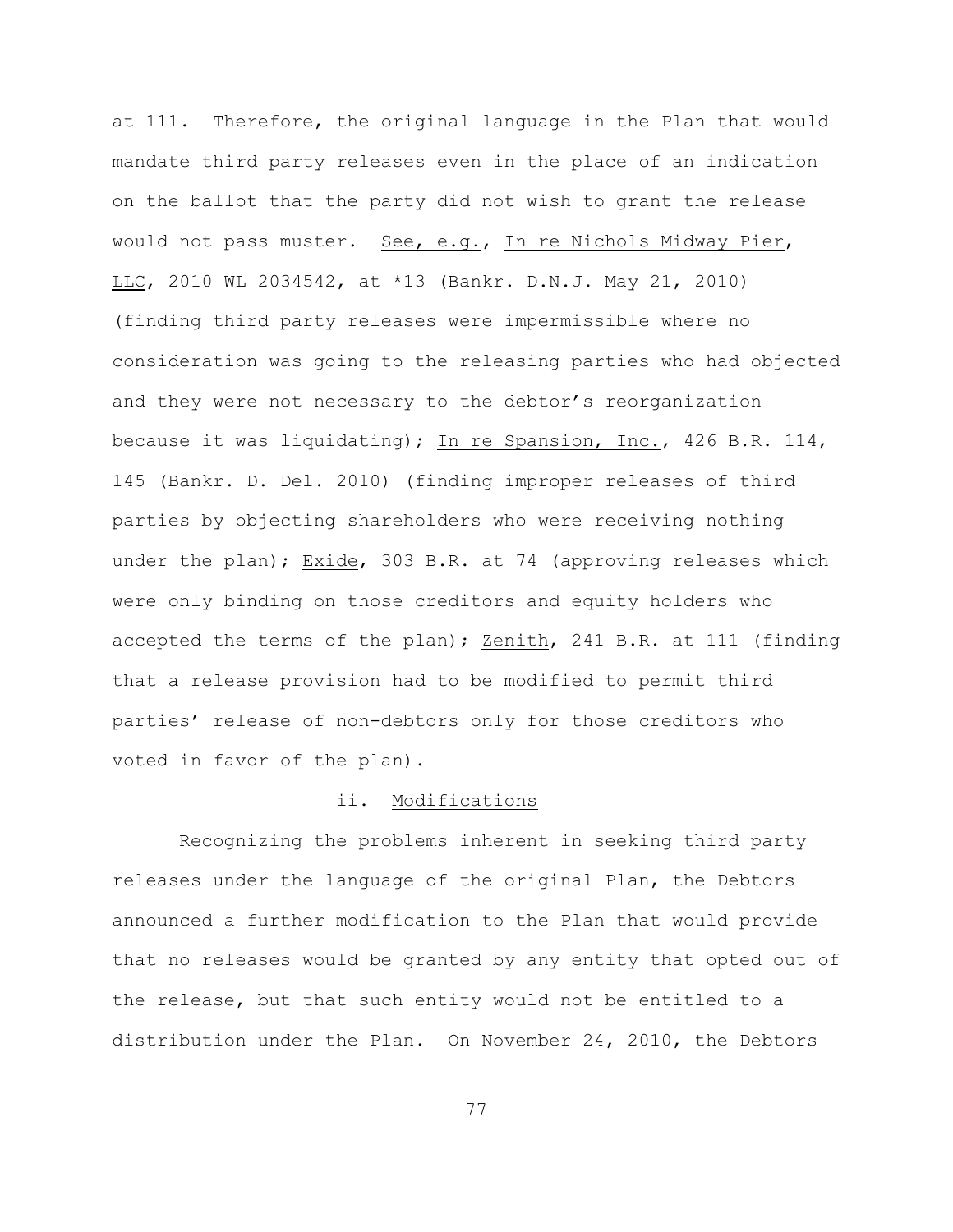at 111. Therefore, the original language in the Plan that would mandate third party releases even in the place of an indication on the ballot that the party did not wish to grant the release would not pass muster. See, e.g., In re Nichols Midway Pier, LLC, 2010 WL 2034542, at \*13 (Bankr. D.N.J. May 21, 2010) (finding third party releases were impermissible where no consideration was going to the releasing parties who had objected and they were not necessary to the debtor's reorganization because it was liquidating); In re Spansion, Inc., 426 B.R. 114, 145 (Bankr. D. Del. 2010) (finding improper releases of third parties by objecting shareholders who were receiving nothing under the plan); Exide, 303 B.R. at 74 (approving releases which were only binding on those creditors and equity holders who accepted the terms of the plan); Zenith, 241 B.R. at 111 (finding that a release provision had to be modified to permit third parties' release of non-debtors only for those creditors who voted in favor of the plan).

## ii. Modifications

 Recognizing the problems inherent in seeking third party releases under the language of the original Plan, the Debtors announced a further modification to the Plan that would provide that no releases would be granted by any entity that opted out of the release, but that such entity would not be entitled to a distribution under the Plan. On November 24, 2010, the Debtors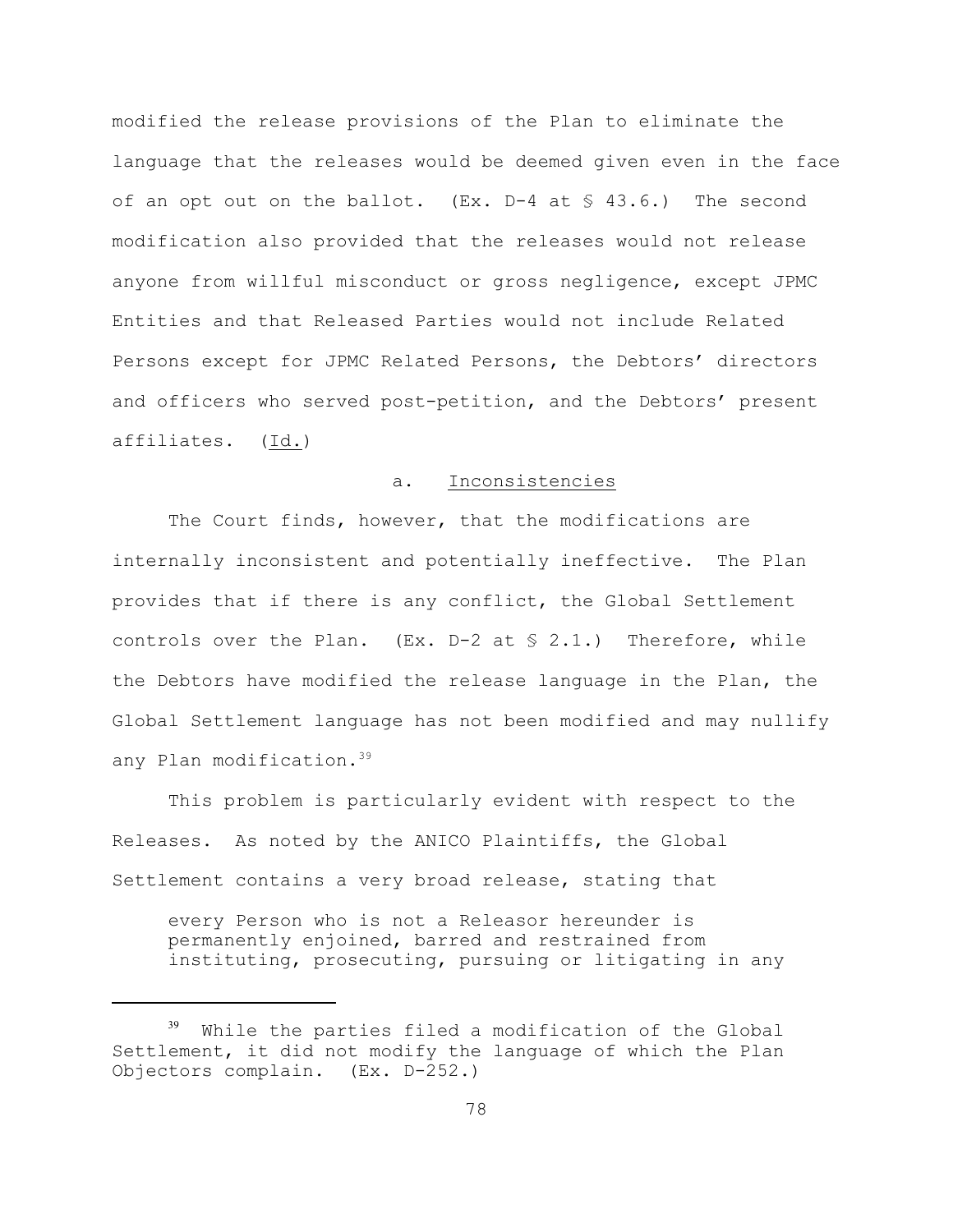modified the release provisions of the Plan to eliminate the language that the releases would be deemed given even in the face of an opt out on the ballot. (Ex.  $D-4$  at  $\leq 43.6$ .) The second modification also provided that the releases would not release anyone from willful misconduct or gross negligence, except JPMC Entities and that Released Parties would not include Related Persons except for JPMC Related Persons, the Debtors' directors and officers who served post-petition, and the Debtors' present affiliates. (Id.)

# a. Inconsistencies

The Court finds, however, that the modifications are internally inconsistent and potentially ineffective. The Plan provides that if there is any conflict, the Global Settlement controls over the Plan.  $(EX. D-2 at S 2.1.)$  Therefore, while the Debtors have modified the release language in the Plan, the Global Settlement language has not been modified and may nullify any Plan modification.<sup>39</sup>

This problem is particularly evident with respect to the Releases. As noted by the ANICO Plaintiffs, the Global Settlement contains a very broad release, stating that

every Person who is not a Releasor hereunder is permanently enjoined, barred and restrained from instituting, prosecuting, pursuing or litigating in any

 $39$  While the parties filed a modification of the Global Settlement, it did not modify the language of which the Plan Objectors complain. (Ex. D-252.)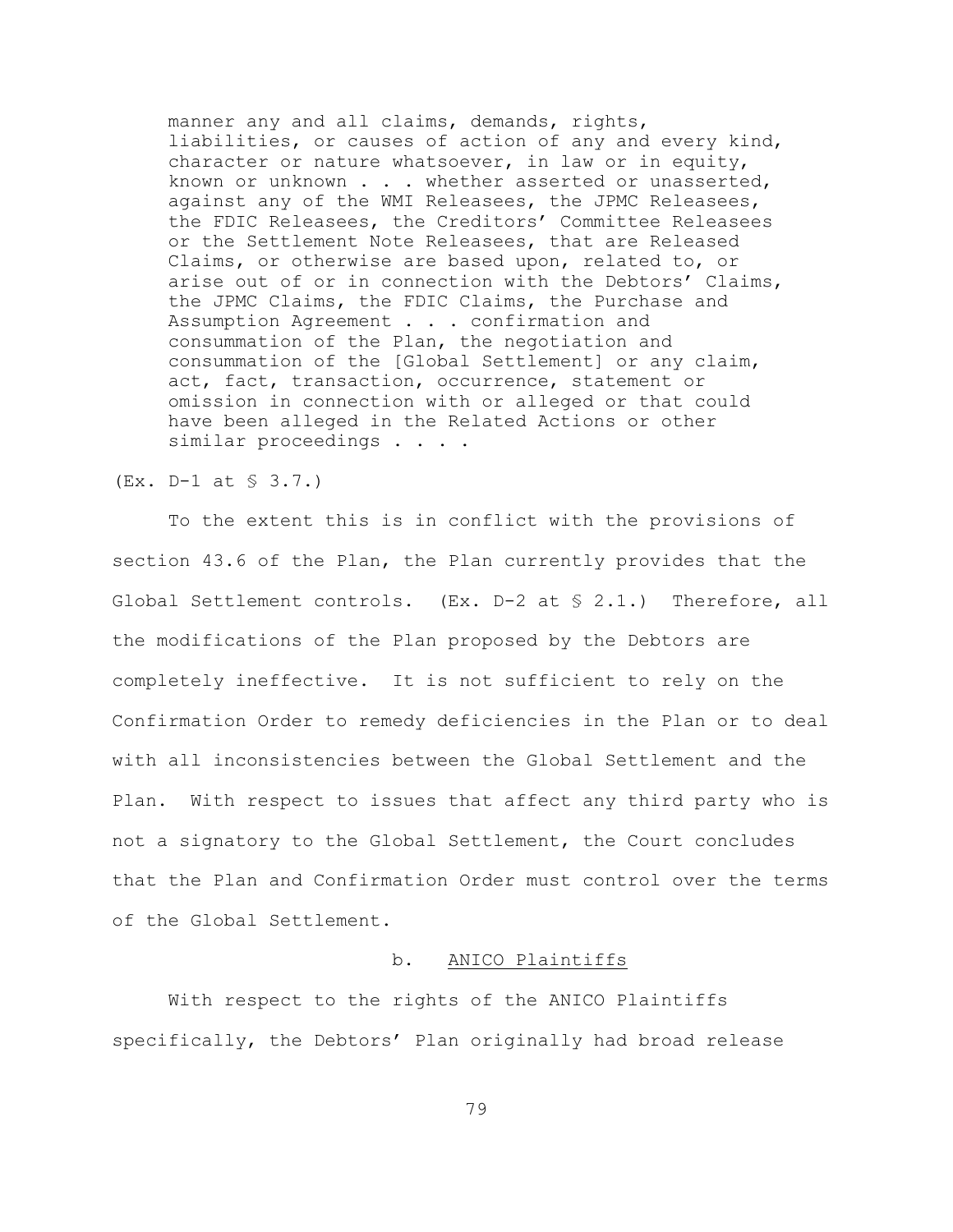manner any and all claims, demands, rights, liabilities, or causes of action of any and every kind, character or nature whatsoever, in law or in equity, known or unknown . . . whether asserted or unasserted, against any of the WMI Releasees, the JPMC Releasees, the FDIC Releasees, the Creditors' Committee Releasees or the Settlement Note Releasees, that are Released Claims, or otherwise are based upon, related to, or arise out of or in connection with the Debtors' Claims, the JPMC Claims, the FDIC Claims, the Purchase and Assumption Agreement . . . confirmation and consummation of the Plan, the negotiation and consummation of the [Global Settlement] or any claim, act, fact, transaction, occurrence, statement or omission in connection with or alleged or that could have been alleged in the Related Actions or other similar proceedings . . . .

### (Ex. D-1 at § 3.7.)

To the extent this is in conflict with the provisions of section 43.6 of the Plan, the Plan currently provides that the Global Settlement controls. (Ex. D-2 at § 2.1.) Therefore, all the modifications of the Plan proposed by the Debtors are completely ineffective. It is not sufficient to rely on the Confirmation Order to remedy deficiencies in the Plan or to deal with all inconsistencies between the Global Settlement and the Plan. With respect to issues that affect any third party who is not a signatory to the Global Settlement, the Court concludes that the Plan and Confirmation Order must control over the terms of the Global Settlement.

# b. ANICO Plaintiffs

With respect to the rights of the ANICO Plaintiffs specifically, the Debtors' Plan originally had broad release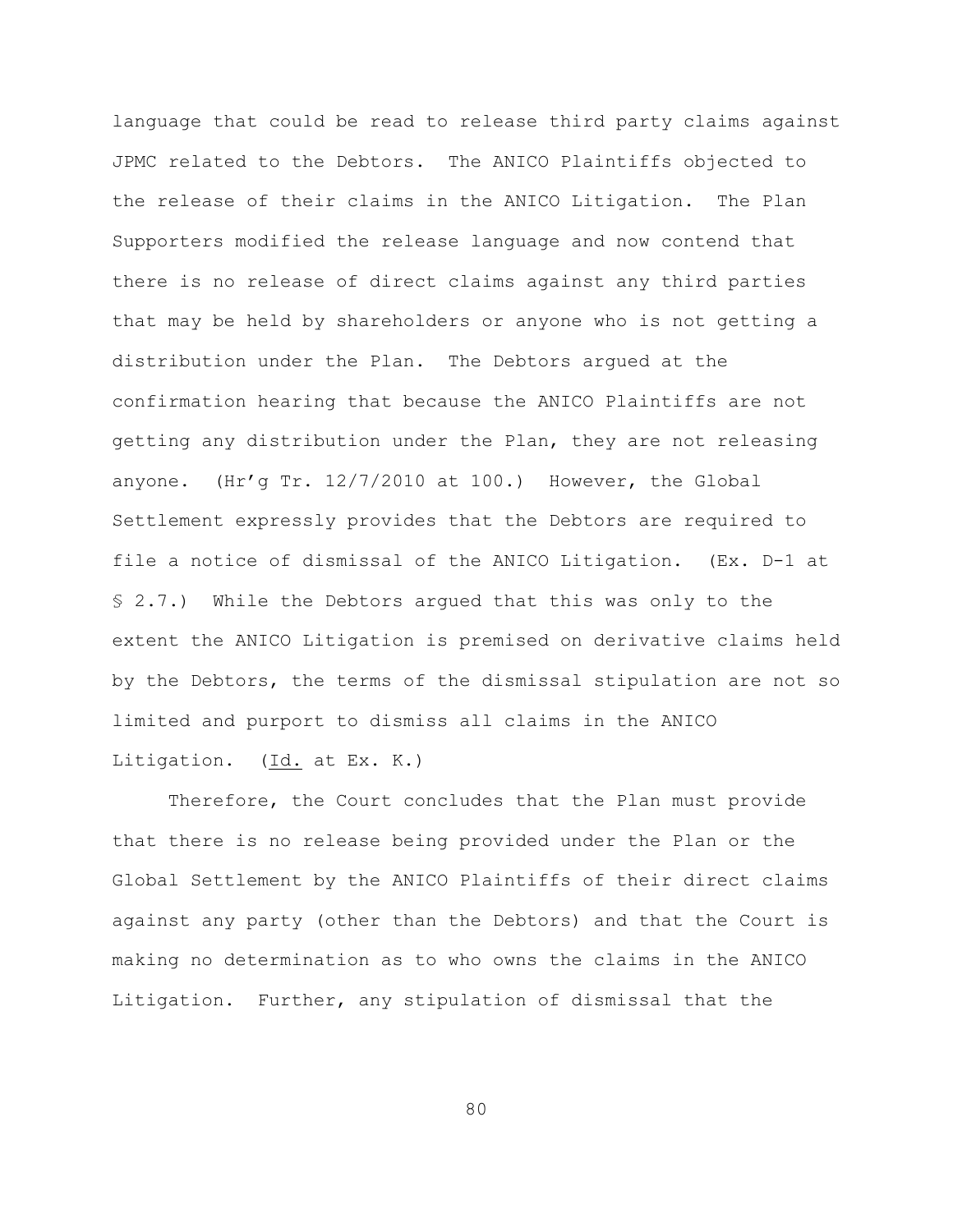language that could be read to release third party claims against JPMC related to the Debtors. The ANICO Plaintiffs objected to the release of their claims in the ANICO Litigation. The Plan Supporters modified the release language and now contend that there is no release of direct claims against any third parties that may be held by shareholders or anyone who is not getting a distribution under the Plan. The Debtors argued at the confirmation hearing that because the ANICO Plaintiffs are not getting any distribution under the Plan, they are not releasing anyone. (Hr'g Tr. 12/7/2010 at 100.) However, the Global Settlement expressly provides that the Debtors are required to file a notice of dismissal of the ANICO Litigation. (Ex. D-1 at § 2.7.) While the Debtors argued that this was only to the extent the ANICO Litigation is premised on derivative claims held by the Debtors, the terms of the dismissal stipulation are not so limited and purport to dismiss all claims in the ANICO Litigation. (Id. at Ex. K.)

Therefore, the Court concludes that the Plan must provide that there is no release being provided under the Plan or the Global Settlement by the ANICO Plaintiffs of their direct claims against any party (other than the Debtors) and that the Court is making no determination as to who owns the claims in the ANICO Litigation. Further, any stipulation of dismissal that the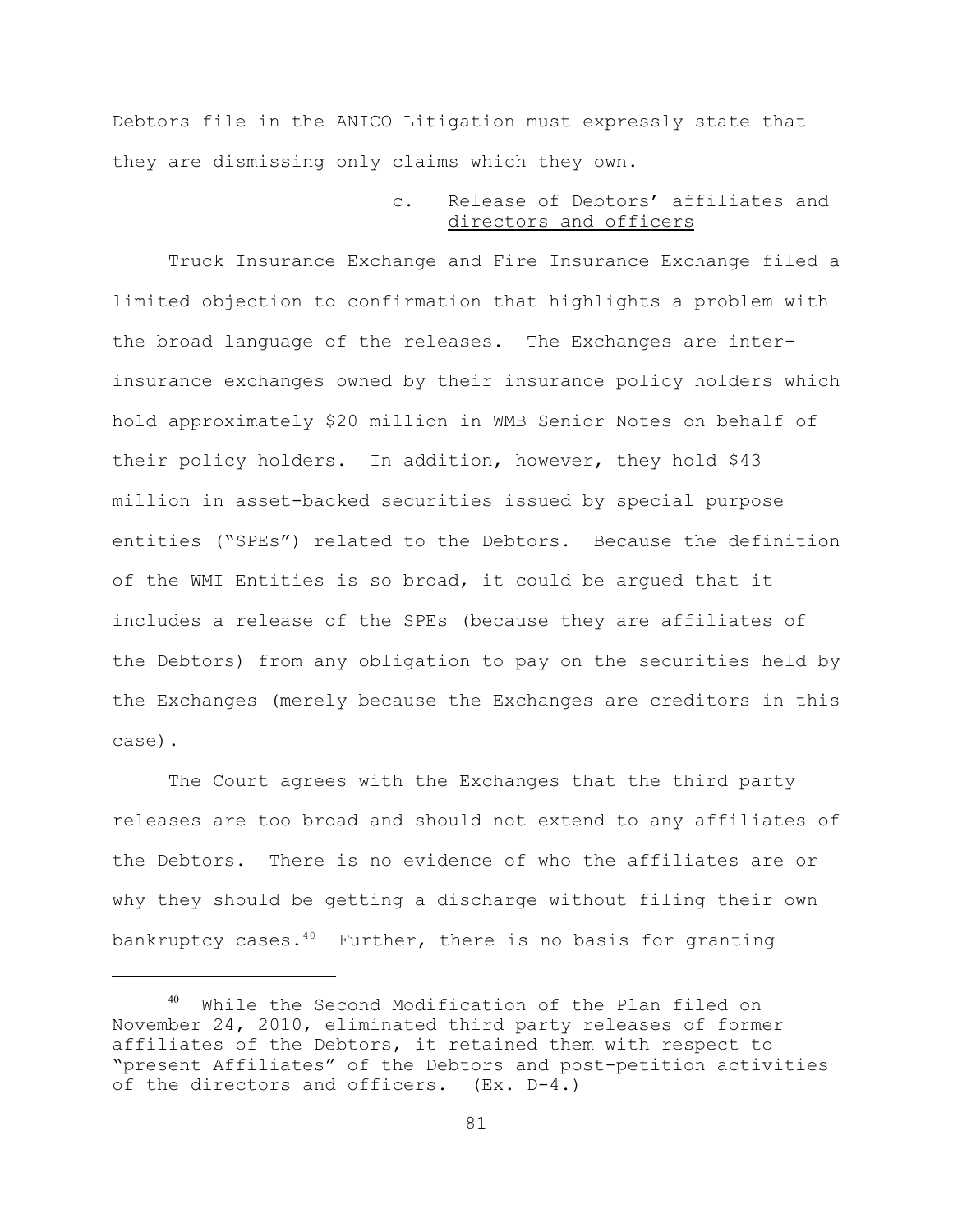Debtors file in the ANICO Litigation must expressly state that they are dismissing only claims which they own.

# c. Release of Debtors' affiliates and directors and officers

Truck Insurance Exchange and Fire Insurance Exchange filed a limited objection to confirmation that highlights a problem with the broad language of the releases. The Exchanges are interinsurance exchanges owned by their insurance policy holders which hold approximately \$20 million in WMB Senior Notes on behalf of their policy holders. In addition, however, they hold \$43 million in asset-backed securities issued by special purpose entities ("SPEs") related to the Debtors. Because the definition of the WMI Entities is so broad, it could be argued that it includes a release of the SPEs (because they are affiliates of the Debtors) from any obligation to pay on the securities held by the Exchanges (merely because the Exchanges are creditors in this case).

The Court agrees with the Exchanges that the third party releases are too broad and should not extend to any affiliates of the Debtors. There is no evidence of who the affiliates are or why they should be getting a discharge without filing their own bankruptcy cases. $40$  Further, there is no basis for granting

 $40$  While the Second Modification of the Plan filed on November 24, 2010, eliminated third party releases of former affiliates of the Debtors, it retained them with respect to "present Affiliates" of the Debtors and post-petition activities of the directors and officers. (Ex. D-4.)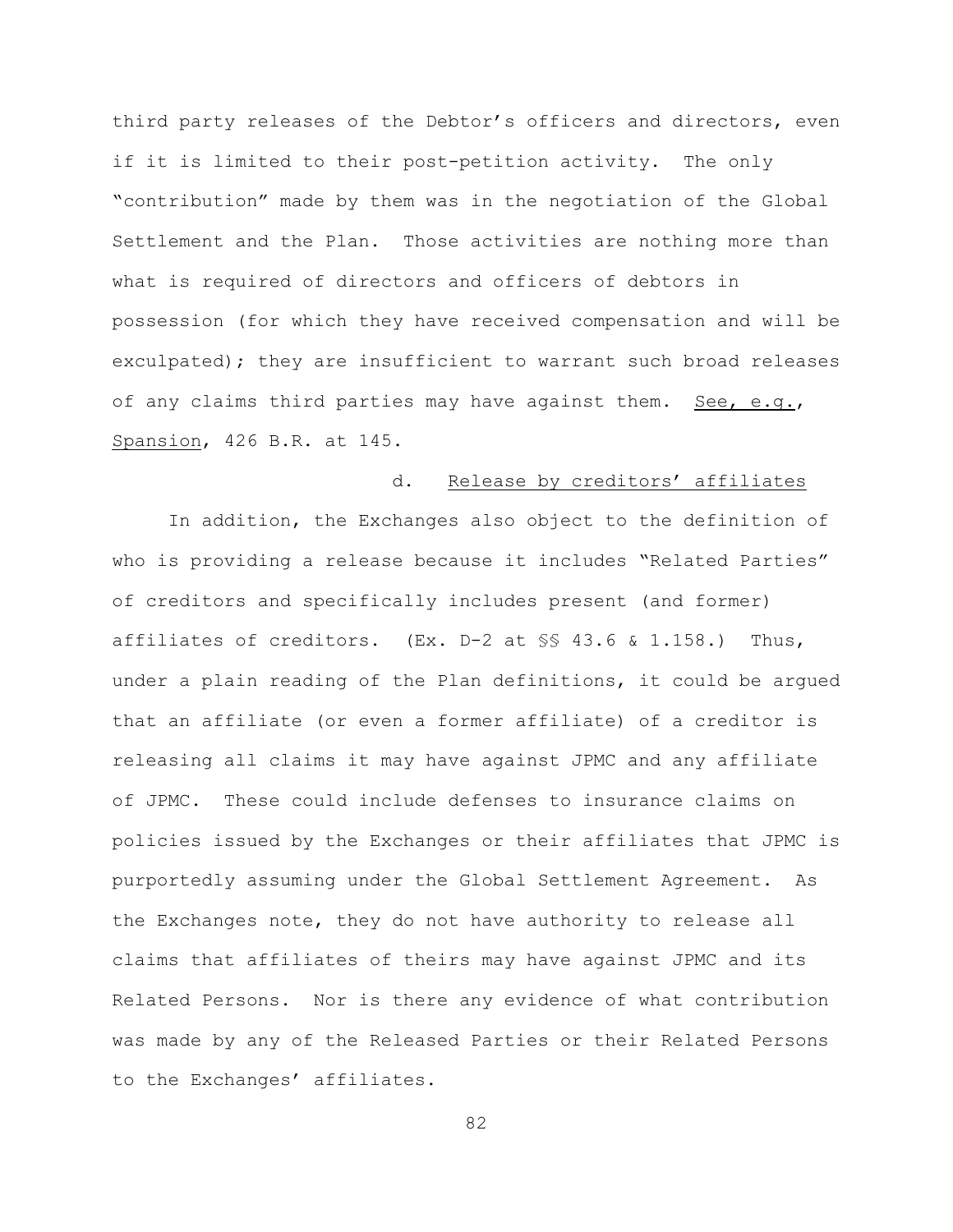third party releases of the Debtor's officers and directors, even if it is limited to their post-petition activity. The only "contribution" made by them was in the negotiation of the Global Settlement and the Plan. Those activities are nothing more than what is required of directors and officers of debtors in possession (for which they have received compensation and will be exculpated); they are insufficient to warrant such broad releases of any claims third parties may have against them. See, e.g., Spansion, 426 B.R. at 145.

# d. Release by creditors' affiliates

In addition, the Exchanges also object to the definition of who is providing a release because it includes "Related Parties" of creditors and specifically includes present (and former) affiliates of creditors. (Ex. D-2 at §§ 43.6 & 1.158.) Thus, under a plain reading of the Plan definitions, it could be argued that an affiliate (or even a former affiliate) of a creditor is releasing all claims it may have against JPMC and any affiliate of JPMC. These could include defenses to insurance claims on policies issued by the Exchanges or their affiliates that JPMC is purportedly assuming under the Global Settlement Agreement. As the Exchanges note, they do not have authority to release all claims that affiliates of theirs may have against JPMC and its Related Persons. Nor is there any evidence of what contribution was made by any of the Released Parties or their Related Persons to the Exchanges' affiliates.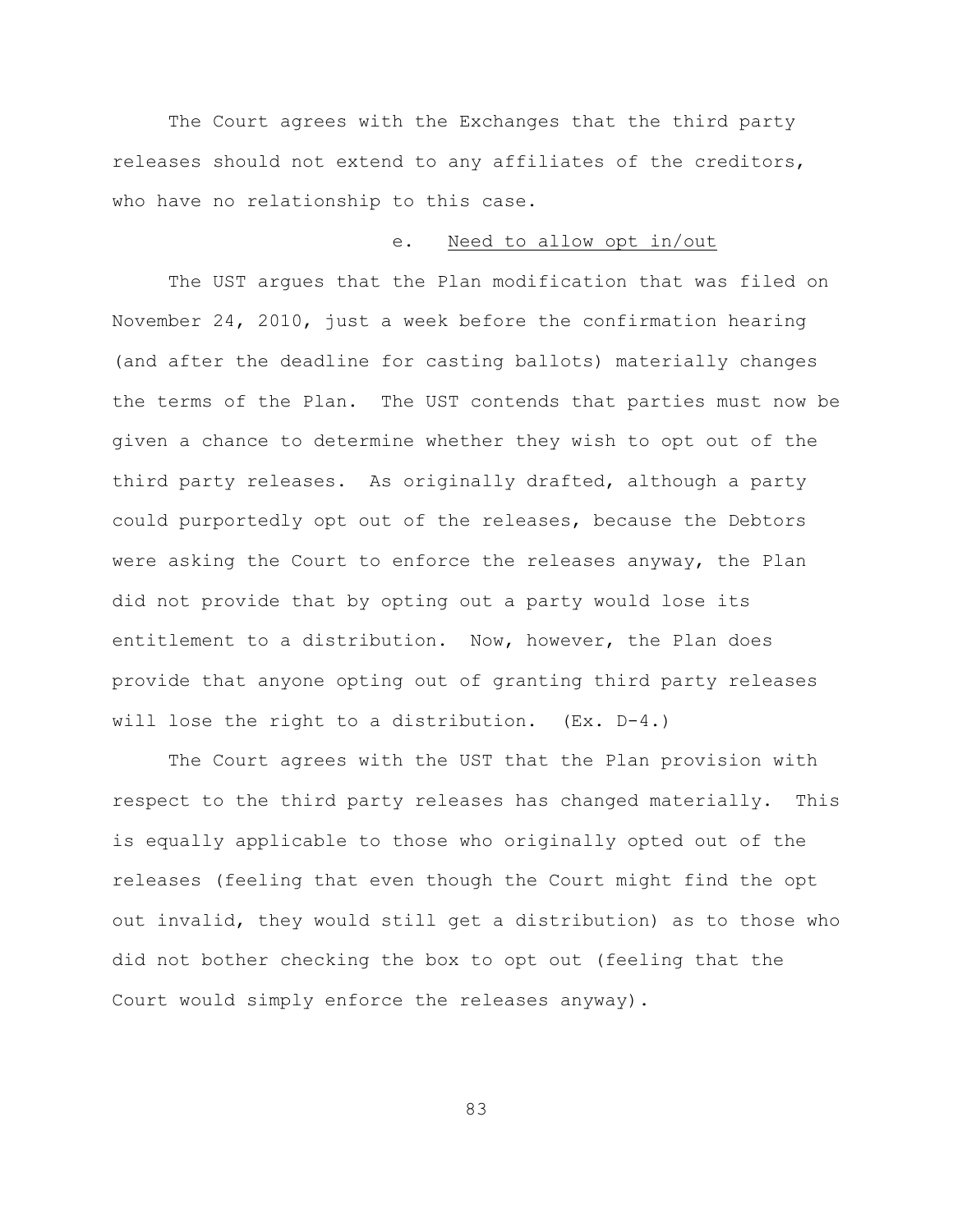The Court agrees with the Exchanges that the third party releases should not extend to any affiliates of the creditors, who have no relationship to this case.

## e. Need to allow opt in/out

The UST argues that the Plan modification that was filed on November 24, 2010, just a week before the confirmation hearing (and after the deadline for casting ballots) materially changes the terms of the Plan. The UST contends that parties must now be given a chance to determine whether they wish to opt out of the third party releases. As originally drafted, although a party could purportedly opt out of the releases, because the Debtors were asking the Court to enforce the releases anyway, the Plan did not provide that by opting out a party would lose its entitlement to a distribution. Now, however, the Plan does provide that anyone opting out of granting third party releases will lose the right to a distribution. (Ex. D-4.)

The Court agrees with the UST that the Plan provision with respect to the third party releases has changed materially. This is equally applicable to those who originally opted out of the releases (feeling that even though the Court might find the opt out invalid, they would still get a distribution) as to those who did not bother checking the box to opt out (feeling that the Court would simply enforce the releases anyway).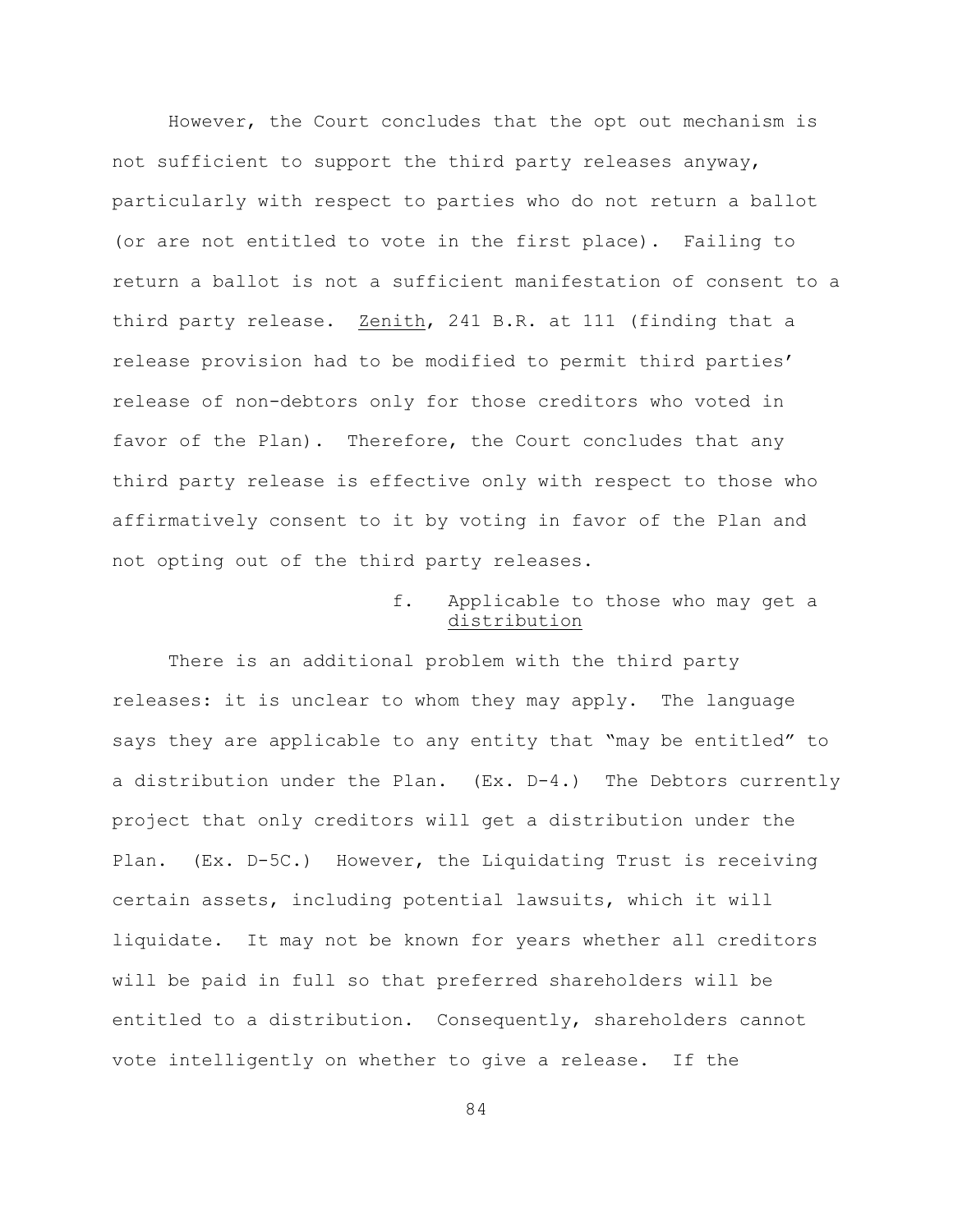However, the Court concludes that the opt out mechanism is not sufficient to support the third party releases anyway, particularly with respect to parties who do not return a ballot (or are not entitled to vote in the first place). Failing to return a ballot is not a sufficient manifestation of consent to a third party release. Zenith, 241 B.R. at 111 (finding that a release provision had to be modified to permit third parties' release of non-debtors only for those creditors who voted in favor of the Plan). Therefore, the Court concludes that any third party release is effective only with respect to those who affirmatively consent to it by voting in favor of the Plan and not opting out of the third party releases.

# f. Applicable to those who may get a distribution

There is an additional problem with the third party releases: it is unclear to whom they may apply. The language says they are applicable to any entity that "may be entitled" to a distribution under the Plan. (Ex. D-4.) The Debtors currently project that only creditors will get a distribution under the Plan. (Ex. D-5C.) However, the Liquidating Trust is receiving certain assets, including potential lawsuits, which it will liquidate. It may not be known for years whether all creditors will be paid in full so that preferred shareholders will be entitled to a distribution. Consequently, shareholders cannot vote intelligently on whether to give a release. If the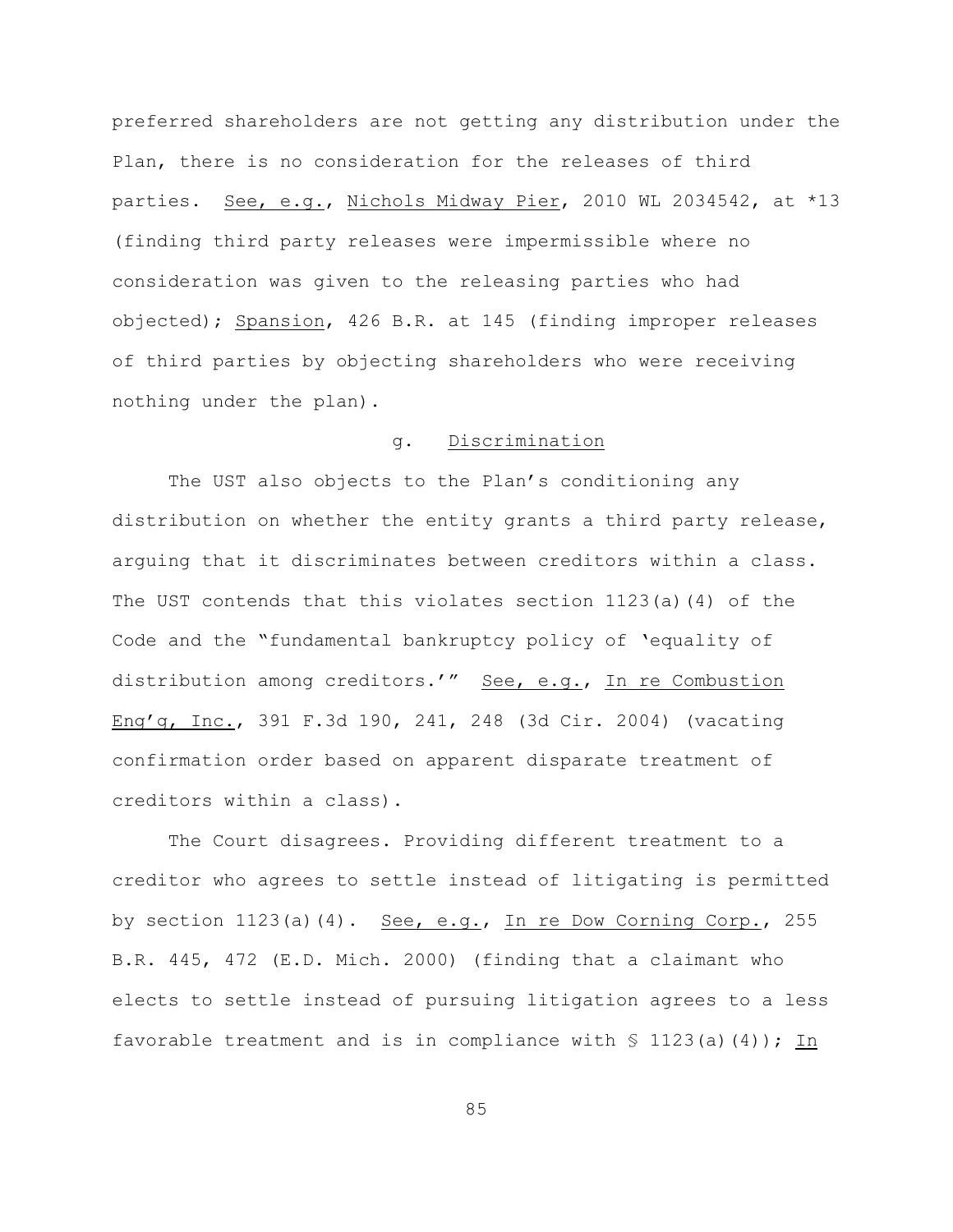preferred shareholders are not getting any distribution under the Plan, there is no consideration for the releases of third parties. See, e.g., Nichols Midway Pier, 2010 WL 2034542, at \*13 (finding third party releases were impermissible where no consideration was given to the releasing parties who had objected); Spansion, 426 B.R. at 145 (finding improper releases of third parties by objecting shareholders who were receiving nothing under the plan).

# g. Discrimination

The UST also objects to the Plan's conditioning any distribution on whether the entity grants a third party release, arguing that it discriminates between creditors within a class. The UST contends that this violates section 1123(a)(4) of the Code and the "fundamental bankruptcy policy of 'equality of distribution among creditors.'" See, e.g., In re Combustion Eng'g, Inc., 391 F.3d 190, 241, 248 (3d Cir. 2004) (vacating confirmation order based on apparent disparate treatment of creditors within a class).

The Court disagrees. Providing different treatment to a creditor who agrees to settle instead of litigating is permitted by section 1123(a)(4). See, e.g., In re Dow Corning Corp., 255 B.R. 445, 472 (E.D. Mich. 2000) (finding that a claimant who elects to settle instead of pursuing litigation agrees to a less favorable treatment and is in compliance with  $\S$  1123(a)(4)); In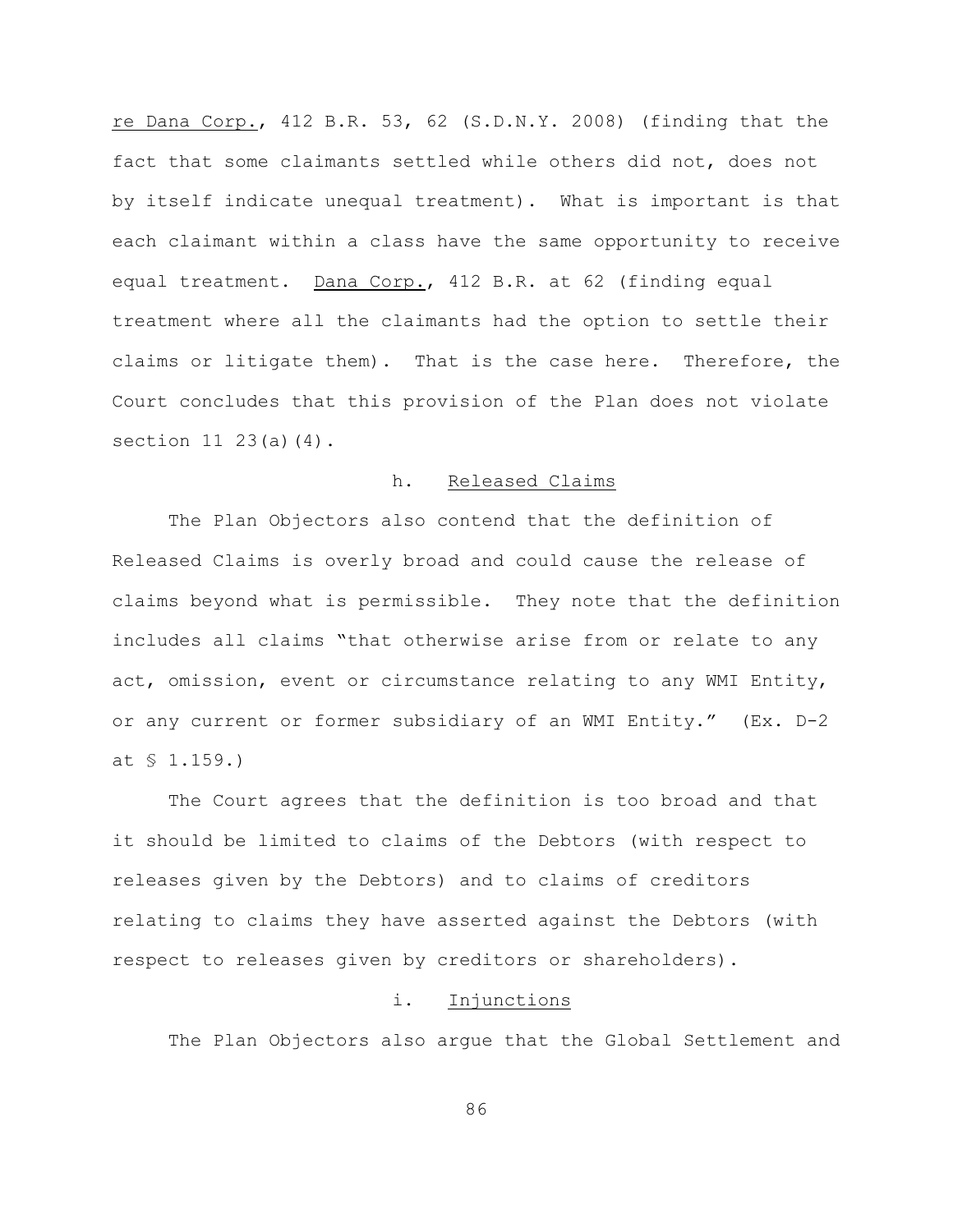re Dana Corp., 412 B.R. 53, 62 (S.D.N.Y. 2008) (finding that the fact that some claimants settled while others did not, does not by itself indicate unequal treatment). What is important is that each claimant within a class have the same opportunity to receive equal treatment. Dana Corp., 412 B.R. at 62 (finding equal treatment where all the claimants had the option to settle their claims or litigate them). That is the case here. Therefore, the Court concludes that this provision of the Plan does not violate section  $11 \t23(a)(4)$ .

## h. Released Claims

The Plan Objectors also contend that the definition of Released Claims is overly broad and could cause the release of claims beyond what is permissible. They note that the definition includes all claims "that otherwise arise from or relate to any act, omission, event or circumstance relating to any WMI Entity, or any current or former subsidiary of an WMI Entity." (Ex. D-2 at § 1.159.)

The Court agrees that the definition is too broad and that it should be limited to claims of the Debtors (with respect to releases given by the Debtors) and to claims of creditors relating to claims they have asserted against the Debtors (with respect to releases given by creditors or shareholders).

# i. Injunctions

The Plan Objectors also argue that the Global Settlement and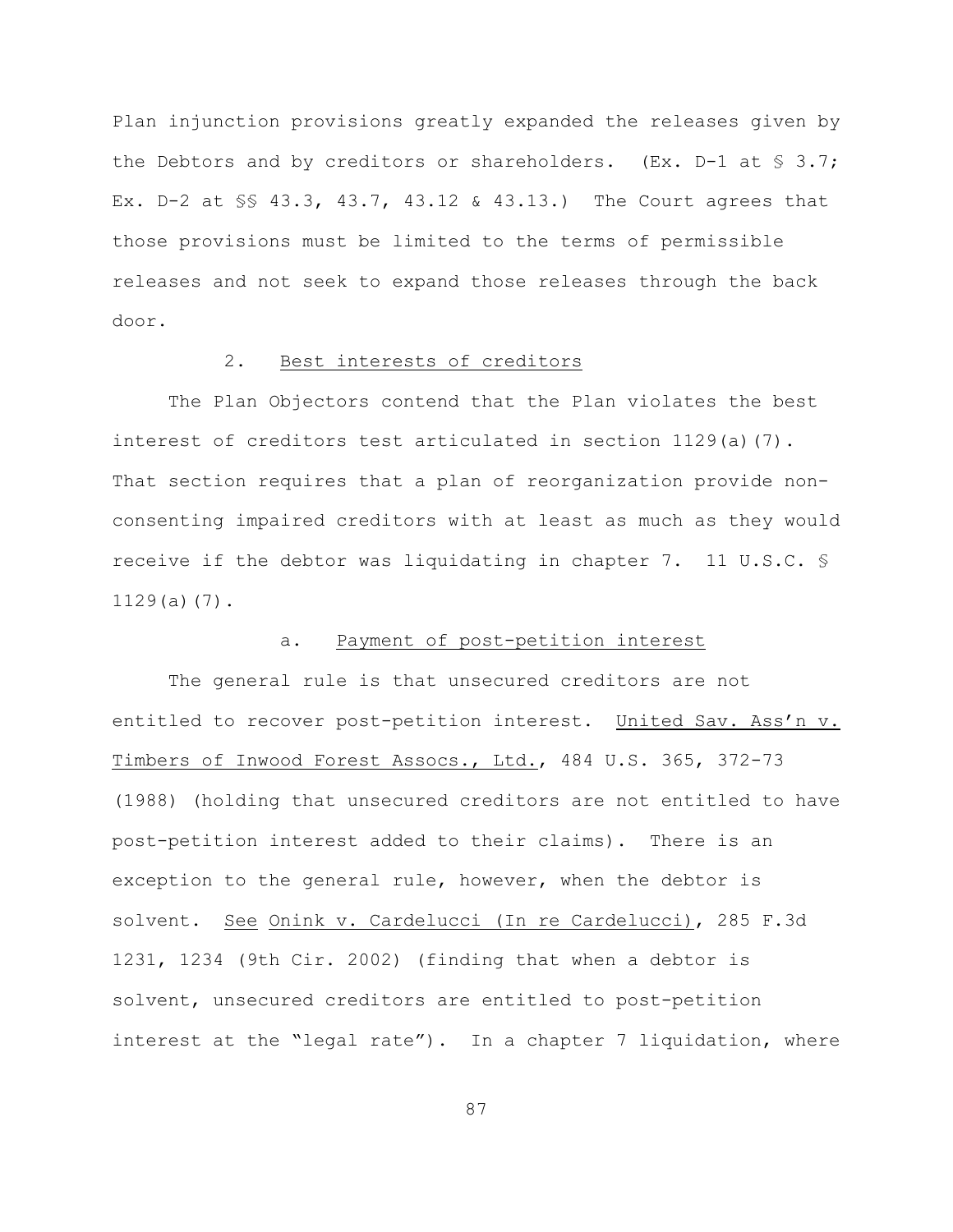Plan injunction provisions greatly expanded the releases given by the Debtors and by creditors or shareholders. (Ex.  $D-1$  at  $\frac{1}{5}$  3.7; Ex. D-2 at §§ 43.3, 43.7, 43.12 & 43.13.) The Court agrees that those provisions must be limited to the terms of permissible releases and not seek to expand those releases through the back door.

## 2. Best interests of creditors

The Plan Objectors contend that the Plan violates the best interest of creditors test articulated in section 1129(a)(7). That section requires that a plan of reorganization provide nonconsenting impaired creditors with at least as much as they would receive if the debtor was liquidating in chapter 7. 11 U.S.C. § 1129(a)(7).

## a. Payment of post-petition interest

The general rule is that unsecured creditors are not entitled to recover post-petition interest. United Sav. Ass'n v. Timbers of Inwood Forest Assocs., Ltd., 484 U.S. 365, 372-73 (1988) (holding that unsecured creditors are not entitled to have post-petition interest added to their claims). There is an exception to the general rule, however, when the debtor is solvent. See Onink v. Cardelucci (In re Cardelucci), 285 F.3d 1231, 1234 (9th Cir. 2002) (finding that when a debtor is solvent, unsecured creditors are entitled to post-petition interest at the "legal rate"). In a chapter 7 liquidation, where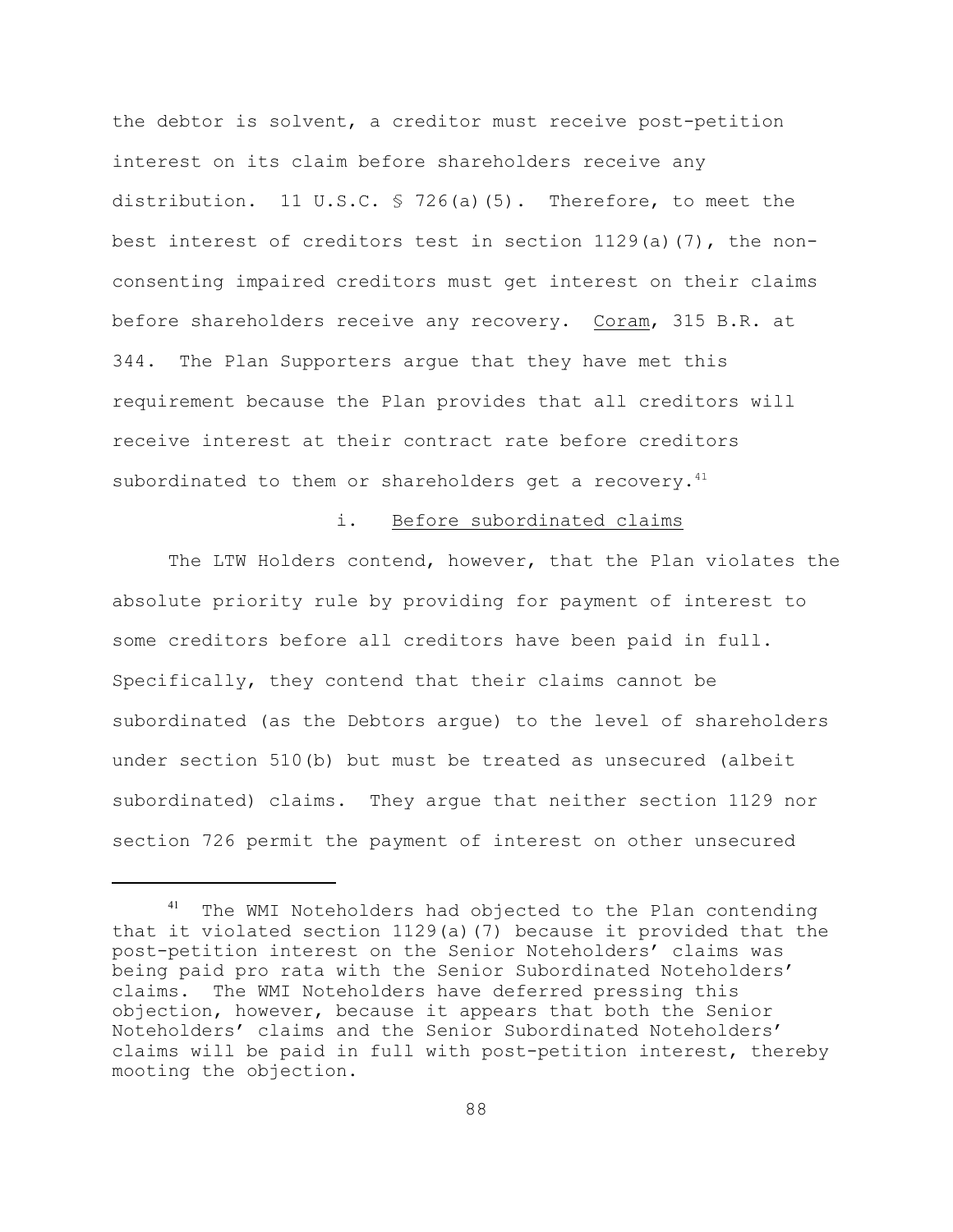the debtor is solvent, a creditor must receive post-petition interest on its claim before shareholders receive any distribution. 11 U.S.C. § 726(a)(5). Therefore, to meet the best interest of creditors test in section  $1129(a)(7)$ , the nonconsenting impaired creditors must get interest on their claims before shareholders receive any recovery. Coram, 315 B.R. at 344. The Plan Supporters argue that they have met this requirement because the Plan provides that all creditors will receive interest at their contract rate before creditors subordinated to them or shareholders get a recovery. $41$ 

#### i. Before subordinated claims

The LTW Holders contend, however, that the Plan violates the absolute priority rule by providing for payment of interest to some creditors before all creditors have been paid in full. Specifically, they contend that their claims cannot be subordinated (as the Debtors argue) to the level of shareholders under section 510(b) but must be treated as unsecured (albeit subordinated) claims. They argue that neither section 1129 nor section 726 permit the payment of interest on other unsecured

<sup>&</sup>lt;sup>41</sup> The WMI Noteholders had objected to the Plan contending that it violated section 1129(a)(7) because it provided that the post-petition interest on the Senior Noteholders' claims was being paid pro rata with the Senior Subordinated Noteholders' claims. The WMI Noteholders have deferred pressing this objection, however, because it appears that both the Senior Noteholders' claims and the Senior Subordinated Noteholders' claims will be paid in full with post-petition interest, thereby mooting the objection.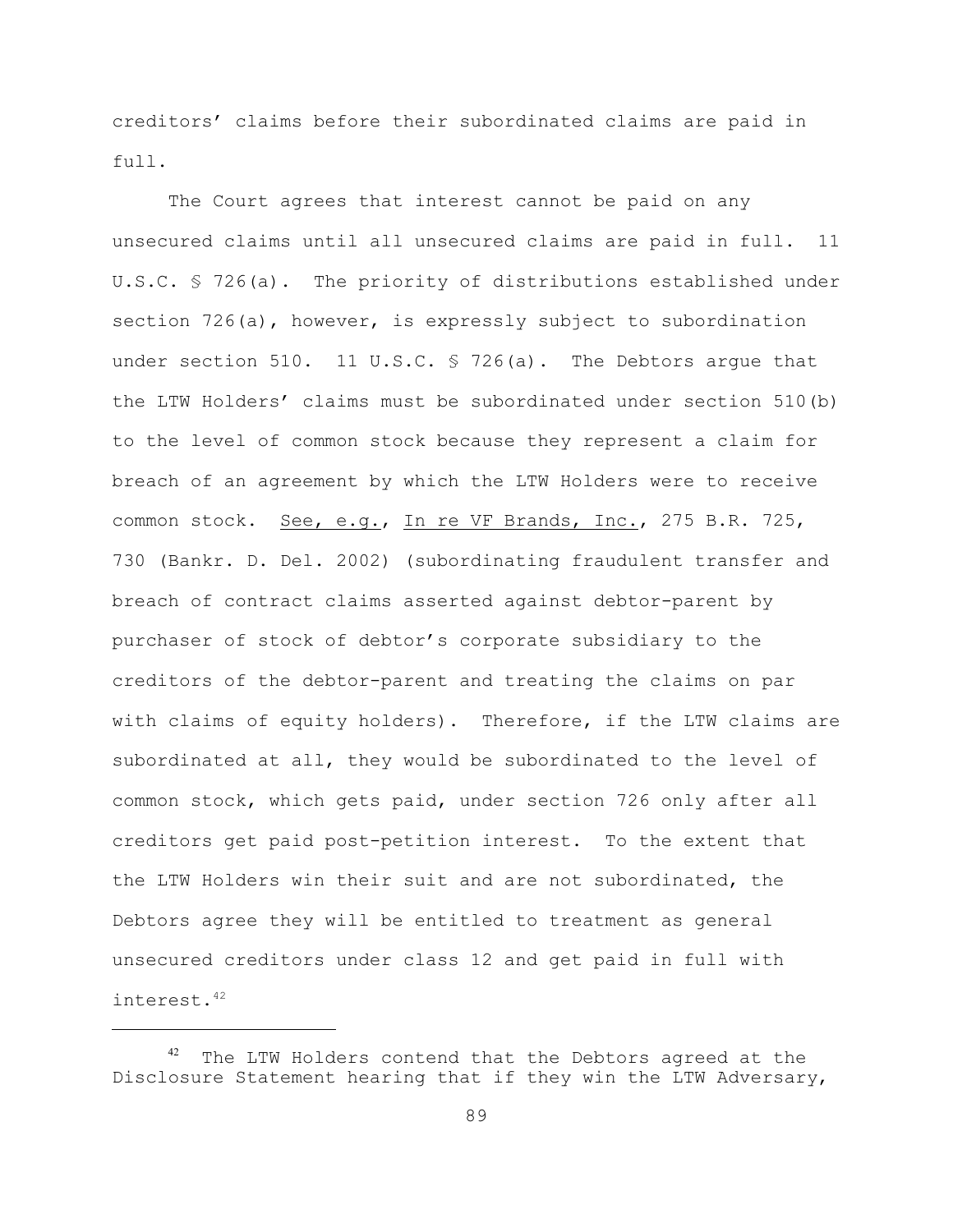creditors' claims before their subordinated claims are paid in full.

The Court agrees that interest cannot be paid on any unsecured claims until all unsecured claims are paid in full. 11 U.S.C. § 726(a). The priority of distributions established under section 726(a), however, is expressly subject to subordination under section 510. 11 U.S.C. § 726(a). The Debtors arque that the LTW Holders' claims must be subordinated under section 510(b) to the level of common stock because they represent a claim for breach of an agreement by which the LTW Holders were to receive common stock. See, e.g., In re VF Brands, Inc., 275 B.R. 725, 730 (Bankr. D. Del. 2002) (subordinating fraudulent transfer and breach of contract claims asserted against debtor-parent by purchaser of stock of debtor's corporate subsidiary to the creditors of the debtor-parent and treating the claims on par with claims of equity holders). Therefore, if the LTW claims are subordinated at all, they would be subordinated to the level of common stock, which gets paid, under section 726 only after all creditors get paid post-petition interest. To the extent that the LTW Holders win their suit and are not subordinated, the Debtors agree they will be entitled to treatment as general unsecured creditors under class 12 and get paid in full with interest.42

 $42$  The LTW Holders contend that the Debtors agreed at the Disclosure Statement hearing that if they win the LTW Adversary,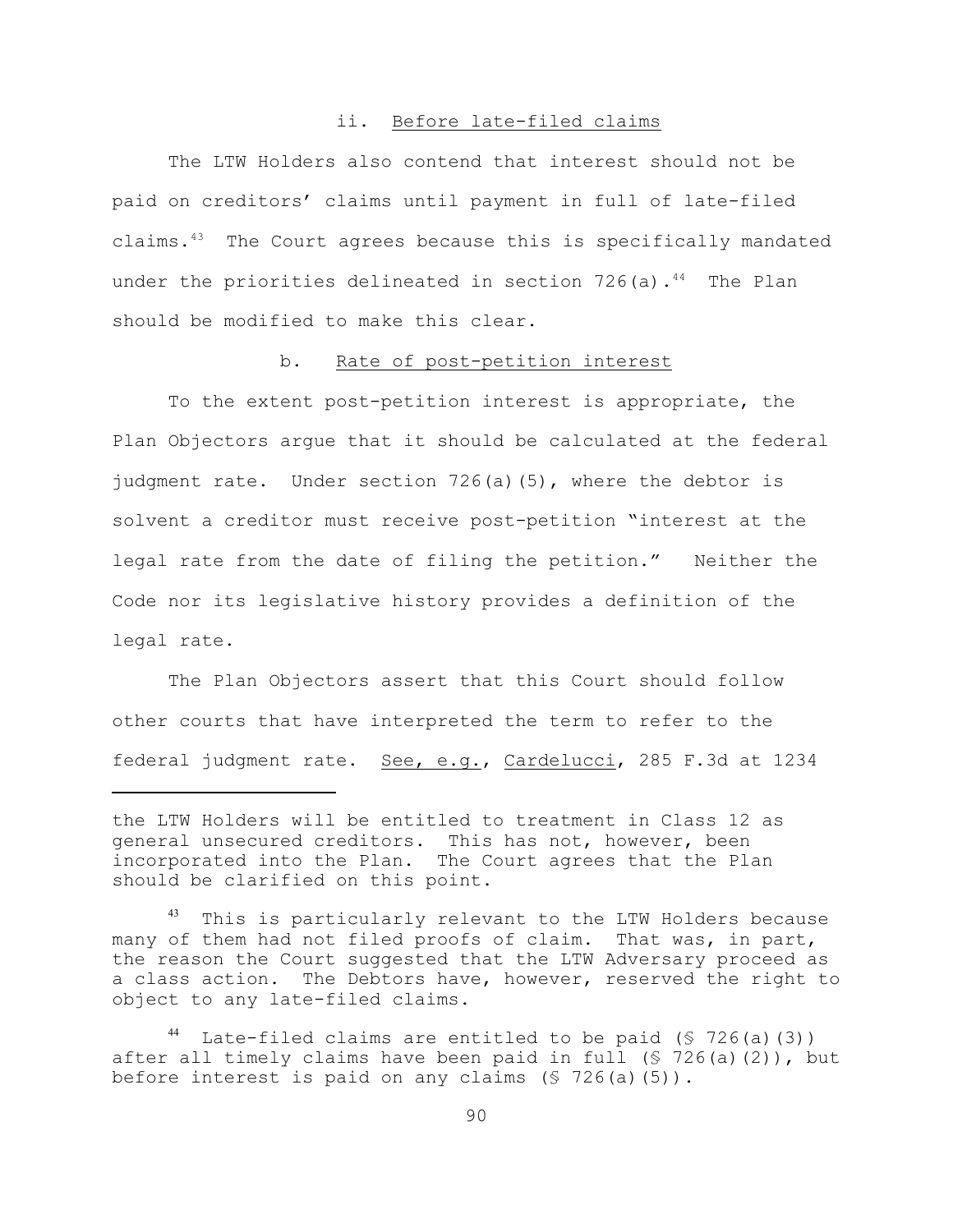#### ii. Before late-filed claims

The LTW Holders also contend that interest should not be paid on creditors' claims until payment in full of late-filed claims. $43$  The Court agrees because this is specifically mandated under the priorities delineated in section  $726$  (a).<sup>44</sup> The Plan should be modified to make this clear.

#### b. Rate of post-petition interest

To the extent post-petition interest is appropriate, the Plan Objectors argue that it should be calculated at the federal judgment rate. Under section 726(a)(5), where the debtor is solvent a creditor must receive post-petition "interest at the legal rate from the date of filing the petition." Neither the Code nor its legislative history provides a definition of the legal rate.

The Plan Objectors assert that this Court should follow other courts that have interpreted the term to refer to the federal judgment rate. See, e.g., Cardelucci, 285 F.3d at 1234

the LTW Holders will be entitled to treatment in Class 12 as general unsecured creditors. This has not, however, been incorporated into the Plan. The Court agrees that the Plan should be clarified on this point.

This is particularly relevant to the LTW Holders because many of them had not filed proofs of claim. That was, in part, the reason the Court suggested that the LTW Adversary proceed as a class action. The Debtors have, however, reserved the right to object to any late-filed claims.

Late-filed claims are entitled to be paid  $(S 726(a)(3))$ after all timely claims have been paid in full  $(S 726(a)(2))$ , but before interest is paid on any claims  $(S 726(a)(5))$ .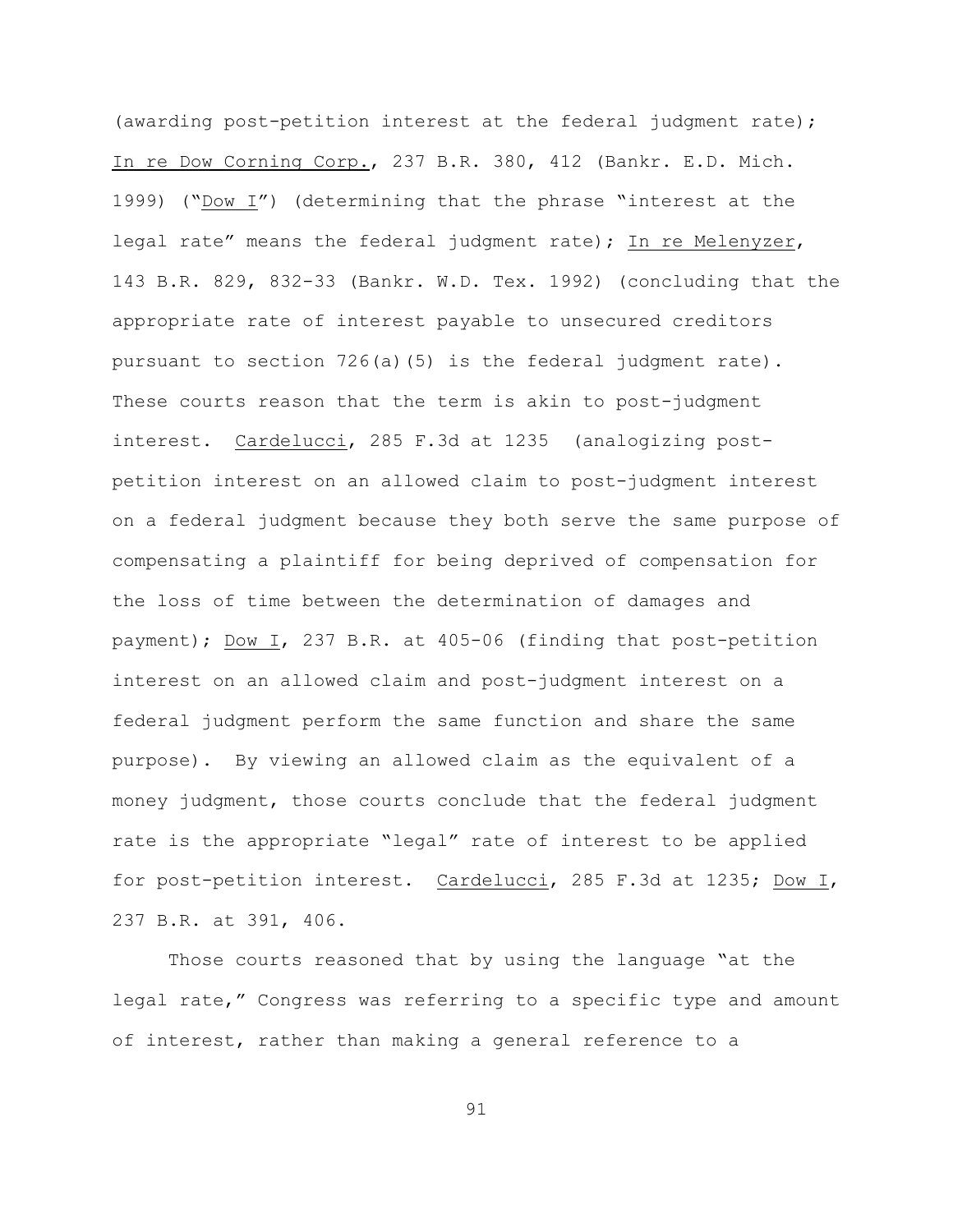(awarding post-petition interest at the federal judgment rate); In re Dow Corning Corp., 237 B.R. 380, 412 (Bankr. E.D. Mich. 1999) ("Dow I") (determining that the phrase "interest at the legal rate" means the federal judgment rate); In re Melenyzer, 143 B.R. 829, 832-33 (Bankr. W.D. Tex. 1992) (concluding that the appropriate rate of interest payable to unsecured creditors pursuant to section  $726(a)(5)$  is the federal judgment rate). These courts reason that the term is akin to post-judgment interest. Cardelucci, 285 F.3d at 1235 (analogizing postpetition interest on an allowed claim to post-judgment interest on a federal judgment because they both serve the same purpose of compensating a plaintiff for being deprived of compensation for the loss of time between the determination of damages and payment); Dow I, 237 B.R. at 405-06 (finding that post-petition interest on an allowed claim and post-judgment interest on a federal judgment perform the same function and share the same purpose). By viewing an allowed claim as the equivalent of a money judgment, those courts conclude that the federal judgment rate is the appropriate "legal" rate of interest to be applied for post-petition interest. Cardelucci, 285 F.3d at 1235; Dow I, 237 B.R. at 391, 406.

Those courts reasoned that by using the language "at the legal rate," Congress was referring to a specific type and amount of interest, rather than making a general reference to a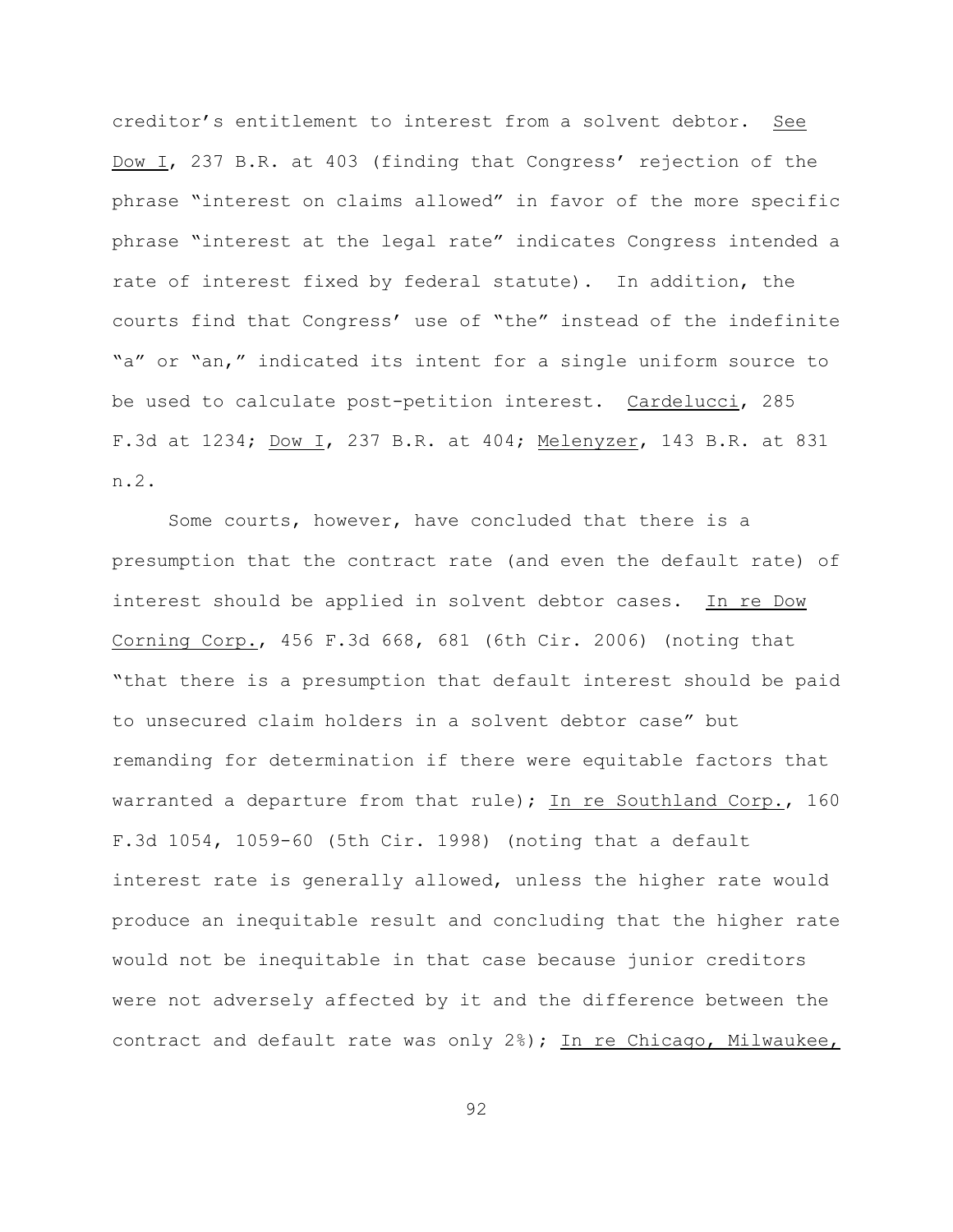creditor's entitlement to interest from a solvent debtor. See Dow I, 237 B.R. at 403 (finding that Congress' rejection of the phrase "interest on claims allowed" in favor of the more specific phrase "interest at the legal rate" indicates Congress intended a rate of interest fixed by federal statute). In addition, the courts find that Congress' use of "the" instead of the indefinite "a" or "an," indicated its intent for a single uniform source to be used to calculate post-petition interest. Cardelucci, 285 F.3d at 1234; Dow I, 237 B.R. at 404; Melenyzer, 143 B.R. at 831 n.2.

Some courts, however, have concluded that there is a presumption that the contract rate (and even the default rate) of interest should be applied in solvent debtor cases. In re Dow Corning Corp., 456 F.3d 668, 681 (6th Cir. 2006) (noting that "that there is a presumption that default interest should be paid to unsecured claim holders in a solvent debtor case" but remanding for determination if there were equitable factors that warranted a departure from that rule); In re Southland Corp., 160 F.3d 1054, 1059-60 (5th Cir. 1998) (noting that a default interest rate is generally allowed, unless the higher rate would produce an inequitable result and concluding that the higher rate would not be inequitable in that case because junior creditors were not adversely affected by it and the difference between the contract and default rate was only 2%); In re Chicago, Milwaukee,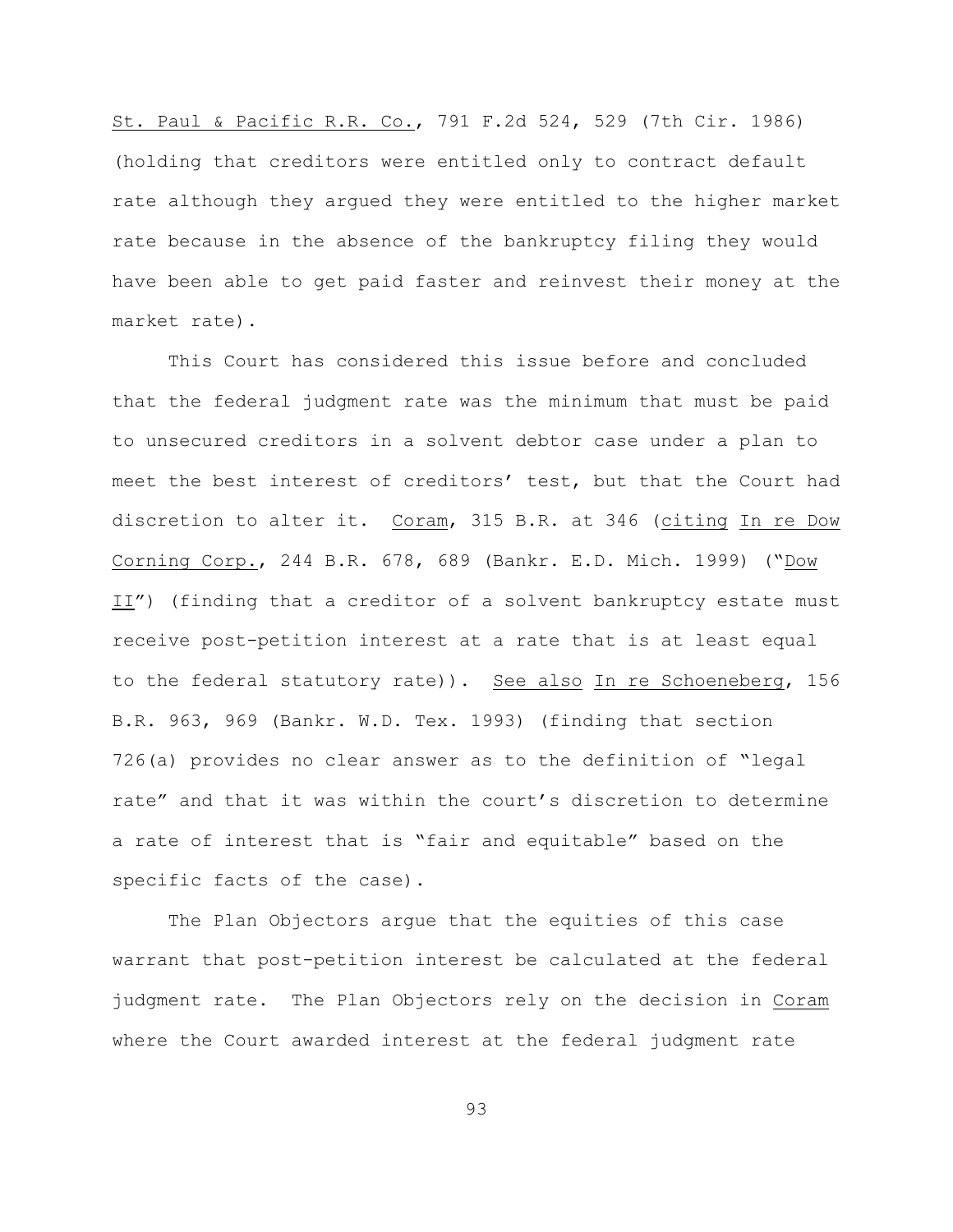St. Paul & Pacific R.R. Co., 791 F.2d 524, 529 (7th Cir. 1986) (holding that creditors were entitled only to contract default rate although they argued they were entitled to the higher market rate because in the absence of the bankruptcy filing they would have been able to get paid faster and reinvest their money at the market rate).

This Court has considered this issue before and concluded that the federal judgment rate was the minimum that must be paid to unsecured creditors in a solvent debtor case under a plan to meet the best interest of creditors' test, but that the Court had discretion to alter it. Coram, 315 B.R. at 346 (citing In re Dow Corning Corp., 244 B.R. 678, 689 (Bankr. E.D. Mich. 1999) ("Dow II") (finding that a creditor of a solvent bankruptcy estate must receive post-petition interest at a rate that is at least equal to the federal statutory rate)). See also In re Schoeneberg, 156 B.R. 963, 969 (Bankr. W.D. Tex. 1993) (finding that section 726(a) provides no clear answer as to the definition of "legal rate" and that it was within the court's discretion to determine a rate of interest that is "fair and equitable" based on the specific facts of the case).

The Plan Objectors argue that the equities of this case warrant that post-petition interest be calculated at the federal judgment rate. The Plan Objectors rely on the decision in Coram where the Court awarded interest at the federal judgment rate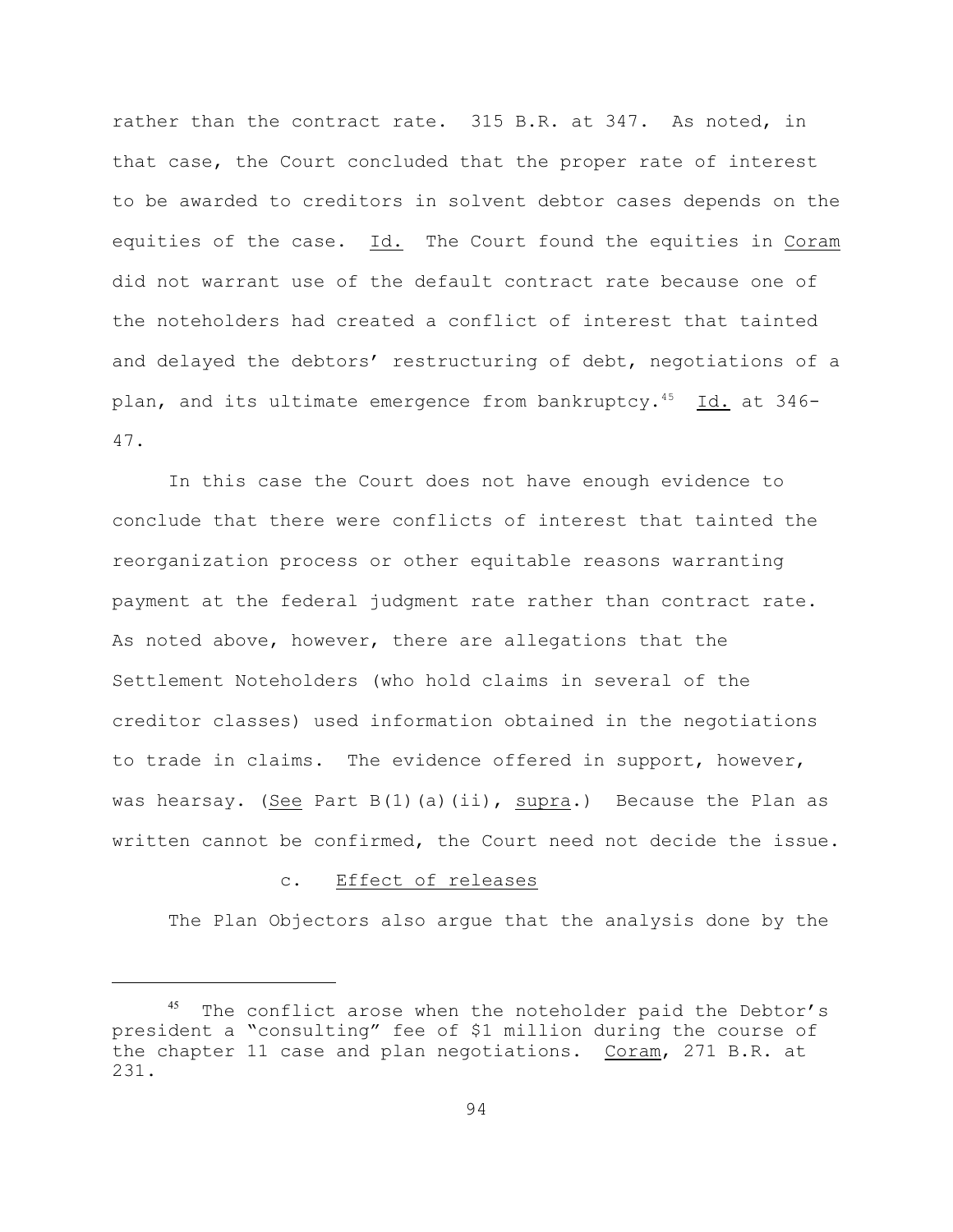rather than the contract rate. 315 B.R. at 347. As noted, in that case, the Court concluded that the proper rate of interest to be awarded to creditors in solvent debtor cases depends on the equities of the case. Id. The Court found the equities in Coram did not warrant use of the default contract rate because one of the noteholders had created a conflict of interest that tainted and delayed the debtors' restructuring of debt, negotiations of a plan, and its ultimate emergence from bankruptcy.<sup>45</sup> Id. at 346-47.

In this case the Court does not have enough evidence to conclude that there were conflicts of interest that tainted the reorganization process or other equitable reasons warranting payment at the federal judgment rate rather than contract rate. As noted above, however, there are allegations that the Settlement Noteholders (who hold claims in several of the creditor classes) used information obtained in the negotiations to trade in claims. The evidence offered in support, however, was hearsay. (See Part B(1)(a)(ii), supra.) Because the Plan as written cannot be confirmed, the Court need not decide the issue.

## c. Effect of releases

The Plan Objectors also argue that the analysis done by the

 $45$  The conflict arose when the noteholder paid the Debtor's president a "consulting" fee of \$1 million during the course of the chapter 11 case and plan negotiations. Coram, 271 B.R. at 231.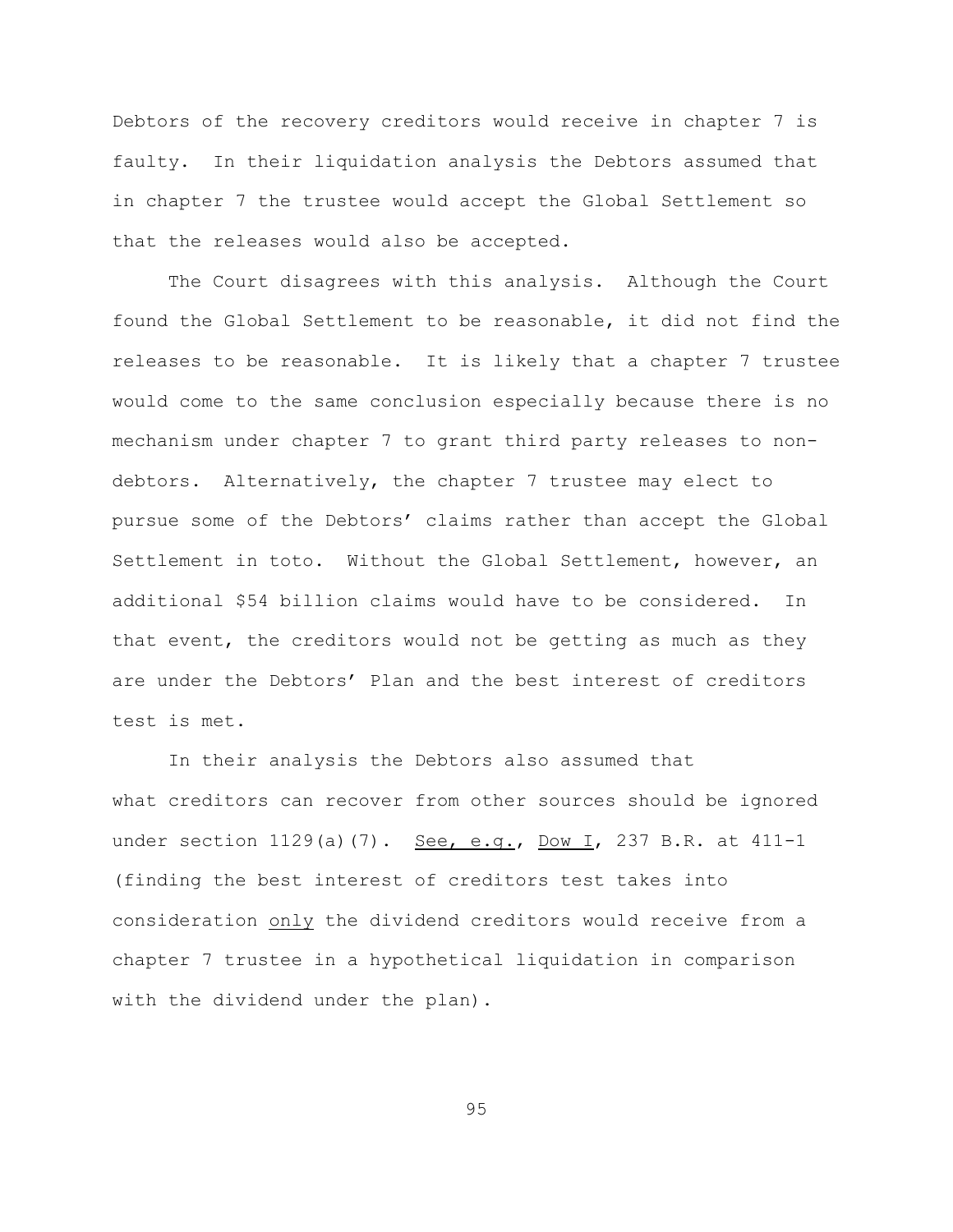Debtors of the recovery creditors would receive in chapter 7 is faulty. In their liquidation analysis the Debtors assumed that in chapter 7 the trustee would accept the Global Settlement so that the releases would also be accepted.

The Court disagrees with this analysis. Although the Court found the Global Settlement to be reasonable, it did not find the releases to be reasonable. It is likely that a chapter 7 trustee would come to the same conclusion especially because there is no mechanism under chapter 7 to grant third party releases to nondebtors. Alternatively, the chapter 7 trustee may elect to pursue some of the Debtors' claims rather than accept the Global Settlement in toto. Without the Global Settlement, however, an additional \$54 billion claims would have to be considered. In that event, the creditors would not be getting as much as they are under the Debtors' Plan and the best interest of creditors test is met.

In their analysis the Debtors also assumed that what creditors can recover from other sources should be ignored under section 1129(a)(7). See, e.g., Dow I, 237 B.R. at 411-1 (finding the best interest of creditors test takes into consideration only the dividend creditors would receive from a chapter 7 trustee in a hypothetical liquidation in comparison with the dividend under the plan).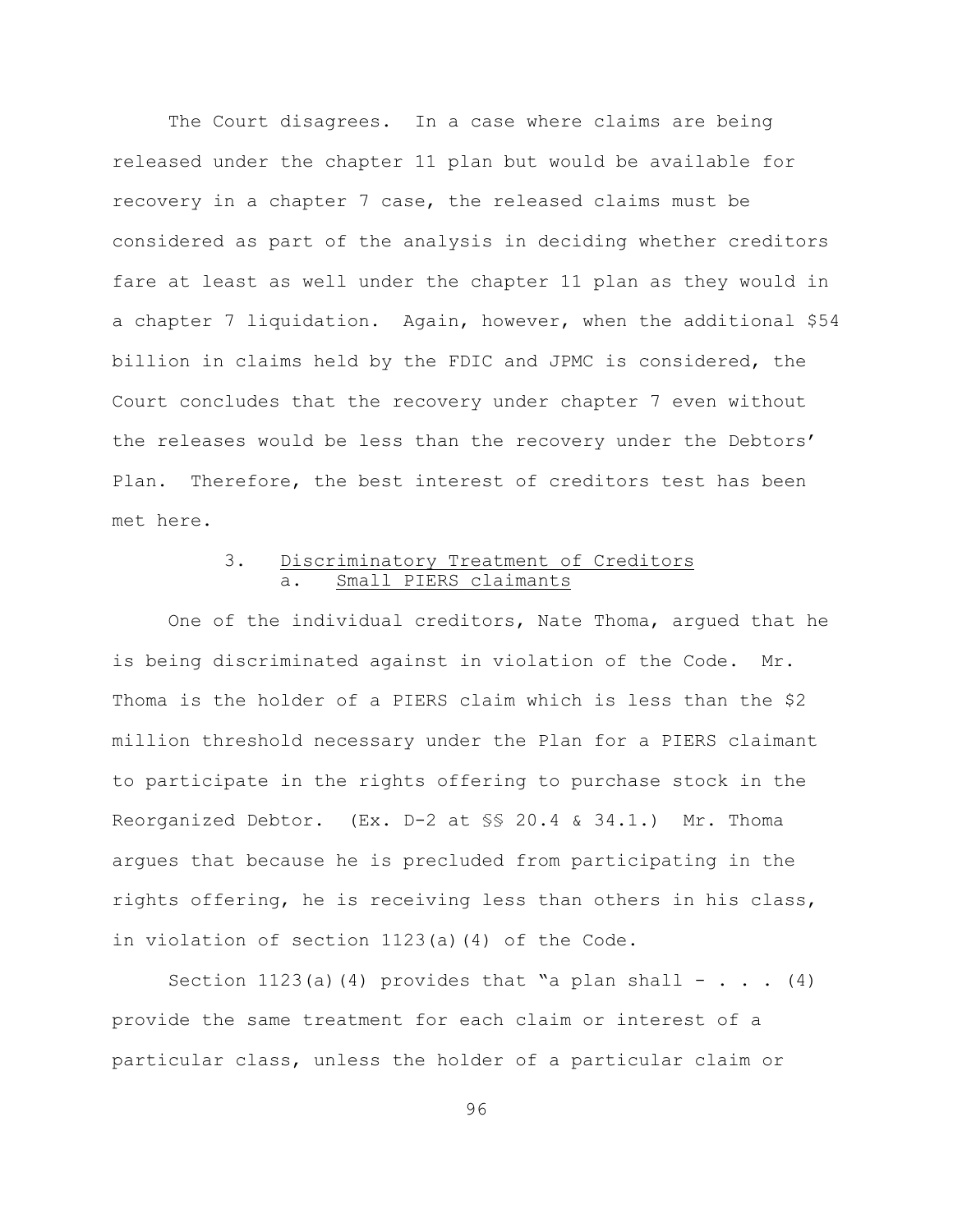The Court disagrees. In a case where claims are being released under the chapter 11 plan but would be available for recovery in a chapter 7 case, the released claims must be considered as part of the analysis in deciding whether creditors fare at least as well under the chapter 11 plan as they would in a chapter 7 liquidation. Again, however, when the additional \$54 billion in claims held by the FDIC and JPMC is considered, the Court concludes that the recovery under chapter 7 even without the releases would be less than the recovery under the Debtors' Plan. Therefore, the best interest of creditors test has been met here.

# 3. Discriminatory Treatment of Creditors a. Small PIERS claimants

One of the individual creditors, Nate Thoma, argued that he is being discriminated against in violation of the Code. Mr. Thoma is the holder of a PIERS claim which is less than the \$2 million threshold necessary under the Plan for a PIERS claimant to participate in the rights offering to purchase stock in the Reorganized Debtor. (Ex. D-2 at §§ 20.4 & 34.1.) Mr. Thoma argues that because he is precluded from participating in the rights offering, he is receiving less than others in his class, in violation of section 1123(a)(4) of the Code.

Section 1123(a)(4) provides that "a plan shall  $-$  . . . (4) provide the same treatment for each claim or interest of a particular class, unless the holder of a particular claim or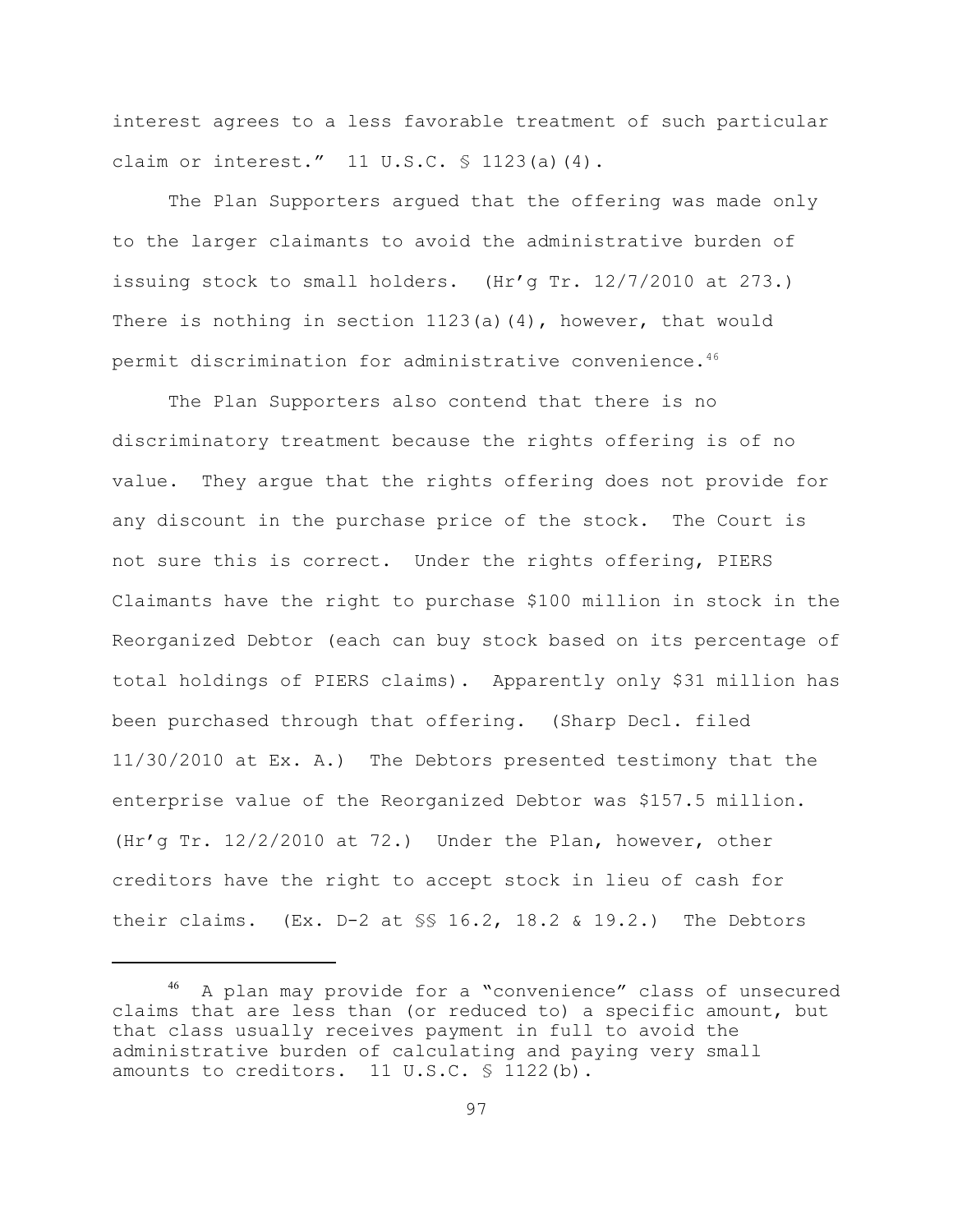interest agrees to a less favorable treatment of such particular claim or interest." 11 U.S.C. § 1123(a)(4).

The Plan Supporters argued that the offering was made only to the larger claimants to avoid the administrative burden of issuing stock to small holders. (Hr'g Tr. 12/7/2010 at 273.) There is nothing in section  $1123(a)(4)$ , however, that would permit discrimination for administrative convenience.<sup>46</sup>

The Plan Supporters also contend that there is no discriminatory treatment because the rights offering is of no value. They argue that the rights offering does not provide for any discount in the purchase price of the stock. The Court is not sure this is correct. Under the rights offering, PIERS Claimants have the right to purchase \$100 million in stock in the Reorganized Debtor (each can buy stock based on its percentage of total holdings of PIERS claims). Apparently only \$31 million has been purchased through that offering. (Sharp Decl. filed 11/30/2010 at Ex. A.) The Debtors presented testimony that the enterprise value of the Reorganized Debtor was \$157.5 million. (Hr'g Tr. 12/2/2010 at 72.) Under the Plan, however, other creditors have the right to accept stock in lieu of cash for their claims.  $(EX. D-2 at $S 16.2, 18.2 & 19.2.)$  The Debtors

 $46$  A plan may provide for a "convenience" class of unsecured claims that are less than (or reduced to) a specific amount, but that class usually receives payment in full to avoid the administrative burden of calculating and paying very small amounts to creditors. 11 U.S.C. § 1122(b).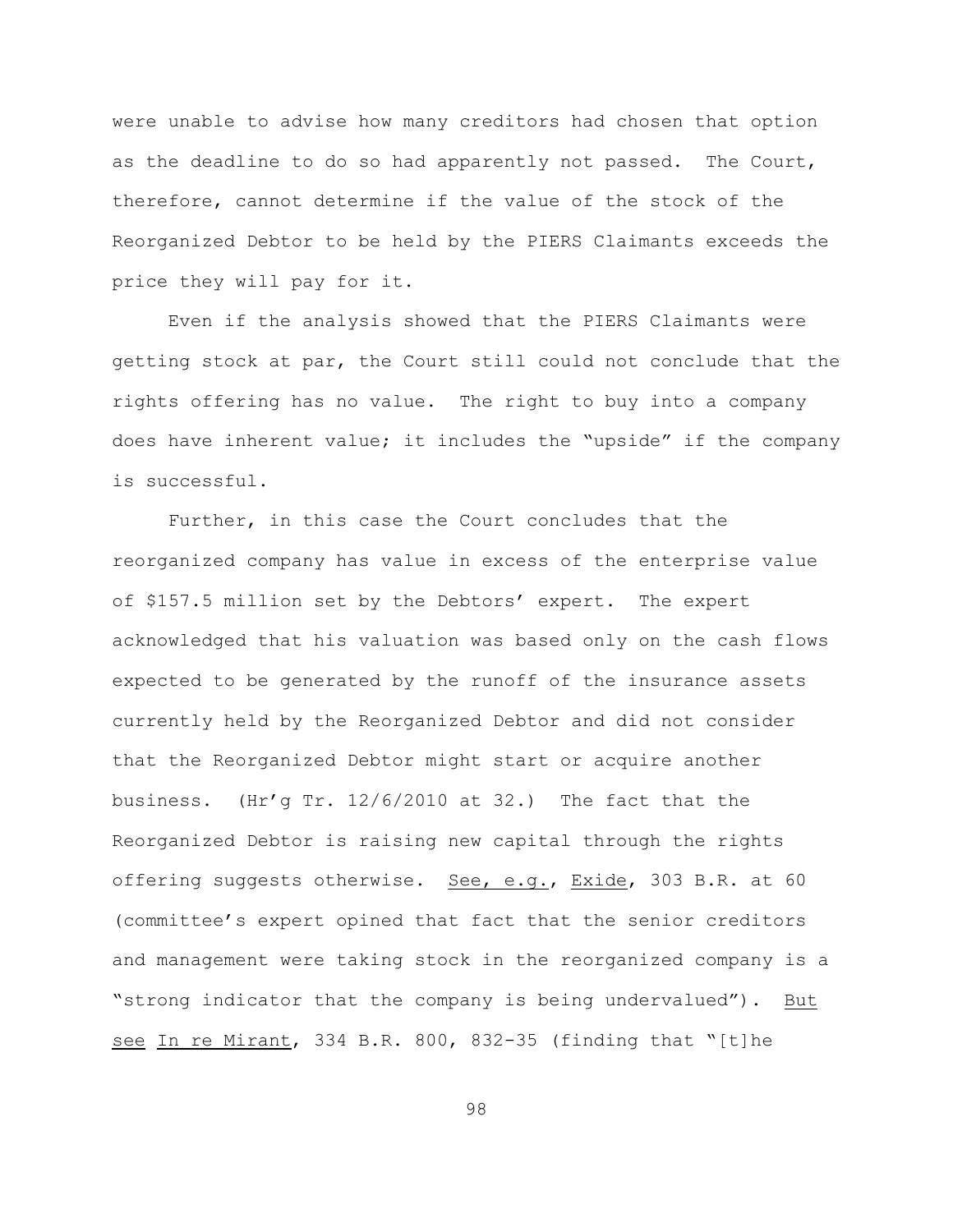were unable to advise how many creditors had chosen that option as the deadline to do so had apparently not passed. The Court, therefore, cannot determine if the value of the stock of the Reorganized Debtor to be held by the PIERS Claimants exceeds the price they will pay for it.

Even if the analysis showed that the PIERS Claimants were getting stock at par, the Court still could not conclude that the rights offering has no value. The right to buy into a company does have inherent value; it includes the "upside" if the company is successful.

Further, in this case the Court concludes that the reorganized company has value in excess of the enterprise value of \$157.5 million set by the Debtors' expert. The expert acknowledged that his valuation was based only on the cash flows expected to be generated by the runoff of the insurance assets currently held by the Reorganized Debtor and did not consider that the Reorganized Debtor might start or acquire another business. (Hr'g Tr.  $12/6/2010$  at 32.) The fact that the Reorganized Debtor is raising new capital through the rights offering suggests otherwise. See, e.g., Exide, 303 B.R. at 60 (committee's expert opined that fact that the senior creditors and management were taking stock in the reorganized company is a "strong indicator that the company is being undervalued"). But see In re Mirant, 334 B.R. 800, 832-35 (finding that "[t]he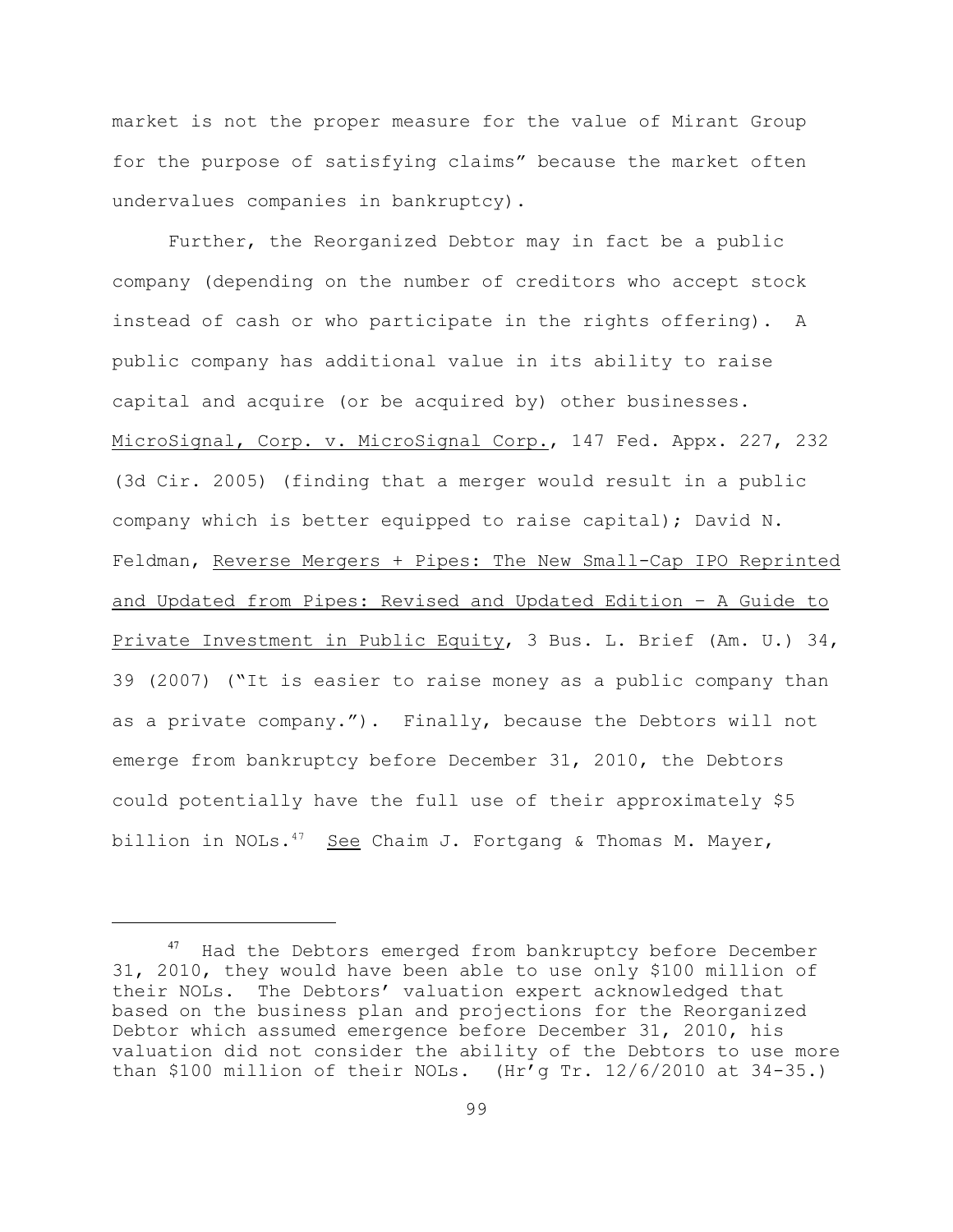market is not the proper measure for the value of Mirant Group for the purpose of satisfying claims" because the market often undervalues companies in bankruptcy).

Further, the Reorganized Debtor may in fact be a public company (depending on the number of creditors who accept stock instead of cash or who participate in the rights offering). A public company has additional value in its ability to raise capital and acquire (or be acquired by) other businesses. MicroSignal, Corp. v. MicroSignal Corp., 147 Fed. Appx. 227, 232 (3d Cir. 2005) (finding that a merger would result in a public company which is better equipped to raise capital); David N. Feldman, Reverse Mergers + Pipes: The New Small-Cap IPO Reprinted and Updated from Pipes: Revised and Updated Edition – A Guide to Private Investment in Public Equity, 3 Bus. L. Brief (Am. U.) 34, 39 (2007) ("It is easier to raise money as a public company than as a private company."). Finally, because the Debtors will not emerge from bankruptcy before December 31, 2010, the Debtors could potentially have the full use of their approximately \$5 billion in NOLs. $47$  See Chaim J. Fortgang & Thomas M. Mayer,

Had the Debtors emerged from bankruptcy before December 31, 2010, they would have been able to use only \$100 million of their NOLs. The Debtors' valuation expert acknowledged that based on the business plan and projections for the Reorganized Debtor which assumed emergence before December 31, 2010, his valuation did not consider the ability of the Debtors to use more than \$100 million of their NOLs. (Hr'g Tr.  $12/6/2010$  at  $34-35$ .)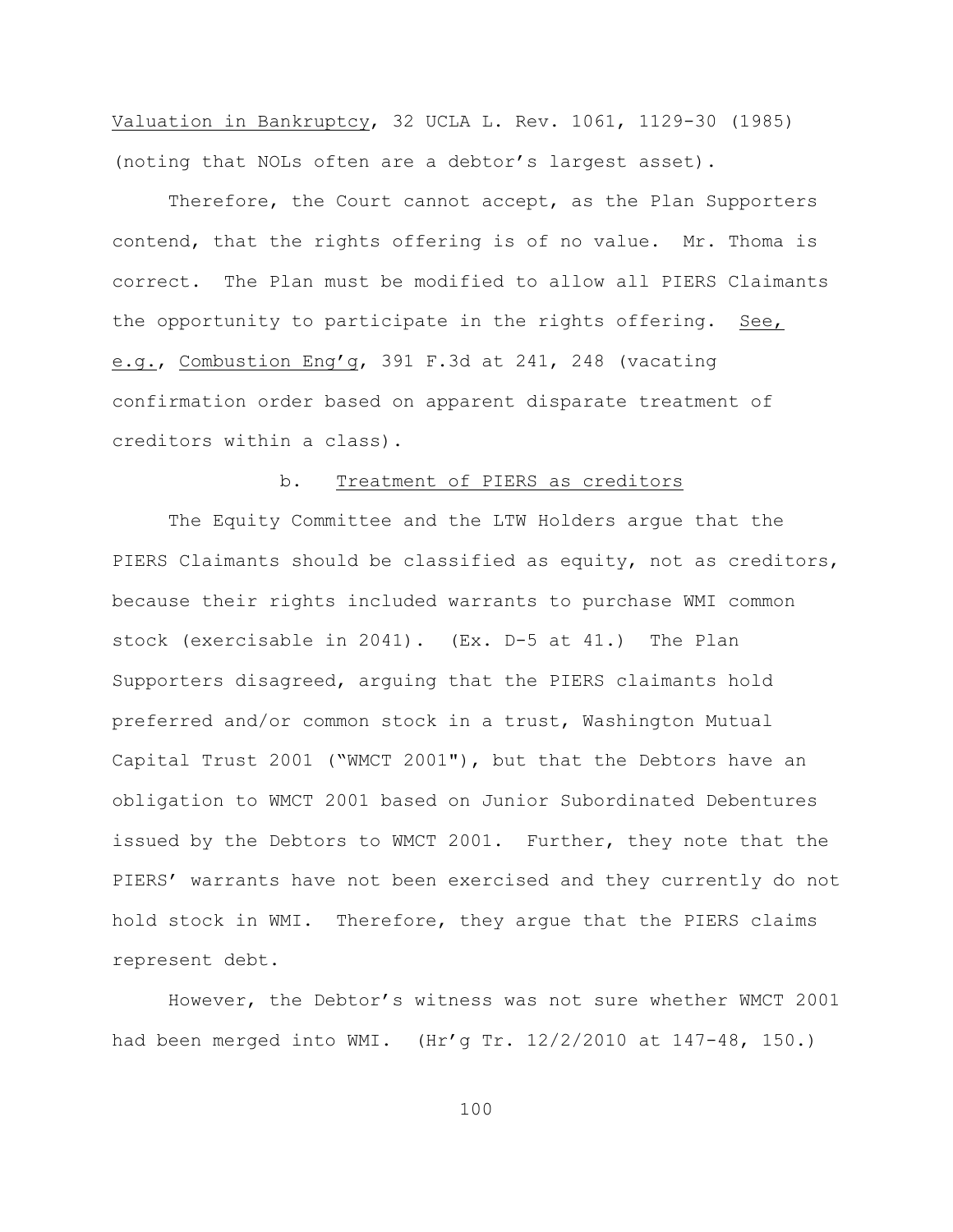Valuation in Bankruptcy, 32 UCLA L. Rev. 1061, 1129-30 (1985) (noting that NOLs often are a debtor's largest asset).

Therefore, the Court cannot accept, as the Plan Supporters contend, that the rights offering is of no value. Mr. Thoma is correct. The Plan must be modified to allow all PIERS Claimants the opportunity to participate in the rights offering. See, e.g., Combustion Eng'g, 391 F.3d at 241, 248 (vacating confirmation order based on apparent disparate treatment of creditors within a class).

## b. Treatment of PIERS as creditors

The Equity Committee and the LTW Holders argue that the PIERS Claimants should be classified as equity, not as creditors, because their rights included warrants to purchase WMI common stock (exercisable in 2041). (Ex. D-5 at 41.) The Plan Supporters disagreed, arguing that the PIERS claimants hold preferred and/or common stock in a trust, Washington Mutual Capital Trust 2001 ("WMCT 2001"), but that the Debtors have an obligation to WMCT 2001 based on Junior Subordinated Debentures issued by the Debtors to WMCT 2001. Further, they note that the PIERS' warrants have not been exercised and they currently do not hold stock in WMI. Therefore, they argue that the PIERS claims represent debt.

However, the Debtor's witness was not sure whether WMCT 2001 had been merged into WMI. (Hr'g Tr. 12/2/2010 at 147-48, 150.)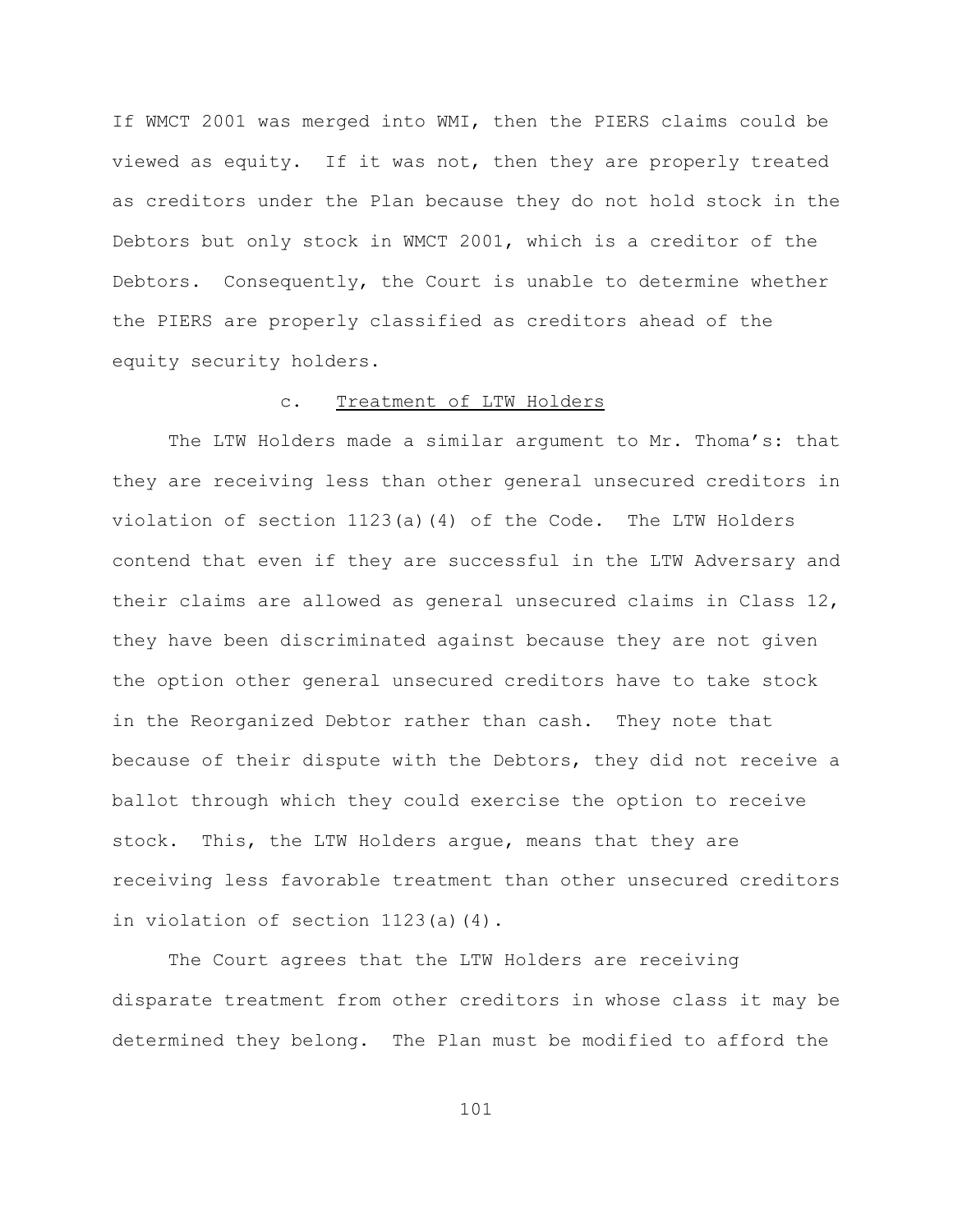If WMCT 2001 was merged into WMI, then the PIERS claims could be viewed as equity. If it was not, then they are properly treated as creditors under the Plan because they do not hold stock in the Debtors but only stock in WMCT 2001, which is a creditor of the Debtors. Consequently, the Court is unable to determine whether the PIERS are properly classified as creditors ahead of the equity security holders.

## c. Treatment of LTW Holders

The LTW Holders made a similar argument to Mr. Thoma's: that they are receiving less than other general unsecured creditors in violation of section 1123(a)(4) of the Code. The LTW Holders contend that even if they are successful in the LTW Adversary and their claims are allowed as general unsecured claims in Class 12, they have been discriminated against because they are not given the option other general unsecured creditors have to take stock in the Reorganized Debtor rather than cash. They note that because of their dispute with the Debtors, they did not receive a ballot through which they could exercise the option to receive stock. This, the LTW Holders argue, means that they are receiving less favorable treatment than other unsecured creditors in violation of section 1123(a)(4).

The Court agrees that the LTW Holders are receiving disparate treatment from other creditors in whose class it may be determined they belong. The Plan must be modified to afford the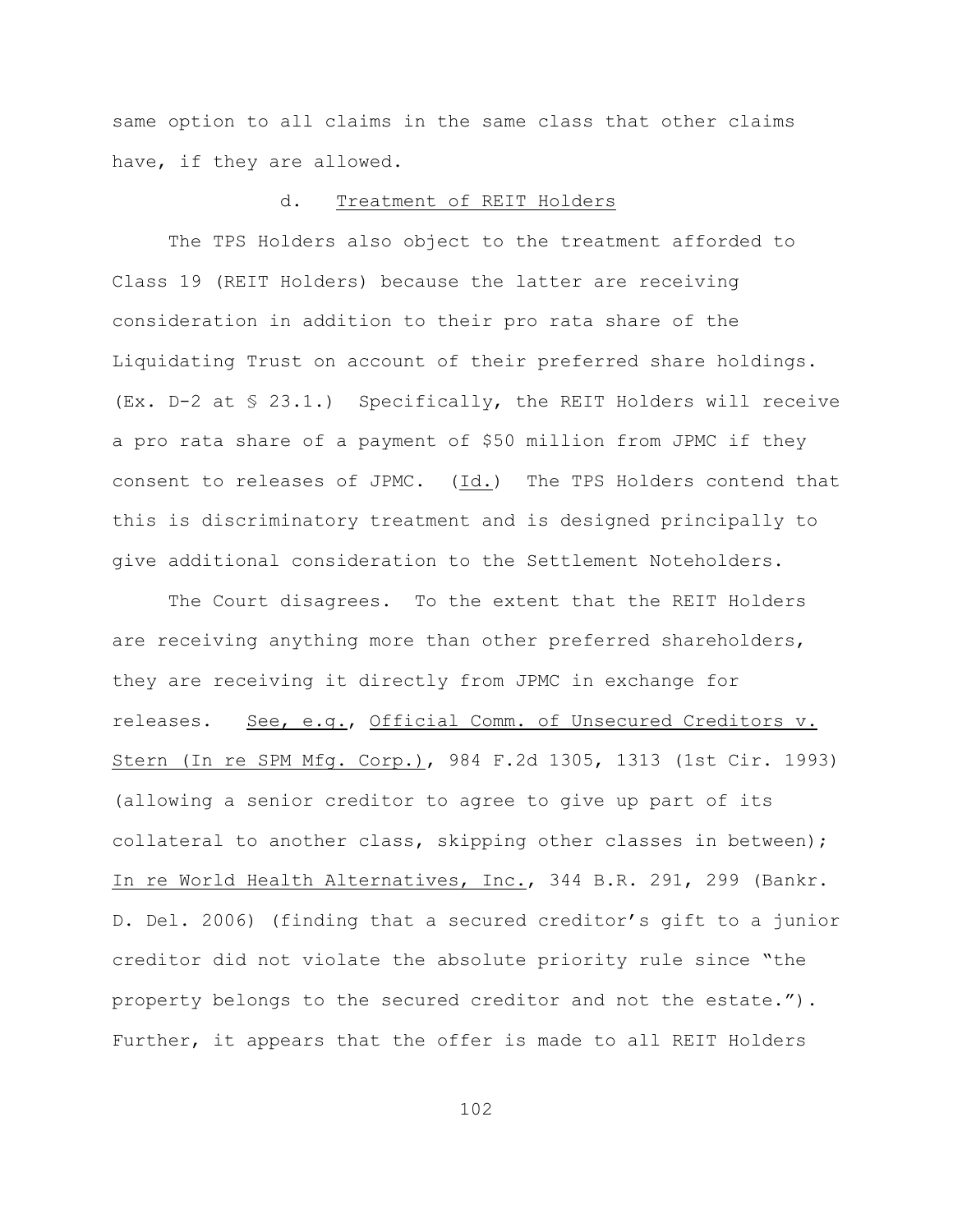same option to all claims in the same class that other claims have, if they are allowed.

#### d. Treatment of REIT Holders

The TPS Holders also object to the treatment afforded to Class 19 (REIT Holders) because the latter are receiving consideration in addition to their pro rata share of the Liquidating Trust on account of their preferred share holdings. (Ex. D-2 at § 23.1.) Specifically, the REIT Holders will receive a pro rata share of a payment of \$50 million from JPMC if they consent to releases of JPMC. (Id.) The TPS Holders contend that this is discriminatory treatment and is designed principally to give additional consideration to the Settlement Noteholders.

The Court disagrees. To the extent that the REIT Holders are receiving anything more than other preferred shareholders, they are receiving it directly from JPMC in exchange for releases. See, e.g., Official Comm. of Unsecured Creditors v. Stern (In re SPM Mfg. Corp.), 984 F.2d 1305, 1313 (1st Cir. 1993) (allowing a senior creditor to agree to give up part of its collateral to another class, skipping other classes in between); In re World Health Alternatives, Inc., 344 B.R. 291, 299 (Bankr. D. Del. 2006) (finding that a secured creditor's gift to a junior creditor did not violate the absolute priority rule since "the property belongs to the secured creditor and not the estate."). Further, it appears that the offer is made to all REIT Holders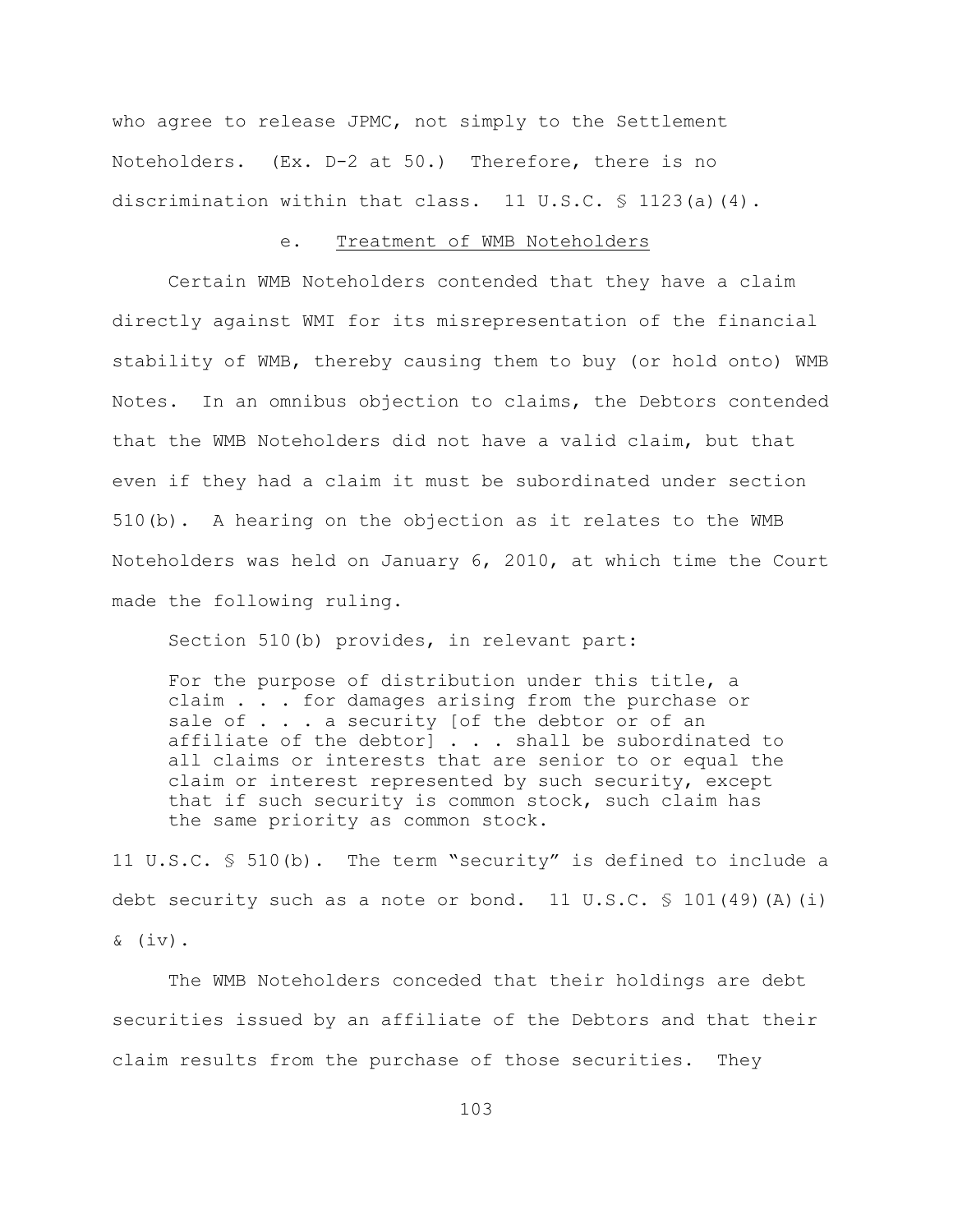who agree to release JPMC, not simply to the Settlement Noteholders. (Ex. D-2 at 50.) Therefore, there is no discrimination within that class. 11 U.S.C.  $\frac{6}{5}$  1123(a)(4).

## e. Treatment of WMB Noteholders

Certain WMB Noteholders contended that they have a claim directly against WMI for its misrepresentation of the financial stability of WMB, thereby causing them to buy (or hold onto) WMB Notes. In an omnibus objection to claims, the Debtors contended that the WMB Noteholders did not have a valid claim, but that even if they had a claim it must be subordinated under section 510(b). A hearing on the objection as it relates to the WMB Noteholders was held on January 6, 2010, at which time the Court made the following ruling.

Section 510(b) provides, in relevant part:

For the purpose of distribution under this title, a claim . . . for damages arising from the purchase or sale of . . . a security [of the debtor or of an affiliate of the debtor] . . . shall be subordinated to all claims or interests that are senior to or equal the claim or interest represented by such security, except that if such security is common stock, such claim has the same priority as common stock.

11 U.S.C. § 510(b). The term "security" is defined to include a debt security such as a note or bond. 11 U.S.C.  $\frac{101(49)(\mathrm{A})(i)}{2}$  $\&$  (iv).

The WMB Noteholders conceded that their holdings are debt securities issued by an affiliate of the Debtors and that their claim results from the purchase of those securities. They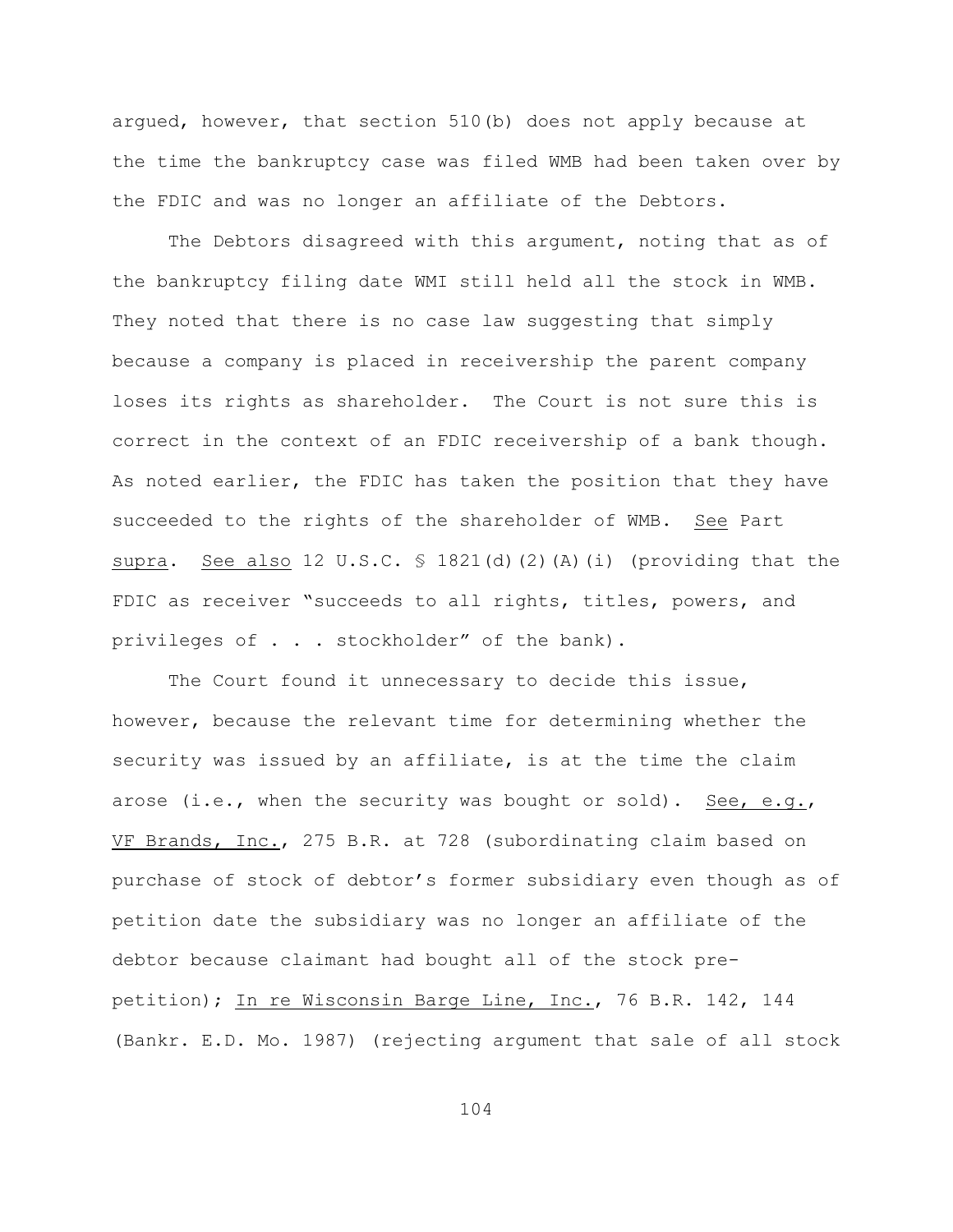argued, however, that section 510(b) does not apply because at the time the bankruptcy case was filed WMB had been taken over by the FDIC and was no longer an affiliate of the Debtors.

The Debtors disagreed with this argument, noting that as of the bankruptcy filing date WMI still held all the stock in WMB. They noted that there is no case law suggesting that simply because a company is placed in receivership the parent company loses its rights as shareholder. The Court is not sure this is correct in the context of an FDIC receivership of a bank though. As noted earlier, the FDIC has taken the position that they have succeeded to the rights of the shareholder of WMB. See Part supra. See also 12 U.S.C.  $\frac{1}{2}$  1821(d)(2)(A)(i) (providing that the FDIC as receiver "succeeds to all rights, titles, powers, and privileges of . . . stockholder" of the bank).

The Court found it unnecessary to decide this issue, however, because the relevant time for determining whether the security was issued by an affiliate, is at the time the claim arose (i.e., when the security was bought or sold). See, e.g., VF Brands, Inc., 275 B.R. at 728 (subordinating claim based on purchase of stock of debtor's former subsidiary even though as of petition date the subsidiary was no longer an affiliate of the debtor because claimant had bought all of the stock prepetition); In re Wisconsin Barge Line, Inc., 76 B.R. 142, 144 (Bankr. E.D. Mo. 1987) (rejecting argument that sale of all stock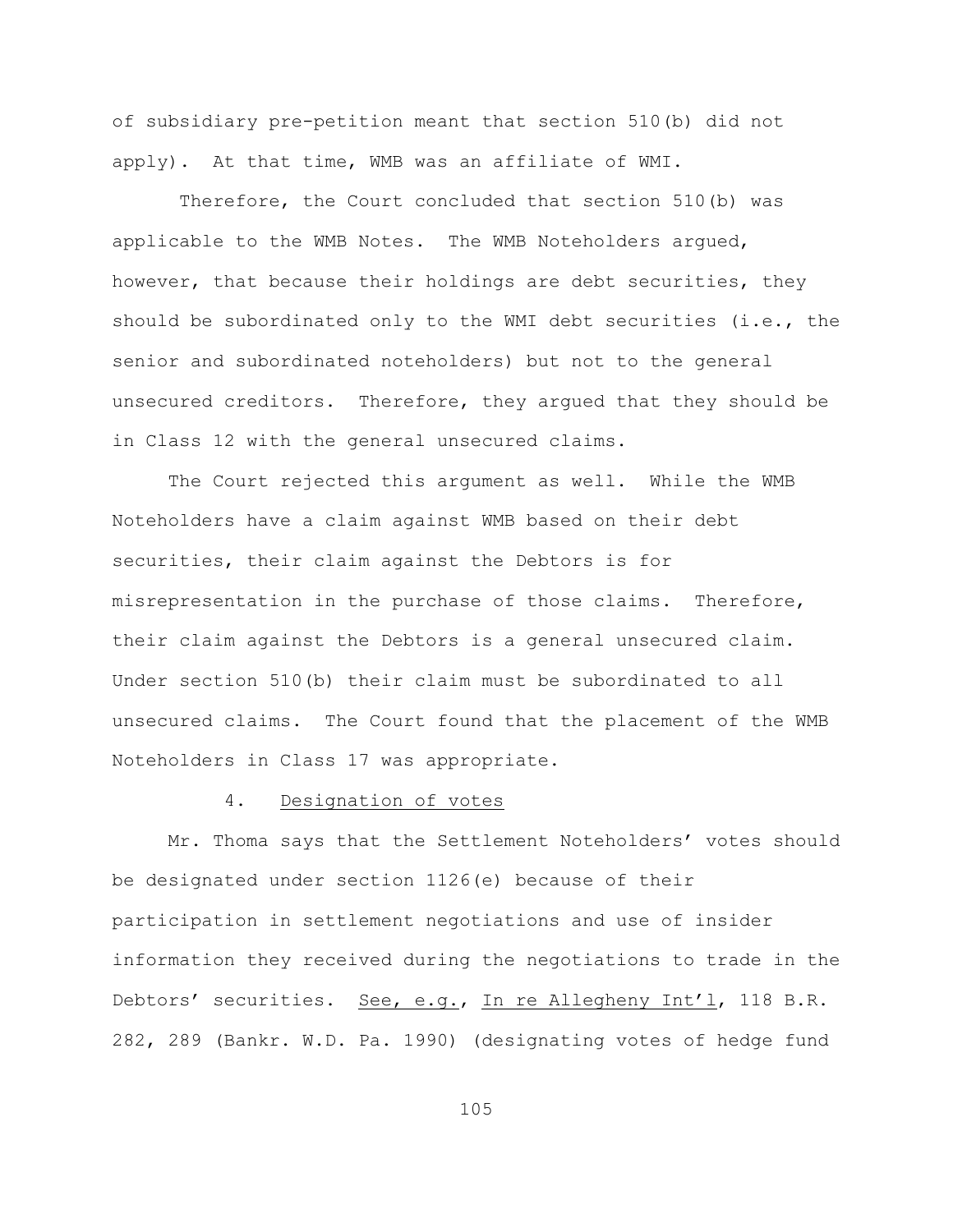of subsidiary pre-petition meant that section 510(b) did not apply). At that time, WMB was an affiliate of WMI.

 Therefore, the Court concluded that section 510(b) was applicable to the WMB Notes. The WMB Noteholders argued, however, that because their holdings are debt securities, they should be subordinated only to the WMI debt securities (i.e., the senior and subordinated noteholders) but not to the general unsecured creditors. Therefore, they argued that they should be in Class 12 with the general unsecured claims.

The Court rejected this argument as well. While the WMB Noteholders have a claim against WMB based on their debt securities, their claim against the Debtors is for misrepresentation in the purchase of those claims. Therefore, their claim against the Debtors is a general unsecured claim. Under section 510(b) their claim must be subordinated to all unsecured claims. The Court found that the placement of the WMB Noteholders in Class 17 was appropriate.

## 4. Designation of votes

Mr. Thoma says that the Settlement Noteholders' votes should be designated under section 1126(e) because of their participation in settlement negotiations and use of insider information they received during the negotiations to trade in the Debtors' securities. See, e.g., In re Allegheny Int'l, 118 B.R. 282, 289 (Bankr. W.D. Pa. 1990) (designating votes of hedge fund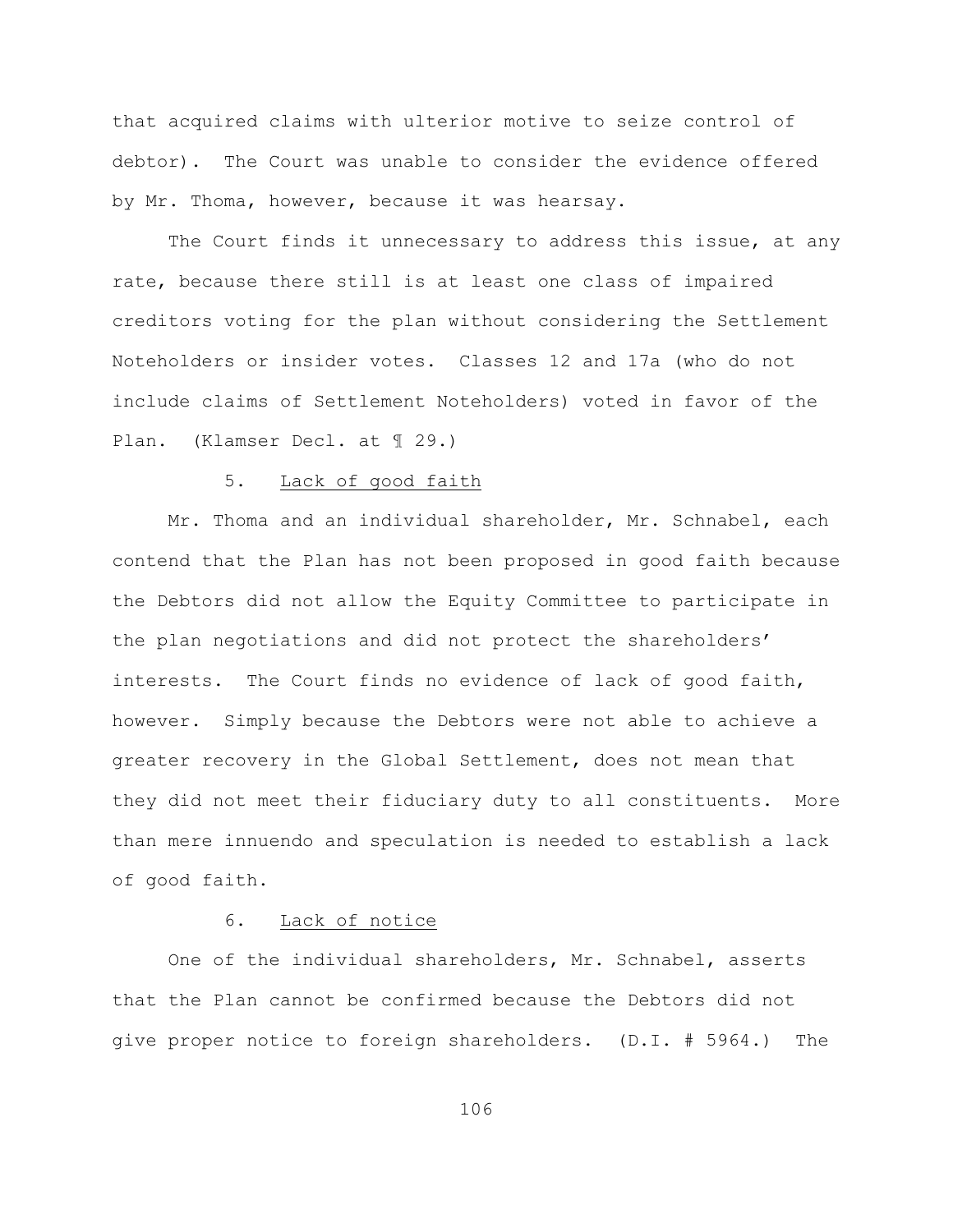that acquired claims with ulterior motive to seize control of debtor). The Court was unable to consider the evidence offered by Mr. Thoma, however, because it was hearsay.

The Court finds it unnecessary to address this issue, at any rate, because there still is at least one class of impaired creditors voting for the plan without considering the Settlement Noteholders or insider votes. Classes 12 and 17a (who do not include claims of Settlement Noteholders) voted in favor of the Plan. (Klamser Decl. at ¶ 29.)

## 5. Lack of good faith

Mr. Thoma and an individual shareholder, Mr. Schnabel, each contend that the Plan has not been proposed in good faith because the Debtors did not allow the Equity Committee to participate in the plan negotiations and did not protect the shareholders' interests. The Court finds no evidence of lack of good faith, however. Simply because the Debtors were not able to achieve a greater recovery in the Global Settlement, does not mean that they did not meet their fiduciary duty to all constituents. More than mere innuendo and speculation is needed to establish a lack of good faith.

# 6. Lack of notice

One of the individual shareholders, Mr. Schnabel, asserts that the Plan cannot be confirmed because the Debtors did not give proper notice to foreign shareholders. (D.I. # 5964.) The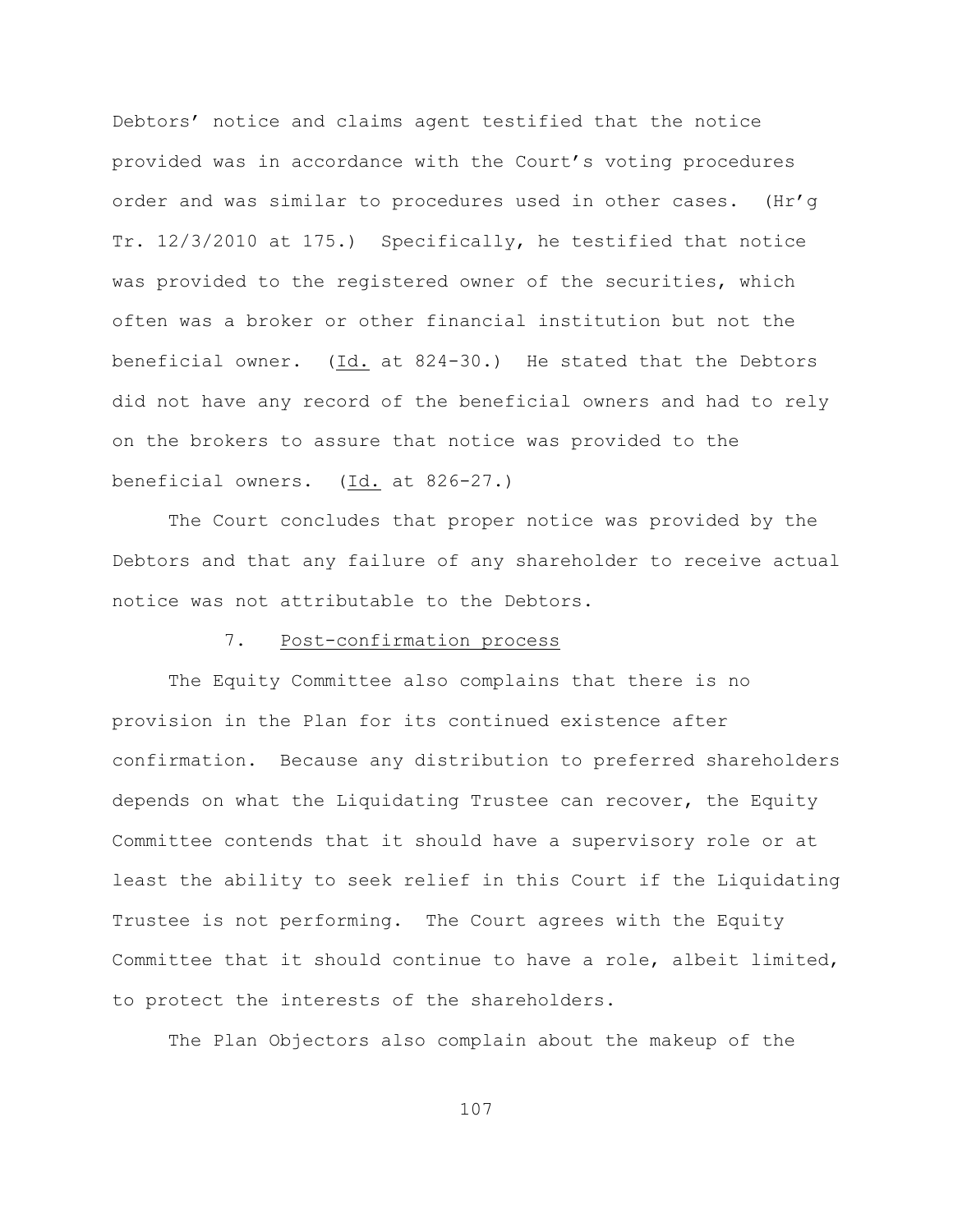Debtors' notice and claims agent testified that the notice provided was in accordance with the Court's voting procedures order and was similar to procedures used in other cases. (Hr'g Tr. 12/3/2010 at 175.) Specifically, he testified that notice was provided to the registered owner of the securities, which often was a broker or other financial institution but not the beneficial owner. (Id. at 824-30.) He stated that the Debtors did not have any record of the beneficial owners and had to rely on the brokers to assure that notice was provided to the beneficial owners. (Id. at 826-27.)

The Court concludes that proper notice was provided by the Debtors and that any failure of any shareholder to receive actual notice was not attributable to the Debtors.

# 7. Post-confirmation process

The Equity Committee also complains that there is no provision in the Plan for its continued existence after confirmation. Because any distribution to preferred shareholders depends on what the Liquidating Trustee can recover, the Equity Committee contends that it should have a supervisory role or at least the ability to seek relief in this Court if the Liquidating Trustee is not performing. The Court agrees with the Equity Committee that it should continue to have a role, albeit limited, to protect the interests of the shareholders.

The Plan Objectors also complain about the makeup of the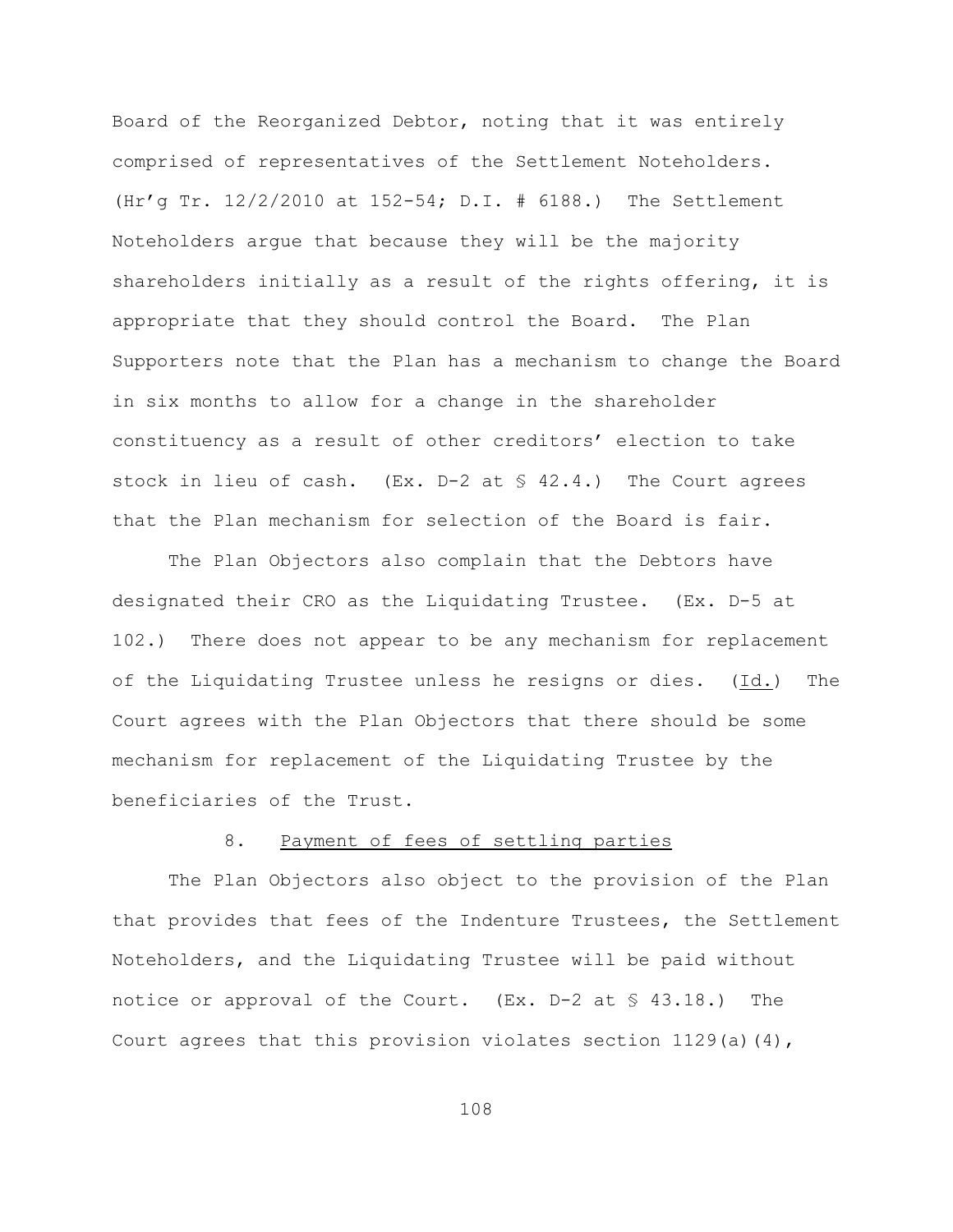Board of the Reorganized Debtor, noting that it was entirely comprised of representatives of the Settlement Noteholders. (Hr'g Tr. 12/2/2010 at 152-54; D.I. # 6188.) The Settlement Noteholders argue that because they will be the majority shareholders initially as a result of the rights offering, it is appropriate that they should control the Board. The Plan Supporters note that the Plan has a mechanism to change the Board in six months to allow for a change in the shareholder constituency as a result of other creditors' election to take stock in lieu of cash. (Ex. D-2 at § 42.4.) The Court agrees that the Plan mechanism for selection of the Board is fair.

The Plan Objectors also complain that the Debtors have designated their CRO as the Liquidating Trustee. (Ex. D-5 at 102.) There does not appear to be any mechanism for replacement of the Liquidating Trustee unless he resigns or dies. (Id.) The Court agrees with the Plan Objectors that there should be some mechanism for replacement of the Liquidating Trustee by the beneficiaries of the Trust.

# 8. Payment of fees of settling parties

The Plan Objectors also object to the provision of the Plan that provides that fees of the Indenture Trustees, the Settlement Noteholders, and the Liquidating Trustee will be paid without notice or approval of the Court. (Ex. D-2 at § 43.18.) The Court agrees that this provision violates section  $1129(a)(4)$ ,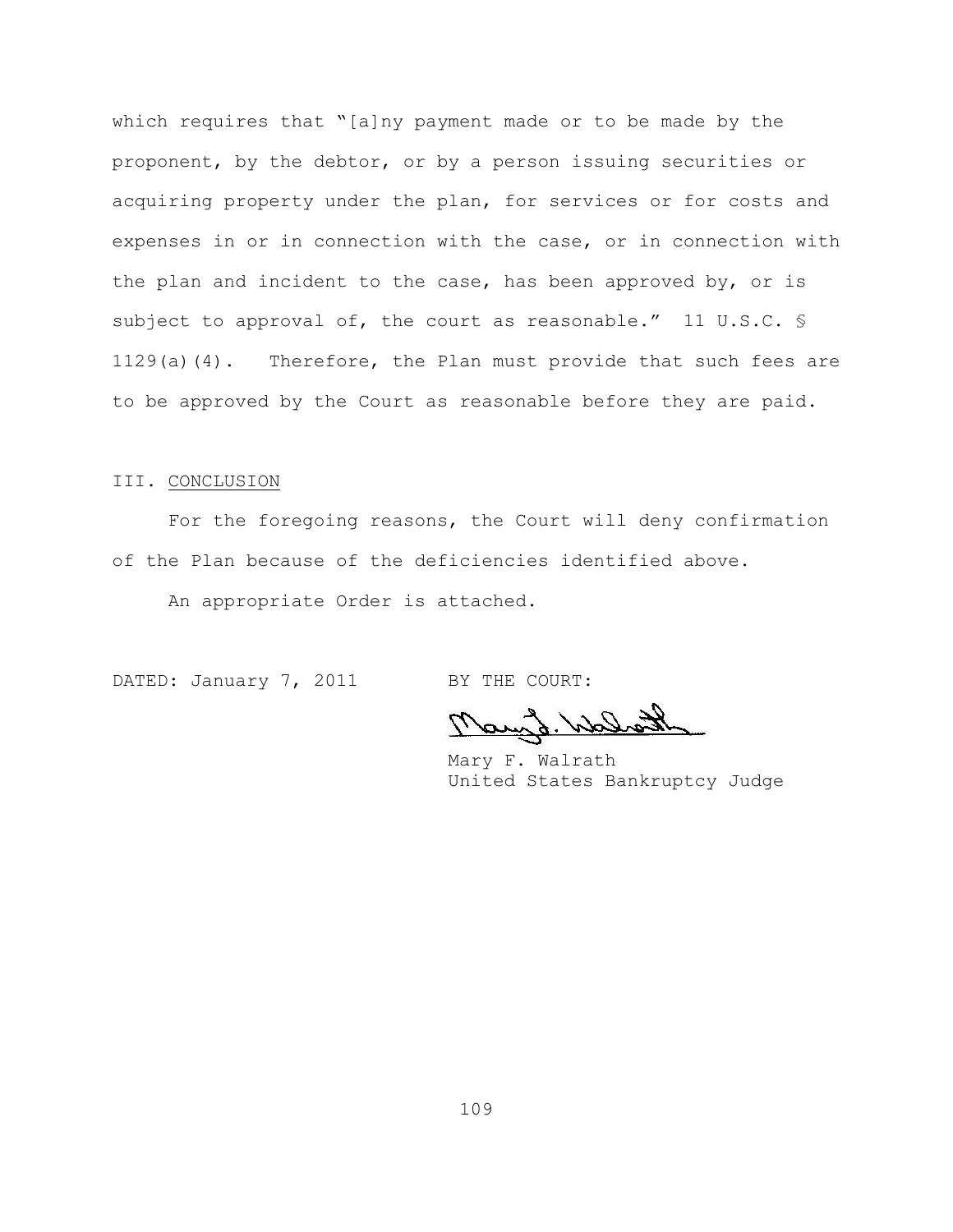which requires that "[a]ny payment made or to be made by the proponent, by the debtor, or by a person issuing securities or acquiring property under the plan, for services or for costs and expenses in or in connection with the case, or in connection with the plan and incident to the case, has been approved by, or is subject to approval of, the court as reasonable." 11 U.S.C. \$ 1129(a)(4). Therefore, the Plan must provide that such fees are to be approved by the Court as reasonable before they are paid.

## III. CONCLUSION

For the foregoing reasons, the Court will deny confirmation of the Plan because of the deficiencies identified above.

An appropriate Order is attached.

DATED: January 7, 2011 BY THE COURT:

Mary d. W

Mary F. Walrath United States Bankruptcy Judge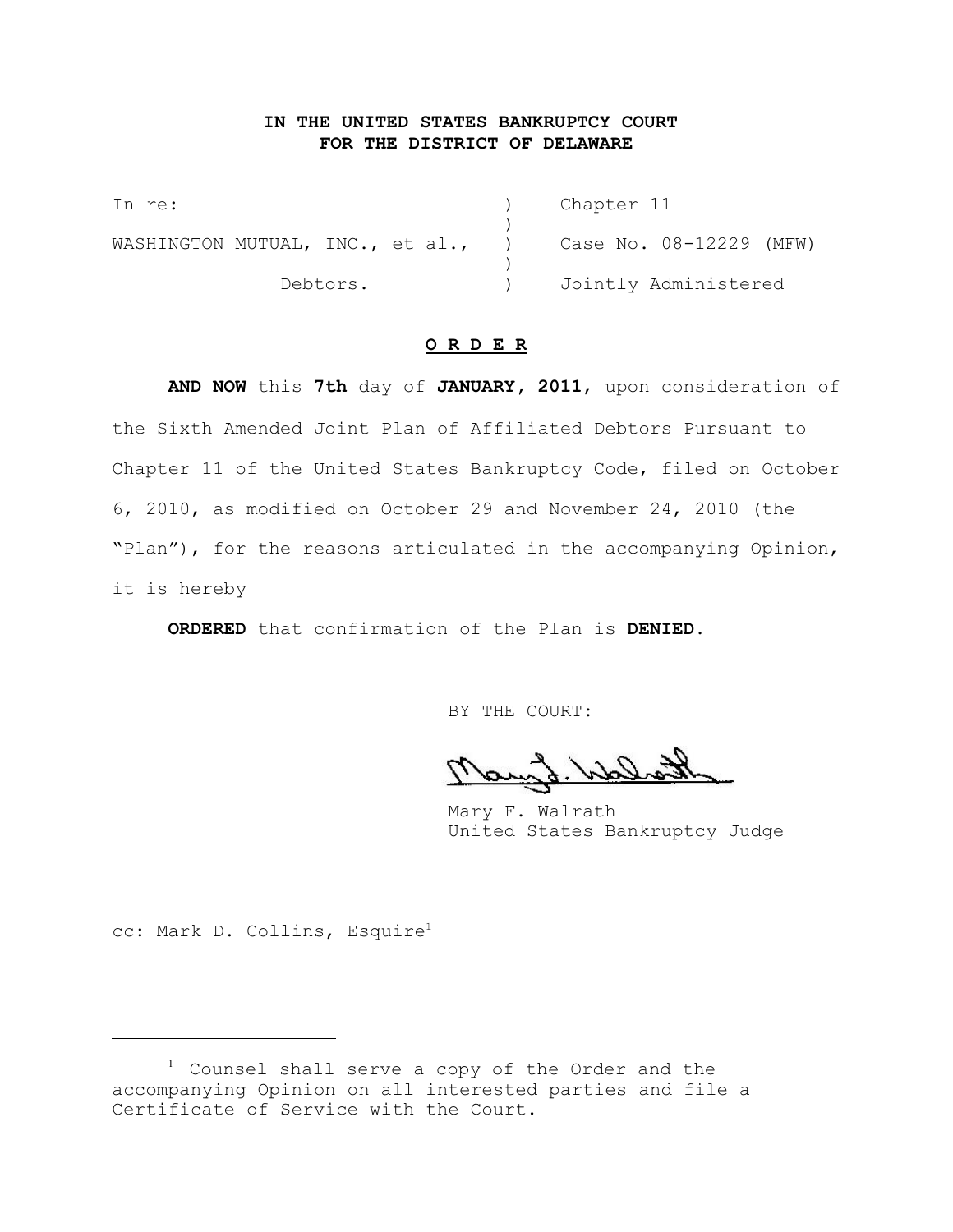## **IN THE UNITED STATES BANKRUPTCY COURT FOR THE DISTRICT OF DELAWARE**

In re: (a) Chapter 11 ) WASHINGTON MUTUAL, INC., et al., ) Case No. 08-12229 (MFW) ) Debtors. ) Jointly Administered

## **O R D E R**

**AND NOW** this **7th** day of **JANUARY, 2011**, upon consideration of the Sixth Amended Joint Plan of Affiliated Debtors Pursuant to Chapter 11 of the United States Bankruptcy Code, filed on October 6, 2010, as modified on October 29 and November 24, 2010 (the "Plan"), for the reasons articulated in the accompanying Opinion, it is hereby

**ORDERED** that confirmation of the Plan is **DENIED**.

BY THE COURT:

Mary F. Walrath United States Bankruptcy Judge

cc: Mark D. Collins, Esquire<sup>1</sup>

 $1$  Counsel shall serve a copy of the Order and the accompanying Opinion on all interested parties and file a Certificate of Service with the Court.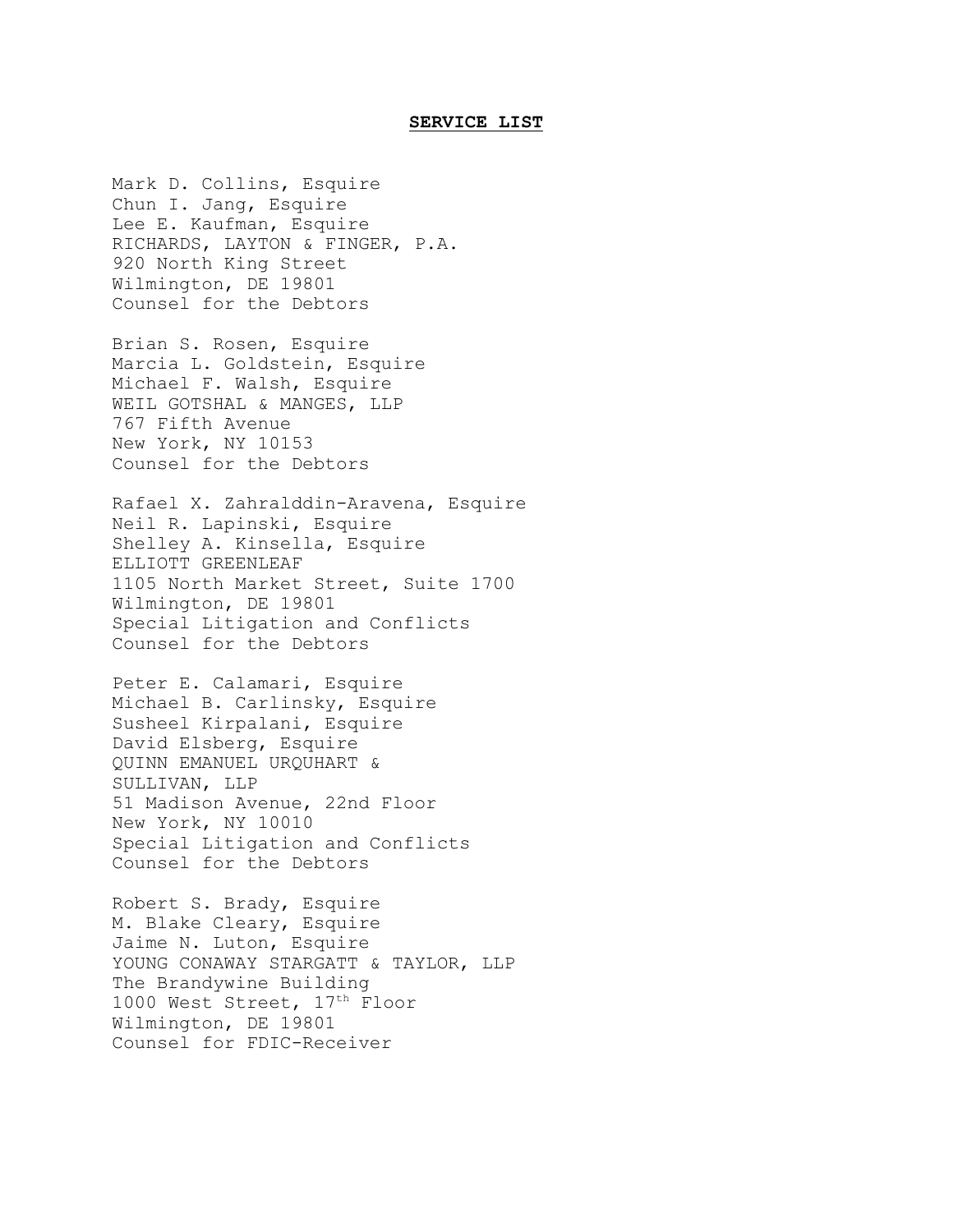## **SERVICE LIST**

Chun I. Jang, Esquire Lee E. Kaufman, Esquire RICHARDS, LAYTON & FINGER, P.A. 920 North King Street Wilmington, DE 19801 Counsel for the Debtors Brian S. Rosen, Esquire Marcia L. Goldstein, Esquire Michael F. Walsh, Esquire WEIL GOTSHAL & MANGES, LLP 767 Fifth Avenue New York, NY 10153 Counsel for the Debtors Rafael X. Zahralddin-Aravena, Esquire Neil R. Lapinski, Esquire Shelley A. Kinsella, Esquire ELLIOTT GREENLEAF 1105 North Market Street, Suite 1700 Wilmington, DE 19801 Special Litigation and Conflicts Counsel for the Debtors Peter E. Calamari, Esquire Michael B. Carlinsky, Esquire Susheel Kirpalani, Esquire David Elsberg, Esquire QUINN EMANUEL URQUHART & SULLIVAN, LLP 51 Madison Avenue, 22nd Floor New York, NY 10010 Special Litigation and Conflicts Counsel for the Debtors Robert S. Brady, Esquire M. Blake Cleary, Esquire Jaime N. Luton, Esquire YOUNG CONAWAY STARGATT & TAYLOR, LLP The Brandywine Building 1000 West Street,  $17<sup>th</sup>$  Floor Wilmington, DE 19801 Counsel for FDIC-Receiver

Mark D. Collins, Esquire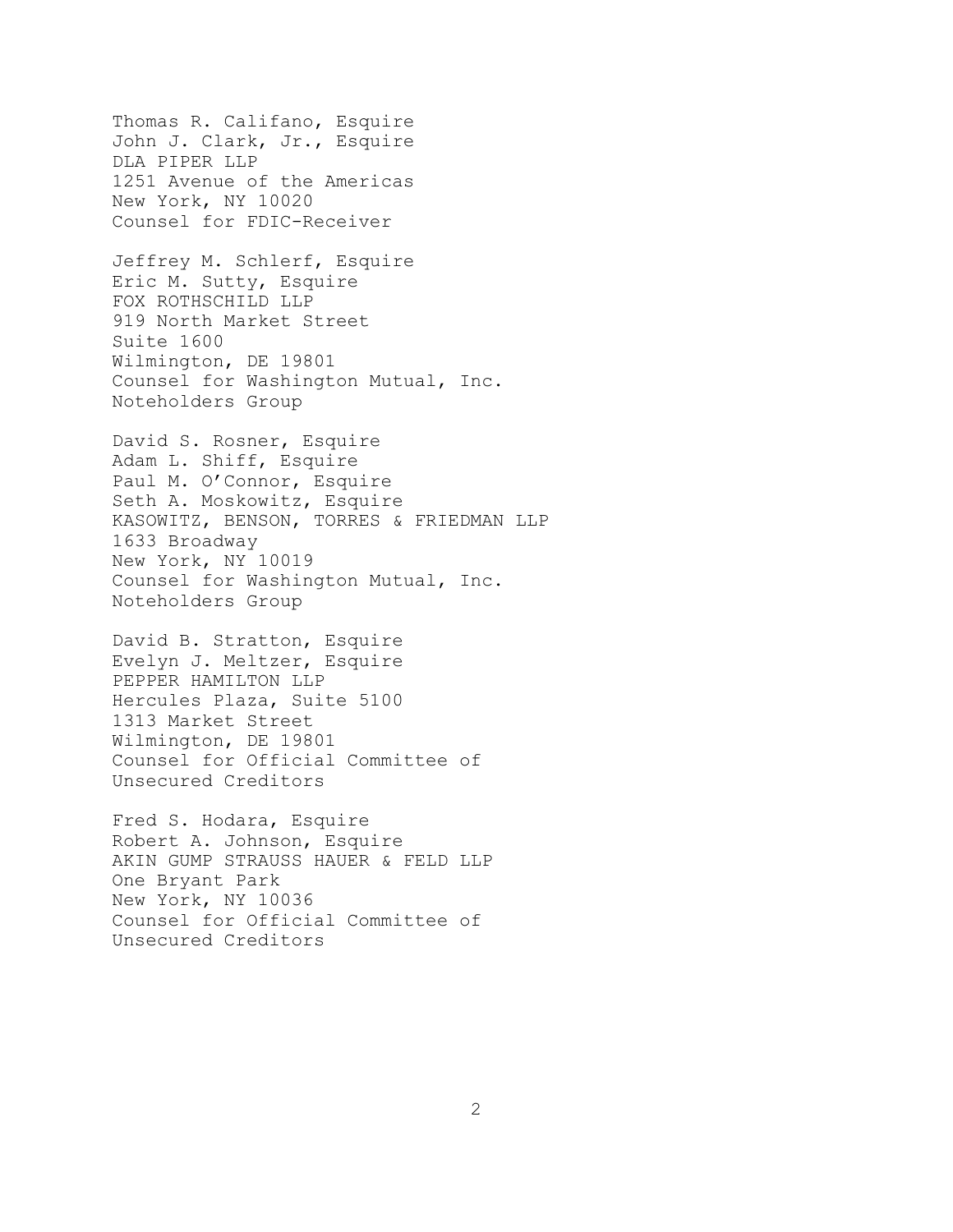Thomas R. Califano, Esquire John J. Clark, Jr., Esquire DLA PIPER LLP 1251 Avenue of the Americas New York, NY 10020 Counsel for FDIC-Receiver Jeffrey M. Schlerf, Esquire Eric M. Sutty, Esquire FOX ROTHSCHILD LLP 919 North Market Street Suite 1600 Wilmington, DE 19801 Counsel for Washington Mutual, Inc. Noteholders Group David S. Rosner, Esquire Adam L. Shiff, Esquire Paul M. O'Connor, Esquire Seth A. Moskowitz, Esquire KASOWITZ, BENSON, TORRES & FRIEDMAN LLP 1633 Broadway New York, NY 10019 Counsel for Washington Mutual, Inc. Noteholders Group David B. Stratton, Esquire Evelyn J. Meltzer, Esquire PEPPER HAMILTON LLP Hercules Plaza, Suite 5100 1313 Market Street Wilmington, DE 19801 Counsel for Official Committee of Unsecured Creditors Fred S. Hodara, Esquire

Robert A. Johnson, Esquire AKIN GUMP STRAUSS HAUER & FELD LLP One Bryant Park New York, NY 10036 Counsel for Official Committee of Unsecured Creditors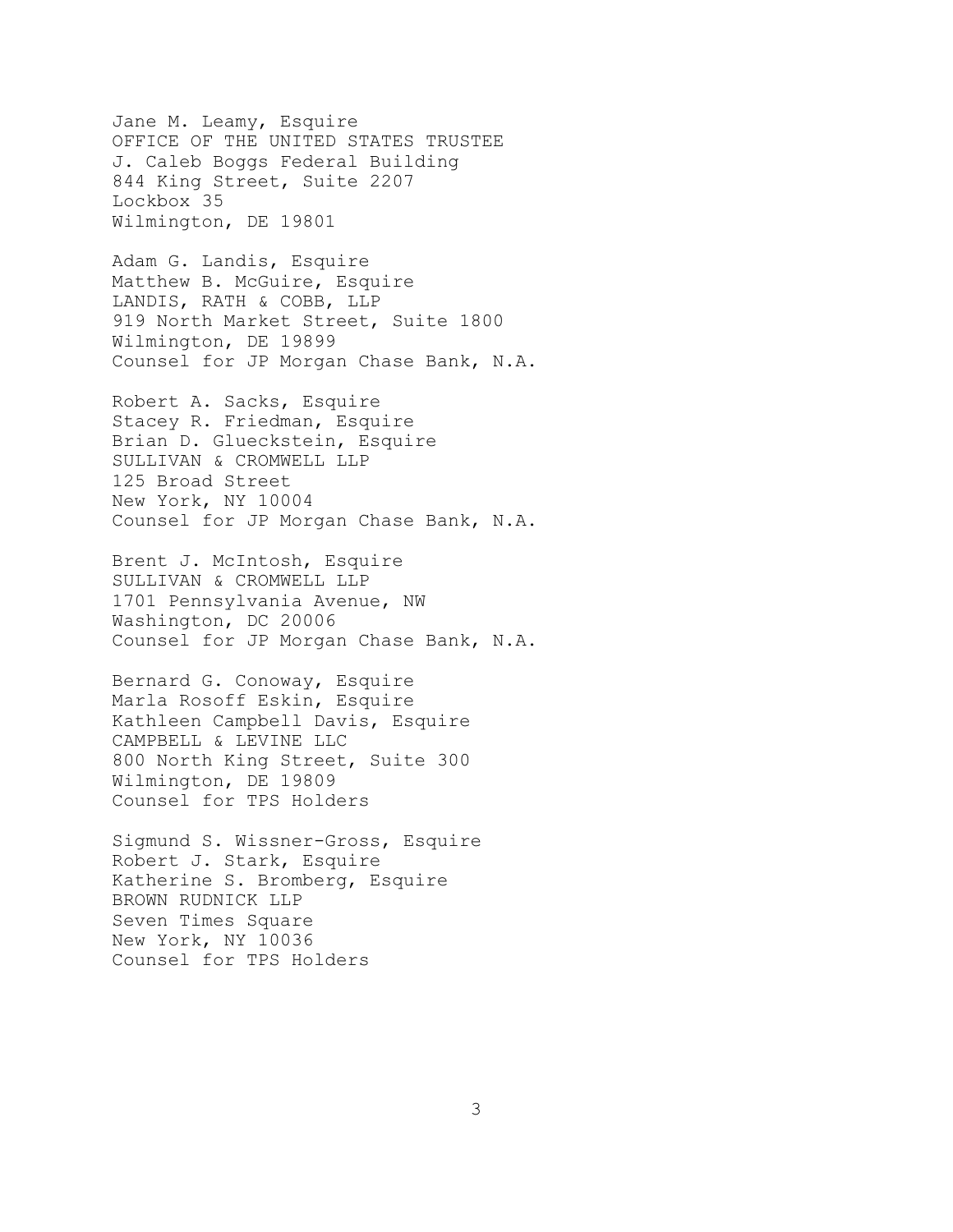Jane M. Leamy, Esquire OFFICE OF THE UNITED STATES TRUSTEE J. Caleb Boggs Federal Building 844 King Street, Suite 2207 Lockbox 35 Wilmington, DE 19801

Adam G. Landis, Esquire Matthew B. McGuire, Esquire LANDIS, RATH & COBB, LLP 919 North Market Street, Suite 1800 Wilmington, DE 19899 Counsel for JP Morgan Chase Bank, N.A.

Robert A. Sacks, Esquire Stacey R. Friedman, Esquire Brian D. Glueckstein, Esquire SULLIVAN & CROMWELL LLP 125 Broad Street New York, NY 10004 Counsel for JP Morgan Chase Bank, N.A.

Brent J. McIntosh, Esquire SULLIVAN & CROMWELL LLP 1701 Pennsylvania Avenue, NW Washington, DC 20006 Counsel for JP Morgan Chase Bank, N.A.

Bernard G. Conoway, Esquire Marla Rosoff Eskin, Esquire Kathleen Campbell Davis, Esquire CAMPBELL & LEVINE LLC 800 North King Street, Suite 300 Wilmington, DE 19809 Counsel for TPS Holders

Sigmund S. Wissner-Gross, Esquire Robert J. Stark, Esquire Katherine S. Bromberg, Esquire BROWN RUDNICK LLP Seven Times Square New York, NY 10036 Counsel for TPS Holders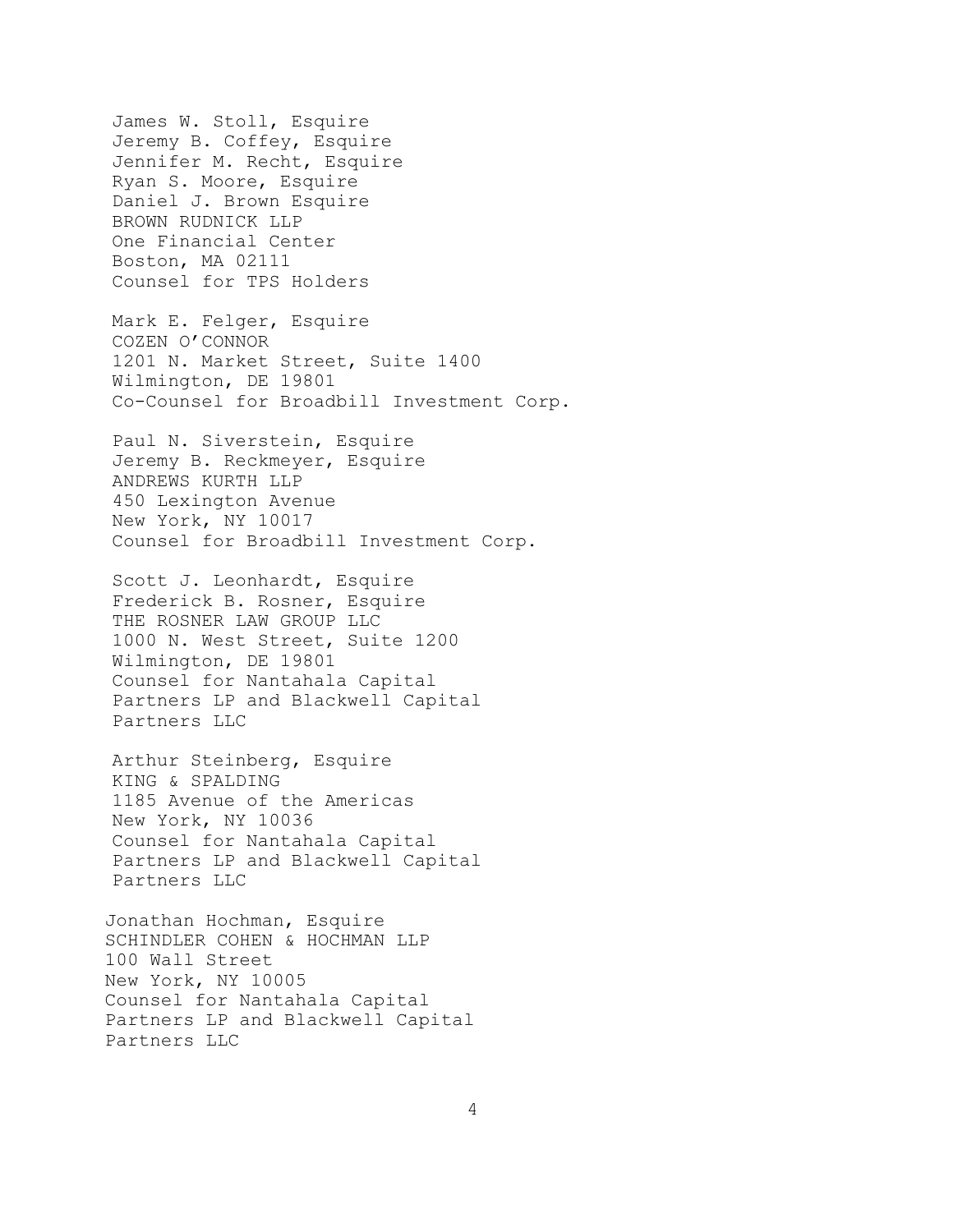James W. Stoll, Esquire Jeremy B. Coffey, Esquire Jennifer M. Recht, Esquire Ryan S. Moore, Esquire Daniel J. Brown Esquire BROWN RUDNICK LLP One Financial Center Boston, MA 02111 Counsel for TPS Holders Mark E. Felger, Esquire COZEN O'CONNOR 1201 N. Market Street, Suite 1400 Wilmington, DE 19801 Co-Counsel for Broadbill Investment Corp. Paul N. Siverstein, Esquire Jeremy B. Reckmeyer, Esquire ANDREWS KURTH LLP 450 Lexington Avenue New York, NY 10017 Counsel for Broadbill Investment Corp. Scott J. Leonhardt, Esquire Frederick B. Rosner, Esquire THE ROSNER LAW GROUP LLC 1000 N. West Street, Suite 1200 Wilmington, DE 19801 Counsel for Nantahala Capital Partners LP and Blackwell Capital Partners LLC Arthur Steinberg, Esquire KING & SPALDING 1185 Avenue of the Americas New York, NY 10036 Counsel for Nantahala Capital Partners LP and Blackwell Capital Partners LLC Jonathan Hochman, Esquire SCHINDLER COHEN & HOCHMAN LLP 100 Wall Street New York, NY 10005 Counsel for Nantahala Capital Partners LP and Blackwell Capital

Partners LLC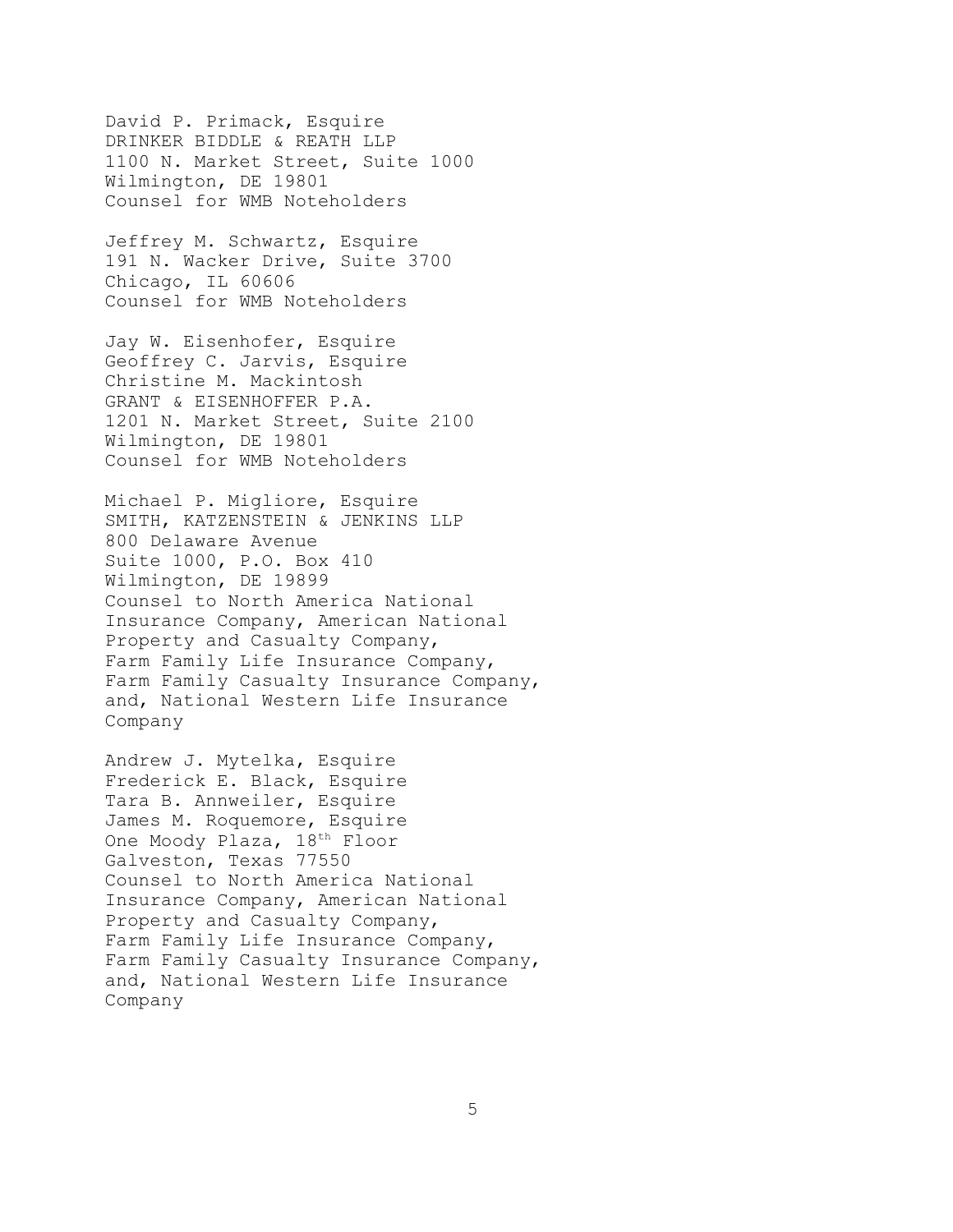David P. Primack, Esquire DRINKER BIDDLE & REATH LLP 1100 N. Market Street, Suite 1000 Wilmington, DE 19801 Counsel for WMB Noteholders

Jeffrey M. Schwartz, Esquire 191 N. Wacker Drive, Suite 3700 Chicago, IL 60606 Counsel for WMB Noteholders

Jay W. Eisenhofer, Esquire Geoffrey C. Jarvis, Esquire Christine M. Mackintosh GRANT & EISENHOFFER P.A. 1201 N. Market Street, Suite 2100 Wilmington, DE 19801 Counsel for WMB Noteholders

Michael P. Migliore, Esquire SMITH, KATZENSTEIN & JENKINS LLP 800 Delaware Avenue Suite 1000, P.O. Box 410 Wilmington, DE 19899 Counsel to North America National Insurance Company, American National Property and Casualty Company, Farm Family Life Insurance Company, Farm Family Casualty Insurance Company, and, National Western Life Insurance Company

Andrew J. Mytelka, Esquire Frederick E. Black, Esquire Tara B. Annweiler, Esquire James M. Roquemore, Esquire One Moody Plaza, 18<sup>th</sup> Floor Galveston, Texas 77550 Counsel to North America National Insurance Company, American National Property and Casualty Company, Farm Family Life Insurance Company, Farm Family Casualty Insurance Company, and, National Western Life Insurance Company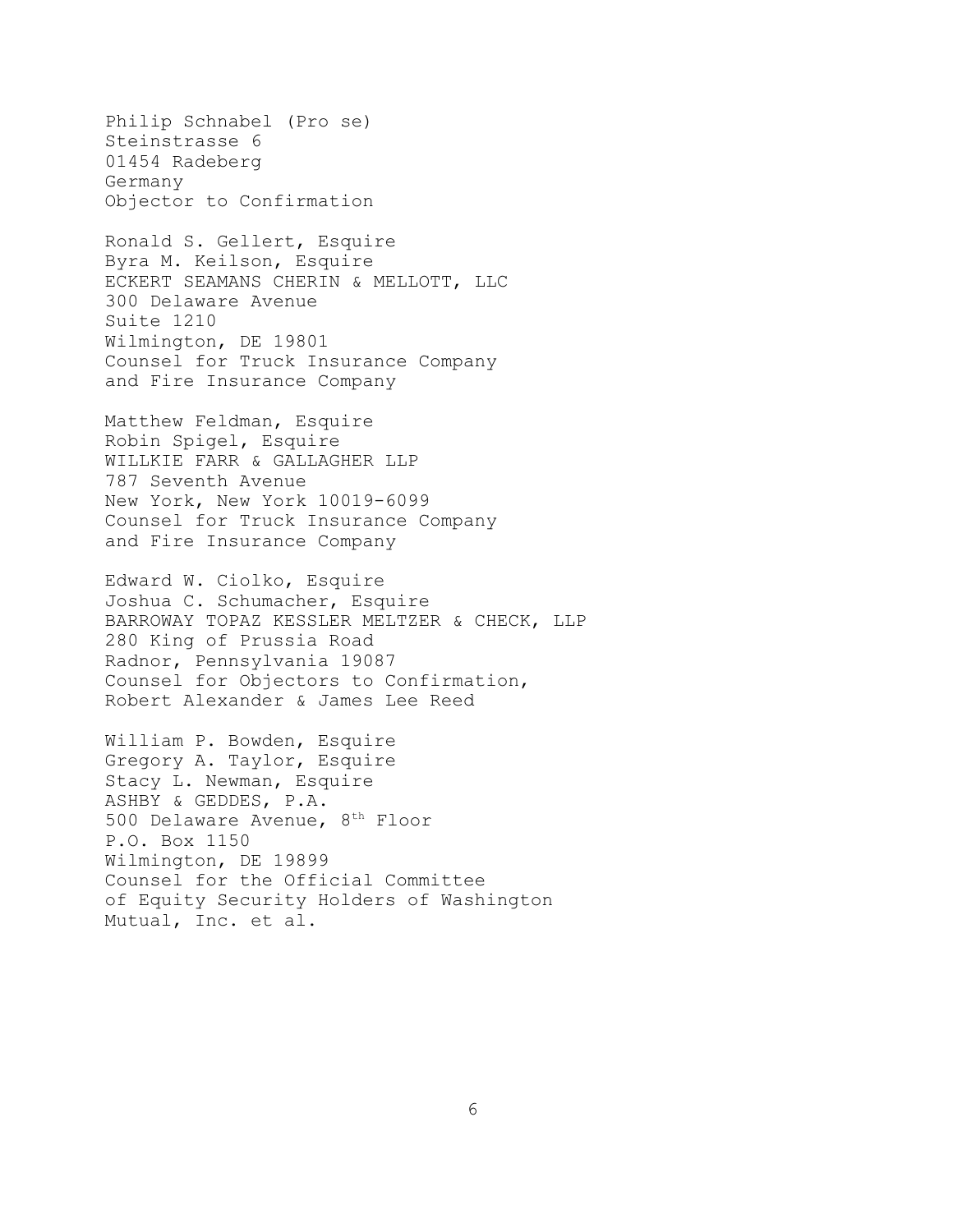Philip Schnabel (Pro se) Steinstrasse 6 01454 Radeberg Germany Objector to Confirmation

Ronald S. Gellert, Esquire Byra M. Keilson, Esquire ECKERT SEAMANS CHERIN & MELLOTT, LLC 300 Delaware Avenue Suite 1210 Wilmington, DE 19801 Counsel for Truck Insurance Company and Fire Insurance Company

Matthew Feldman, Esquire Robin Spigel, Esquire WILLKIE FARR & GALLAGHER LLP 787 Seventh Avenue New York, New York 10019-6099 Counsel for Truck Insurance Company and Fire Insurance Company

Edward W. Ciolko, Esquire Joshua C. Schumacher, Esquire BARROWAY TOPAZ KESSLER MELTZER & CHECK, LLP 280 King of Prussia Road Radnor, Pennsylvania 19087 Counsel for Objectors to Confirmation, Robert Alexander & James Lee Reed

William P. Bowden, Esquire Gregory A. Taylor, Esquire Stacy L. Newman, Esquire ASHBY & GEDDES, P.A. 500 Delaware Avenue,  $8<sup>th</sup>$  Floor P.O. Box 1150 Wilmington, DE 19899 Counsel for the Official Committee of Equity Security Holders of Washington Mutual, Inc. et al.